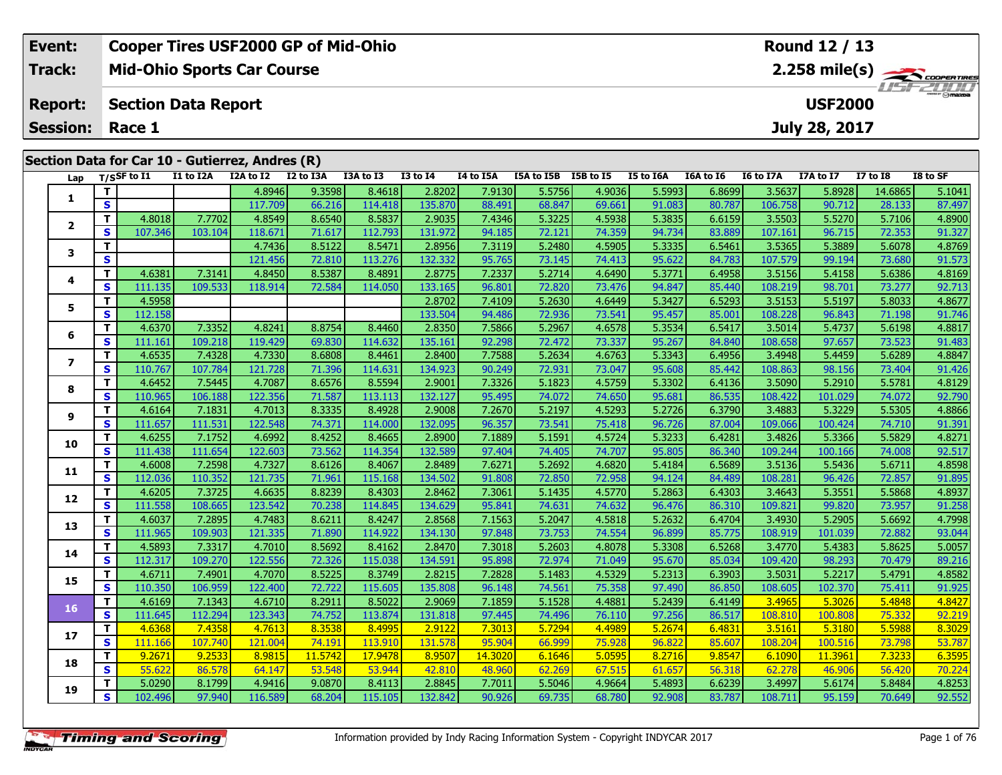| <b>Event:</b>          | <b>Cooper Tires USF2000 GP of Mid-Ohio</b>      | Round 12 / 13                                           |
|------------------------|-------------------------------------------------|---------------------------------------------------------|
| Track:                 | <b>Mid-Ohio Sports Car Course</b>               | $2.258$ mile(s) $\overbrace{\hspace{2cm}}$ coorga Times |
| Report:                | Section Data Report                             | <b>USF2000</b>                                          |
| <b>Session: Race 1</b> |                                                 | July 28, 2017                                           |
|                        | Section Data for Car 10 - Gutierrez, Andres (R) |                                                         |

| Lap            |                         | $T/S$ SF to I1 | I1 to I2A | I2A to I2 | I2 to I3A | I3A to I3 | <b>I3 to I4</b> | I4 to I5A | I5A to I5B I5B to I5 |        | <b>I5 to I6A</b> | I6A to I6 | I6 to I7A | I7A to I7 | <b>I7 to I8</b> | I8 to SF |
|----------------|-------------------------|----------------|-----------|-----------|-----------|-----------|-----------------|-----------|----------------------|--------|------------------|-----------|-----------|-----------|-----------------|----------|
| 1              | $\overline{\mathbf{T}}$ |                |           | 4.8946    | 9.3598    | 8.4618    | 2.8202          | 7.9130    | 5.5756               | 4.9036 | 5.5993           | 6.8699    | 3.5637    | 5.8928    | 14.6865         | 5.1041   |
|                | $\overline{\mathbf{s}}$ |                |           | 117.709   | 66.216    | 114.418   | 135.870         | 88.491    | 68.847               | 69.661 | 91.083           | 80.787    | 106.758   | 90.712    | 28.133          | 87.497   |
| $\overline{2}$ | T.                      | 4.8018         | 7.7702    | 4.8549    | 8.6540    | 8.5837    | 2.9035          | 7.4346    | 5.3225               | 4.5938 | 5.3835           | 6.6159    | 3.5503    | 5.5270    | 5.7106          | 4.8900   |
|                | S                       | 107.346        | 103.104   | 118.671   | 71.617    | 112.793   | 131.972         | 94.185    | 72.121               | 74.359 | 94.734           | 83.889    | 107.161   | 96.715    | 72.353          | 91.327   |
| 3              | T                       |                |           | 4.7436    | 8.5122    | 8.5471    | 2.8956          | 7.3119    | 5.2480               | 4.5905 | 5.3335           | 6.5461    | 3.5365    | 5.3889    | 5.6078          | 4.8769   |
|                | $\overline{\mathbf{s}}$ |                |           | 121.456   | 72.810    | 113.276   | 132.332         | 95.765    | 73.145               | 74.413 | 95.622           | 84.783    | 107.579   | 99.194    | 73.680          | 91.573   |
| 4              | $\mathbf T$             | 4.6381         | 7.3141    | 4.8450    | 8.5387    | 8.4891    | 2.8775          | 7.2337    | 5.2714               | 4.6490 | 5.3771           | 6.4958    | 3.5156    | 5.4158    | 5.6386          | 4.8169   |
|                | S                       | 111.135        | 109.533   | 118.914   | 72.584    | 114.050   | 133.165         | 96.801    | 72.820               | 73.476 | 94.847           | 85.440    | 108.219   | 98.701    | 73.277          | 92.713   |
| 5              | T.                      | 4.5958         |           |           |           |           | 2.8702          | 7.4109    | 5.2630               | 4.6449 | 5.3427           | 6.5293    | 3.5153    | 5.5197    | 5.8033          | 4.8677   |
|                | S                       | 112.158        |           |           |           |           | 133.504         | 94.486    | 72.936               | 73.541 | 95.457           | 85.001    | 108.228   | 96.843    | 71.198          | 91.746   |
| 6              | $\overline{\mathbf{T}}$ | 4.6370         | 7.3352    | 4.8241    | 8.8754    | 8.4460    | 2.8350          | 7.5866    | 5.2967               | 4.6578 | 5.3534           | 6.5417    | 3.5014    | 5.4737    | 5.6198          | 4.8817   |
|                | $\mathbf{s}$            | 111.161        | 109.218   | 119.429   | 69.830    | 114.632   | 135.161         | 92.298    | 72.472               | 73.337 | 95.267           | 84.840    | 108.658   | 97.657    | 73.523          | 91.483   |
| $\overline{ }$ | $\mathbf{T}$            | 4.6535         | 7.4328    | 4.7330    | 8.6808    | 8.4461    | 2.8400          | 7.7588    | 5.2634               | 4.6763 | 5.3343           | 6.4956    | 3.4948    | 5.4459    | 5.6289          | 4.8847   |
|                | $\mathbf{s}$            | 110.767        | 107.784   | 121.728   | 71.396    | 114.631   | 134.923         | 90.249    | 72.931               | 73.047 | 95.608           | 85.442    | 108.863   | 98.156    | 73.404          | 91.426   |
| 8              | T.                      | 4.6452         | 7.5445    | 4.7087    | 8.6576    | 8.5594    | 2.9001          | 7.3326    | 5.1823               | 4.5759 | 5.3302           | 6.4136    | 3.5090    | 5.2910    | 5.5781          | 4.8129   |
|                | $\mathbf{s}$            | 110.965        | 106.188   | 122.356   | 71.587    | 113.113   | 132.127         | 95.495    | 74.072               | 74.650 | 95.681           | 86.535    | 108.422   | 101.029   | 74.072          | 92.790   |
| 9              | $\mathbf T$             | 4.6164         | 7.1831    | 4.7013    | 8.3335    | 8.4928    | 2.9008          | 7.2670    | 5.2197               | 4.5293 | 5.2726           | 6.3790    | 3.4883    | 5.3229    | 5.5305          | 4.8866   |
|                | $\overline{\mathbf{s}}$ | 111.657        | 111.531   | 122.548   | 74.371    | 114.000   | 132.095         | 96.357    | 73.541               | 75.418 | 96.726           | 87.004    | 109.066   | 100.424   | 74.710          | 91.391   |
| 10             | T                       | 4.6255         | 7.1752    | 4.6992    | 8.4252    | 8.4665    | 2.8900          | 7.1889    | 5.1591               | 4.5724 | 5.3233           | 6.4281    | 3.4826    | 5.3366    | 5.5829          | 4.8271   |
|                | $\overline{\mathbf{s}}$ | 111.438        | 111.654   | 122.603   | 73.562    | 114.354   | 132.589         | 97.404    | 74.405               | 74.707 | 95.805           | 86.340    | 109.244   | 100.166   | 74.008          | 92.517   |
| 11             | $\overline{\mathbf{T}}$ | 4.6008         | 7.2598    | 4.7327    | 8.6126    | 8.4067    | 2.8489          | 7.6271    | 5.2692               | 4.6820 | 5.4184           | 6.5689    | 3.5136    | 5.5436    | 5.6711          | 4.8598   |
|                | <b>S</b>                | 112.036        | 110.352   | 121.735   | 71.961    | 115.168   | 134.502         | 91.808    | 72.850               | 72.958 | 94.124           | 84.489    | 108.281   | 96.426    | 72.857          | 91.895   |
| 12             | T                       | 4.6205         | 7.3725    | 4.6635    | 8.8239    | 8.4303    | 2.8462          | 7.3061    | 5.1435               | 4.5770 | 5.2863           | 6.4303    | 3.4643    | 5.3551    | 5.5868          | 4.8937   |
|                | $\mathbf{s}$            | 111.558        | 108.665   | 123.542   | 70.238    | 114.845   | 134.629         | 95.841    | 74.631               | 74.632 | 96.476           | 86.310    | 109.821   | 99.820    | 73.957          | 91.258   |
| 13             | T                       | 4.6037         | 7.2895    | 4.7483    | 8.6211    | 8.4247    | 2.8568          | 7.1563    | 5.2047               | 4.5818 | 5.2632           | 6.4704    | 3.4930    | 5.2905    | 5.6692          | 4.7998   |
|                | $\overline{\mathbf{s}}$ | 111.965        | 109.903   | 121.335   | 71.890    | 114.922   | 134.130         | 97.848    | 73.753               | 74.554 | 96.899           | 85.775    | 108.919   | 101.039   | 72.882          | 93.044   |
| 14             | T.                      | 4.5893         | 7.3317    | 4.7010    | 8.5692    | 8.4162    | 2.8470          | 7.3018    | 5.2603               | 4.8078 | 5.3308           | 6.5268    | 3.4770    | 5.4383    | 5.8625          | 5.0057   |
|                | $\mathbf{s}$            | 112.317        | 109.270   | 122.556   | 72.326    | 115.038   | 134.591         | 95.898    | 72.974               | 71.049 | 95.670           | 85.034    | 109.420   | 98.293    | 70.479          | 89.216   |
| 15             | $\overline{\mathbf{T}}$ | 4.6711         | 7.4901    | 4.7070    | 8.5225    | 8.3749    | 2.8215          | 7.2828    | 5.1483               | 4.5329 | 5.2313           | 6.3903    | 3.5031    | 5.2217    | 5.4791          | 4.8582   |
|                | $\overline{\mathbf{s}}$ | 110.350        | 106.959   | 122.400   | 72.722    | 115.605   | 135.808         | 96.148    | 74.561               | 75.358 | 97.490           | 86.850    | 108.605   | 102.370   | 75.411          | 91.925   |
| 16             | $\mathbf{T}$            | 4.6169         | 7.1343    | 4.6710    | 8.2911    | 8.5022    | 2.9069          | 7.1859    | 5.1528               | 4.4881 | 5.2439           | 6.4149    | 3.4965    | 5.3026    | 5.4848          | 4.8427   |
|                | $\mathbf{s}$            | 111.645        | 112.294   | 123.343   | 74.752    | 113.874   | 131.818         | 97.445    | 74.496               | 76.110 | 97.256           | 86.517    | 108.810   | 100.808   | 75.332          | 92.219   |
| 17             | T.                      | 4.6368         | 7.4358    | 4.7613    | 8.3538    | 8.4995    | 2.9122          | 7.3013    | 5.7294               | 4.4989 | 5.2674           | 6.4831    | 3.5161    | 5.3180    | 5.5988          | 8.3029   |
|                | $\mathbf{s}$            | 111.166        | 107.740   | 121.004   | 74.191    | 113.910   | 131.578         | 95.904    | 66.999               | 75.928 | 96.822           | 85.607    | 108.204   | 100.516   | 73.798          | 53.787   |
| 18             | $\overline{\mathsf{T}}$ | 9.2671         | 9.2533    | 8.9815    | 11.5742   | 17.9478   | 8.9507          | 14.3020   | 6.1646               | 5.0595 | 8.2716           | 9.8547    | 6.1090    | 11.3961   | 7.3233          | 6.3595   |
|                | $\mathbf{s}$            | 55.622         | 86.578    | 64.147    | 53.548    | 53.944    | 42.810          | 48.960    | 62.269               | 67.515 | 61.657           | 56.318    | 62.278    | 46.906    | 56.420          | 70.224   |
| 19             | T                       | 5.0290         | 8.1799    | 4.9416    | 9.0870    | 8.4113    | 2.8845          | 7.7011    | 5.5046               | 4.9664 | 5.4893           | 6.6239    | 3.4997    | 5.6174    | 5.8484          | 4.8253   |
|                | $\mathbf{s}$            | 102.496        | 97.940    | 116.589   | 68.204    | 115.105   | 132.842         | 90.926    | 69.735               | 68.780 | 92.908           | 83.787    | 108.711   | 95.159    | 70.649          | 92.552   |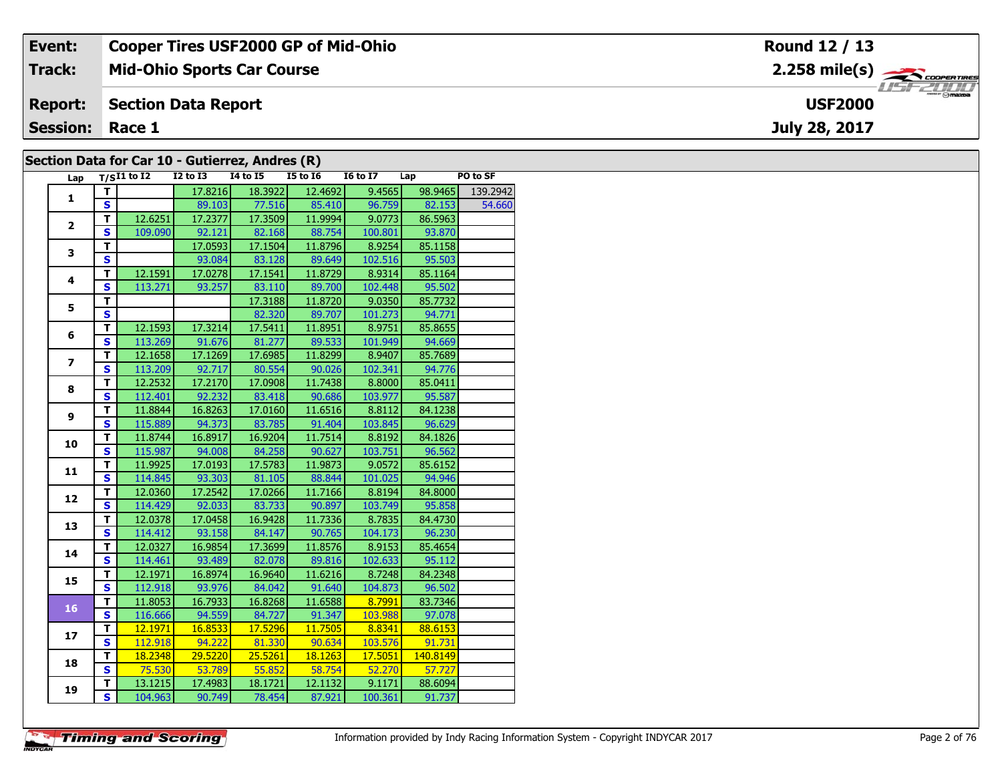| Event:          | <b>Cooper Tires USF2000 GP of Mid-Ohio</b>      | Round 12 / 13                                                 |
|-----------------|-------------------------------------------------|---------------------------------------------------------------|
| <b>Track:</b>   | <b>Mid-Ohio Sports Car Course</b>               | $2.258$ mile(s) $\overbrace{\hspace{2.5cm}}^{1}$ coores Tires |
| <b>Report:</b>  | Section Data Report                             | <b>HSFZUID</b><br><b>USF2000</b>                              |
| <b>Session:</b> | Race 1                                          | July 28, 2017                                                 |
|                 | Section Data for Car 10 - Gutierrez, Andres (R) |                                                               |

## **Section Data for Car 10 - Gutierrez, Andres (R)**

| Lap            |                         | $T/SI1$ to $I2$ | $I2$ to $I3$   | $I4$ to $I5$         | I5 to I6 | $16 \text{ to } 17$ Lap                              |          | PO to SF         |
|----------------|-------------------------|-----------------|----------------|----------------------|----------|------------------------------------------------------|----------|------------------|
| $\mathbf{1}$   | T.                      |                 | 17.8216        | 18.3922              | 12.4692  | 9.4565                                               |          | 98.9465 139.2942 |
|                | S                       |                 |                | 89.103 77.516 85.410 |          | 96.759                                               | 82.153   | 54.660           |
| $\overline{2}$ | T.                      | 12.6251         | 17.2377        | 17.3509              | 11.9994  | 9.0773                                               | 86.5963  |                  |
|                | $\mathbf{s}$            | 109.090         | 92.121         | 82.168               | 88.754   | 100.801                                              | 93.870   |                  |
| 3              | $\overline{\mathsf{r}}$ |                 | 17.0593        | 17.1504              | 11.8796  | 8.9254                                               | 85.1158  |                  |
|                | $\overline{\mathbf{s}}$ |                 | 93.084         | 83.128               | 89.649   | 102.516                                              | 95.503   |                  |
| 4              | $\overline{\mathsf{r}}$ | 12.1591         | 17.0278        | 17.1541              | 11.8729  | 8.9314                                               | 85.1164  |                  |
|                | $\mathbf{s}$            | 113.271         | 93.257         | 83.110               | 89.700   | 102.448                                              | 95.502   |                  |
| 5              | т                       |                 |                | 17.3188              | 11.8720  | 9.0350                                               | 85.7732  |                  |
|                | S                       |                 |                | 82.320               | 89.707   | 101.273                                              | 94.771   |                  |
|                | T.                      | 12.1593         | 17.3214        | 17.5411              | 11.8951  | 8.9751                                               | 85.8655  |                  |
| 6              | $\overline{\mathbf{s}}$ |                 | 113.269 91.676 | 81.277               | 89.533   | 101.949                                              | 94.669   |                  |
|                | $\mathbf T$             | 12.1658         | 17.1269        | 17.6985              | 11.8299  | 8.9407                                               | 85.7689  |                  |
| $\overline{ }$ | $\overline{\mathbf{s}}$ | 113.209         | 92.717         | 80.554               | 90.026   | 102.341                                              | 94.776   |                  |
|                | $\overline{\mathsf{r}}$ | 12.2532         | 17.2170        | 17.0908              | 11.7438  | 8.8000                                               | 85.0411  |                  |
| 8              | $\mathbf s$             | 112.401         | 92.232         | 83.418               | 90.686   | 103.977                                              | 95.587   |                  |
|                | $\mathbf T$             | 11.8844         | 16.8263        | 17.0160              | 11.6516  | 8.8112                                               | 84.1238  |                  |
| 9              | $\mathbf{s}$            | 115.889         | 94.373         | 83.785               | 91.404   | 103.845                                              | 96.629   |                  |
|                | $\mathbf T$             | 11.8744         | 16.8917        | 16.9204              | 11.7514  | 8.8192                                               | 84.1826  |                  |
| 10             | $\overline{\mathbf{s}}$ | 115.987         | 94.008         | 84.258               | 90.627   | 103.751                                              | 96.562   |                  |
|                | T.                      | 11.9925         | 17.0193        | 17.5783              | 11.9873  | 9.0572                                               | 85.6152  |                  |
| 11             | $\overline{\mathbf{s}}$ | 114.845         | 93.303         | 81.105               | 88.844   | 101.025                                              | 94.946   |                  |
|                | T                       | 12.0360         | 17.2542        | 17.0266              | 11.7166  | 8.8194                                               | 84.8000  |                  |
| 12             | $\overline{\mathbf{s}}$ | 114.429         | 92.033         | 83.733               | 90.897   | 103.749                                              | 95.858   |                  |
| 13             | $\overline{\mathsf{r}}$ | 12.0378         | 17.0458        | 16.9428              | 11.7336  | 8.7835                                               | 84.4730  |                  |
|                | $\mathbf{s}$            | 114.412         | 93.158         | 84.147               | 90.765   | 104.173                                              | 96.230   |                  |
| 14             | T                       | 12.0327         | 16.9854        | 17.3699              | 11.8576  | 8.9153                                               | 85.4654  |                  |
|                | $\overline{\mathbf{s}}$ | 114.461         | 93.489         | 82.078               | 89.816   | 102.633                                              | 95.112   |                  |
| 15             | $\overline{\mathsf{r}}$ | 12.1971         | 16.8974        | 16.9640              | 11.6216  | 8.7248                                               | 84.2348  |                  |
|                | $\overline{\mathbf{s}}$ | 112.918         | 93.976         | 84.042               | 91.640   | 104.873                                              | 96.502   |                  |
| 16             | т                       | 11.8053         | 16.7933        | 16.8268              | 11.6588  | $\begin{array}{ c c c }\n\hline\n&8.7991\end{array}$ | 83.7346  |                  |
|                | $\mathbf{s}$            | 116.666         | 94.559         | 84.727               | 91.347   | 103.988                                              | 97.078   |                  |
| 17             | $\mathbf T$             | 12.1971         | 16.8533        | 17.5296              | 11.7505  | $\begin{array}{ c c c }\n\hline\n&8.8341\end{array}$ | 88.6153  |                  |
|                | $\overline{\mathbf{s}}$ | 112.918         | 94.222         | 81.330               | 90.634   | 103.576                                              | 91.731   |                  |
| 18             | $\overline{\mathsf{r}}$ | 18.2348         | 29.5220        | 25.5261              | 18.1263  | 17.5051                                              | 140.8149 |                  |
|                | $\mathbf{s}$            | 75.530          | 53.789         | 55.852               | 58.754   | 52.270                                               | 57.727   |                  |
| 19             | т                       | 13.1215         | 17.4983        | 18.1721              | 12.1132  | 9.1171                                               | 88.6094  |                  |
|                | $\overline{\mathbf{s}}$ | 104.963         | 90.749         | 78.454               | 87.921   | 100.361                                              | 91.737   |                  |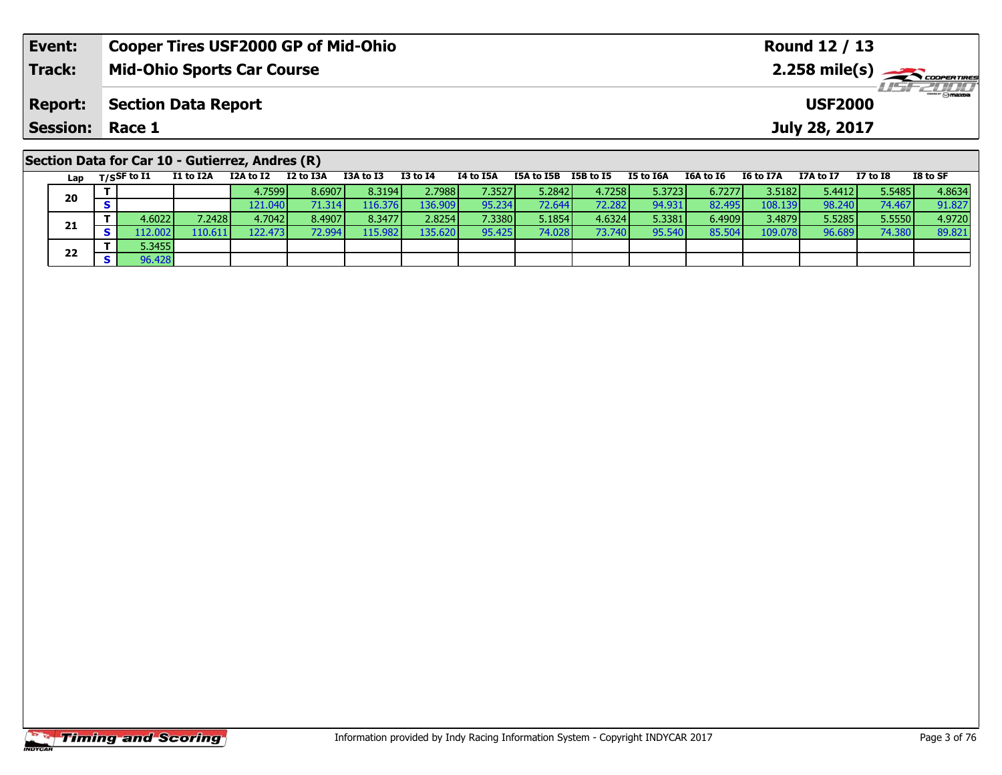| Event:          | <b>Cooper Tires USF2000 GP of Mid-Ohio</b>      | Round 12 / 13                                        |
|-----------------|-------------------------------------------------|------------------------------------------------------|
| <b>Track:</b>   | <b>Mid-Ohio Sports Car Course</b>               | $2.258$ mile(s) $\leftarrow$ $\leftarrow$ coorganges |
| <b>Report:</b>  | Section Data Report                             | <b>USF2000</b>                                       |
| <b>Session:</b> | Race 1                                          | July 28, 2017                                        |
|                 |                                                 |                                                      |
|                 | Section Data for Car 10 - Gutierrez, Andres (R) |                                                      |

|  | Lap | $T/S$ SF to $I1$ | I1 to I2A        | I2A to I2 | I2 to I3A | I3A to I3 | I3 to I4 | 14 to 15A | I5A to I5B | I5B to I5 | I5 to I6A | I6A to I6 | I6 to I7A       | I7A to I7 | I7 to I8 | I8 to SF |
|--|-----|------------------|------------------|-----------|-----------|-----------|----------|-----------|------------|-----------|-----------|-----------|-----------------|-----------|----------|----------|
|  | 20  |                  |                  | 4.7599    | 8.6907    | 8.3194    | 2.7988   | 7.3527    | 5.2842     | 4.7258    | 5.3723    | 6.7277    | 3.5182          | 5.4412    | 5.5485   | 4.8634   |
|  |     |                  |                  | 121.040   | 71.314    | 16.376    | 136.909  | 95.234    | 72.644     | 72.2821   | 94.931    | 82.495    | 108.139         | 98.240    | 74.467   | 91.827   |
|  |     | 4.6022 l         | 2428             | 4.7042    | 8.4907    | 8.3477    | 2.8254   | 7.3380    | 5.1854     | 4.6324    | 5.3381    | 6.4909    | 3.4879 <b>l</b> | 5.5285    | 5.5550   | 4.9720   |
|  | 21  | .12.002          | 110.611 <b>1</b> | 122.4731  | 72.9941   | 15.982    | 135.620  | 95.425    | 74.028     | 73.740    | 95.540    | 85.504    | 109.078         | 96.689    | 74.380   | 89.821   |
|  | 22  | 5.3455           |                  |           |           |           |          |           |            |           |           |           |                 |           |          |          |
|  |     | 96.428           |                  |           |           |           |          |           |            |           |           |           |                 |           |          |          |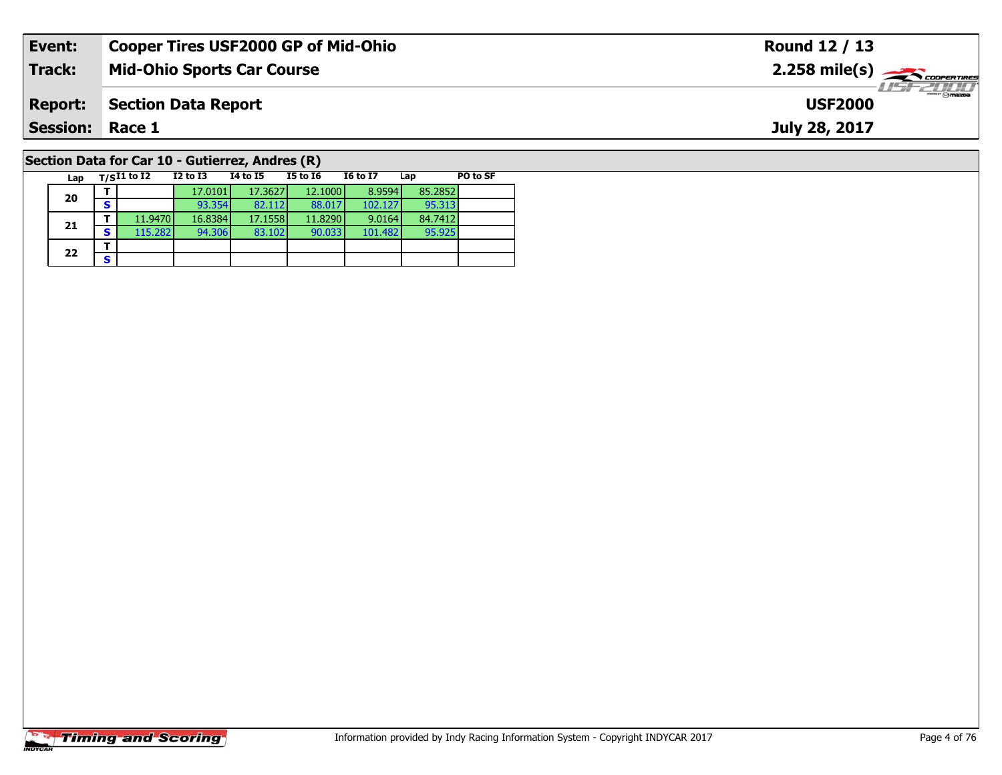| Event:                                                         | <b>Cooper Tires USF2000 GP of Mid-Ohio</b> | Round 12 / 13                                           |  |  |  |  |  |  |  |  |
|----------------------------------------------------------------|--------------------------------------------|---------------------------------------------------------|--|--|--|--|--|--|--|--|
| <b>Track:</b>                                                  | <b>Mid-Ohio Sports Car Course</b>          | $2.258$ mile(s) $\overbrace{\hspace{2cm}}$ coorer TIRES |  |  |  |  |  |  |  |  |
| <b>Report:</b>                                                 | Section Data Report                        | <b>USF2000</b>                                          |  |  |  |  |  |  |  |  |
| <b>Session: Race 1</b><br>July 28, 2017                        |                                            |                                                         |  |  |  |  |  |  |  |  |
| $\overline{P}$ Section Data for Car 10 - Gutierrez, Andres (P) |                                            |                                                         |  |  |  |  |  |  |  |  |

## **Section Data for Car 10 - Gutierrez, Andres (R)**

| Lap | $T/SI1$ to I2 |         | $I2$ to $I3$ | 14 to 15 | <b>I5 to I6</b> | <b>I6 to I7</b> | Lap     | PO to SF |
|-----|---------------|---------|--------------|----------|-----------------|-----------------|---------|----------|
| 20  |               |         | 17.0101      | 17.3627  | 12.1000         | 8.9594          | 85.2852 |          |
|     | s             |         | 93.354       | 82.112   | 88.017          | 102.127         | 95.313  |          |
| 21  |               | 11.9470 | 16.8384      | 17.1558  | 11.8290         | 9.0164          | 84.7412 |          |
|     | S             | 115.282 | 94.306       | 83.102   | 90.033          | 101.482         | 95.925  |          |
| 22  |               |         |              |          |                 |                 |         |          |
|     | S             |         |              |          |                 |                 |         |          |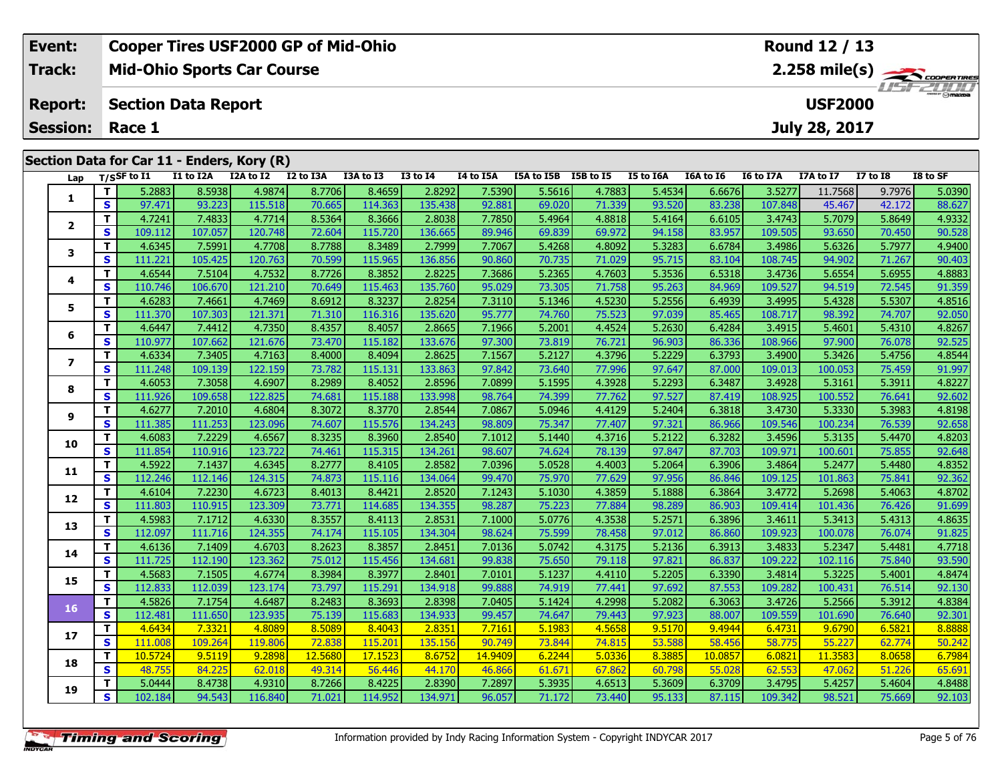| <b>Cooper Tires USF2000 GP of Mid-Ohio</b><br>Event: |                            |                |           |                                   |           |           |                 |                  |            | <b>Round 12 / 13</b> |                                           |                                            |           |               |                 |          |  |
|------------------------------------------------------|----------------------------|----------------|-----------|-----------------------------------|-----------|-----------|-----------------|------------------|------------|----------------------|-------------------------------------------|--------------------------------------------|-----------|---------------|-----------------|----------|--|
| <b>Track:</b>                                        |                            |                |           | <b>Mid-Ohio Sports Car Course</b> |           |           |                 |                  |            |                      |                                           | $2.258$ mile(s) $\rightarrow$ Coorga Times |           |               |                 |          |  |
| <b>Report:</b>                                       | <b>Section Data Report</b> |                |           |                                   |           |           |                 |                  |            |                      | <i><b>ITSFZUTIT</b></i><br><b>USF2000</b> |                                            |           |               |                 |          |  |
| <b>Session: Race 1</b>                               |                            |                |           |                                   |           |           |                 |                  |            |                      |                                           |                                            |           | July 28, 2017 |                 |          |  |
| Section Data for Car 11 - Enders, Kory (R)           |                            |                |           |                                   |           |           |                 |                  |            |                      |                                           |                                            |           |               |                 |          |  |
| Lap                                                  |                            | $T/S$ SF to I1 | I1 to I2A | I2A to I2                         | I2 to I3A | I3A to I3 | <b>I3 to I4</b> | <b>I4 to I5A</b> | I5A to I5B | <b>I5B</b> to I5     | I5 to I6A                                 | I6A to I6                                  | I6 to I7A | I7A to I7     | <b>I7 to I8</b> | I8 to SF |  |
|                                                      |                            | 5.2883         | 8.5938    | 4.9874                            | 8.7706    | 8.4659    | 2.8292          | 7.5390           | 5.5616     | 4.7883               | 5.4534                                    | 6.6676                                     | 3.5277    | 11.7568       | 9.7976          | 5.0390   |  |
|                                                      | <b>S</b>                   | 97.471         | 93.223    | 115.518                           | 70.665    | 114.363   | 135.438         | 92.881           | 69.020     | 71.339               | 93.520                                    | 83.238                                     | 107.848   | 45.467        | 42.172          | 88.627   |  |
|                                                      |                            | 4.7241         | 7.4833    | 4.7714                            | 8.5364    | 8.3666    | 2.8038          | 7.7850           | 5.4964     | 4.8818               | 5.4164                                    | 6.6105                                     | 3.4743    | 5.7079        | 5.8649          | 4.9332   |  |
|                                                      |                            |                |           |                                   |           |           |                 |                  |            |                      |                                           |                                            |           |               |                 |          |  |

| Lap                     | 1/551        | w       |         | -44     |         |         |         | ᆈ       | IJm<br>w 196 | יט פכב<br> | ∼      | w 10    | w       | 17 A W  |        |        |
|-------------------------|--------------|---------|---------|---------|---------|---------|---------|---------|--------------|------------|--------|---------|---------|---------|--------|--------|
|                         | т            | 5.2883  | 8.5938  | 4.9874  | 8.7706  | 8.4659  | 2.8292  | 7.5390  | 5.5616       | 4.7883     | 5.4534 | 6.6676  | 3.5277  | 11.7568 | 9.7976 | 5.0390 |
| 1                       | S            | 97.471  | 93.223  | 115.518 | 70.665  | 114.363 | 135.438 | 92.881  | 69.020       | 71.339     | 93.520 | 83.238  | 107.848 | 45.467  | 42.172 | 88.627 |
|                         | $\mathbf{T}$ | 4.7241  | 7.4833  | 4.7714  | 8.5364  | 8.3666  | 2.8038  | 7.7850  | 5.4964       | 4.8818     | 5.4164 | 6.6105  | 3.4743  | 5.7079  | 5.8649 | 4.9332 |
| $\overline{2}$          | S            | 109.112 | 107.057 | 120.748 | 72.604  | 115.720 | 136.665 | 89.946  | 69.839       | 69.972     | 94.158 | 83.957  | 109.505 | 93.650  | 70.450 | 90.528 |
| 3                       | Т            | 4.6345  | 7.5991  | 4.7708  | 8.7788  | 8.3489  | 2.7999  | 7.7067  | 5.4268       | 4.8092     | 5.3283 | 6.6784  | 3.4986  | 5.6326  | 5.7977 | 4.9400 |
|                         | S            | 111.221 | 105.425 | 120.763 | 70.599  | 115.965 | 136.856 | 90.860  | 70.735       | 71.029     | 95.715 | 83.104  | 108.745 | 94.902  | 71.267 | 90.403 |
| 4                       | т            | 4.6544  | 7.5104  | 4.7532  | 8.7726  | 8.3852  | 2.8225  | 7.3686  | 5.2365       | 4.7603     | 5.3536 | 6.5318  | 3.4736  | 5.6554  | 5.6955 | 4.8883 |
|                         | $\mathbf{s}$ | 110.746 | 106.670 | 121.210 | 70.649  | 115.463 | 135.760 | 95.029  | 73.305       | 71.758     | 95.263 | 84.969  | 109.527 | 94.519  | 72.545 | 91.359 |
| 5                       | T            | 4.6283  | 7.4661  | 4.7469  | 8.6912  | 8.3237  | 2.8254  | 7.3110  | 5.1346       | 4.5230     | 5.2556 | 6.4939  | 3.4995  | 5.4328  | 5.5307 | 4.8516 |
|                         | $\mathbf{s}$ | 111.370 | 107.303 | 121.371 | 71.310  | 116.316 | 135.620 | 95.777  | 74.760       | 75.523     | 97.039 | 85.465  | 108.717 | 98.392  | 74.707 | 92.050 |
| 6                       | $\mathbf{T}$ | 4.6447  | 7.4412  | 4.7350  | 8.4357  | 8.4057  | 2.8665  | 7.1966  | 5.2001       | 4.4524     | 5.2630 | 6.4284  | 3.4915  | 5.4601  | 5.4310 | 4.8267 |
|                         | S            | 110.977 | 107.662 | 121.676 | 73.470  | 115.182 | 133.676 | 97.300  | 73.819       | 76.721     | 96.903 | 86.336  | 108.966 | 97.900  | 76.078 | 92.525 |
| $\overline{\mathbf{z}}$ | T            | 4.6334  | 7.3405  | 4.7163  | 8.4000  | 8.4094  | 2.8625  | 7.1567  | 5.2127       | 4.3796     | 5.2229 | 6.3793  | 3.4900  | 5.3426  | 5.4756 | 4.8544 |
|                         | S            | 111.248 | 109.139 | 122.159 | 73.782  | 115.131 | 133.863 | 97.842  | 73.640       | 77.996     | 97.647 | 87.000  | 109.013 | 100.053 | 75.459 | 91.997 |
| 8                       | Т            | 4.6053  | 7.3058  | 4.6907  | 8.2989  | 8.4052  | 2.8596  | 7.0899  | 5.1595       | 4.3928     | 5.2293 | 6.3487  | 3.4928  | 5.3161  | 5.3911 | 4.8227 |
|                         | S            | 111.926 | 109.658 | 122.825 | 74.681  | 115.188 | 133.998 | 98.764  | 74.399       | 77.762     | 97.527 | 87.419  | 108.925 | 100.552 | 76.641 | 92.602 |
| 9                       | т            | 4.6277  | 7.2010  | 4.6804  | 8.3072  | 8.3770  | 2.8544  | 7.0867  | 5.0946       | 4.4129     | 5.2404 | 6.3818  | 3.4730  | 5.3330  | 5.3983 | 4.8198 |
|                         | S            | 111.385 | 111.253 | 123.096 | 74.607  | 115.576 | 134.243 | 98.809  | 75.347       | 77.407     | 97.321 | 86.966  | 109.546 | 100.234 | 76.539 | 92.658 |
| 10                      | $\mathbf{T}$ | 4.6083  | 7.2229  | 4.6567  | 8.3235  | 8.3960  | 2.8540  | 7.1012  | 5.1440       | 4.3716     | 5.2122 | 6.3282  | 3.4596  | 5.3135  | 5.4470 | 4.8203 |
|                         | S            | 111.854 | 110.916 | 123.722 | 74.461  | 115.315 | 134.261 | 98.607  | 74.624       | 78.139     | 97.847 | 87.703  | 109.971 | 100.601 | 75.855 | 92.648 |
| 11                      | т            | 4.5922  | 7.1437  | 4.6345  | 8.2777  | 8.4105  | 2.8582  | 7.0396  | 5.0528       | 4.4003     | 5.2064 | 6.3906  | 3.4864  | 5.2477  | 5.4480 | 4.8352 |
|                         | $\mathbf{s}$ | 112.246 | 112.146 | 124.315 | 74.873  | 115.116 | 134.064 | 99.470  | 75.970       | 77.629     | 97.956 | 86.846  | 109.125 | 101.863 | 75.841 | 92.362 |
| 12                      | т            | 4.6104  | 7.2230  | 4.6723  | 8.4013  | 8.4421  | 2.8520  | 7.1243  | 5.1030       | 4.3859     | 5.1888 | 6.3864  | 3.4772  | 5.2698  | 5.4063 | 4.8702 |
|                         | $\mathbf{s}$ | 111.803 | 110.915 | 123.309 | 73.771  | 114.685 | 134.355 | 98.287  | 75.223       | 77.884     | 98.289 | 86.903  | 109.414 | 101.436 | 76.426 | 91.699 |
| 13                      | т            | 4.5983  | 7.1712  | 4.6330  | 8.3557  | 8.4113  | 2.8531  | 7.1000  | 5.0776       | 4.3538     | 5.2571 | 6.3896  | 3.4611  | 5.3413  | 5.4313 | 4.8635 |
|                         | S            | 112.097 | 111.716 | 124.355 | 74.174  | 115.105 | 134.304 | 98.624  | 75.599       | 78.458     | 97.012 | 86.860  | 109.923 | 100.078 | 76.074 | 91.825 |
| 14                      | т            | 4.6136  | 7.1409  | 4.6703  | 8.2623  | 8.3857  | 2.8451  | 7.0136  | 5.0742       | 4.3175     | 5.2136 | 6.3913  | 3.4833  | 5.2347  | 5.4481 | 4.7718 |
|                         | S            | 111.725 | 112.190 | 123.362 | 75.012  | 115.456 | 134.681 | 99.838  | 75.650       | 79.118     | 97.821 | 86.837  | 109.222 | 102.116 | 75.840 | 93.590 |
| 15                      | т            | 4.5683  | 7.1505  | 4.6774  | 8.3984  | 8.3977  | 2.8401  | 7.0101  | 5.1237       | 4.4110     | 5.2205 | 6.3390  | 3.4814  | 5.3225  | 5.4001 | 4.8474 |
|                         | S            | 112.833 | 112.039 | 123.174 | 73.797  | 115.291 | 134.918 | 99.888  | 74.919       | 77.441     | 97.692 | 87.553  | 109.282 | 100.431 | 76.514 | 92.130 |
| 16                      | $\mathbf{T}$ | 4.5826  | 7.1754  | 4.6487  | 8.2483  | 8.3693  | 2.8398  | 7.0405  | 5.1424       | 4.2998     | 5.2082 | 6.3063  | 3.4726  | 5.2566  | 5.3912 | 4.8384 |
|                         | $\mathbf{s}$ | 112.481 | 111.650 | 123.935 | 75.139  | 115.683 | 134.933 | 99.457  | 74.647       | 79.443     | 97.923 | 88.007  | 109.559 | 101.690 | 76.640 | 92.301 |
| 17                      | $\mathbf{T}$ | 4.6434  | 7.3321  | 4.8089  | 8.5089  | 8.4043  | 2.8351  | 7.7161  | 5.1983       | 4.5658     | 9.5170 | 9.4944  | 6.4731  | 9.6790  | 6.5821 | 8.8888 |
|                         | S            | 111.008 | 109.264 | 119.806 | 72.838  | 115.201 | 135.156 | 90.749  | 73.844       | 74.815     | 53.588 | 58.456  | 58.775  | 55.227  | 62.774 | 50.242 |
| 18                      | т            | 10.5724 | 9.5119  | 9.2898  | 12.5680 | 17.1523 | 8.6752  | 14.9409 | 6.2244       | 5.0336     | 8.3885 | 10.0857 | 6.0821  | 11.3583 | 8.0658 | 6.7984 |
|                         | $\mathbf{s}$ | 48.755  | 84.225  | 62.018  | 49.314  | 56.446  | 44.170  | 46.866  | 61.671       | 67.862     | 60.798 | 55.028  | 62.553  | 47.062  | 51.226 | 65.691 |
| 19                      | т            | 5.0444  | 8.4738  | 4.9310  | 8.7266  | 8.4225  | 2.8390  | 7.2897  | 5.3935       | 4.6513     | 5.3609 | 6.3709  | 3.4795  | 5.4257  | 5.4604 | 4.8488 |
|                         | $\mathbf{s}$ | 102.184 | 94.543  | 116.840 | 71.021  | 114.952 | 134.971 | 96.057  | 71.172       | 73.440     | 95.133 | 87.115  | 109.342 | 98.521  | 75.669 | 92.103 |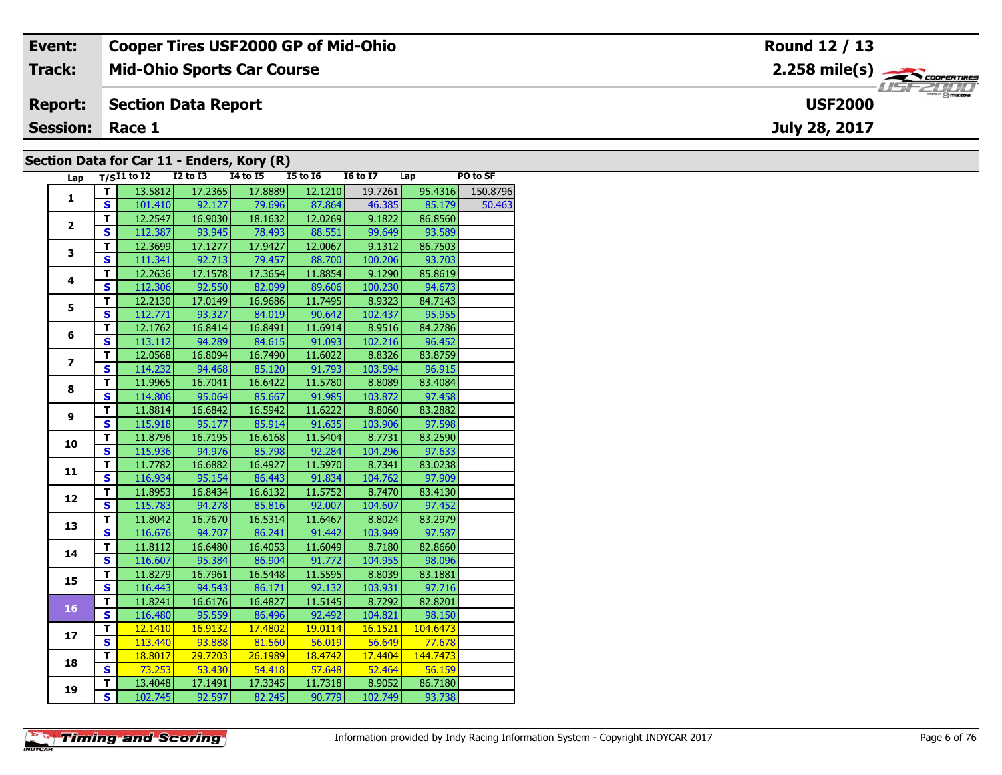| Event:                                     | <b>Cooper Tires USF2000 GP of Mid-Ohio</b> | Round 12 / 13                            |  |  |  |  |  |  |  |  |  |
|--------------------------------------------|--------------------------------------------|------------------------------------------|--|--|--|--|--|--|--|--|--|
| Track:                                     | <b>Mid-Ohio Sports Car Course</b>          | $2.258$ mile(s) $\rightarrow$ Coorerries |  |  |  |  |  |  |  |  |  |
| <b>Report:</b>                             | Section Data Report                        | <b>LISE ZUTTU</b><br><b>USF2000</b>      |  |  |  |  |  |  |  |  |  |
| <b>Session: Race 1</b>                     |                                            | July 28, 2017                            |  |  |  |  |  |  |  |  |  |
| Section Data for Car 11 - Enders, Kory (R) |                                            |                                          |  |  |  |  |  |  |  |  |  |

#### **Section Data for Car 11 - Enders, Kory (R)**

| Lap                     |                         | $T/SI1$ to $I2$ $I2$ to $I3$ |         | , , ,<br><b>I4 to I5</b>     | $15$ to $16$ | I6 to I7 Lap |          | PO to SF |
|-------------------------|-------------------------|------------------------------|---------|------------------------------|--------------|--------------|----------|----------|
|                         | т                       | 13.5812                      | 17.2365 | 17.8889                      | 12.1210      | 19.7261      | 95.4316  | 150.8796 |
| $\mathbf{1}$            | <b>S</b>                |                              |         | 101.410 92.127 79.696 87.864 |              | 46.385       | 85.179   | 50.463   |
|                         | $\overline{\mathsf{T}}$ | 12.2547                      | 16.9030 | 18.1632                      | 12.0269      | 9.1822       | 86.8560  |          |
| $\overline{2}$          | $\overline{\mathbf{s}}$ | 112.387                      | 93.945  | 78.493                       | 88.551       | 99.649       | 93.589   |          |
|                         | T.                      | 12.3699                      | 17.1277 | 17.9427                      | 12.0067      | 9.1312       | 86.7503  |          |
| 3                       | $\mathbf{s}$            | 111.341                      | 92.713  | 79.457                       | 88.700       | 100.206      | 93.703   |          |
|                         | $\mathbf T$             | 12.2636                      | 17.1578 | 17.3654                      | 11.8854      | 9.1290       | 85.8619  |          |
| $\overline{\mathbf{4}}$ | $\overline{\mathbf{s}}$ | 112.306                      | 92.550  | 82.099                       | 89.606       | 100.230      | 94.673   |          |
|                         | T                       | 12.2130                      | 17.0149 | 16.9686                      | 11.7495      | 8.9323       | 84.7143  |          |
| 5                       | $\mathbf{s}$            | 112.771                      | 93.327  | 84.019                       | 90.642       | 102.437      | 95.955   |          |
|                         | T                       | 12.1762                      | 16.8414 | 16.8491                      | 11.6914      | 8.9516       | 84.2786  |          |
| 6                       | $\mathbf{s}$            | 113.112                      | 94.289  | 84.615                       | 91.093       | 102.216      | 96.452   |          |
|                         | T                       | 12.0568                      | 16.8094 | 16.7490                      | 11.6022      | 8.8326       | 83.8759  |          |
| $\overline{\mathbf{z}}$ | $\overline{\mathbf{s}}$ | 114.232                      | 94.468  | 85.120                       | 91.793       | 103.594      | 96.915   |          |
|                         | $\mathbf T$             | 11.9965                      | 16.7041 | 16.6422                      | 11.5780      | 8.8089       | 83.4084  |          |
| 8                       | $\mathbf{s}$            | 114.806                      | 95.064  | 85.667                       | 91.985       | 103.872      | 97.458   |          |
|                         | $\mathbf T$             | 11.8814                      | 16.6842 | 16.5942                      | 11.6222      | 8.8060       | 83.2882  |          |
| 9                       | $\mathbf{s}$            | 115.918                      | 95.177  | 85.914                       | 91.635       | 103.906      | 97.598   |          |
|                         | T                       | 11.8796                      | 16.7195 | 16.6168                      | 11.5404      | 8.7731       | 83.2590  |          |
| 10                      | $\mathbf{s}$            | 115.936                      | 94.976  | 85.798                       | 92.284       | 104.296      | 97.633   |          |
|                         | T                       | 11.7782                      | 16.6882 | 16.4927                      | 11.5970      | 8.7341       | 83.0238  |          |
| 11                      | $\overline{\mathbf{s}}$ | 116.934                      | 95.154  | 86.443                       | 91.834       | 104.762      | 97.909   |          |
|                         | $\mathbf{T}$            | 11.8953                      | 16.8434 | 16.6132                      | 11.5752      | 8.7470       | 83.4130  |          |
| 12                      | $\overline{\mathbf{s}}$ | 115.783                      | 94.278  | 85.816                       | 92.007       | 104.607      | 97.452   |          |
|                         | $\mathbf T$             | 11.8042                      | 16.7670 | 16.5314                      | 11.6467      | 8.8024       | 83.2979  |          |
| 13                      | S                       | 116.676                      | 94.707  | 86.241                       | 91.442       | 103.949      | 97.587   |          |
| 14                      | T                       | 11.8112                      | 16.6480 | 16.4053                      | 11.6049      | 8.7180       | 82.8660  |          |
|                         | $\overline{\mathbf{s}}$ | 116.607                      | 95.384  | 86.904                       | 91.772       | 104.955      | 98.096   |          |
| 15                      | T                       | 11.8279                      | 16.7961 | 16.5448                      | 11.5595      | 8.8039       | 83.1881  |          |
|                         | $\overline{\mathbf{s}}$ | 116.443                      | 94.543  | 86.171                       | 92.132       | 103.931      | 97.716   |          |
|                         | T                       | 11.8241                      | 16.6176 | 16.4827                      | 11.5145      | 8.7292       | 82.8201  |          |
| 16                      | $\overline{\mathbf{s}}$ | 116.480                      | 95.559  | 86.496                       | 92.492       | 104.821      | 98.150   |          |
| 17                      | $\overline{\mathsf{r}}$ | 12.1410                      | 16.9132 | 17.4802                      | 19.0114      | 16.1521      | 104.6473 |          |
|                         | $\mathbf{s}$            | 113.440                      | 93.888  | 81.560                       | 56.019       | 56.649       | 77.678   |          |
| 18                      | T                       | 18.8017                      | 29.7203 | 26.1989                      | 18.4742      | 17.4404      | 144.7473 |          |
|                         | $\overline{\mathbf{s}}$ | 73.253                       | 53.430  | 54.418                       | 57.648       | 52.464       | 56.159   |          |
| 19                      | T                       | 13.4048                      | 17.1491 | 17.3345                      | 11.7318      | 8.9052       | 86.7180  |          |
|                         | $\overline{\mathbf{s}}$ | 102.745                      | 92.597  | 82.245                       | 90.779       | 102.749      | 93.738   |          |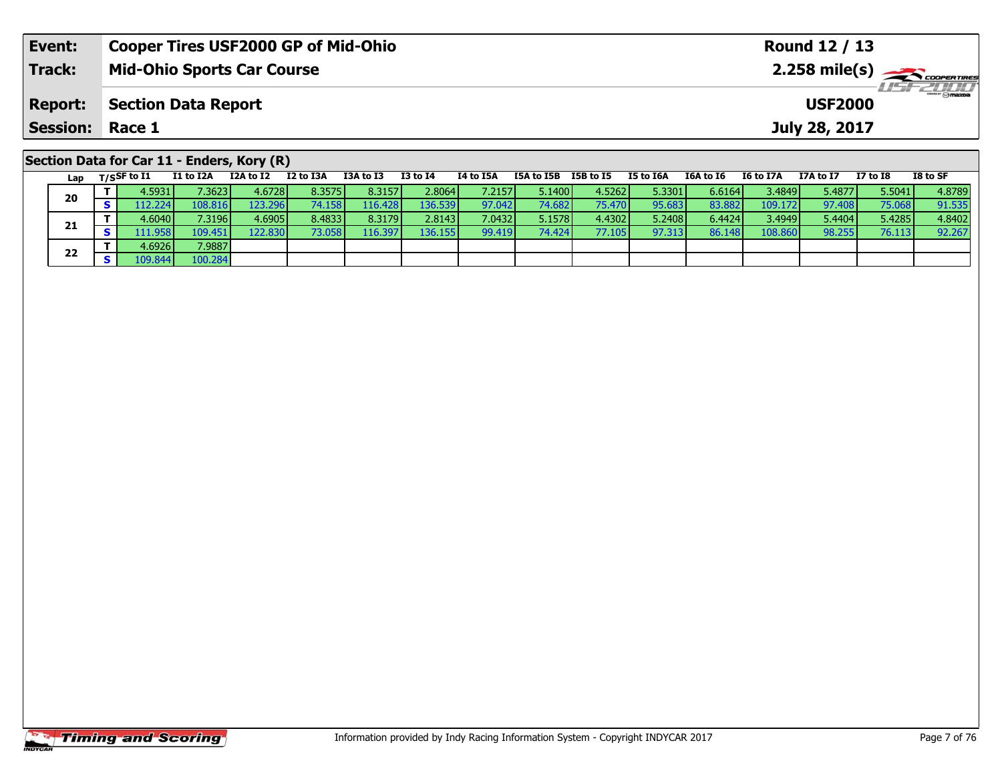| Event:                 | <b>Cooper Tires USF2000 GP of Mid-Ohio</b>                                                                          | Round 12 / 13                                                            |  |  |  |  |  |  |
|------------------------|---------------------------------------------------------------------------------------------------------------------|--------------------------------------------------------------------------|--|--|--|--|--|--|
| <b>Track:</b>          | <b>Mid-Ohio Sports Car Course</b>                                                                                   |                                                                          |  |  |  |  |  |  |
| <b>Report:</b>         | <b>Section Data Report</b>                                                                                          | <b>LISF 2000</b><br><b>USF2000</b>                                       |  |  |  |  |  |  |
| <b>Session: Race 1</b> |                                                                                                                     | July 28, 2017                                                            |  |  |  |  |  |  |
|                        | Section Data for Car 11 - Enders, Kory (R)                                                                          |                                                                          |  |  |  |  |  |  |
| Lap                    | I2 to I3A<br>I3A to I3<br>I3 to I4<br>I1 to I2A<br>I2A to I2<br>I4 to I5A<br>I5B to I5<br>I5A to I5B<br>T/SSF to I1 | I8 to SF<br>I7A to I7<br>I7 to I8<br>I5 to I6A<br>I6A to I6<br>I6 to I7A |  |  |  |  |  |  |

| La p |   | $1.3$            | -- - --- | ------           | .      |         |                  | .      |        |        |        | .      |         | .      | .      |        |
|------|---|------------------|----------|------------------|--------|---------|------------------|--------|--------|--------|--------|--------|---------|--------|--------|--------|
| 20   |   | 4.5931           | 7.3623   | 4.6728           | 8.3575 | 8.3157  | 2.8064           | 7.2157 | 5.1400 | 4.5262 | 5.3301 | 6.6164 | 3.4849  | 5.4877 | 5.5041 | 4.8789 |
|      |   | 112.2241         | 108.816  | 123.296 <b>I</b> | 74.158 | 116.428 | 136.539 <b>I</b> | 97.042 | 74.682 | 75.470 | 95.683 | 83.882 | 109.172 | 97.408 | 75.068 | 91.535 |
| 21   |   | 4.6040           | 7.3196 l | 4.6905           | 8.4833 | 8.3179  | 2.8143           | 7.0432 | 5.1578 | 4.4302 | 5.2408 | 6.4424 | 3.4949  | 5.4404 | 5.4285 | 4.8402 |
|      | s | 111.958 <b> </b> | 109.451  | 122.830          | 73.058 | 116.397 | 136.155 <b>I</b> | 99.419 | 74.424 | 77.105 | 97.313 | 86.148 | 108.860 | 98.255 | 76.113 | 92.267 |
| 22   |   | 4.6926 <b>1</b>  | 7.9887   |                  |        |         |                  |        |        |        |        |        |         |        |        |        |
|      | s | 109.844          | 100.284  |                  |        |         |                  |        |        |        |        |        |         |        |        |        |
|      |   |                  |          |                  |        |         |                  |        |        |        |        |        |         |        |        |        |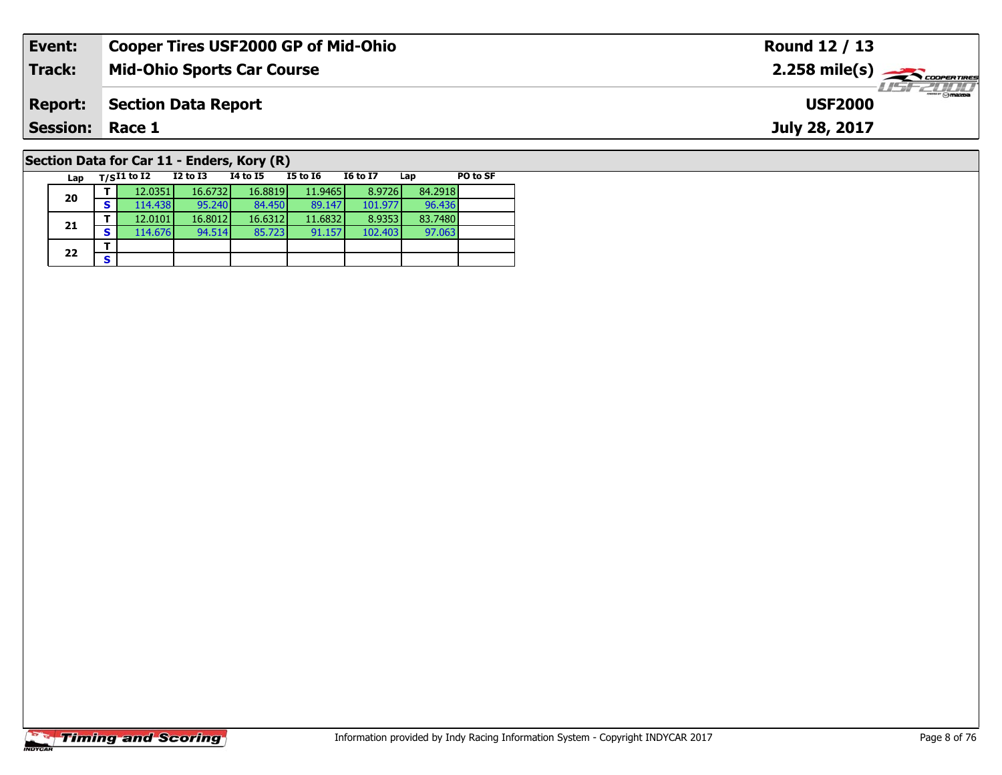| Event:                                     | <b>Cooper Tires USF2000 GP of Mid-Ohio</b> | Round 12 / 13                                             |  |  |  |  |  |  |
|--------------------------------------------|--------------------------------------------|-----------------------------------------------------------|--|--|--|--|--|--|
| <b>Track:</b>                              | Mid-Ohio Sports Car Course                 | $2.258$ mile(s) $\overbrace{\hspace{2.5cm}}$ coorer TIRES |  |  |  |  |  |  |
| <b>Report:</b>                             | <b>Section Data Report</b>                 | <b>LISF 2000</b><br><b>USF2000</b>                        |  |  |  |  |  |  |
| <b>Session: Race 1</b>                     |                                            | July 28, 2017                                             |  |  |  |  |  |  |
| Section Data for Car 11 - Enders, Kory (R) |                                            |                                                           |  |  |  |  |  |  |

#### **Lap T/SI1 to I2 I2 to I3 I4 to I5 I5 to I6 I6 to I7 Lap PO to SF 20 <sup>T</sup>** 12.0351 16.6732 16.8819 11.9465 8.9726 84.2918 **<sup>S</sup>** 114.438 95.240 84.450 89.147 101.977 96.43696.436 **21 <sup>T</sup>** 12.0101 16.8012 16.6312 11.6832 8.9353 83.7480 **<sup>S</sup>** 114.676 94.514 85.723 91.157 102.403 97.06397.063  $22$   $\frac{1}{s}$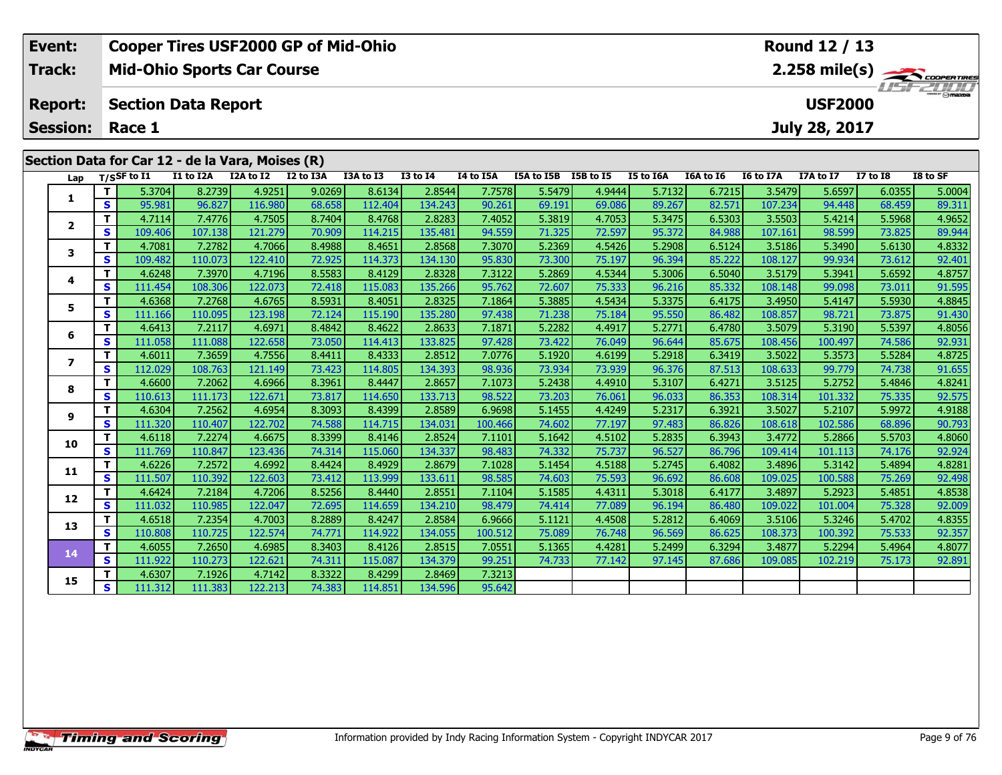| Event:                 | <b>Cooper Tires USF2000 GP of Mid-Ohio</b>       |               |                 |           |  |                                |                       |  | Round 12 / 13  |          |          |
|------------------------|--------------------------------------------------|---------------|-----------------|-----------|--|--------------------------------|-----------------------|--|----------------|----------|----------|
| Track:                 | <b>Mid-Ohio Sports Car Course</b>                | 2.258 mile(s) |                 |           |  |                                |                       |  |                |          |          |
| <b>Report:</b>         | Section Data Report                              |               |                 |           |  |                                |                       |  | <b>USF2000</b> |          |          |
| <b>Session: Race 1</b> |                                                  |               |                 |           |  |                                |                       |  | July 28, 2017  |          |          |
|                        |                                                  |               |                 |           |  |                                |                       |  |                |          |          |
|                        | Section Data for Car 12 - de la Vara, Moises (R) |               |                 |           |  |                                |                       |  |                |          |          |
|                        | $\blacksquare$                                   | TOA AA TO     | <b>TO LA TA</b> | TA LA TEA |  | TEA to TED TED to TE TE to TEA | TCA LA TC . TC LA TTA |  | T7A 1.4 T7     | TT LA TO | TO LA CE |

| Lap                      |          | T/SSF to I1       | I1 to I2A         | I2A to I2         | I2 to I3A        | I3A to I3         | <b>I3 to I4</b>   | I4 to I5A        | I5A to I5B I5B to I5 |                  | I5 to I6A        | I6A to I6        | I6 to I7A         | I7A to I7         | <b>I7 to I8</b>  | I8 to SF         |
|--------------------------|----------|-------------------|-------------------|-------------------|------------------|-------------------|-------------------|------------------|----------------------|------------------|------------------|------------------|-------------------|-------------------|------------------|------------------|
|                          | т        | 5.3704            | 8.2739            | 4.9251            | 9.0269           | 8.6134            | 2.8544            | 7.7578           | 5.5479               | 4.9444           | 5.7132           | 6.7215           | 3.5479            | 5.6597            | 6.0355           | 5.0004           |
| 1.                       | S.       | 95.981            | 96.827            | 116.980           | 68.658           | 112.404           | 134.243           | 90.261           | 69.191               | 69.086           | 89.267           | 82.571           | 107.234           | 94.448            | 68.459           | 89.311           |
| $\overline{2}$           | T.       | 4.7114            | 7.4776            | 4.7505            | 8.7404           | 8.4768            | 2.8283            | 7.4052           | 5.3819               | 4.7053           | 5.3475           | 6.5303           | 3.5503            | 5.4214            | 5.5968           | 4.9652           |
|                          | S.       | 109.406           | 107.138           | 121.279           | 70.909           | 114.215           | 135.481           | 94.559           | 71.325               | 72.597           | 95.372           | 84.988           | 107.161           | 98.599            | 73.825           | 89.944           |
| 3                        | T.       | 4.7081            | 7.2782            | 4.7066            | 8.4988           | 8.4651            | 2.8568            | 7.3070           | 5.2369               | 4.5426           | 5.2908           | 6.5124           | 3.5186            | 5.3490            | 5.6130           | 4.8332           |
|                          | S        | 109.482           | 110.073           | 122.410           | 72.925           | 114.373           | 134.130           | 95.830           | 73.300               | 75.197           | 96.394           | 85.222           | 108.127           | 99.934            | 73.612           | 92.401           |
| 4                        | т        | 4.6248            | 7.3970            | 4.7196            | 8.5583           | 8.4129            | 2.8328            | 7.3122           | 5.2869               | 4.5344           | 5.3006           | 6.5040           | 3.5179            | 5.3941            | 5.6592           | 4.8757           |
|                          | S.       | 111.454           | 108.306           | 122.073           | 72.418           | 115.083           | 135.266           | 95.762           | 72.607               | 75.333           | 96.216           | 85.332           | 108.148           | 99.098            | 73.011           | 91.595           |
| 5                        | T.       | 4.6368            | 7.2768            | 4.6765            | 8.5931           | 8.4051            | 2.8325            | 7.1864           | 5.3885               | 4.5434           | 5.3375           | 6.4175           | 3.4950            | 5.4147            | 5.5930           | 4.8845           |
|                          | S.       | 111.166           | 110.095           | 123.198           | 72.124           | 115.190           | 135.280           | 97.438           | 71.238               | 75.184           | 95.550           | 86.482           | 108.857           | 98.721            | 73.875           | 91.430           |
| 6                        | T.       | 4.6413            | 7.2117            | 4.6971            | 8.4842           | 8.4622            | 2.8633            | 7.1871           | 5.2282               | 4.4917           | 5.2771           | 6.4780           | 3.5079            | 5.3190            | 5.5397           | 4.8056           |
|                          | S        | 111.058           | 111.088           | 122.658           | 73.050           | 114.413           | 133.825           | 97.428           | 73.422               | 76.049           | 96.644           | 85.675           | 108.456           | 100.497           | 74.586           | 92.931           |
| $\overline{\phantom{a}}$ | T.       | 4.6011            | 7.3659            | 4.7556            | 8.4411           | 8.4333            | 2.8512            | 7.0776           | 5.1920               | 4.6199           | 5.2918           | 6.3419           | 3.5022            | 5.3573            | 5.5284           | 4.8725           |
|                          | S.       | 112.029           | 108.763           | 121.149           | 73.423           | 114.805           | 134.393           | 98.936           | 73.934               | 73.939           | 96.376           | 87.513           | 108.633           | 99.779            | 74.738           | 91.655           |
| 8                        | T.       | 4.6600            | 7.2062            | 4.6966            | 8.3961           | 8.4447            | 2.8657            | 7.1073           | 5.2438               | 4.4910           | 5.3107           | 6.4271           | 3.5125            | 5.2752            | 5.4846           | 4.8241           |
|                          | S.       | 110.613           | 111.173           | 122.671           | 73.817           | 114.650           | 133.713           | 98.522           | 73.203               | 76.061           | 96.033           | 86.353           | 108.314           | 101.332           | 75.335           | 92.575           |
| 9                        | т        | 4.6304            | 7.2562            | 4.6954            | 8.3093           | 8.4399            | 2.8589            | 6.9698           | 5.1455               | 4.4249           | 5.2317           | 6.3921           | 3.5027            | 5.2107            | 5.9972           | 4.9188           |
|                          | S        | 111.320           | 110.407           | 122.702           | 74.588           | 114.715           | 134.031           | 100.466          | 74.602               | 77.197           | 97.483           | 86.826           | 108.618           | 102.586           | 68.896           | 90.793           |
| 10                       | T.       | 4.6118            | 7.2274            | 4.6675            | 8.3399           | 8.4146            | 2.8524            | 7.1101           | 5.1642               | 4.5102           | 5.2835           | 6.3943           | 3.4772            | 5.2866            | 5.5703           | 4.8060           |
|                          | S.       | 111.769           | 110.847           | 123.436           | 74.314           | 115.060           | 134.337           | 98.483           | 74.332               | 75.737           | 96.527           | 86.796           | 109.414           | 101.113           | 74.176           | 92.924           |
| 11                       | T.<br>S. | 4.6226            | 7.2572            | 4.6992            | 8.4424           | 8.4929            | 2.8679            | 7.1028           | 5.1454               | 4.5188           | 5.2745           | 6.4082           | 3.4896            | 5.3142            | 5.4894           | 4.8281           |
|                          | T.       | 111.507           | 110.392           | 122.603           | 73.412           | 113.999           | 133.611           | 98.585           | 74.603               | 75.593           | 96.692           | 86.608           | 109.025           | 100.588           | 75.269           | 92.498           |
| 12                       | S.       | 4.6424<br>111.032 | 7.2184<br>110.985 | 4.7206<br>122.047 | 8.5256<br>72.695 | 8.4440<br>114.659 | 2.8551<br>134.210 | 7.1104<br>98.479 | 5.1585<br>74.414     | 4.4311<br>77.089 | 5.3018<br>96.194 | 6.4177<br>86.480 | 3.4897<br>109.022 | 5.2923<br>101.004 | 5.4851<br>75.328 | 4.8538           |
|                          | T.       | 4.6518            | 7.2354            | 4.7003            | 8.2889           | 8.4247            | 2.8584            | 6.9666           | 5.1121               | 4.4508           | 5.2812           | 6.4069           | 3.5106            | 5.3246            | 5.4702           | 92.009<br>4.8355 |
| 13                       | S.       | 110.808           | 110.725           | 122.574           | 74.771           | 114.922           | 134.055           | 100.512          | 75.089               | 76.748           | 96.569           | 86.625           | 108.373           | 100.392           | 75.533           | 92.357           |
|                          | T.       | 4.6055            | 7.2650            | 4.6985            | 8.3403           | 8.4126            | 2.8515            | 7.0551           | 5.1365               | 4.4281           | 5.2499           | 6.3294           | 3.4877            | 5.2294            | 5.4964           | 4.8077           |
| 14                       | S        | 111.922           | 110.273           | 122.621           | 74.311           | 115.087           | 134.379           | 99.251           | 74.733               | 77.142           | 97.145           | 87.686           | 109.085           | 102.219           | 75.173           | 92.891           |
|                          | т.       | 4.6307            | 7.1926            | 4.7142            | 8.3322           | 8.4299            | 2.8469            | 7.3213           |                      |                  |                  |                  |                   |                   |                  |                  |
| 15                       | S.       | 111.312           | 111.383           | 122.213           | 74.383           | 114.851           | 134.596           | 95.642           |                      |                  |                  |                  |                   |                   |                  |                  |
|                          |          |                   |                   |                   |                  |                   |                   |                  |                      |                  |                  |                  |                   |                   |                  |                  |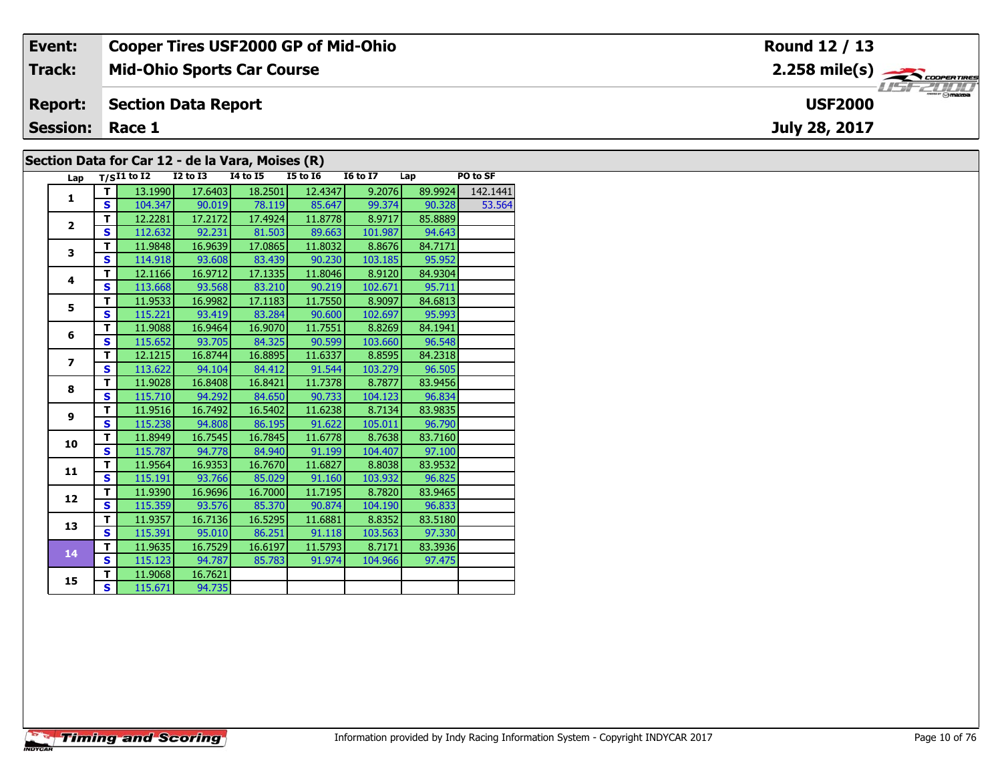| Event:                 | <b>Cooper Tires USF2000 GP of Mid-Ohio</b>       | Round 12 / 13                            |
|------------------------|--------------------------------------------------|------------------------------------------|
| <b>Track:</b>          | <b>Mid-Ohio Sports Car Course</b>                | $2.258$ mile(s) $\leftarrow$ coorenances |
| <b>Report:</b>         | <b>Section Data Report</b>                       | <b>USF2000</b>                           |
| <b>Session: Race 1</b> |                                                  | July 28, 2017                            |
|                        | Section Data for Car 12 - de la Vara, Moises (R) |                                          |

## **Section Data for Car 12 - de la Vara, Moises (R)**

| Lap                      |                         | $T/SI1$ to $\overline{I2}$ | $\overline{12}$ to $\overline{13}$ | <b>I4 to I5</b> | <b>I5 to 16</b> | <b>16 to 17</b> | Lap     | PO to SF |
|--------------------------|-------------------------|----------------------------|------------------------------------|-----------------|-----------------|-----------------|---------|----------|
| 1                        | т                       | 13.1990                    | 17.6403                            | 18.2501         | 12.4347         | 9.2076          | 89.9924 | 142.1441 |
|                          | $\mathbf{s}$            | 104.347                    | 90.019                             | 78.119          | 85.647          | 99.374          | 90.328  | 53.564   |
| $\overline{2}$           | T                       | 12.2281                    | 17.2172                            | 17.4924         | 11.8778         | 8.9717          | 85.8889 |          |
|                          | S                       | 112.632                    | 92.231                             | 81.503          | 89.663          | 101.987         | 94.643  |          |
| 3                        | T                       | 11.9848                    | 16.9639                            | 17.0865         | 11.8032         | 8.8676          | 84.7171 |          |
|                          | $\mathbf{s}$            | 114.918                    | 93.608                             | 83.439          | 90.230          | 103.185         | 95.952  |          |
| 4                        | Т                       | 12.1166                    | 16.9712                            | 17.1335         | 11.8046         | 8.9120          | 84.9304 |          |
|                          | Ś                       | 113.668                    | 93.568                             | 83.210          | 90.219          | 102.671         | 95.711  |          |
| 5                        | T                       | 11.9533                    | 16.9982                            | 17.1183         | 11.7550         | 8.9097          | 84.6813 |          |
|                          | S                       | 115.221                    | 93.419                             | 83.284          | 90.600          | 102.697         | 95.993  |          |
| 6                        | T                       | 11.9088                    | 16.9464                            | 16.9070         | 11.7551         | 8.8269          | 84.1941 |          |
|                          | $\mathbf{s}$            | 115.652                    | 93.705                             | 84.325          | 90.599          | 103.660         | 96.548  |          |
| $\overline{\phantom{a}}$ | T                       | 12.1215                    | 16.8744                            | 16.8895         | 11.6337         | 8.8595          | 84.2318 |          |
|                          | $\mathbf{s}$            | 113.622                    | 94.104                             | 84.412          | 91.544          | 103.279         | 96.505  |          |
| 8                        | T                       | 11.9028                    | 16.8408                            | 16.8421         | 11.7378         | 8.7877          | 83.9456 |          |
|                          | $\overline{\mathbf{s}}$ | 115.710                    | 94.292                             | 84.650          | 90.733          | 104.123         | 96.834  |          |
| 9                        | T                       | 11.9516                    | 16.7492                            | 16.5402         | 11.6238         | 8.7134          | 83.9835 |          |
|                          | $\mathbf{s}$            | 115.238                    | 94.808                             | 86.195          | 91.622          | 105.011         | 96.790  |          |
| 10                       | T                       | 11.8949                    | 16.7545                            | 16.7845         | 11.6778         | 8.7638          | 83.7160 |          |
|                          | $\mathbf{s}$            | 115.787                    | 94.778                             | 84.940          | 91.199          | 104.407         | 97.100  |          |
| 11                       | T                       | 11.9564                    | 16.9353                            | 16.7670         | 11.6827         | 8.8038          | 83.9532 |          |
|                          | $\mathbf{s}$            | 115.191                    | 93.766                             | 85.029          | 91.160          | 103.932         | 96.825  |          |
| 12                       | T                       | 11.9390                    | 16.9696                            | 16.7000         | 11.7195         | 8.7820          | 83.9465 |          |
|                          | $\mathbf{s}$            | 115.359                    | 93.576                             | 85.370          | 90.874          | 104.190         | 96.833  |          |
| 13                       | Т                       | 11.9357                    | 16.7136                            | 16.5295         | 11.6881         | 8.8352          | 83.5180 |          |
|                          | S                       | 115.391                    | 95.010                             | 86.251          | 91.118          | 103.563         | 97.330  |          |
| 14                       | T                       | 11.9635                    | 16.7529                            | 16.6197         | 11.5793         | 8.7171          | 83.3936 |          |
|                          | $\mathbf{s}$            | 115.123                    | 94.787                             | 85.783          | 91.974          | 104.966         | 97.475  |          |
| 15                       | T                       | 11.9068                    | 16.7621                            |                 |                 |                 |         |          |
|                          | S                       | 115.671                    | 94.735                             |                 |                 |                 |         |          |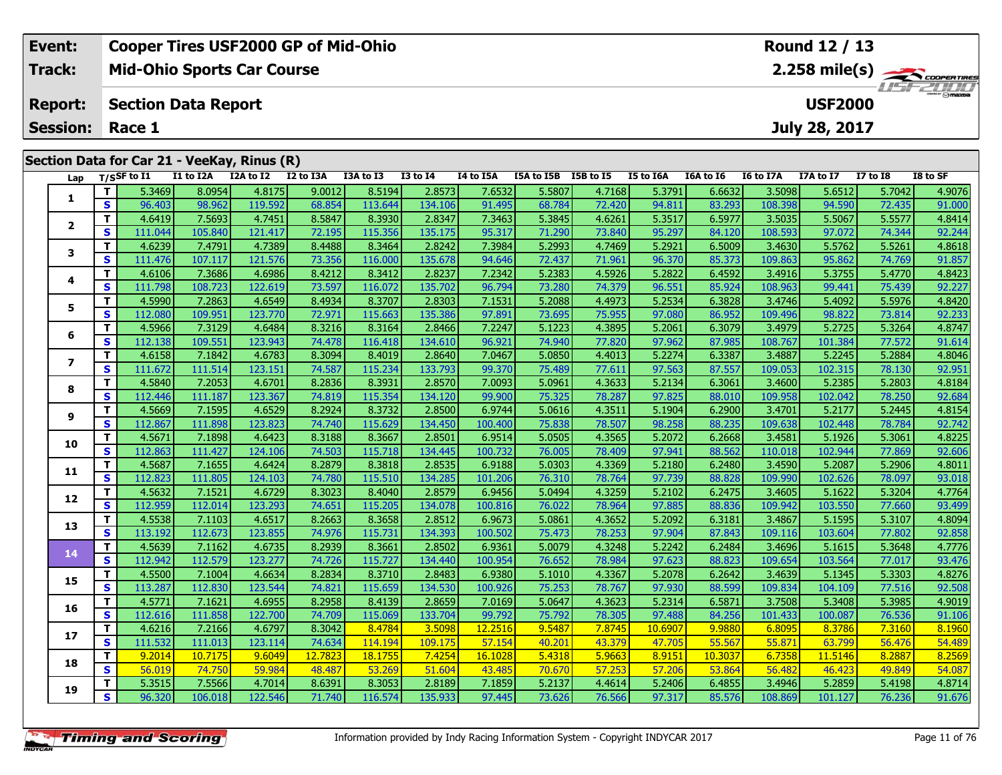| Event:                 | <b>Cooper Tires USF2000 GP of Mid-Ohio</b>  | Round 12 / 13  |
|------------------------|---------------------------------------------|----------------|
| Track:                 | <b>Mid-Ohio Sports Car Course</b>           | 2.258 mile(s)  |
| <b>Report:</b>         | Section Data Report                         | <b>USF2000</b> |
| <b>Session: Race 1</b> |                                             | July 28, 2017  |
|                        |                                             |                |
|                        | Section Data for Car 21 - VeeKay, Rinus (R) |                |
|                        |                                             |                |

| Lap            |              | T/SSF to I1 | I1 to I2A | I2A to I2 | I2 to I3A | I3A to I3 | <b>I3 to I4</b> | I4 to I5A | I5A to I5B | I5B to I5 | <b>I5 to I6A</b> | I6A to I6 | I6 to I7A | I7A to I7 | <b>I7 to I8</b> | I8 to SF |
|----------------|--------------|-------------|-----------|-----------|-----------|-----------|-----------------|-----------|------------|-----------|------------------|-----------|-----------|-----------|-----------------|----------|
|                | T            | 5.3469      | 8.0954    | 4.8175    | 9.0012    | 8.5194    | 2.8573          | 7.6532    | 5.5807     | 4.7168    | 5.3791           | 6.6632    | 3.5098    | 5.6512    | 5.7042          | 4.9076   |
| 1.             | S            | 96.403      | 98.962    | 119.592   | 68.854    | 113.644   | 134.106         | 91.495    | 68.784     | 72.420    | 94.811           | 83.293    | 108.398   | 94.590    | 72.435          | 91.000   |
|                | T            | 4.6419      | 7.5693    | 4.7451    | 8.5847    | 8.3930    | 2.8347          | 7.3463    | 5.3845     | 4.6261    | 5.3517           | 6.5977    | 3.5035    | 5.5067    | 5.5577          | 4.8414   |
| $\mathbf{2}$   | S            | 111.044     | 105.840   | 121.417   | 72.195    | 115.356   | 135.175         | 95.317    | 71.290     | 73.840    | 95.297           | 84.120    | 108.593   | 97.072    | 74.344          | 92.244   |
| 3              | T.           | 4.6239      | 7.4791    | 4.7389    | 8.4488    | 8.3464    | 2.8242          | 7.3984    | 5.2993     | 4.7469    | 5.2921           | 6.5009    | 3.4630    | 5.5762    | 5.5261          | 4.8618   |
|                | $\mathbf{s}$ | 111.476     | 107.117   | 121.576   | 73.356    | 116.000   | 135.678         | 94.646    | 72.437     | 71.961    | 96.370           | 85.373    | 109.863   | 95.862    | 74.769          | 91.857   |
| 4              | T.           | 4.6106      | 7.3686    | 4.6986    | 8.4212    | 8.3412    | 2.8237          | 7.2342    | 5.2383     | 4.5926    | 5.2822           | 6.4592    | 3.4916    | 5.3755    | 5.4770          | 4.8423   |
|                | <b>S</b>     | 111.798     | 108.723   | 122.619   | 73.597    | 116.072   | 135.702         | 96.794    | 73.280     | 74.379    | 96.551           | 85.924    | 108.963   | 99.441    | 75.439          | 92.227   |
| 5              | T            | 4.5990      | 7.2863    | 4.6549    | 8.4934    | 8.3707    | 2.8303          | 7.1531    | 5.2088     | 4.4973    | 5.2534           | 6.3828    | 3.4746    | 5.4092    | 5.5976          | 4.8420   |
|                | S            | 112.080     | 109.951   | 123.770   | 72.971    | 115.663   | 135.386         | 97.891    | 73.695     | 75.955    | 97.080           | 86.952    | 109.496   | 98.822    | 73.814          | 92.233   |
| 6              | T            | 4.5966      | 7.3129    | 4.6484    | 8.3216    | 8.3164    | 2.8466          | 7.2247    | 5.1223     | 4.3895    | 5.2061           | 6.3079    | 3.4979    | 5.2725    | 5.3264          | 4.8747   |
|                | S            | 112.138     | 109.551   | 123.943   | 74.478    | 116.418   | 134.610         | 96.921    | 74.940     | 77.820    | 97.962           | 87.985    | 108.767   | 101.384   | 77.572          | 91.614   |
| $\overline{ }$ | T            | 4.6158      | 7.1842    | 4.6783    | 8.3094    | 8.4019    | 2.8640          | 7.0467    | 5.0850     | 4.4013    | 5.2274           | 6.3387    | 3.4887    | 5.2245    | 5.2884          | 4.8046   |
|                | <b>S</b>     | 111.672     | 111.514   | 123.151   | 74.587    | 115.234   | 133.793         | 99.370    | 75.489     | 77.611    | 97.563           | 87.557    | 109.053   | 102.315   | 78.130          | 92.951   |
| 8              | T.           | 4.5840      | 7.2053    | 4.6701    | 8.2836    | 8.3931    | 2.8570          | 7.0093    | 5.0961     | 4.3633    | 5.2134           | 6.3061    | 3.4600    | 5.2385    | 5.2803          | 4.8184   |
|                | S            | 112.446     | 111.187   | 123.367   | 74.819    | 115.354   | 134.120         | 99.900    | 75.325     | 78.287    | 97.825           | 88.010    | 109.958   | 102.042   | 78.250          | 92.684   |
| 9              | T            | 4.5669      | 7.1595    | 4.6529    | 8.2924    | 8.3732    | 2.8500          | 6.9744    | 5.0616     | 4.3511    | 5.1904           | 6.2900    | 3.4701    | 5.2177    | 5.2445          | 4.8154   |
|                | $\mathbf{s}$ | 112.867     | 111.898   | 123.823   | 74.740    | 115.629   | 134.450         | 100.400   | 75.838     | 78.507    | 98.258           | 88.235    | 109.638   | 102.448   | 78.784          | 92.742   |
| 10             | $\mathbf{T}$ | 4.5671      | 7.1898    | 4.6423    | 8.3188    | 8.3667    | 2.8501          | 6.9514    | 5.0505     | 4.3565    | 5.2072           | 6.2668    | 3.4581    | 5.1926    | 5.3061          | 4.8225   |
|                | <b>S</b>     | 112.863     | 111.427   | 124.106   | 74.503    | 115.718   | 134.445         | 100.732   | 76.005     | 78.409    | 97.941           | 88.562    | 110.018   | 102.944   | 77.869          | 92.606   |
| 11             | T            | 4.5687      | 7.1655    | 4.6424    | 8.2879    | 8.3818    | 2.8535          | 6.9188    | 5.0303     | 4.3369    | 5.2180           | 6.2480    | 3.4590    | 5.2087    | 5.2906          | 4.8011   |
|                | S            | 112.823     | 111.805   | 124.103   | 74.780    | 115.510   | 134.285         | 101.206   | 76.310     | 78.764    | 97.739           | 88.828    | 109.990   | 102.626   | 78.097          | 93.018   |
| 12             | T            | 4.5632      | 7.1521    | 4.6729    | 8.3023    | 8.4040    | 2.8579          | 6.9456    | 5.0494     | 4.3259    | 5.2102           | 6.2475    | 3.4605    | 5.1622    | 5.3204          | 4.7764   |
|                | S            | 112.959     | 112.014   | 123.293   | 74.651    | 115.205   | 134.078         | 100.816   | 76.022     | 78.964    | 97.885           | 88.836    | 109.942   | 103.550   | 77.660          | 93.499   |
| 13             | T.           | 4.5538      | 7.1103    | 4.6517    | 8.2663    | 8.3658    | 2.8512          | 6.9673    | 5.0861     | 4.3652    | 5.2092           | 6.3181    | 3.4867    | 5.1595    | 5.3107          | 4.8094   |
|                | S            | 113.192     | 112.673   | 123.855   | 74.976    | 115.731   | 134.393         | 100.502   | 75.473     | 78.253    | 97.904           | 87.843    | 109.116   | 103.604   | 77.802          | 92.858   |
| 14             | T.           | 4.5639      | 7.1162    | 4.6735    | 8.2939    | 8.3661    | 2.8502          | 6.9361    | 5.0079     | 4.3248    | 5.2242           | 6.2484    | 3.4696    | 5.1615    | 5.3648          | 4.7776   |
|                | $\mathbf{s}$ | 112.942     | 112.579   | 123.277   | 74.726    | 115.727   | 134.440         | 100.954   | 76.652     | 78.984    | 97.623           | 88.823    | 109.654   | 103.564   | 77.017          | 93.476   |
| 15             | T.           | 4.5500      | 7.1004    | 4.6634    | 8.2834    | 8.3710    | 2.8483          | 6.9380    | 5.1010     | 4.3367    | 5.2078           | 6.2642    | 3.4639    | 5.1345    | 5.3303          | 4.8276   |
|                | <b>S</b>     | 113.287     | 112.830   | 123.544   | 74.821    | 115.659   | 134.530         | 100.926   | 75.253     | 78.767    | 97.930           | 88.599    | 109.834   | 104.109   | 77.516          | 92.508   |
| 16             | T.           | 4.5771      | 7.1621    | 4.6955    | 8.2958    | 8.4139    | 2.8659          | 7.0169    | 5.0647     | 4.3623    | 5.2314           | 6.5871    | 3.7508    | 5.3408    | 5.3985          | 4.9019   |
|                | S            | 112.616     | 111.858   | 122.700   | 74.709    | 115.069   | 133.704         | 99.792    | 75.792     | 78.305    | 97.488           | 84.256    | 101.433   | 100.087   | 76.536          | 91.106   |
| 17             | Т            | 4.6216      | 7.2166    | 4.6797    | 8.3042    | 8.4784    | 3.5098          | 12.2516   | 9.5487     | 7.8745    | 10.6907          | 9.9880    | 6.8095    | 8.3786    | 7.3160          | 8.1960   |
|                | $\mathbf{s}$ | 111.532     | 111.013   | 123.114   | 74.634    | 114.194   | 109.175         | 57.154    | 40.201     | 43.379    | 47.705           | 55.567    | 55.871    | 63.799    | 56.476          | 54.489   |
| 18             | T            | 9.2014      | 10.7175   | 9.6049    | 12.7823   | 18.1755   | 7.4254          | 16.1028   | 5.4318     | 5.9663    | 8.9151           | 10.3037   | 6.7358    | 11.5146   | 8.2887          | 8.2569   |
|                | S            | 56.019      | 74.750    | 59.984    | 48.487    | 53.269    | 51.604          | 43.485    | 70.670     | 57.253    | 57.206           | 53.864    | 56.482    | 46.423    | 49.849          | 54.087   |
| 19             | T.           | 5.3515      | 7.5566    | 4.7014    | 8.6391    | 8.3053    | 2.8189          | 7.1859    | 5.2137     | 4.4614    | 5.2406           | 6.4855    | 3.4946    | 5.2859    | 5.4198          | 4.8714   |
|                | $\mathbf{s}$ | 96.320      | 106.018   | 122.546   | 71.740    | 116.574   | 135.933         | 97.445    | 73.626     | 76.566    | 97.317           | 85.576    | 108.869   | 101.127   | 76.236          | 91.676   |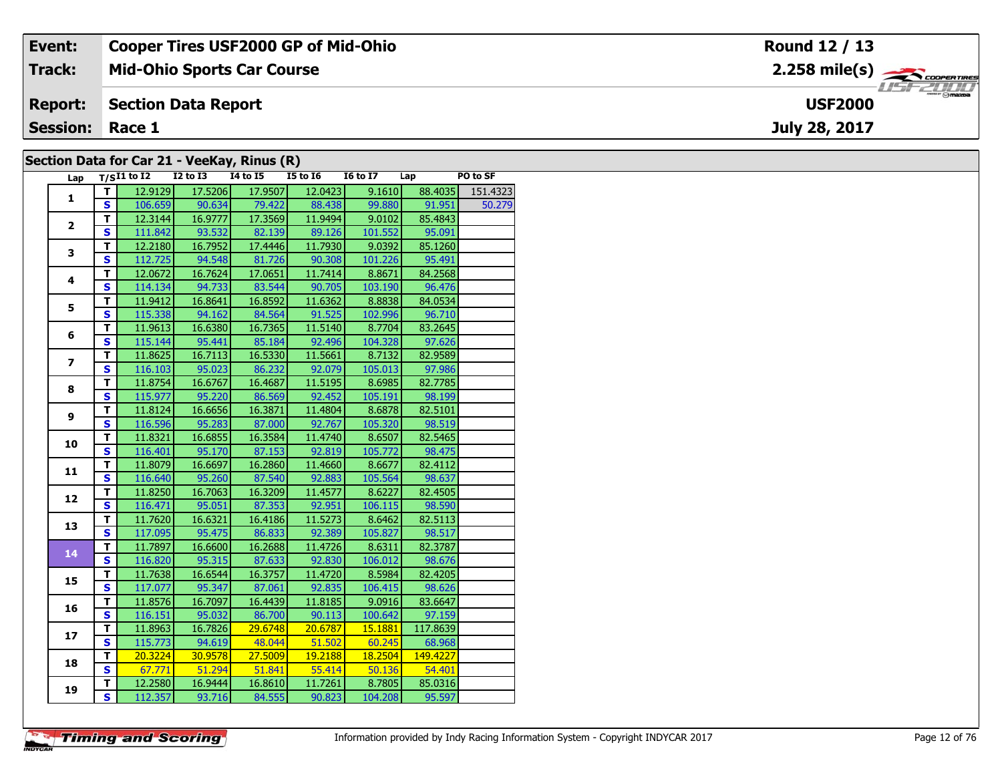| Event:                                      | <b>Cooper Tires USF2000 GP of Mid-Ohio</b> | Round 12 / 13                                          |  |  |  |  |  |  |
|---------------------------------------------|--------------------------------------------|--------------------------------------------------------|--|--|--|--|--|--|
| Track:                                      | <b>Mid-Ohio Sports Car Course</b>          | $2.258$ mile(s) $\overbrace{\hspace{2cm}}$ coderatings |  |  |  |  |  |  |
| <b>Report:</b>                              | Section Data Report                        | <b>HSFZUID</b><br><b>USF2000</b>                       |  |  |  |  |  |  |
| <b>Session: Race 1</b>                      |                                            | July 28, 2017                                          |  |  |  |  |  |  |
| Section Data for Car 21 - VeeKay, Rinus (R) |                                            |                                                        |  |  |  |  |  |  |

#### **Section Data for Car 21 - VeeKay, Rinus (R)**

| Lap            |                         | $T/SI1$ to I2 I2 to I3 I4 to I5 |                |                              | $15$ to $16$    | I6 to I7 Lap |          | PO to SF |
|----------------|-------------------------|---------------------------------|----------------|------------------------------|-----------------|--------------|----------|----------|
|                | T.                      | 12.9129                         | 17.5206        |                              | 17.9507 12.0423 | 9.1610       | 88.4035  | 151.4323 |
| $\mathbf{1}$   | S.                      |                                 |                | 106.659 90.634 79.422 88.438 |                 | 99.880       | 91.951   | 50.279   |
|                | T.                      | 12.3144                         | 16.9777        |                              | 17.3569 11.9494 | 9.0102       | 85.4843  |          |
| $\mathbf{2}$   | $\mathbf{s}$            | 111.842                         | 93.532         |                              | 82.139 89.126   | 101.552      | 95.091   |          |
|                | T                       | 12.2180                         | 16.7952        | 17.4446                      | 11.7930         | 9.0392       | 85.1260  |          |
| 3              | $\overline{\mathbf{s}}$ | 112.725                         | 94.548         | 81.726                       | 90.308          | 101.226      | 95.491   |          |
|                | $\mathbf{T}$            | 12.0672                         | 16.7624        | 17.0651                      | 11.7414         | 8.8671       | 84.2568  |          |
| 4              | $\mathbf{s}$            | 114.134                         | 94.733         | 83.544                       | 90.705          | 103.190      | 96.476   |          |
|                | т                       | 11.9412                         | 16.8641        | 16.8592                      | 11.6362         | 8.8838       | 84.0534  |          |
| 5              | S                       | 115.338                         | 94.162         | 84.564                       | 91.525          | 102.996      | 96.710   |          |
|                | T                       | 11.9613                         | 16.6380        | 16.7365                      | 11.5140         | 8.7704       | 83.2645  |          |
| 6              | $\overline{\mathbf{s}}$ |                                 |                | 115.144 95.441 85.184        | 92.496          | 104.328      | 97.626   |          |
|                | т                       | 11.8625                         | 16.7113        | 16.5330                      | 11.5661         | 8.7132       | 82.9589  |          |
| $\overline{ }$ | $\overline{\mathbf{s}}$ | 116.103                         |                | 95.023 86.232                | 92.079          | 105.013      | 97.986   |          |
|                | $\overline{\mathsf{r}}$ | 11.8754                         | 16.6767        | 16.4687                      | 11.5195         | 8.6985       | 82.7785  |          |
| 8              | $\mathbf{s}$            | 115.977                         | 95.220         | 86.569                       | 92.452          | 105.191      | 98.199   |          |
|                | $\mathbf{T}$            | 11.8124                         | 16.6656        | 16.3871                      | 11.4804         | 8.6878       | 82.5101  |          |
| 9              | $\mathbf{s}$            | 116.596                         | 95.283         | 87.000                       | 92.767          | 105.320      | 98.519   |          |
| 10             | $\mathbf T$             | 11.8321                         | 16.6855        | 16.3584                      | 11.4740         | 8.6507       | 82.5465  |          |
|                | $\overline{\mathbf{s}}$ | 116.401                         | 95.170         | 87.153                       | 92.819          | 105.772      | 98.475   |          |
| 11             | T                       | 11.8079                         | 16.6697        | 16.2860                      | 11.4660         | 8.6677       | 82.4112  |          |
|                | $\overline{\mathbf{s}}$ |                                 | 116.640 95.260 | 87.540                       | 92.883          | 105.564      | 98.637   |          |
| 12             | $\overline{\mathsf{r}}$ | 11.8250                         | 16.7063        | 16.3209                      | 11.4577         | 8.6227       | 82.4505  |          |
|                | $\overline{\mathbf{s}}$ | 116.471                         | 95.051         | 87.353                       | 92.951          | 106.115      | 98.590   |          |
| 13             | $\overline{\mathsf{r}}$ | 11.7620                         | 16.6321        | 16.4186                      | 11.5273         | 8.6462       | 82.5113  |          |
|                | $\overline{\mathbf{s}}$ | 117.095                         | 95.475         | 86.833                       | 92.389          | 105.827      | 98.517   |          |
| 14             | $\mathbf T$             | 11.7897                         | 16.6600        | 16.2688                      | 11.4726         | 8.6311       | 82.3787  |          |
|                | $\overline{\mathbf{s}}$ | 116.820                         | 95.315         | 87.633                       | 92.830          | 106.012      | 98.676   |          |
| 15             | T                       | 11.7638                         | 16.6544        | 16.3757                      | 11.4720         | 8.5984       | 82.4205  |          |
|                | $\overline{\mathbf{s}}$ | 117.077                         | 95.347         | 87.061                       | 92.835          | 106.415      | 98.626   |          |
| 16             | $\overline{\mathsf{r}}$ | 11.8576                         | 16.7097        | 16.4439                      | 11.8185         | 9.0916       | 83.6647  |          |
|                | $\overline{\mathbf{s}}$ | 116.151                         |                | 95.032 86.700                | 90.113          | 100.642      | 97.159   |          |
| 17             | Ŧ                       | 11.8963                         | 16.7826        | 29.6748                      | 20.6787         | 15.1881      | 117.8639 |          |
|                | $\mathbf{s}$            | 115.773                         | 94.619         | $-48.044$                    | 51.502          | 60.245       | 68.968   |          |
| 18             | $\overline{\mathsf{r}}$ | 20.3224                         | 30.9578        | 27.5009                      | 19.2188         | 18.2504      | 149.4227 |          |
|                | $\overline{\mathbf{s}}$ | 67.771                          | 51.294         | 51.841                       | 55.414          | 50.136       | 54.401   |          |
| 19             | T                       | 12.2580                         | 16.9444        | 16.8610                      | 11.7261         | 8.7805       | 85.0316  |          |
|                | $\overline{\mathsf{s}}$ | 112.357                         | 93.716         | 84.555                       | 90.823          | 104.208      | 95.597   |          |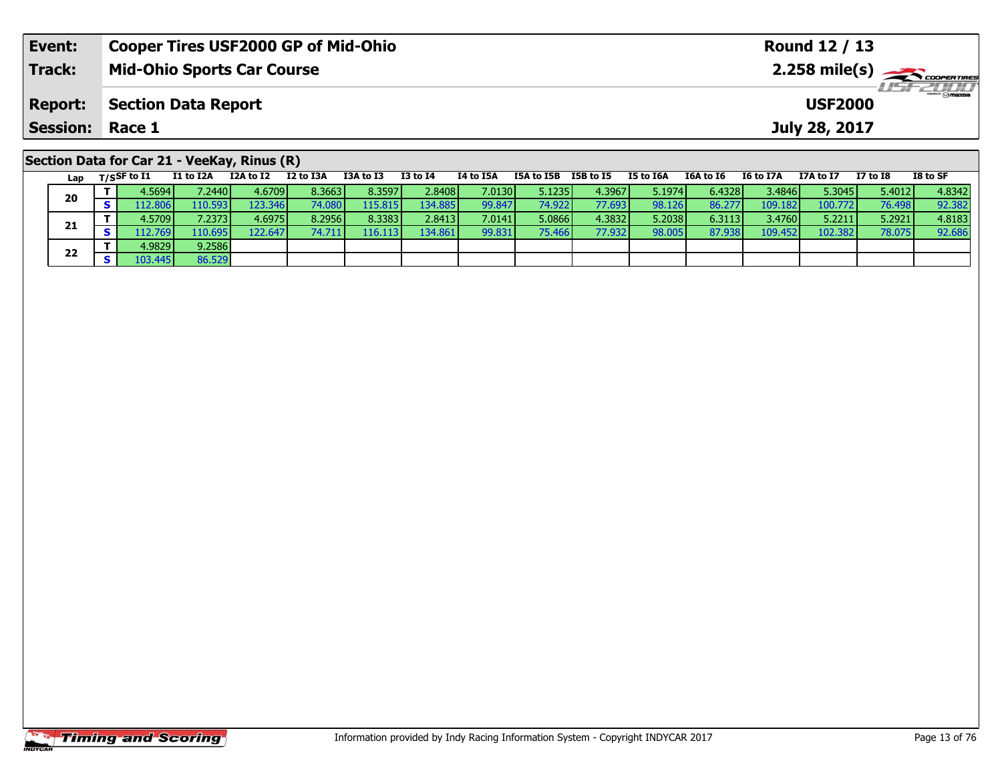| Event:          | <b>Cooper Tires USF2000 GP of Mid-Ohio</b>                                                                                | Round 12 / 13                                                                           |  |  |  |  |  |
|-----------------|---------------------------------------------------------------------------------------------------------------------------|-----------------------------------------------------------------------------------------|--|--|--|--|--|
| Track:          | <b>Mid-Ohio Sports Car Course</b>                                                                                         |                                                                                         |  |  |  |  |  |
| <b>Report:</b>  | <b>Section Data Report</b>                                                                                                | <i><b>LISF 2000</b></i><br><b>USF2000</b>                                               |  |  |  |  |  |
| Session: Race 1 |                                                                                                                           | July 28, 2017                                                                           |  |  |  |  |  |
|                 | Section Data for Car 21 - VeeKay, Rinus (R)<br><b>TOA + 6 TO</b><br><b>TO + 0 TA</b><br>TA to TEA<br>TEA to TED TED to TE | $TO + C C$<br>TE LA TEA<br>$TCA + 5C$ $TC + 5T7A$<br><b>T7A + &lt; T7</b><br>$T7 + 5T9$ |  |  |  |  |  |

|  | Lap | $T/S$ SF to $I1$ | I1 to I2A       | I2A to I2        | I2 to I3A       | I3A to I3         | <b>I3 to I4</b> | I4 to I5A | I5A to I5B | I5B to I5 | I5 to I6A | I6A to I6 | I6 to I7A       | I7A to I7 | $I7$ to $I8$ | I8 to SF |
|--|-----|------------------|-----------------|------------------|-----------------|-------------------|-----------------|-----------|------------|-----------|-----------|-----------|-----------------|-----------|--------------|----------|
|  | 20  | 4.5694 l         | /.2440 <b>J</b> | 4.6709 <b>I</b>  | 8.3663          | 8.3597            | 2.8408          | 7.01301   | 5.1235     | 4.3967    | 5.1974    | 6.4328    | 3.4846 <b> </b> | 5.3045    | 5.4012       | 4.8342   |
|  |     | 12.806           | 110.5931        | 123.346 <b>I</b> | 74.080 <b>I</b> | L <b>15.815  </b> | 134.885         | 99.847    | 74.922     | 77.693    | 98.126    | 86.277    | 109.182         | 100.772   | 76.498       | 92.382   |
|  | 21  | 4.5709 l         | 7.2373 <b>I</b> | 4.69751          | 8.2956          | 8.3383            | 2.8413          | 7.0141    | 5.0866     | 4.3832    | 5.2038    | 6.3113    | 3.4760          | 5.2211    | 5.2921       | 4.8183   |
|  |     | $.12.769$ $V$    | 110.695         | 122.647          |                 | 116.1131          | 134.861         | 99.831    | 75.466     | 77.9321   | 98.005    | 87.938    | 109.452         | 102.382   | 78.075       | 92.686   |
|  | 22  | 4.9829 <b>l</b>  | 9.2586          |                  |                 |                   |                 |           |            |           |           |           |                 |           |              |          |
|  |     | 103.445          | 86.529          |                  |                 |                   |                 |           |            |           |           |           |                 |           |              |          |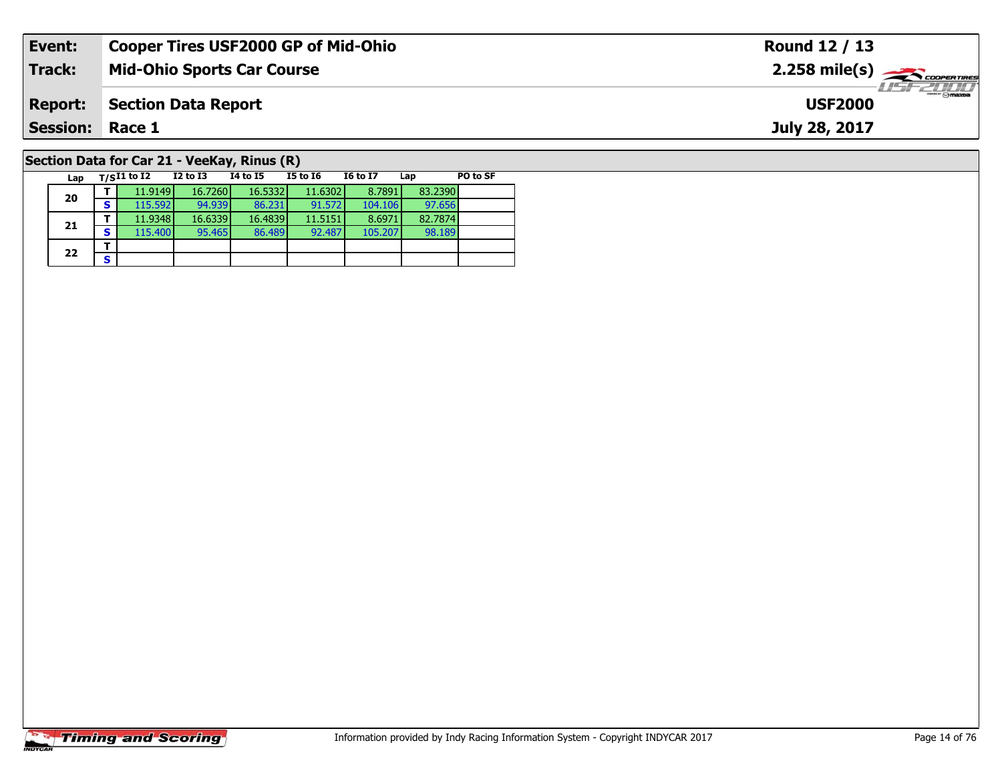| Event:                                      | <b>Cooper Tires USF2000 GP of Mid-Ohio</b> | Round 12 / 13           |  |  |  |  |  |  |  |  |
|---------------------------------------------|--------------------------------------------|-------------------------|--|--|--|--|--|--|--|--|
| Track:                                      | <b>Mid-Ohio Sports Car Course</b>          |                         |  |  |  |  |  |  |  |  |
| <b>Report:</b>                              | <b>Section Data Report</b>                 | ZTTTT<br><b>USF2000</b> |  |  |  |  |  |  |  |  |
| <b>Session:</b>                             | Race 1                                     | July 28, 2017           |  |  |  |  |  |  |  |  |
| Section Data for Car 21 - VeeKay, Rinus (R) |                                            |                         |  |  |  |  |  |  |  |  |

**Lap T/SI1 to I2 I2 to I3 I4 to I5 I5 to I6 I6 to I7 Lap PO to SF** 

**<sup>T</sup>** 11.9149 16.7260 16.5332 11.6302 8.7891 83.2390 **<sup>S</sup>** 115.592 94.939 86.231 91.572 104.106 97.656

**<sup>T</sup>** 11.9348 16.6339 16.4839 11.5151 8.6971 82.7874 **<sup>S</sup>** 115.400 95.465 86.489 92.487 105.207 98.189

# **Timing and Scoring**

**20**

**21**

 $22$   $\frac{1}{s}$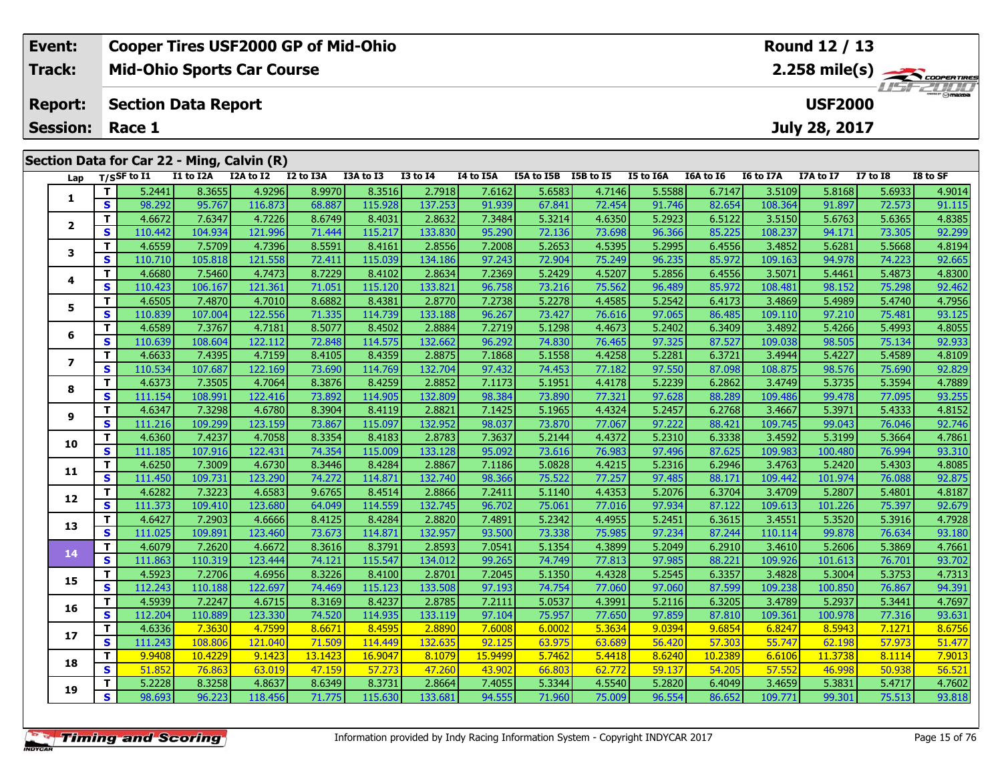|                                            | Event:          |            |                            |           | <b>Cooper Tires USF2000 GP of Mid-Ohio</b> |           |                                                               |                 |           |            |           |           |           |                  | Round 12 / 13  |                 |          |
|--------------------------------------------|-----------------|------------|----------------------------|-----------|--------------------------------------------|-----------|---------------------------------------------------------------|-----------------|-----------|------------|-----------|-----------|-----------|------------------|----------------|-----------------|----------|
|                                            | Track:          |            |                            |           | <b>Mid-Ohio Sports Car Course</b>          |           | $2.258$ mile(s) $\overbrace{\hspace{2.5cm}}^{3}$ cooren Times |                 |           |            |           |           |           |                  |                |                 |          |
|                                            | <b>Report:</b>  |            | <b>Section Data Report</b> |           |                                            |           |                                                               |                 |           |            |           |           |           |                  | <b>USF2000</b> |                 |          |
|                                            | <b>Session:</b> |            | Race 1                     |           |                                            |           |                                                               |                 |           |            |           |           |           |                  | July 28, 2017  |                 |          |
| Section Data for Car 22 - Ming, Calvin (R) |                 |            |                            |           |                                            |           |                                                               |                 |           |            |           |           |           |                  |                |                 |          |
|                                            | Lap             |            | $T/S$ SF to I1             | I1 to I2A | I2A to I2                                  | I2 to I3A | I3A to I3                                                     | <b>I3 to I4</b> | I4 to I5A | I5A to I5B | I5B to I5 | I5 to I6A | I6A to I6 | <b>I6 to I7A</b> | I7A to I7      | <b>I7 to I8</b> | I8 to SF |
|                                            |                 |            | 5.2441                     | 8.3655    | 4.9296                                     | 8.9970    | 8.3516                                                        | 2.7918          | 7.6162    | 5.6583     | 4.7146    | 5.5588    | 6.7147    | 3.5109           | 5.8168         | 5.6933          | 4.9014   |
|                                            |                 | <b>S</b>   | 98.292                     | 95.767    | 116.873                                    | 68.887    | 115.928                                                       | 137.253         | 91.939    | 67.841     | 72.454    | 91.746    | 82.654    | 108.364          | 91.897         | 72.573          | 91.115   |
|                                            |                 | <u>т н</u> | ACCD1                      | 7.021     | 1722c                                      | OCDAO     | 0.4021                                                        | n ocpoli        | 7201      | 5.2214     | 1000      | n poppli  | $c$ cand. | p esenti         | 5.6762         | r cocri         | 1020E    |

|              | т            | 5.2441  | 8.3655  | 4.9296  | 8.9970  | 8.3516  | 2.7918  | 7.6162  | 5.6583 | 4.7146 | 5.5588 | 6.7147  | 3.5109  | 5.8168  | 5.6933 | 4.9014 |
|--------------|--------------|---------|---------|---------|---------|---------|---------|---------|--------|--------|--------|---------|---------|---------|--------|--------|
| 1            | S            | 98.292  | 95.767  | 116.873 | 68.887  | 115.928 | 137.253 | 91.939  | 67.841 | 72.454 | 91.746 | 82.654  | 108.364 | 91.897  | 72.573 | 91.115 |
| $\mathbf{2}$ | т            | 4.6672  | 7.6347  | 4.7226  | 8.6749  | 8.4031  | 2.8632  | 7.3484  | 5.3214 | 4.6350 | 5.2923 | 6.5122  | 3.5150  | 5.6763  | 5.6365 | 4.8385 |
|              | S            | 110.442 | 104.934 | 121.996 | 71.444  | 115.217 | 133.830 | 95.290  | 72.136 | 73.698 | 96.366 | 85.225  | 108.237 | 94.171  | 73.305 | 92.299 |
| 3            | т            | 4.6559  | 7.5709  | 4.7396  | 8.5591  | 8.4161  | 2.8556  | 7.2008  | 5.2653 | 4.5395 | 5.2995 | 6.4556  | 3.4852  | 5.6281  | 5.5668 | 4.8194 |
|              | S            | 110.710 | 105.818 | 121.558 | 72.411  | 115.039 | 134.186 | 97.243  | 72.904 | 75.249 | 96.235 | 85.972  | 109.163 | 94.978  | 74.223 | 92.665 |
| 4            | т            | 4.6680  | 7.5460  | 4.7473  | 8.7229  | 8.4102  | 2.8634  | 7.2369  | 5.2429 | 4.5207 | 5.2856 | 6.4556  | 3.5071  | 5.4461  | 5.4873 | 4.8300 |
|              | S            | 110.423 | 106.167 | 121.361 | 71.051  | 115.120 | 133.821 | 96.758  | 73.216 | 75.562 | 96.489 | 85.972  | 108.481 | 98.152  | 75.298 | 92.462 |
| 5            | т            | 4.6505  | 7.4870  | 4.7010  | 8.6882  | 8.4381  | 2.8770  | 7.2738  | 5.2278 | 4.4585 | 5.2542 | 6.4173  | 3.4869  | 5.4989  | 5.4740 | 4.7956 |
|              | S            | 110.839 | 107.004 | 122.556 | 71.335  | 114.739 | 133.188 | 96.267  | 73.427 | 76.616 | 97.065 | 86.485  | 109.110 | 97.210  | 75.481 | 93.125 |
| 6            | т            | 4.6589  | 7.3767  | 4.7181  | 8.5077  | 8.4502  | 2.8884  | 7.2719  | 5.1298 | 4.4673 | 5.2402 | 6.3409  | 3.4892  | 5.4266  | 5.4993 | 4.8055 |
|              | $\mathbf{s}$ | 110.639 | 108.604 | 122.112 | 72.848  | 114.575 | 132.662 | 96.292  | 74.830 | 76.465 | 97.325 | 87.527  | 109.038 | 98.505  | 75.134 | 92.933 |
| 7            | т            | 4.6633  | 7.4395  | 4.7159  | 8.4105  | 8.4359  | 2.8875  | 7.1868  | 5.1558 | 4.4258 | 5.2281 | 6.3721  | 3.4944  | 5.4227  | 5.4589 | 4.8109 |
|              | S            | 110.534 | 107.687 | 122.169 | 73.690  | 114.769 | 132.704 | 97.432  | 74.453 | 77.182 | 97.550 | 87.098  | 108.875 | 98.576  | 75.690 | 92.829 |
| 8            | т            | 4.6373  | 7.3505  | 4.7064  | 8.3876  | 8.4259  | 2.8852  | 7.1173  | 5.1951 | 4.4178 | 5.2239 | 6.2862  | 3.4749  | 5.3735  | 5.3594 | 4.7889 |
|              | S            | 111.154 | 108.991 | 122.416 | 73.892  | 114.905 | 132.809 | 98.384  | 73.890 | 77.321 | 97.628 | 88.289  | 109.486 | 99.478  | 77.095 | 93.255 |
| 9            | т            | 4.6347  | 7.3298  | 4.6780  | 8.3904  | 8.4119  | 2.8821  | 7.1425  | 5.1965 | 4.4324 | 5.2457 | 6.2768  | 3.4667  | 5.3971  | 5.4333 | 4.8152 |
|              | S            | 111.216 | 109.299 | 123.159 | 73.867  | 115.097 | 132.952 | 98.037  | 73.870 | 77.067 | 97.222 | 88.421  | 109.745 | 99.043  | 76.046 | 92.746 |
| 10           | т            | 4.6360  | 7.4237  | 4.7058  | 8.3354  | 8.4183  | 2.8783  | 7.3637  | 5.2144 | 4.4372 | 5.2310 | 6.3338  | 3.4592  | 5.3199  | 5.3664 | 4.7861 |
|              | S            | 111.185 | 107.916 | 122.431 | 74.354  | 115.009 | 133.128 | 95.092  | 73.616 | 76.983 | 97.496 | 87.625  | 109.983 | 100.480 | 76.994 | 93.310 |
| 11           | т            | 4.6250  | 7.3009  | 4.6730  | 8.3446  | 8.4284  | 2.8867  | 7.1186  | 5.0828 | 4.4215 | 5.2316 | 6.2946  | 3.4763  | 5.2420  | 5.4303 | 4.8085 |
|              | S            | 111.450 | 109.731 | 123.290 | 74.272  | 114.871 | 132.740 | 98.366  | 75.522 | 77.257 | 97.485 | 88.171  | 109.442 | 101.974 | 76.088 | 92.875 |
| 12           | T.           | 4.6282  | 7.3223  | 4.6583  | 9.6765  | 8.4514  | 2.8866  | 7.2411  | 5.1140 | 4.4353 | 5.2076 | 6.3704  | 3.4709  | 5.2807  | 5.4801 | 4.8187 |
|              | S            | 111.373 | 109.410 | 123.680 | 64.049  | 114.559 | 132.745 | 96.702  | 75.061 | 77.016 | 97.934 | 87.122  | 109.613 | 101.226 | 75.397 | 92.679 |
| 13           | т            | 4.6427  | 7.2903  | 4.6666  | 8.4125  | 8.4284  | 2.8820  | 7.4891  | 5.2342 | 4.4955 | 5.2451 | 6.3615  | 3.4551  | 5.3520  | 5.3916 | 4.7928 |
|              | S            | 111.025 | 109.891 | 123.460 | 73.673  | 114.871 | 132.957 | 93.500  | 73.338 | 75.985 | 97.234 | 87.244  | 110.114 | 99.878  | 76.634 | 93.180 |
| 14           | т            | 4.6079  | 7.2620  | 4.6672  | 8.3616  | 8.3791  | 2.8593  | 7.0541  | 5.1354 | 4.3899 | 5.2049 | 6.2910  | 3.4610  | 5.2606  | 5.3869 | 4.7661 |
|              | S            | 111.863 | 110.319 | 123.444 | 74.121  | 115.547 | 134.012 | 99.265  | 74.749 | 77.813 | 97.985 | 88.221  | 109.926 | 101.613 | 76.701 | 93.702 |
| 15           | т            | 4.5923  | 7.2706  | 4.6956  | 8.3226  | 8.4100  | 2.8701  | 7.2045  | 5.1350 | 4.4328 | 5.2545 | 6.3357  | 3.4828  | 5.3004  | 5.3753 | 4.7313 |
|              | S            | 112.243 | 110.188 | 122.697 | 74.469  | 115.123 | 133.508 | 97.193  | 74.754 | 77.060 | 97.060 | 87.599  | 109.238 | 100.850 | 76.867 | 94.391 |
| 16           | т            | 4.5939  | 7.2247  | 4.6715  | 8.3169  | 8.4237  | 2.8785  | 7.2111  | 5.0537 | 4.3991 | 5.2116 | 6.3205  | 3.4789  | 5.2937  | 5.3441 | 4.7697 |
|              | S            | 112.204 | 110.889 | 123.330 | 74.520  | 114.935 | 133.119 | 97.104  | 75.957 | 77.650 | 97.859 | 87.810  | 109.361 | 100.978 | 77.316 | 93.631 |
| 17           | T.           | 4.6336  | 7.3630  | 4.7599  | 8.6671  | 8.4595  | 2.8890  | 7.6008  | 6.0002 | 5.3634 | 9.0394 | 9.6854  | 6.8247  | 8.5943  | 7.1271 | 8.6756 |
|              | S            | 111.243 | 108.806 | 121.040 | 71.509  | 114.449 | 132.635 | 92.125  | 63.975 | 63.689 | 56.420 | 57.303  | 55.747  | 62.198  | 57.973 | 51.477 |
| 18           | т            | 9.9408  | 10,4229 | 9.1423  | 13.1423 | 16,9047 | 8.1079  | 15,9499 | 5.7462 | 5.4418 | 8.6240 | 10.2389 | 6.6106  | 11.3738 | 8.1114 | 7.9013 |
|              | S            | 51.852  | 76.863  | 63.019  | 47.159  | 57.273  | 47.260  | 43.902  | 66.803 | 62.772 | 59.137 | 54.205  | 57.552  | 46.998  | 50.938 | 56.521 |
| 19           | т            | 5.2228  | 8.3258  | 4.8637  | 8.6349  | 8.3731  | 2.8664  | 7.4055  | 5.3344 | 4.5540 | 5.2820 | 6.4049  | 3.4659  | 5.3831  | 5.4717 | 4.7602 |
|              | S.           | 98.693  | 96.223  | 118.456 | 71.775  | 115.630 | 133.681 | 94.555  | 71.960 | 75.009 | 96.554 | 86.652  | 109.771 | 99.301  | 75.513 | 93.818 |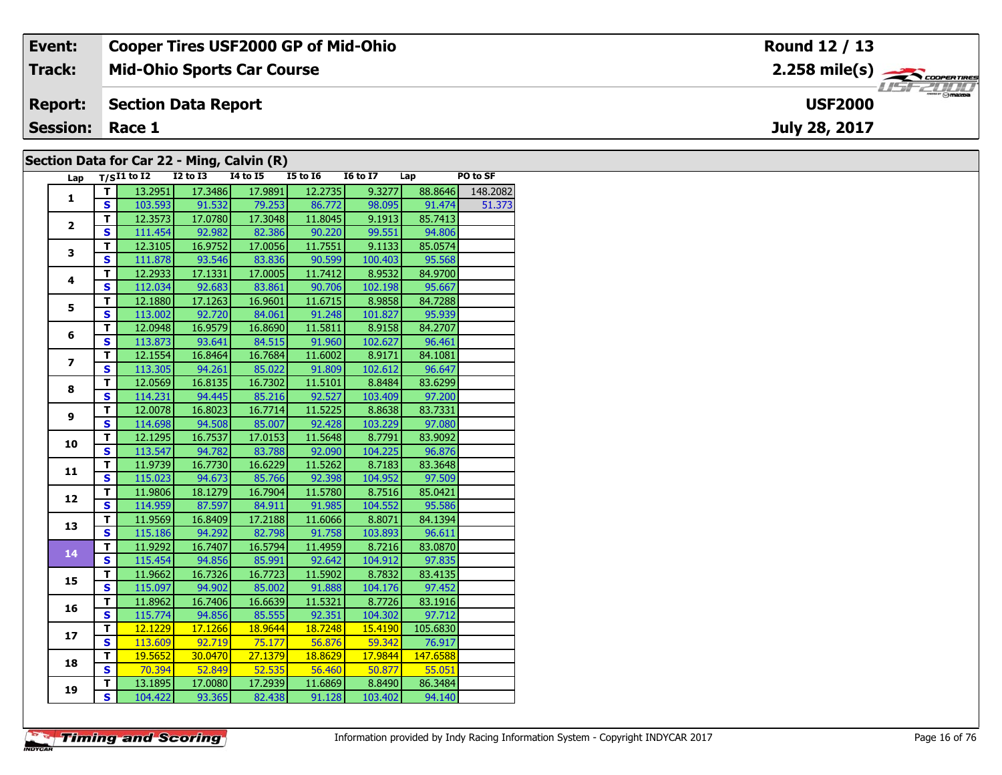| Event:                                     | <b>Cooper Tires USF2000 GP of Mid-Ohio</b> | Round 12 / 13                          |  |  |  |  |  |  |  |  |
|--------------------------------------------|--------------------------------------------|----------------------------------------|--|--|--|--|--|--|--|--|
| Track:                                     | <b>Mid-Ohio Sports Car Course</b>          |                                        |  |  |  |  |  |  |  |  |
| <b>Report:</b>                             | Section Data Report                        | $\frac{1}{\sqrt{2}}$<br><b>USF2000</b> |  |  |  |  |  |  |  |  |
| <b>Session: Race 1</b>                     |                                            | <b>July 28, 2017</b>                   |  |  |  |  |  |  |  |  |
| Section Data for Car 22 - Ming, Calvin (R) |                                            |                                        |  |  |  |  |  |  |  |  |

| Section Data for Car 22 - Ming, Calvin (R) |  |
|--------------------------------------------|--|
|--------------------------------------------|--|

| Lap                     |                         | $T/SI1$ to $I2$ | . <u>.</u> .<br>I2 to I3 | --- 1--<br><b>14 to 15</b> | <b>I5 to 16</b> | <b>16 to 17</b> | Lap      | PO to SF |
|-------------------------|-------------------------|-----------------|--------------------------|----------------------------|-----------------|-----------------|----------|----------|
|                         | т                       | 13.2951         | 17.3486                  | 17.9891                    | 12.2735         | 9.3277          | 88.8646  | 148.2082 |
| $\mathbf{1}$            | $\overline{\mathbf{s}}$ | 103.593         | 91.532                   | 79.253                     | 86.772          | 98.095          | 91.474   | 51.373   |
|                         | т                       | 12.3573         | 17.0780                  | 17.3048                    | 11.8045         | 9.1913          | 85.7413  |          |
| $\overline{2}$          | $\overline{\mathbf{s}}$ | 111.454         | 92.982                   | 82.386                     | 90.220          | 99.551          | 94.806   |          |
|                         | T.                      | 12.3105         | 16.9752                  | 17.0056                    | 11.7551         | 9.1133          | 85.0574  |          |
| 3                       | S                       | 111.878         | 93.546                   | 83.836                     | 90.599          | 100.403         | 95.568   |          |
|                         | T                       | 12.2933         | 17.1331                  | 17.0005                    | 11.7412         | 8.9532          | 84.9700  |          |
| 4                       | $\overline{\mathbf{s}}$ | 112.034         | 92.683                   | 83.861                     | 90.706          | 102.198         | 95.667   |          |
|                         | т                       | 12.1880         | 17.1263                  | 16.9601                    | 11.6715         | 8.9858          | 84.7288  |          |
| 5                       | $\overline{\mathbf{s}}$ | 113.002         | 92.720                   | 84.061                     | 91.248          | 101.827         | 95.939   |          |
|                         | $\overline{\mathsf{r}}$ | 12.0948         | 16.9579                  | 16.8690                    | 11.5811         | 8.9158          | 84.2707  |          |
| 6                       | $\overline{\mathbf{s}}$ | 113.873         | 93.641                   | 84.515                     | 91.960          | 102.627         | 96.461   |          |
|                         | T                       | 12.1554         | 16.8464                  | 16.7684                    | 11.6002         | 8.9171          | 84.1081  |          |
| $\overline{\mathbf{z}}$ | S                       | 113.305         | 94.261                   | 85.022                     | 91.809          | 102.612         | 96.647   |          |
|                         | т                       | 12.0569         | 16.8135                  | 16.7302                    | 11.5101         | 8.8484          | 83.6299  |          |
| 8                       | $\overline{\mathbf{s}}$ | 114.231         | 94.445                   | 85.216                     | 92.527          | 103.409         | 97.200   |          |
|                         | T                       | 12.0078         | 16.8023                  | 16.7714                    | 11.5225         | 8.8638          | 83.7331  |          |
| 9                       | $\overline{\mathbf{s}}$ | 114.698         | 94.508                   | 85.007                     | 92.428          | 103.229         | 97.080   |          |
| 10                      | T                       | 12.1295         | 16.7537                  | 17.0153                    | 11.5648         | 8.7791          | 83.9092  |          |
|                         | $\overline{\mathbf{s}}$ | 113.547         | 94.782                   | 83.788                     | 92.090          | 104.225         | 96.876   |          |
|                         | T                       | 11.9739         | 16.7730                  | 16.6229                    | 11.5262         | 8.7183          | 83.3648  |          |
| 11                      | $\overline{\mathbf{s}}$ | 115.023         | 94.673                   | 85.766                     | 92.398          | 104.952         | 97.509   |          |
|                         | T                       | 11.9806         | 18.1279                  | 16.7904                    | 11.5780         | 8.7516          | 85.0421  |          |
| 12                      | $\overline{\mathbf{s}}$ | 114.959         | 87.597                   | 84.911                     | 91.985          | 104.552         | 95.586   |          |
| 13                      | т                       | 11.9569         | 16.8409                  | 17.2188                    | 11.6066         | 8.8071          | 84.1394  |          |
|                         | $\overline{\mathbf{s}}$ | 115.186         | 94.292                   | 82.798                     | 91.758          | 103.893         | 96.611   |          |
| 14                      | $\overline{\mathsf{r}}$ | 11.9292         | 16.7407                  | 16.5794                    | 11.4959         | 8.7216          | 83.0870  |          |
|                         | $\overline{\mathbf{s}}$ | 115.454         | 94.856                   | 85.991                     | 92.642          | 104.912         | 97.835   |          |
| 15                      | T                       | 11.9662         | 16.7326                  | 16.7723                    | 11.5902         | 8.7832          | 83.4135  |          |
|                         | $\overline{\mathbf{s}}$ | 115.097         | 94.902                   | 85.002                     | 91.888          | 104.176         | 97.452   |          |
| 16                      | $\overline{\mathsf{r}}$ | 11.8962         | 16.7406                  | 16.6639                    | 11.5321         | 8.7726          | 83.1916  |          |
|                         | $\overline{\mathbf{s}}$ | 115.774         | 94.856                   | 85.555                     | 92.351          | 104.302         | 97.712   |          |
| 17                      | T                       | 12.1229         | 17.1266                  | 18.9644                    | 18.7248         | 15.4190         | 105.6830 |          |
|                         | $\overline{\mathbf{s}}$ | 113.609         | 92.719                   | 75.177                     | 56.876          | 59.342          | 76.917   |          |
| 18                      | T.                      | 19.5652         | 30.0470                  | 27.1379                    | 18.8629         | 17.9844         | 147.6588 |          |
|                         | $\overline{\mathbf{s}}$ | 70.394          | 52.849                   | 52.535                     | 56.460          | 50.877          | 55.051   |          |
| 19                      | T                       | 13.1895         | 17.0080                  | 17.2939                    | 11.6869         | 8.8490          | 86.3484  |          |
|                         | $\overline{\mathbf{s}}$ | 104.422         | 93.365                   | 82.438                     | 91.128          | 103.402         | 94.140   |          |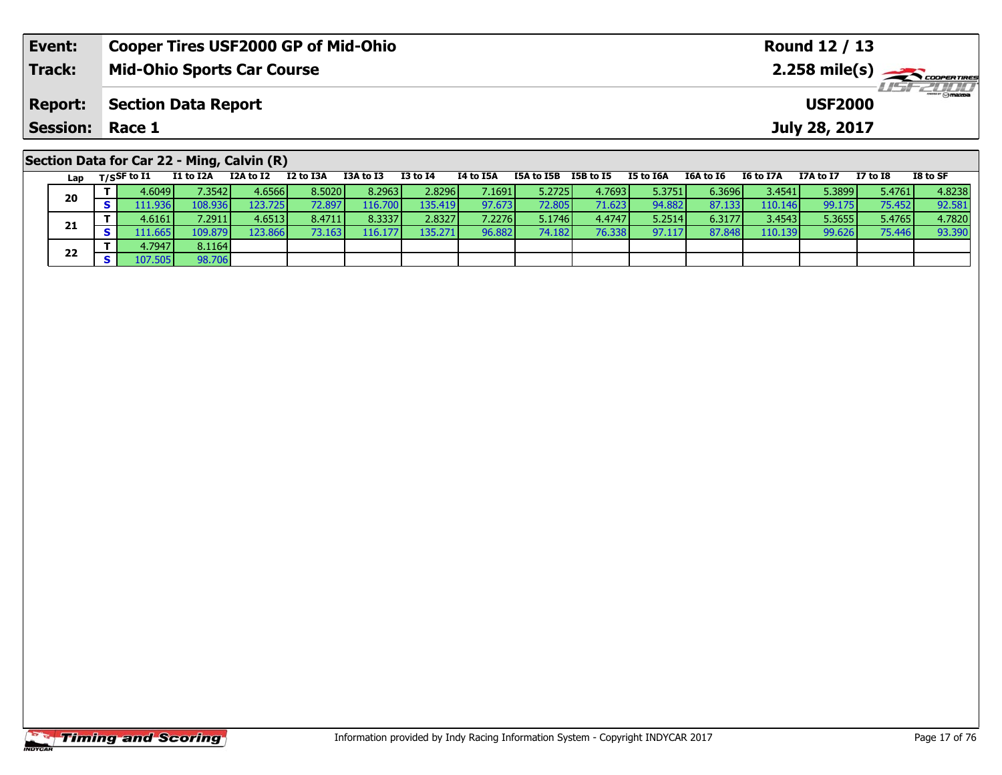| Event:          | <b>Cooper Tires USF2000 GP of Mid-Ohio</b>                                                                                   | Round 12 / 13                                                                   |  |  |  |  |  |  |  |  |  |  |  |
|-----------------|------------------------------------------------------------------------------------------------------------------------------|---------------------------------------------------------------------------------|--|--|--|--|--|--|--|--|--|--|--|
| <b>Track:</b>   | <b>Mid-Ohio Sports Car Course</b>                                                                                            | $2.258$ mile(s) $\sum$ coorer Times<br>$H = -2000$                              |  |  |  |  |  |  |  |  |  |  |  |
| <b>Report:</b>  | <b>Section Data Report</b><br><b>USF2000</b>                                                                                 |                                                                                 |  |  |  |  |  |  |  |  |  |  |  |
| <b>Session:</b> | Race 1                                                                                                                       | July 28, 2017                                                                   |  |  |  |  |  |  |  |  |  |  |  |
|                 | Section Data for Car 22 - Ming, Calvin (R)                                                                                   |                                                                                 |  |  |  |  |  |  |  |  |  |  |  |
| Lap             | I2 to I3A<br>I3A to I3<br>I3 to I4<br>I1 to I2A<br>I2A to I2<br>I4 to I5A<br>I5A to I5B<br>I5B to I5<br>$_{\rm T/SSF}$ to I1 | I8 to SF<br>I5 to I6A<br>I6A to I6<br><b>I6 to I7A</b><br>I7 to I8<br>I7A to I7 |  |  |  |  |  |  |  |  |  |  |  |

| м м | .   |         |          |         |        |          |         |        |        |         |        |        |         |        |        |        |
|-----|-----|---------|----------|---------|--------|----------|---------|--------|--------|---------|--------|--------|---------|--------|--------|--------|
|     |     | 4.6049  | 7.35421  | 4.6566  | 8.5020 | 8.2963 l | 2.8296  | 7.1691 | 5.2725 | 4.76931 | 5.3751 | 6.3696 | 3.4541  | 5.3899 | 5.4761 | 4.8238 |
|     | ಶ   | .11.936 | 108.9361 | 123.725 | 72.897 | 116.700  | 135.419 | 97.673 | 72.805 | 71.623  | 94.882 | 87.133 | 110.146 | 99.175 | 75.452 | 92.581 |
|     |     | 4.6161  | 7.2911   | 4.6513  | 8.4711 | 8.3337   | 2.8327  | 7.2276 | 5.1746 | 4.4747  | 5.2514 | 6.3177 | 3.4543  | 5.3655 | 5.4765 | 4.7820 |
|     | - 3 | 11.665  | 109.879  | 123.866 | 73.163 | 116.177  | 135.271 | 96.882 | 74.182 | 76.338  | 97.117 | 87.848 | 110.139 | 99.626 | 75.446 | 93.390 |
|     |     | 4.7947  | 8.1164   |         |        |          |         |        |        |         |        |        |         |        |        |        |
|     | ъ   | 107.505 | 98.706   |         |        |          |         |        |        |         |        |        |         |        |        |        |
|     |     |         |          |         |        |          |         |        |        |         |        |        |         |        |        |        |

**20**

**21**

**22**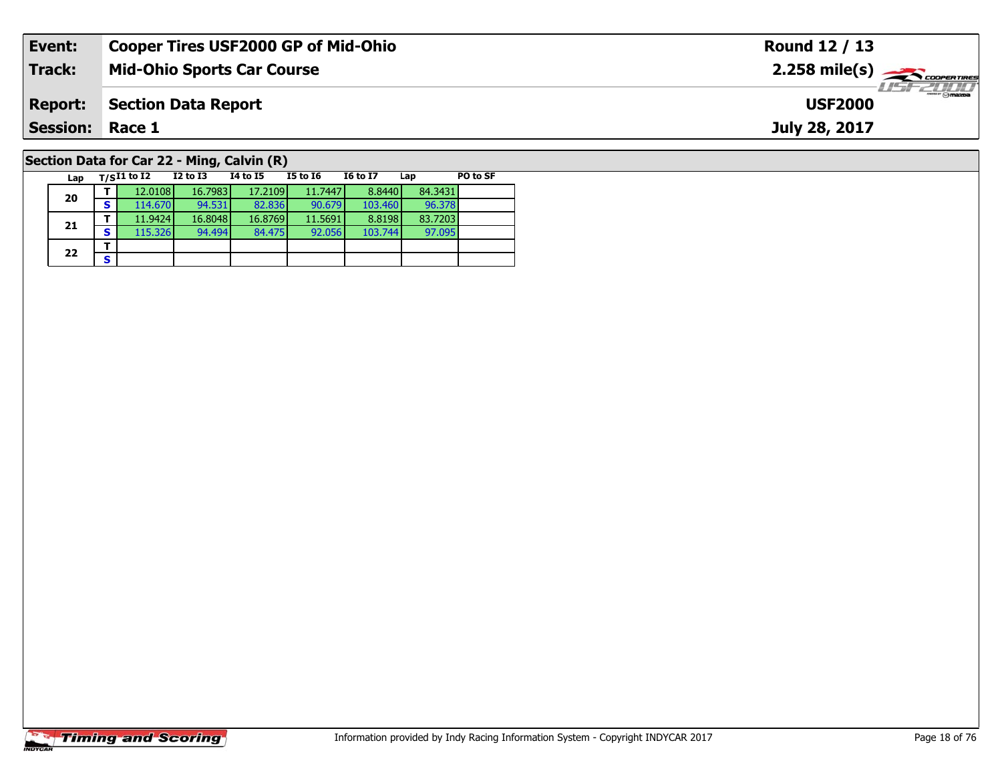| Event:                                     | <b>Cooper Tires USF2000 GP of Mid-Ohio</b> | Round 12 / 13                    |  |  |  |  |  |  |  |  |  |
|--------------------------------------------|--------------------------------------------|----------------------------------|--|--|--|--|--|--|--|--|--|
| <b>Track:</b>                              | <b>Mid-Ohio Sports Car Course</b>          | $2.258$ mile(s) $\rightarrow$    |  |  |  |  |  |  |  |  |  |
| <b>Report:</b>                             | <b>Section Data Report</b>                 | <b>HSFZDDD</b><br><b>USF2000</b> |  |  |  |  |  |  |  |  |  |
| <b>Session: Race 1</b>                     |                                            | July 28, 2017                    |  |  |  |  |  |  |  |  |  |
| Section Data for Car 22 - Ming, Calvin (R) |                                            |                                  |  |  |  |  |  |  |  |  |  |

#### **Lap T/SI1 to I2 I2 to I3 I4 to I5 I5 to I6 I6 to I7 Lap PO to SF 20 <sup>T</sup>** 12.0108 16.7983 17.2109 11.7447 8.8440 84.3431 **<sup>S</sup>** 114.670 94.531 82.836 90.679 103.460 96.37896.378 **21 <sup>T</sup>** 11.9424 16.8048 16.8769 11.5691 8.8198 83.7203 **<sup>S</sup>** 115.326 94.494 84.475 92.056 103.744 97.09597.095  $22$   $\frac{1}{s}$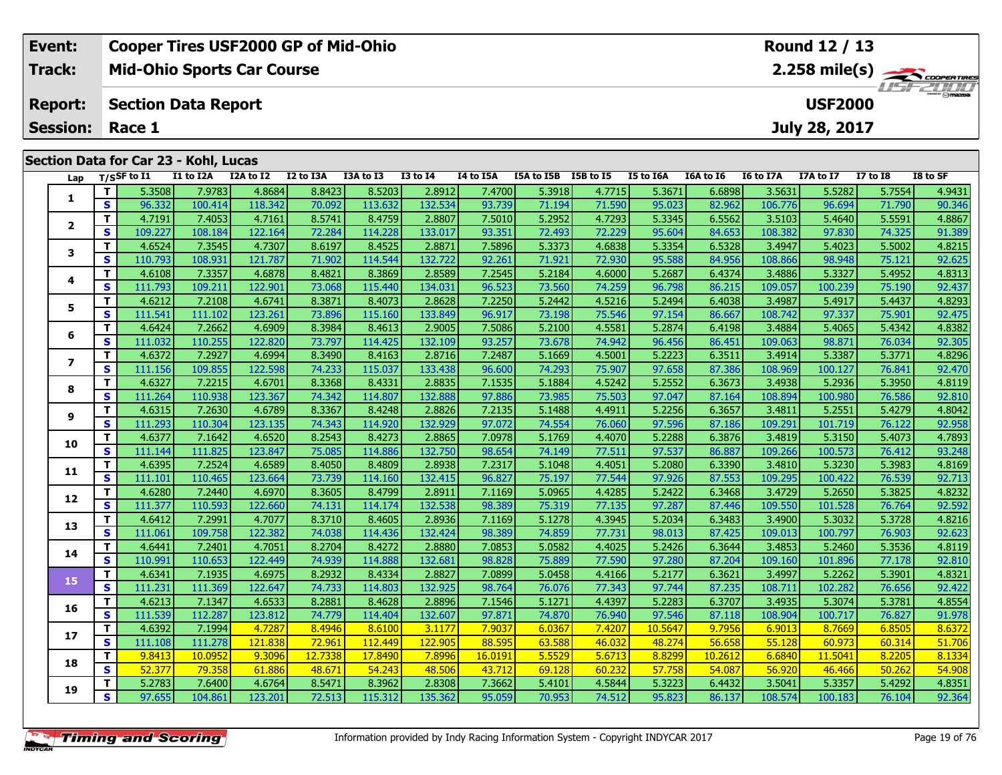| Event:                 | <b>Cooper Tires USF2000 GP of Mid-Ohio</b> | Round 12 / 13                           |
|------------------------|--------------------------------------------|-----------------------------------------|
| Track:                 | <b>Mid-Ohio Sports Car Course</b>          | $2.258$ mile(s) $\frac{1}{\sqrt{2.600}$ |
| <b>Report:</b>         | Section Data Report                        | <b>LISF 2000</b><br><b>USF2000</b>      |
| <b>Session: Race 1</b> |                                            | July 28, 2017                           |
|                        | Section Data for Car 23 - Kohl, Lucas      |                                         |

| Lap            |                         | T/SSF to I1 | I1 to I2A | I2A to I2 | I2 to I3A | I3A to I3 | <b>I3 to I4</b> | I4 to I5A | I5A to I5B I5B to I5 |        | <b>I5 to I6A</b> | I6A to I6 | I6 to I7A | I7A to I7 | <b>I7 to 18</b> | I8 to SF |
|----------------|-------------------------|-------------|-----------|-----------|-----------|-----------|-----------------|-----------|----------------------|--------|------------------|-----------|-----------|-----------|-----------------|----------|
|                | T.                      | 5.3508      | 7.9783    | 4.8684    | 8.8423    | 8.5203    | 2.8912          | 7.4700    | 5.3918               | 4.7715 | 5.3671           | 6.6898    | 3.5631    | 5.5282    | 5.7554          | 4.9431   |
| 1              | S                       | 96.332      | 100.414   | 118.342   | 70.092    | 113.632   | 132.534         | 93.739    | 71.194               | 71.590 | 95.023           | 82.962    | 106.776   | 96.694    | 71.790          | 90.346   |
|                | T                       | 4.7191      | 7.4053    | 4.7161    | 8.5741    | 8.4759    | 2.8807          | 7.5010    | 5.2952               | 4.7293 | 5.3345           | 6.5562    | 3.5103    | 5.4640    | 5.5591          | 4.8867   |
| $\mathbf{2}$   | $\mathbf{s}$            | 109.227     | 108.184   | 122.164   | 72.284    | 114.228   | 133.017         | 93.351    | 72.493               | 72.229 | 95.604           | 84.653    | 108.382   | 97.830    | 74.325          | 91.389   |
|                | T                       | 4.6524      | 7.3545    | 4.7307    | 8.6197    | 8.4525    | 2.8871          | 7.5896    | 5.3373               | 4.6838 | 5.3354           | 6.5328    | 3.4947    | 5.4023    | 5.5002          | 4.8215   |
| 3              | $\overline{\mathbf{s}}$ | 110.793     | 108.931   | 121.787   | 71.902    | 114.544   | 132.722         | 92.261    | 71.921               | 72.930 | 95.588           | 84.956    | 108.866   | 98.948    | 75.121          | 92.625   |
|                | Т                       | 4.6108      | 7.3357    | 4.6878    | 8.4821    | 8.3869    | 2.8589          | 7.2545    | 5.2184               | 4.6000 | 5.2687           | 6.4374    | 3.4886    | 5.3327    | 5.4952          | 4.8313   |
| 4              | $\mathbf{s}$            | 111.793     | 109.211   | 122.901   | 73.068    | 115.440   | 134.031         | 96.523    | 73.560               | 74.259 | 96.798           | 86.215    | 109.057   | 100.239   | 75.190          | 92.437   |
|                | T.                      | 4.6212      | 7.2108    | 4.6741    | 8.3871    | 8.4073    | 2.8628          | 7.2250    | 5.2442               | 4.5216 | 5.2494           | 6.4038    | 3.4987    | 5.4917    | 5.4437          | 4.8293   |
| 5              | $\overline{\mathbf{s}}$ | 111.541     | 111.102   | 123.261   | 73.896    | 115.160   | 133.849         | 96.917    | 73.198               | 75.546 | 97.154           | 86.667    | 108.742   | 97.337    | 75.901          | 92.475   |
|                | T                       | 4.6424      | 7.2662    | 4.6909    | 8.3984    | 8.4613    | 2.9005          | 7.5086    | 5.2100               | 4.5581 | 5.2874           | 6.4198    | 3.4884    | 5.4065    | 5.4342          | 4.8382   |
| 6              | S                       | 111.032     | 110.255   | 122.820   | 73.797    | 114.425   | 132.109         | 93.257    | 73.678               | 74.942 | 96.456           | 86.451    | 109.063   | 98.871    | 76.034          | 92.305   |
| $\overline{ }$ | т                       | 4.6372      | 7.2927    | 4.6994    | 8.3490    | 8.4163    | 2.8716          | 7.2487    | 5.1669               | 4.5001 | 5.2223           | 6.3511    | 3.4914    | 5.3387    | 5.3771          | 4.8296   |
|                | $\overline{\mathbf{s}}$ | 111.156     | 109.855   | 122.598   | 74.233    | 115.037   | 133.438         | 96.600    | 74.293               | 75.907 | 97.658           | 87.386    | 108.969   | 100.127   | 76.841          | 92.470   |
| 8              | T                       | 4.6327      | 7.2215    | 4.6701    | 8.3368    | 8.4331    | 2.8835          | 7.1535    | 5.1884               | 4.5242 | 5.2552           | 6.3673    | 3.4938    | 5.2936    | 5.3950          | 4.8119   |
|                | $\mathbf{s}$            | 111.264     | 110.938   | 123.367   | 74.342    | 114.807   | 132.888         | 97.886    | 73.985               | 75.503 | 97.047           | 87.164    | 108.894   | 100.980   | 76.586          | 92.810   |
| 9              | T                       | 4.6315      | 7.2630    | 4.6789    | 8.3367    | 8.4248    | 2.8826          | 7.2135    | 5.1488               | 4.4911 | 5.2256           | 6.3657    | 3.4811    | 5.2551    | 5.4279          | 4.8042   |
|                | S                       | 111.293     | 110.304   | 123.135   | 74.343    | 114.920   | 132.929         | 97.072    | 74.554               | 76.060 | 97.596           | 87.186    | 109.291   | 101.719   | 76.122          | 92.958   |
| 10             | T.                      | 4.6377      | 7.1642    | 4.6520    | 8.2543    | 8.4273    | 2.8865          | 7.0978    | 5.1769               | 4.4070 | 5.2288           | 6.3876    | 3.4819    | 5.3150    | 5.4073          | 4.7893   |
|                | $\overline{\mathbf{s}}$ | 111.144     | 111.825   | 123.847   | 75.085    | 114.886   | 132.750         | 98.654    | 74.149               | 77.511 | 97.537           | 86.887    | 109.266   | 100.573   | 76.412          | 93.248   |
| 11             | T                       | 4.6395      | 7.2524    | 4.6589    | 8.4050    | 8.4809    | 2.8938          | 7.2317    | 5.1048               | 4.4051 | 5.2080           | 6.3390    | 3.4810    | 5.3230    | 5.3983          | 4.8169   |
|                | $\overline{\mathbf{s}}$ | 111.101     | 110.465   | 123.664   | 73.739    | 114.160   | 132.415         | 96.827    | 75.197               | 77.544 | 97.926           | 87.553    | 109.295   | 100.422   | 76.539          | 92.713   |
| 12             | T                       | 4.6280      | 7.2440    | 4.6970    | 8.3605    | 8.4799    | 2.8911          | 7.1169    | 5.0965               | 4.4285 | 5.2422           | 6.3468    | 3.4729    | 5.2650    | 5.3825          | 4.8232   |
|                | S                       | 111.377     | 110.593   | 122.660   | 74.131    | 114.174   | 132.538         | 98.389    | 75.319               | 77.135 | 97.287           | 87.446    | 109.550   | 101.528   | 76.764          | 92.592   |
| 13             | T.                      | 4.6412      | 7.2991    | 4.7077    | 8.3710    | 8.4605    | 2.8936          | 7.1169    | 5.1278               | 4.3945 | 5.2034           | 6.3483    | 3.4900    | 5.3032    | 5.3728          | 4.8216   |
|                | S                       | 111.061     | 109.758   | 122.382   | 74.038    | 114.436   | 132.424         | 98.389    | 74.859               | 77.731 | 98.013           | 87.425    | 109.013   | 100.797   | 76.903          | 92.623   |
| 14             | T                       | 4.6441      | 7.2401    | 4.7051    | 8.2704    | 8.4272    | 2.8880          | 7.0853    | 5.0582               | 4.4025 | 5.2426           | 6.3644    | 3.4853    | 5.2460    | 5.3536          | 4.8119   |
|                | $\overline{\mathbf{s}}$ | 110.991     | 110.653   | 122.449   | 74.939    | 114.888   | 132.681         | 98.828    | 75.889               | 77.590 | 97.280           | 87.204    | 109.160   | 101.896   | 77.178          | 92.810   |
| 15             | T.                      | 4.6341      | 7.1935    | 4.6975    | 8.2932    | 8.4334    | 2.8827          | 7.0899    | 5.0458               | 4.4166 | 5.2177           | 6.3621    | 3.4997    | 5.2262    | 5.3901          | 4.8321   |
|                | $\mathbf{s}$            | 111.231     | 111.369   | 122.647   | 74.733    | 114.803   | 132.925         | 98.764    | 76.076               | 77.343 | 97.744           | 87.235    | 108.711   | 102.282   | 76.656          | 92.422   |
| 16             | T                       | 4.6213      | 7.1347    | 4.6533    | 8.2881    | 8.4628    | 2.8896          | 7.1546    | 5.1271               | 4.4397 | 5.2283           | 6.3707    | 3.4935    | 5.3074    | 5.3781          | 4.8554   |
|                | $\overline{\mathbf{s}}$ | 111.539     | 112.287   | 123.812   | 74.779    | 114.404   | 132.607         | 97.871    | 74.870               | 76.940 | 97.546           | 87.118    | 108.904   | 100.717   | 76.827          | 91.978   |
| 17             | т                       | 4.6392      | 7.1994    | 4.7287    | 8.4946    | 8.6100    | 3.1177          | 7.9037    | 6.0367               | 7.4207 | 10.5647          | 9.7956    | 6.9013    | 8.7669    | 6.8505          | 8.6372   |
|                | $\mathbf{s}$            | 111.108     | 111.278   | 121.838   | 72.961    | 112.449   | 122.905         | 88.595    | 63.588               | 46.032 | 48.274           | 56.658    | 55.128    | 60.973    | 60.314          | 51.706   |
| 18             | T.                      | 9.8413      | 10.0952   | 9.3096    | 12.7338   | 17.8490   | 7.8996          | 16.0191   | 5.5529               | 5.6713 | 8.8299           | 10.2612   | 6.6840    | 11.5041   | 8.2205          | 8.1334   |
|                | $\mathbf{s}$            | 52.377      | 79.358    | 61.886    | 48.671    | 54.243    | 48.506          | 43.712    | 69.128               | 60.232 | 57.758           | 54.087    | 56.920    | 46.466    | 50.262          | 54.908   |
| 19             | T.                      | 5.2783      | 7.6400    | 4.6764    | 8.5471    | 8.3962    | 2.8308          | 7.3662    | 5.4101               | 4.5844 | 5.3223           | 6.4432    | 3.5041    | 5.3357    | 5.4292          | 4.8351   |
|                | $\overline{\mathbf{s}}$ | 97.655      | 104.861   | 123.201   | 72.513    | 115.312   | 135.362         | 95.059    | 70.953               | 74.512 | 95.823           | 86.137    | 108.574   | 100.183   | 76.104          | 92.364   |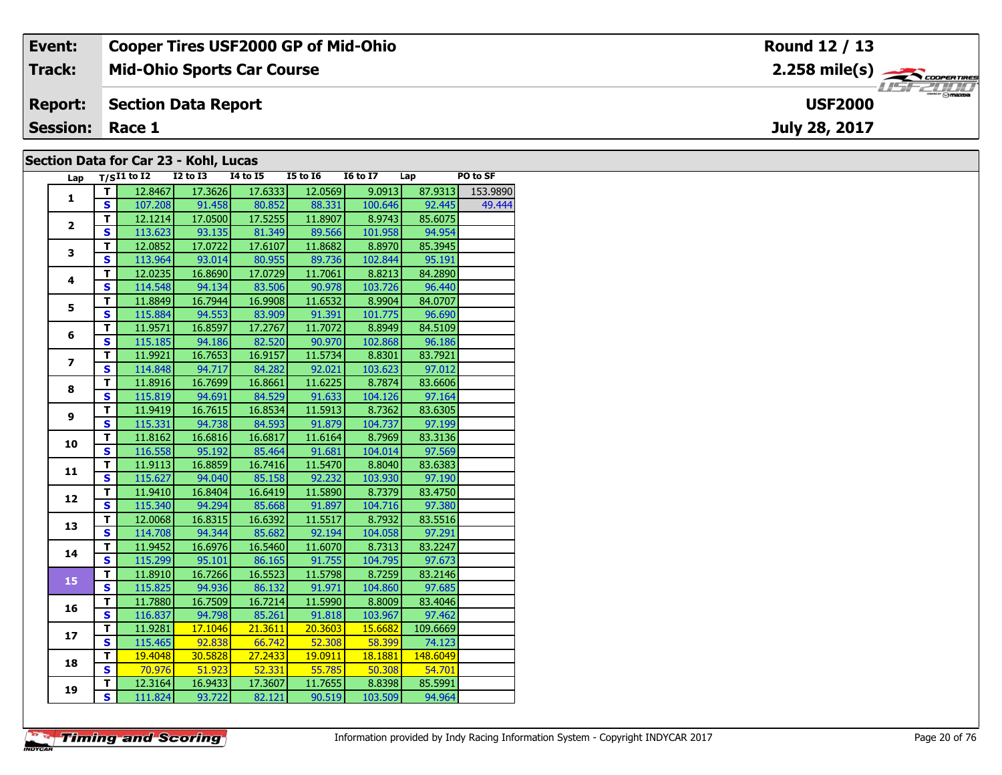| Event:                                | <b>Cooper Tires USF2000 GP of Mid-Ohio</b> | Round 12 / 13                                          |  |  |  |  |  |  |  |
|---------------------------------------|--------------------------------------------|--------------------------------------------------------|--|--|--|--|--|--|--|
| Track:                                | <b>Mid-Ohio Sports Car Course</b>          | $2.258$ mile(s) $\overbrace{\hspace{2cm}}$ coorentines |  |  |  |  |  |  |  |
| <b>Report:</b>                        | Section Data Report                        | <b>USF2000</b>                                         |  |  |  |  |  |  |  |
| <b>Session:</b>                       | Race 1                                     | July 28, 2017                                          |  |  |  |  |  |  |  |
| Section Data for Car 23 - Kohl, Lucas |                                            |                                                        |  |  |  |  |  |  |  |

#### **Section Data for Car 23 - Kohl, Lucas**

| Lap            |                         | $T/SI1$ to I2 I2 to I3 I4 to I5 I5 to I6 |         |         |         | I6 to I7 Lap |          | PO to SF |
|----------------|-------------------------|------------------------------------------|---------|---------|---------|--------------|----------|----------|
| $\mathbf{1}$   | T I                     | 12.8467                                  | 17.3626 | 17.6333 | 12.0569 | 9.0913       | 87.9313  | 153.9890 |
|                | S                       | 107.208                                  | 91.458  | 80.852  | 88.331  | 100.646      | 92.445   | 49.444   |
|                | T.                      | 12.1214                                  | 17.0500 | 17.5255 | 11.8907 | 8.9743       | 85.6075  |          |
| $\overline{2}$ | S                       | 113.623                                  | 93.135  | 81.349  | 89.566  | 101.958      | 94.954   |          |
|                | T                       | 12.0852                                  | 17.0722 | 17.6107 | 11.8682 | 8.8970       | 85.3945  |          |
| 3              | $\mathbf{s}$            | 113.964                                  | 93.014  | 80.955  | 89.736  | 102.844      | 95.191   |          |
|                | T                       | 12.0235                                  | 16.8690 | 17.0729 | 11.7061 | 8.8213       | 84.2890  |          |
| 4              | $\overline{\mathbf{s}}$ | 114.548                                  | 94.134  | 83.506  | 90.978  | 103.726      | 96.440   |          |
| 5              | T                       | 11.8849                                  | 16.7944 | 16.9908 | 11.6532 | 8.9904       | 84.0707  |          |
|                | $\mathbf{s}$            | 115.884                                  | 94.553  | 83.909  | 91.391  | 101.775      | 96.690   |          |
|                | T                       | 11.9571                                  | 16.8597 | 17.2767 | 11.7072 | 8.8949       | 84.5109  |          |
| 6              | $\overline{\mathbf{s}}$ | 115.185                                  | 94.186  | 82.520  | 90.970  | 102.868      | 96.186   |          |
| $\overline{ }$ | т                       | 11.9921                                  | 16.7653 | 16.9157 | 11.5734 | 8.8301       | 83.7921  |          |
|                | $\mathbf s$             | 114.848                                  | 94.717  | 84.282  | 92.021  | 103.623      | 97.012   |          |
|                | T                       | 11.8916                                  | 16.7699 | 16.8661 | 11.6225 | 8.7874       | 83.6606  |          |
| 8              | $\mathbf{s}$            | 115.819                                  | 94.691  | 84.529  | 91.633  | 104.126      | 97.164   |          |
| 9              | T                       | 11.9419                                  | 16.7615 | 16.8534 | 11.5913 | 8.7362       | 83.6305  |          |
|                | $\mathbf{s}$            | 115.331                                  | 94.738  | 84.593  | 91.879  | 104.737      | 97.199   |          |
| 10             | T                       | 11.8162                                  | 16.6816 | 16.6817 | 11.6164 | 8.7969       | 83.3136  |          |
|                | $\mathbf{s}$            | 116.558                                  | 95.192  | 85.464  | 91.681  | 104.014      | 97.569   |          |
| 11             | T                       | 11.9113                                  | 16.8859 | 16.7416 | 11.5470 | 8.8040       | 83.6383  |          |
|                | $\overline{\mathbf{s}}$ | 115.627                                  | 94.040  | 85.158  | 92.232  | 103.930      | 97.190   |          |
| 12             | T                       | 11.9410                                  | 16.8404 | 16.6419 | 11.5890 | 8.7379       | 83.4750  |          |
|                | $\mathbf s$             | 115.340                                  | 94.294  | 85.668  | 91.897  | 104.716      | 97.380   |          |
| 13             | T                       | 12.0068                                  | 16.8315 | 16.6392 | 11.5517 | 8.7932       | 83.5516  |          |
|                | $\mathbf{s}$            | 114.708                                  | 94.344  | 85.682  | 92.194  | 104.058      | 97.291   |          |
| 14             | T                       | 11.9452                                  | 16.6976 | 16.5460 | 11.6070 | 8.7313       | 83.2247  |          |
|                | $\mathbf{s}$            | 115.299                                  | 95.101  | 86.165  | 91.755  | 104.795      | 97.673   |          |
| 15             | T                       | 11.8910                                  | 16.7266 | 16.5523 | 11.5798 | 8.7259       | 83.2146  |          |
|                | $\mathbf{s}$            | 115.825                                  | 94.936  | 86.132  | 91.971  | 104.860      | 97.685   |          |
| 16             | т                       | 11.7880                                  | 16.7509 | 16.7214 | 11.5990 | 8.8009       | 83.4046  |          |
|                | $\overline{\mathbf{s}}$ | 116.837                                  | 94.798  | 85.261  | 91.818  | 103.967      | 97.462   |          |
| 17             | T                       | 11.9281                                  | 17.1046 | 21.3611 | 20.3603 | 15.6682      | 109.6669 |          |
|                | $\mathbf{s}$            | 115.465                                  | 92.838  | 66.742  | 52.308  | $-58.399$    | 74.123   |          |
| 18             | T                       | 19.4048                                  | 30.5828 | 27.2433 | 19.0911 | 18.1881      | 148.6049 |          |
|                | $\mathbf{s}$            | 70.976                                   | 51.923  | 52.331  | 55.785  | 50.308       | 54.701   |          |
| 19             | T                       | 12.3164                                  | 16.9433 | 17.3607 | 11.7655 | 8.8398       | 85.5991  |          |
|                | S.                      | 111.824                                  | 93.722  | 82.121  | 90.519  | 103.509      | 94.964   |          |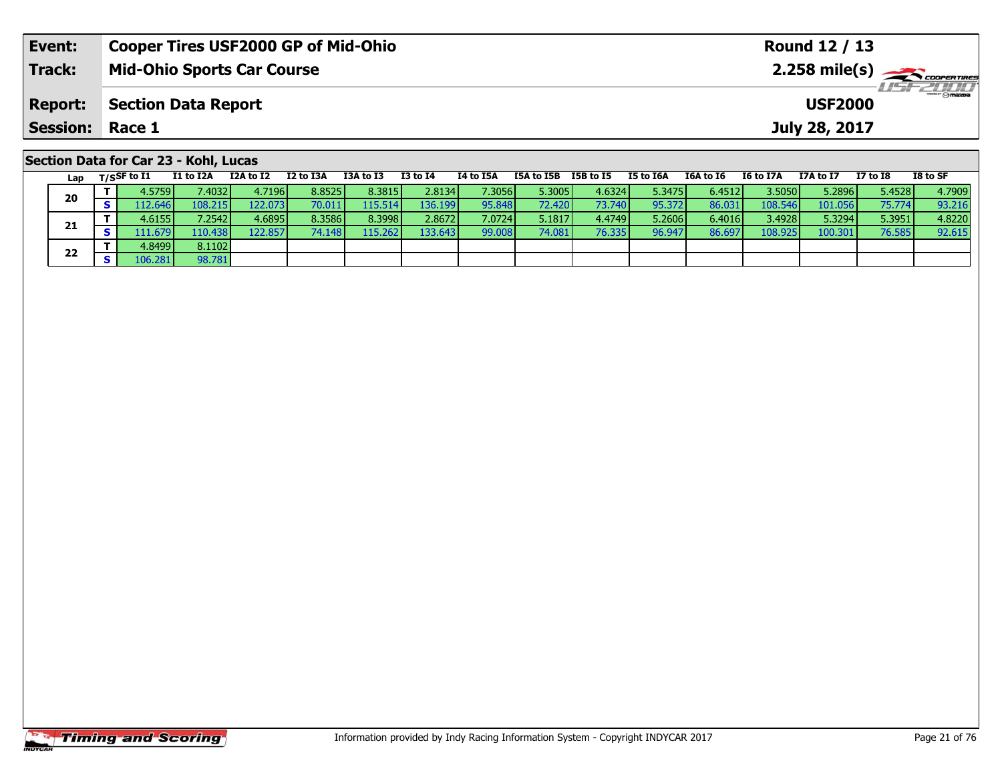| Event:                                | <b>Cooper Tires USF2000 GP of Mid-Ohio</b> |                                              |           |           |           |          | Round 12 / 13 |            |           |           |           |           |                                                                     |          |          |  |  |  |  |
|---------------------------------------|--------------------------------------------|----------------------------------------------|-----------|-----------|-----------|----------|---------------|------------|-----------|-----------|-----------|-----------|---------------------------------------------------------------------|----------|----------|--|--|--|--|
| <b>Track:</b>                         |                                            | <b>Mid-Ohio Sports Car Course</b>            |           |           |           |          |               |            |           |           |           |           | $2.258$ mile(s) $\rightarrow$ Coorentment<br>$H = -H \frac{1}{2} H$ |          |          |  |  |  |  |
| <b>Report:</b>                        |                                            | <b>Section Data Report</b><br><b>USF2000</b> |           |           |           |          |               |            |           |           |           |           |                                                                     |          |          |  |  |  |  |
| <b>Session: Race 1</b>                |                                            |                                              |           |           |           |          |               |            |           |           |           |           | July 28, 2017                                                       |          |          |  |  |  |  |
| Section Data for Car 23 - Kohl, Lucas |                                            |                                              |           |           |           |          |               |            |           |           |           |           |                                                                     |          |          |  |  |  |  |
| Lap                                   | T/SSF to I1                                | I1 to I2A                                    | I2A to I2 | I2 to I3A | I3A to I3 | I3 to I4 | I4 to I5A     | I5A to I5B | I5B to I5 | I5 to I6A | I6A to I6 | I6 to I7A | I7A to I7                                                           | I7 to I8 | I8 to SF |  |  |  |  |

|    |   | 4.5759   | 7.40321 | 4.7196  | 8.8525 | 8.3815 l | 2.8134  | 7.30561         | 5.3005 | 4.6324 | 5.3475 | 6.4512 | 3.5050V   | 5.2896  | 5.4528 | 4.7909 |
|----|---|----------|---------|---------|--------|----------|---------|-----------------|--------|--------|--------|--------|-----------|---------|--------|--------|
| 20 | - | 112.6461 | 108.215 | 122.073 | 70.011 | 115.514  | 136.199 | 95.848          | 72.420 | 73.740 | 95.372 | 86.031 | 108.546 l | 101.056 | 75.774 | 93.216 |
|    |   | 4.6155   | 7.2542  | 4.6895  | 8.3586 | 8.3998   | 2.8672  | 7.0724 <b>1</b> | 5.1817 | 4.4749 | 5.2606 | 6.4016 | 3.4928    | 5.3294  | 5.3951 | 4.8220 |
| 21 |   | 111.679  | 110.438 | 122.857 | 74.148 | 115.262  | 133.643 | 99.008          | 74.081 | 76.335 | 96.947 | 86.697 | 108.925   | 100.301 | 76.585 | 92.615 |
|    |   | 4.8499   | 8.1102  |         |        |          |         |                 |        |        |        |        |           |         |        |        |
| 22 |   | 106.281  | 98.781  |         |        |          |         |                 |        |        |        |        |           |         |        |        |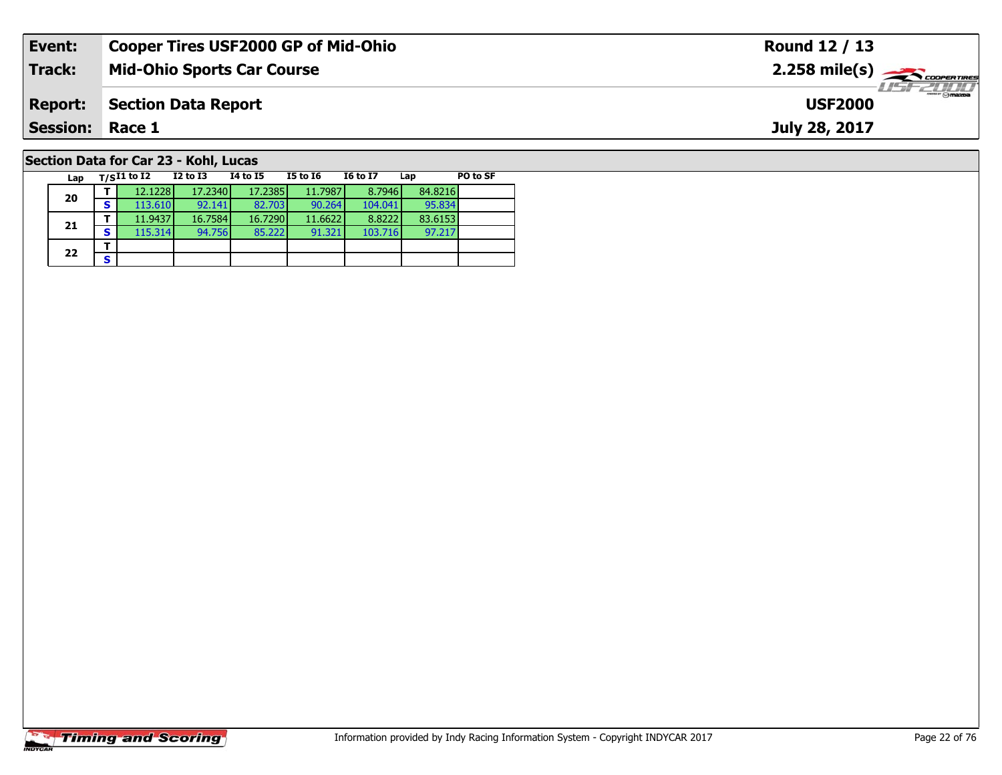| Event:                                | <b>Cooper Tires USF2000 GP of Mid-Ohio</b> | Round 12 / 13                                            |  |  |  |  |  |  |  |
|---------------------------------------|--------------------------------------------|----------------------------------------------------------|--|--|--|--|--|--|--|
| <b>Track:</b>                         | <b>Mid-Ohio Sports Car Course</b>          | $2.258$ mile(s) $\rightarrow$ Coorentines                |  |  |  |  |  |  |  |
| <b>Report:</b>                        | <b>Section Data Report</b>                 | $\overline{\phantom{a}}$ $\odot$ mazoa<br><b>USF2000</b> |  |  |  |  |  |  |  |
| <b>Session: Race 1</b>                |                                            | July 28, 2017                                            |  |  |  |  |  |  |  |
| Section Data for Car 23 - Kohl, Lucas |                                            |                                                          |  |  |  |  |  |  |  |

| Lap |   | $T/SI1$ to I2 | <b>I2 to I3</b> | 14 to 15 | <b>I5 to 16</b> | <b>16 to 17</b> | Lap     | PO to SF |
|-----|---|---------------|-----------------|----------|-----------------|-----------------|---------|----------|
| 20  |   | 12.1228       | 17.2340         | 17.2385  | 11.7987         | 8.7946          | 84.8216 |          |
|     | s | 113.610       | 92.141          | 82.703   | 90.264          | 104.041         | 95.834  |          |
|     |   | 11.9437       | 16.7584         | 16.7290  | 11.6622         | 8.8222          | 83.6153 |          |
| 21  | S | 115.314       | 94.756          | 85.222   | 91.321          | 103.716         | 97.217  |          |
| 22  |   |               |                 |          |                 |                 |         |          |
|     |   |               |                 |          |                 |                 |         |          |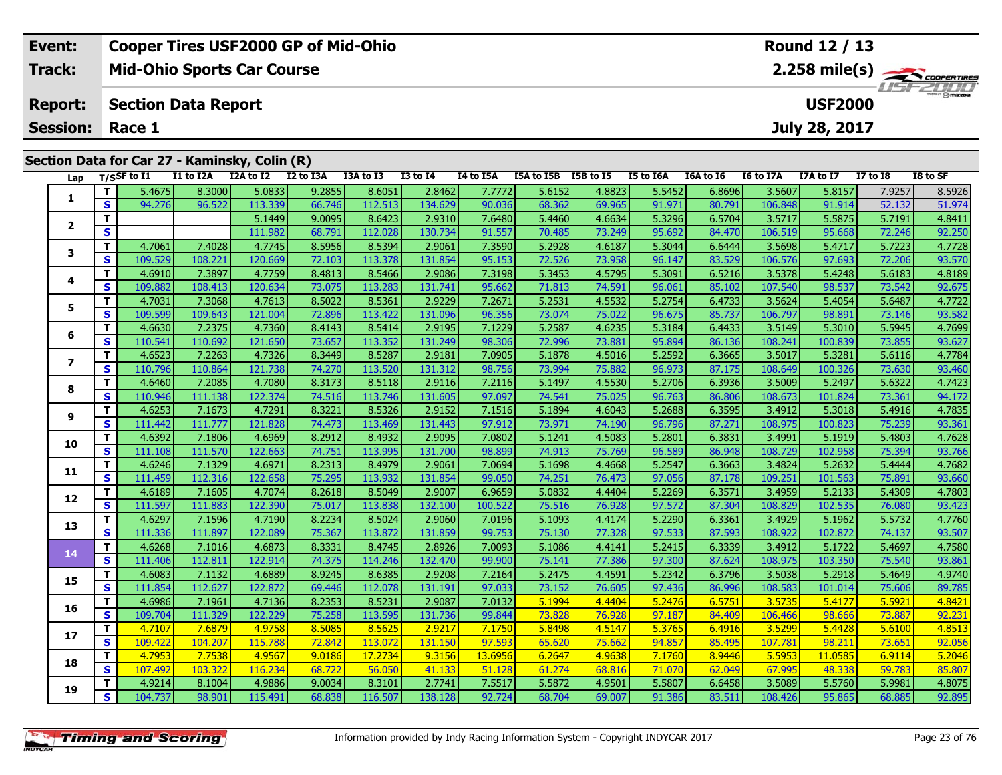| Event:                                                                  | Cooper Tires USF2000 GP of Mid-Ohio | Round 12 / 13                 |  |  |  |  |  |  |  |  |
|-------------------------------------------------------------------------|-------------------------------------|-------------------------------|--|--|--|--|--|--|--|--|
| <b>Track:</b>                                                           | <b>Mid-Ohio Sports Car Course</b>   | $2.258$ mile(s) $\rightarrow$ |  |  |  |  |  |  |  |  |
|                                                                         | <b>Report: Section Data Report</b>  | <b>USF2000</b>                |  |  |  |  |  |  |  |  |
|                                                                         |                                     | July 28, 2017                 |  |  |  |  |  |  |  |  |
|                                                                         |                                     |                               |  |  |  |  |  |  |  |  |
| <b>Session: Race 1</b><br>Section Data for Car 27 - Kaminsky, Colin (R) |                                     |                               |  |  |  |  |  |  |  |  |

| Lap                     |                         | $T/S$ SF to $I1$ | I1 to I2A | I2A to I2 | I2 to I3A | I3A to I3 | <b>I3 to I4</b> | I4 to I5A | I5A to I5B I5B to I5 |        | I5 to I6A | I6A to I6 | I6 to I7A | I7A to I7 | <b>I7 to I8</b> | I8 to SF |
|-------------------------|-------------------------|------------------|-----------|-----------|-----------|-----------|-----------------|-----------|----------------------|--------|-----------|-----------|-----------|-----------|-----------------|----------|
|                         | T                       | 5.4675           | 8.3000    | 5.0833    | 9.2855    | 8.6051    | 2.8462          | 7.7772    | 5.6152               | 4.8823 | 5.5452    | 6.8696    | 3.5607    | 5.8157    | 7.9257          | 8.5926   |
| 1                       | $\mathbf{s}$            | 94.276           | 96.522    | 113.339   | 66.746    | 112.513   | 134.629         | 90.036    | 68.362               | 69.965 | 91.971    | 80.791    | 106.848   | 91.914    | 52.132          | 51.974   |
|                         | T                       |                  |           | 5.1449    | 9.0095    | 8.6423    | 2.9310          | 7.6480    | 5.4460               | 4.6634 | 5.3296    | 6.5704    | 3.5717    | 5.5875    | 5.7191          | 4.8411   |
| $\overline{\mathbf{2}}$ | $\mathbf{s}$            |                  |           | 111.982   | 68.791    | 112.028   | 130.734         | 91.557    | 70.485               | 73.249 | 95.692    | 84.470    | 106.519   | 95.668    | 72.246          | 92.250   |
|                         | $\mathbf{T}$            | 4.7061           | 7.4028    | 4.7745    | 8.5956    | 8.5394    | 2.9061          | 7.3590    | 5.2928               | 4.6187 | 5.3044    | 6.6444    | 3.5698    | 5.4717    | 5.7223          | 4.7728   |
| 3                       | $\mathbf{s}$            | 109.529          | 108.221   | 120.669   | 72.103    | 113.378   | 131.854         | 95.153    | 72.526               | 73.958 | 96.147    | 83.529    | 106.576   | 97.693    | 72.206          | 93.570   |
|                         | $\mathbf{T}$            | 4.6910           | 7.3897    | 4.7759    | 8.4813    | 8.5466    | 2.9086          | 7.3198    | 5.3453               | 4.5795 | 5.3091    | 6.5216    | 3.5378    | 5.4248    | 5.6183          | 4.8189   |
| 4                       | <b>S</b>                | 109.882          | 108.413   | 120.634   | 73.075    | 113.283   | 131.741         | 95.662    | 71.813               | 74.591 | 96.061    | 85.102    | 107.540   | 98.537    | 73.542          | 92.675   |
|                         | T                       | 4.7031           | 7.3068    | 4.7613    | 8.5022    | 8.5361    | 2.9229          | 7.2671    | 5.2531               | 4.5532 | 5.2754    | 6.4733    | 3.5624    | 5.4054    | 5.6487          | 4.7722   |
| 5                       | $\mathbf{s}$            | 109.599          | 109.643   | 121.004   | 72.896    | 113.422   | 131.096         | 96.356    | 73.074               | 75.022 | 96.675    | 85.737    | 106.797   | 98.891    | 73.146          | 93.582   |
|                         | T                       | 4.6630           | 7.2375    | 4.7360    | 8.4143    | 8.5414    | 2.9195          | 7.1229    | 5.2587               | 4.6235 | 5.3184    | 6.4433    | 3.5149    | 5.3010    | 5.5945          | 4.7699   |
| 6                       | <b>S</b>                | 110.541          | 110.692   | 121.650   | 73.657    | 113.352   | 131.249         | 98.306    | 72.996               | 73.881 | 95.894    | 86.136    | 108.241   | 100.839   | 73.855          | 93.627   |
|                         | $\mathbf T$             | 4.6523           | 7.2263    | 4.7326    | 8.3449    | 8.5287    | 2.9181          | 7.0905    | 5.1878               | 4.5016 | 5.2592    | 6.3665    | 3.5017    | 5.3281    | 5.6116          | 4.7784   |
| $\overline{ }$          | $\mathbf{s}$            | 110.796          | 110.864   | 121.738   | 74.270    | 113.520   | 131.312         | 98.756    | 73.994               | 75.882 | 96.973    | 87.175    | 108.649   | 100.326   | 73.630          | 93.460   |
|                         | $\mathbf{T}$            | 4.6460           | 7.2085    | 4.7080    | 8.3173    | 8.5118    | 2.9116          | 7.2116    | 5.1497               | 4.5530 | 5.2706    | 6.3936    | 3.5009    | 5.2497    | 5.6322          | 4.7423   |
| 8                       | $\mathbf{s}$            | 110.946          | 111.138   | 122.374   | 74.516    | 113.746   | 131.605         | 97.097    | 74.541               | 75.025 | 96.763    | 86.806    | 108.673   | 101.824   | 73.361          | 94.172   |
|                         | $\mathbf T$             | 4.6253           | 7.1673    | 4.7291    | 8.3221    | 8.5326    | 2.9152          | 7.1516    | 5.1894               | 4.6043 | 5.2688    | 6.3595    | 3.4912    | 5.3018    | 5.4916          | 4.7835   |
| 9                       | $\mathbf{s}$            | 111.442          | 111.777   | 121.828   | 74.473    | 113.469   | 131.443         | 97.912    | 73.971               | 74.190 | 96.796    | 87.271    | 108.975   | 100.823   | 75.239          | 93.361   |
|                         | T                       | 4.6392           | 7.1806    | 4.6969    | 8.2912    | 8.4932    | 2.9095          | 7.0802    | 5.1241               | 4.5083 | 5.2801    | 6.3831    | 3.4991    | 5.1919    | 5.4803          | 4.7628   |
| 10                      | $\overline{\mathbf{s}}$ | 111.108          | 111.570   | 122.663   | 74.751    | 113.995   | 131.700         | 98.899    | 74.913               | 75.769 | 96.589    | 86.948    | 108.729   | 102.958   | 75.394          | 93.766   |
| 11                      | T                       | 4.6246           | 7.1329    | 4.6971    | 8.2313    | 8.4979    | 2.9061          | 7.0694    | 5.1698               | 4.4668 | 5.2547    | 6.3663    | 3.4824    | 5.2632    | 5.4444          | 4.7682   |
|                         | $\mathbf{s}$            | 111.459          | 112.316   | 122.658   | 75.295    | 113.932   | 131.854         | 99.050    | 74.251               | 76.473 | 97.056    | 87.178    | 109.251   | 101.563   | 75.891          | 93.660   |
| 12                      | $\mathbf T$             | 4.6189           | 7.1605    | 4.7074    | 8.2618    | 8.5049    | 2.9007          | 6.9659    | 5.0832               | 4.4404 | 5.2269    | 6.3571    | 3.4959    | 5.2133    | 5.4309          | 4.7803   |
|                         | $\mathbf{s}$            | 111.597          | 111.883   | 122.390   | 75.017    | 113.838   | 132.100         | 100.522   | 75.516               | 76.928 | 97.572    | 87.304    | 108.829   | 102.535   | 76.080          | 93.423   |
| 13                      | T                       | 4.6297           | 7.1596    | 4.7190    | 8.2234    | 8.5024    | 2.9060          | 7.0196    | 5.1093               | 4.4174 | 5.2290    | 6.3361    | 3.4929    | 5.1962    | 5.5732          | 4.7760   |
|                         | $\mathbf{s}$            | 111.336          | 111.897   | 122.089   | 75.367    | 113.872   | 131.859         | 99.753    | 75.130               | 77.328 | 97.533    | 87.593    | 108.922   | 102.872   | 74.137          | 93.507   |
| 14                      | $\mathbf T$             | 4.6268           | 7.1016    | 4.6873    | 8.3331    | 8.4745    | 2.8926          | 7.0093    | 5.1086               | 4.4141 | 5.2415    | 6.3339    | 3.4912    | 5.1722    | 5.4697          | 4.7580   |
|                         | $\mathbf{s}$            | 111.406          | 112.811   | 122.914   | 74.375    | 114.246   | 132.470         | 99.900    | 75.141               | 77.386 | 97.300    | 87.624    | 108.975   | 103.350   | 75.540          | 93.861   |
| 15                      | Т                       | 4.6083           | 7.1132    | 4.6889    | 8.9245    | 8.6385    | 2.9208          | 7.2164    | 5.2475               | 4.4591 | 5.2342    | 6.3796    | 3.5038    | 5.2918    | 5.4649          | 4.9740   |
|                         | S                       | 111.854          | 112.627   | 122.872   | 69.446    | 112.078   | 131.191         | 97.033    | 73.152               | 76.605 | 97.436    | 86.996    | 108.583   | 101.014   | 75.606          | 89.785   |
| 16                      | T                       | 4.6986           | 7.1961    | 4.7136    | 8.2353    | 8.5231    | 2.9087          | 7.0132    | 5.1994               | 4.4404 | 5.2476    | 6.5751    | 3.5735    | 5.4177    | 5.5921          | 4.8421   |
|                         | $\mathbf{s}$            | 109.704          | 111.329   | 122.229   | 75.258    | 113.595   | 131.736         | 99.844    | 73.828               | 76.928 | 97.187    | 84.409    | 106.466   | 98.666    | 73.887          | 92.231   |
| 17                      | T                       | 4.7107           | 7.6879    | 4.9758    | 8.5085    | 8.5625    | 2.9217          | 7.1750    | 5.8498               | 4.5147 | 5.3765    | 6.4916    | 3.5299    | 5.4428    | 5.6100          | 4.8513   |
|                         | $\mathbf{s}$            | 109.422          | 104.207   | 115.788   | 72.842    | 113.072   | 131.150         | 97.593    | 65.620               | 75.662 | 94.857    | 85.495    | 107.781   | 98.211    | 73.651          | 92.056   |
| 18                      | $\mathbf T$             | 4.7953           | 7.7538    | 4.9567    | 9.0186    | 17.2734   | 9.3156          | 13.6956   | 6.2647               | 4.9638 | 7.1760    | 8.9446    | 5.5953    | 11.0585   | 6.9114          | 5.2046   |
|                         | $\mathbf{s}$            | 107.492          | 103.322   | 116.234   | 68.722    | 56.050    | 41.133          | 51.128    | 61.274               | 68.816 | 71.070    | 62.049    | 67.995    | 48.338    | 59.783          | 85.807   |
| 19                      | T                       | 4.9214           | 8.1004    | 4.9886    | 9.0034    | 8.3101    | 2.7741          | 7.5517    | 5.5872               | 4.9501 | 5.5807    | 6.6458    | 3.5089    | 5.5760    | 5.9981          | 4.8075   |
|                         | S                       | 104.737          | 98.901    | 115.491   | 68.838    | 116.507   | 138.128         | 92.724    | 68.704               | 69.007 | 91.386    | 83.511    | 108.426   | 95.865    | 68.885          | 92.895   |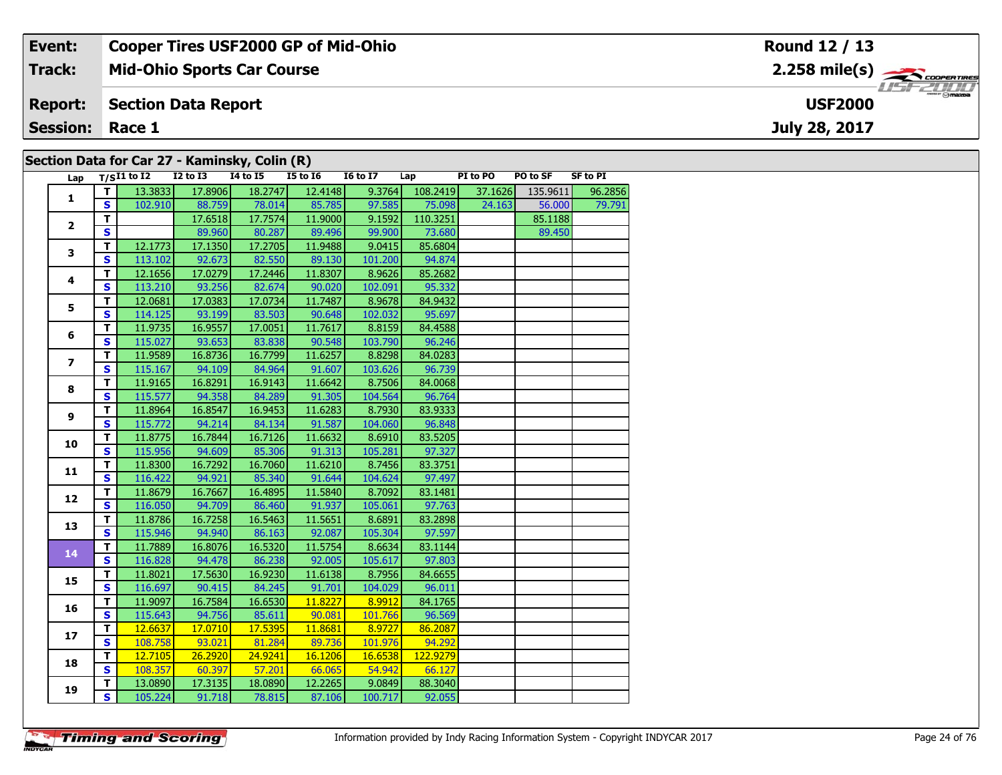#### **Event: Cooper Tires USF2000 GP of Mid-Ohio Round 12 / 13**2.258 mile(s) **2.258 miles Mid-Ohio Sports Car Course Track:** USF 2000 **Report: Section Data Report USF2000July 28, 2017 Session: Race 1 Section Data for Car 27 - Kaminsky, Colin (R)**

| Lap                     |                         | $T/SI1$ to $I2$ | $I2$ to $I3$ | $\cdots$<br><b>I4 to I5</b> | <b>I5 to 16</b> | <b>16 to 17</b> | Lap      | PI to PO | PO to SF | <b>SF to PI</b> |
|-------------------------|-------------------------|-----------------|--------------|-----------------------------|-----------------|-----------------|----------|----------|----------|-----------------|
|                         | T.                      | 13.3833         | 17.8906      | 18.2747                     | 12.4148         | 9.3764          | 108.2419 | 37.1626  | 135.9611 | 96.2856         |
| $\mathbf{1}$            | S.                      | 102.910         | 88.759       | 78.014                      | 85.785          | 97.585          | 75.098   | 24.163   | 56.000   | 79.791          |
|                         | T.                      |                 | 17.6518      | 17.7574                     | 11.9000         | 9.1592          | 110.3251 |          | 85.1188  |                 |
| $\overline{2}$          | S.                      |                 | 89.960       | 80.287                      | 89.496          | 99.900          | 73.680   |          | 89.450   |                 |
|                         | T.                      | 12.1773         | 17.1350      | 17.2705                     | 11.9488         | 9.0415          | 85.6804  |          |          |                 |
| 3                       | S                       | 113.102         | 92.673       | 82.550                      | 89.130          | 101.200         | 94.874   |          |          |                 |
|                         | T.                      | 12.1656         | 17.0279      | 17.2446                     | 11.8307         | 8.9626          | 85.2682  |          |          |                 |
| $\overline{\mathbf{4}}$ | S.                      | 113.210         | 93.256       | 82.674                      | 90.020          | 102.091         | 95.332   |          |          |                 |
|                         | T.                      | 12.0681         | 17.0383      | 17.0734                     | 11.7487         | 8.9678          | 84.9432  |          |          |                 |
| 5                       | $\overline{\mathbf{s}}$ | 114.125         | 93.199       | 83.503                      | 90.648          | 102.032         | 95.697   |          |          |                 |
|                         | T.                      | 11.9735         | 16.9557      | 17.0051                     | 11.7617         | 8.8159          | 84.4588  |          |          |                 |
| 6                       | S.                      | 115.027         | 93.653       | 83.838                      | 90.548          | 103.790         | 96.246   |          |          |                 |
|                         | T.                      | 11.9589         | 16.8736      | 16.7799                     | 11.6257         | 8.8298          | 84.0283  |          |          |                 |
| $\overline{\mathbf{z}}$ | $\overline{\mathbf{s}}$ | 115.167         | 94.109       | 84.964                      | 91.607          | 103.626         | 96.739   |          |          |                 |
|                         | T.                      | 11.9165         | 16.8291      | 16.9143                     | 11.6642         | 8.7506          | 84.0068  |          |          |                 |
| 8                       | $\mathbf{s}$            | 115.577         | 94.358       | 84.289                      | 91.305          | 104.564         | 96.764   |          |          |                 |
|                         | T.                      | 11.8964         | 16.8547      | 16.9453                     | 11.6283         | 8.7930          | 83.9333  |          |          |                 |
| 9                       | S                       | 115.772         | 94.214       | 84.134                      | 91.587          | 104.060         | 96.848   |          |          |                 |
|                         | T.                      | 11.8775         | 16.7844      | 16.7126                     | 11.6632         | 8.6910          | 83.5205  |          |          |                 |
| 10                      | $\overline{\mathbf{s}}$ | 115.956         | 94.609       | 85.306                      | 91.313          | 105.281         | 97.327   |          |          |                 |
|                         | T.                      | 11.8300         | 16.7292      | 16.7060                     | 11.6210         | 8.7456          | 83.3751  |          |          |                 |
| 11                      | $\overline{\mathbf{s}}$ | 116.422         | 94.921       | 85.340                      | 91.644          | 104.624         | 97.497   |          |          |                 |
|                         | T.                      | 11.8679         | 16.7667      | 16.4895                     | 11.5840         | 8.7092          | 83.1481  |          |          |                 |
| 12                      | $\overline{\mathbf{s}}$ | 116.050         | 94.709       | 86.460                      | 91.937          | 105.061         | 97.763   |          |          |                 |
| 13                      | $\mathbf{T}$            | 11.8786         | 16.7258      | 16.5463                     | 11.5651         | 8.6891          | 83.2898  |          |          |                 |
|                         | S                       | 115.946         | 94.940       | 86.163                      | 92.087          | 105.304         | 97.597   |          |          |                 |
| 14                      | T.                      | 11.7889         | 16.8076      | 16.5320                     | 11.5754         | 8.6634          | 83.1144  |          |          |                 |
|                         | $\overline{\mathbf{s}}$ | 116.828         | 94.478       | 86.238                      | 92.005          | 105.617         | 97.803   |          |          |                 |
| 15                      | $\overline{\mathsf{T}}$ | 11.8021         | 17.5630      | 16.9230                     | 11.6138         | 8.7956          | 84.6655  |          |          |                 |
|                         | $\overline{\mathbf{s}}$ | 116.697         | 90.415       | 84.245                      | 91.701          | 104.029         | 96.011   |          |          |                 |
| 16                      | T.                      | 11.9097         | 16.7584      | 16.6530                     | 11.8227         | 8.9912          | 84.1765  |          |          |                 |
|                         | $\overline{\mathbf{s}}$ | 115.643         | 94.756       | 85.611                      | 90.081          | 101.766         | 96.569   |          |          |                 |
| 17                      | T.                      | 12.6637         | 17.0710      | 17.5395                     | 11.8681         | 8.9727          | 86.2087  |          |          |                 |
|                         | $\overline{\mathbf{s}}$ | 108.758         | 93.021       | 81.284                      | 89.736          | 101.976         | 94.292   |          |          |                 |
| 18                      | $\mathbf{T}$            | 12.7105         | 26.2920      | 24.9241                     | 16.1206         | 16.6538         | 122.9279 |          |          |                 |
|                         | $\overline{\mathbf{s}}$ | 108.357         | 60.397       | 57.201                      | 66.065          | 54.942          | 66.127   |          |          |                 |
|                         | T.                      | 13.0890         | 17.3135      | 18.0890                     | 12.2265         | 9.0849          | 88.3040  |          |          |                 |
| 19                      | S                       | 105.224         | 91.718       | 78.815                      | 87.106          | 100.717         | 92.055   |          |          |                 |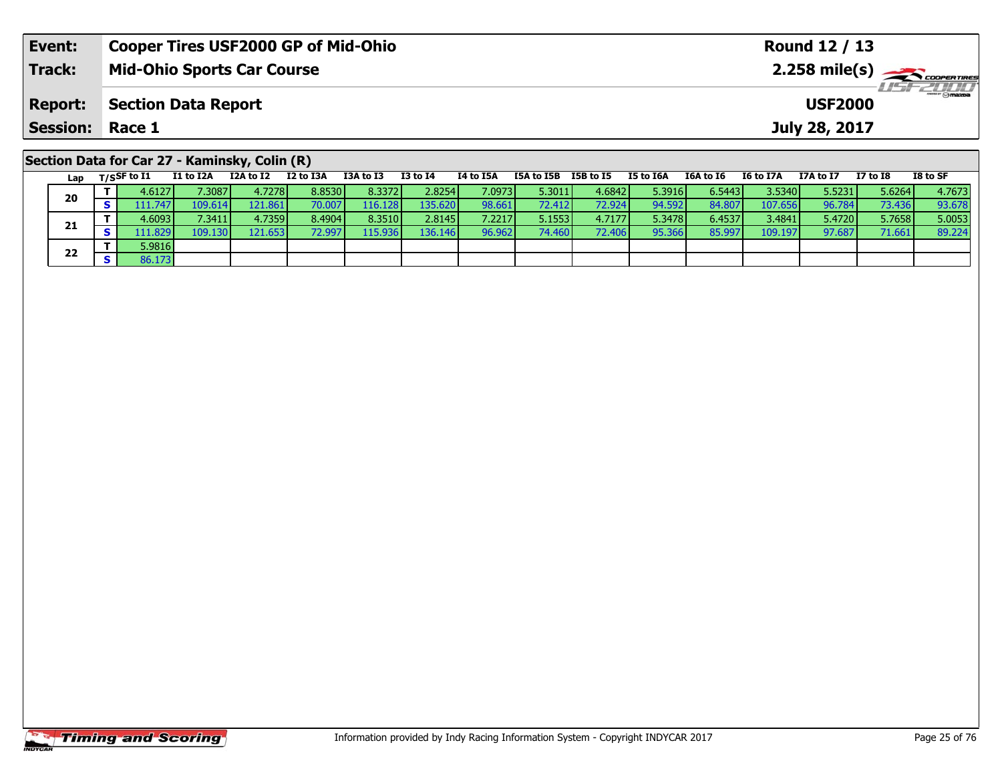| Event:          | <b>Cooper Tires USF2000 GP of Mid-Ohio</b>                                                         | Round 12 / 13                                                                                                   |
|-----------------|----------------------------------------------------------------------------------------------------|-----------------------------------------------------------------------------------------------------------------|
| Track:          | <b>Mid-Ohio Sports Car Course</b>                                                                  |                                                                                                                 |
| <b>Report:</b>  | <b>Section Data Report</b>                                                                         | <i><b>LISF 2000</b></i><br><b>USF2000</b>                                                                       |
| Session: Race 1 |                                                                                                    | July 28, 2017                                                                                                   |
|                 | Section Data for Car 27 - Kaminsky, Colin (R)<br><b>TOA + 6 TO</b><br><b>TO to TA</b><br>TA to TEA | $TO + C C$<br>TEA to TED TED to TE<br>TE LA TEA<br>$TCA + 5C$ $TC + 5T7A$<br><b>T7A+0.T7</b><br><b>T7</b> to TO |

| Lap | $T/S$ SF to I1 | I1 to I2A | I2A to I2 | I2 to I3A | I3A to I3 | <b>I3 to I4</b> | I4 to I5A | I5A to I5B      | I5B to I5 | I5 to I6A | I6A to I6 | I6 to I7A | I7A to I7 | $I7$ to $I8$ | I8 to SF |
|-----|----------------|-----------|-----------|-----------|-----------|-----------------|-----------|-----------------|-----------|-----------|-----------|-----------|-----------|--------------|----------|
| 20  | 4.61271        | 7.3087 I  | 4.7278    | 8.8530    | 8.3372    | 2.8254          | 7.0973    | 5.3011          | 4.6842    | 5.3916    | 6.54431   | 3.5340    | 5.5231    | 5.6264       | 4.7673   |
|     | 11.747         | 109.614   | 121.861   | 70.007    | 116.128   | 135.620         | 98.661    | 72.412 l        | 72.924    | 94.592    | 84.807    | 107.656   | 96.784    | 73.436       | 93.678   |
| 21  | 4.6093 l       | 7.3411    | 4.7359    | 8.4904    | 8.3510    | 2.8145          | 7.2217    | 5.15531         | 4.7177    | 5.3478    | 6.4537    | 3.4841    | 5.4720    | 5.7658       | 5.0053   |
|     | 11.829         | 109.130   | 121.6531  | 2.997     | .15.936 l | 136.146         | 96.962    | 74.460 <b>l</b> | 72.406    | 95.366    | 85.997    | 109.197   | 97.687    | 71.661       | 89.224   |
| 22  | 5.9816         |           |           |           |           |                 |           |                 |           |           |           |           |           |              |          |
|     | 86.173         |           |           |           |           |                 |           |                 |           |           |           |           |           |              |          |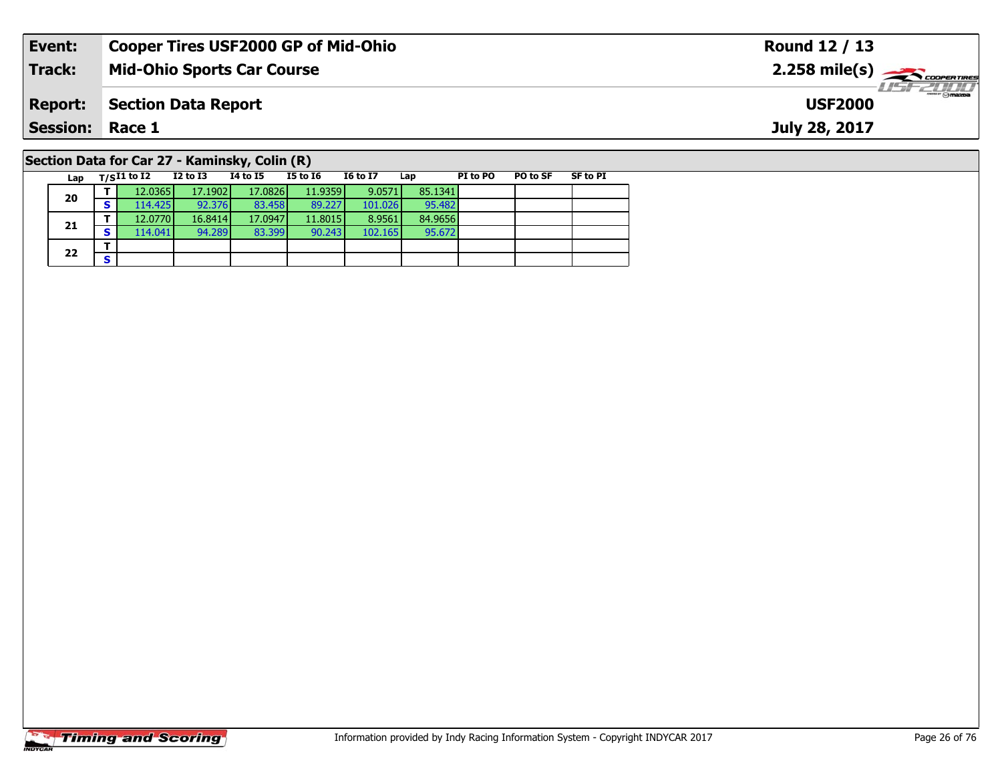| Event:                                        | <b>Cooper Tires USF2000 GP of Mid-Ohio</b> | Round 12 / 13                     |  |  |  |  |  |  |  |
|-----------------------------------------------|--------------------------------------------|-----------------------------------|--|--|--|--|--|--|--|
| Track:                                        | <b>Mid-Ohio Sports Car Course</b>          |                                   |  |  |  |  |  |  |  |
| <b>Report:</b>                                | Section Data Report                        | <b>USF 2000</b><br><b>USF2000</b> |  |  |  |  |  |  |  |
| <b>Session: Race 1</b>                        |                                            | July 28, 2017                     |  |  |  |  |  |  |  |
| Section Data for Car 27 - Kaminsky, Colin (R) |                                            |                                   |  |  |  |  |  |  |  |

| Lap | $T/SI1$ to I2 | $I2$ to $I3$ | 14 to 15 | <b>I5 to I6</b> | <b>I6 to I7</b> | Lap     | PI to PO | PO to SF | <b>SF to PI</b> |
|-----|---------------|--------------|----------|-----------------|-----------------|---------|----------|----------|-----------------|
| 20  | 12.0365       | 17.1902      | 17.0826  | 11.9359         | 9.0571          | 85.1341 |          |          |                 |
|     | 114.425       | 92.376       | 83.458   | 89.227          | 101.026         | 95.482  |          |          |                 |
|     | 12.0770       | 16.8414      | 17.0947  | 11.8015         | 8.9561          | 84.9656 |          |          |                 |
| 21  | 114.041       | 94.289       | 83.399   | 90.243          | 102.165         | 95.672  |          |          |                 |
| 22  |               |              |          |                 |                 |         |          |          |                 |
|     |               |              |          |                 |                 |         |          |          |                 |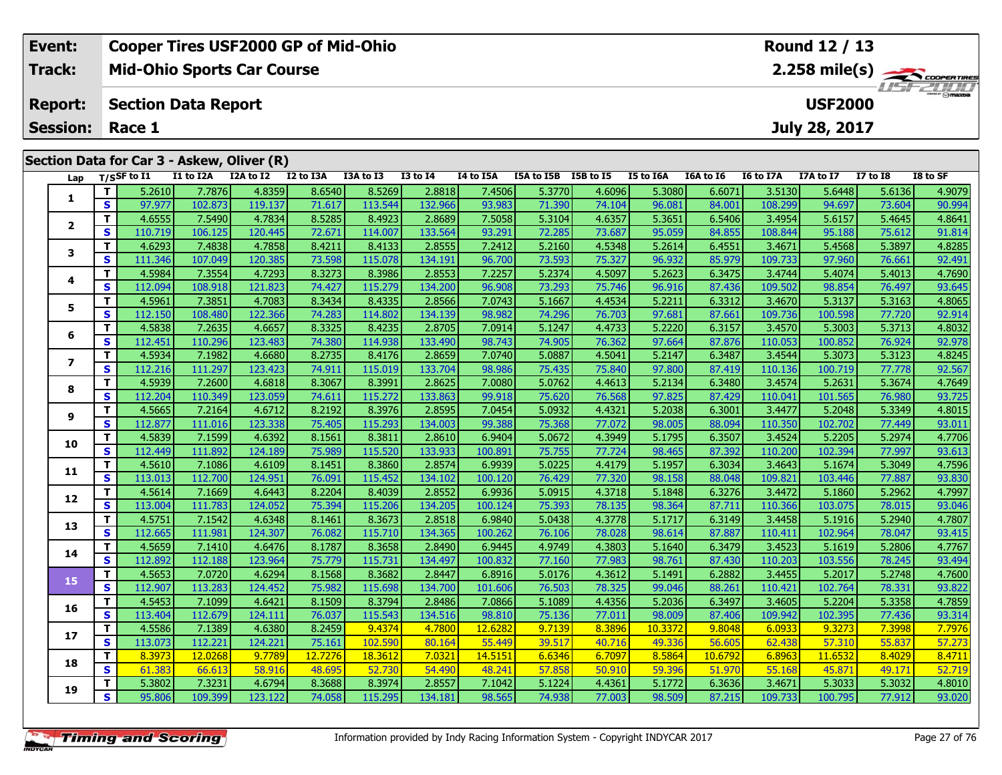|  | <b>Cooper Tires USF2000 GP of Mid-Ohio</b><br>Event: |          |                                         |           |                                            |           |           |                 |           |            |                  |           | Round 12 / 13                              |                  |                |                 |          |  |  |
|--|------------------------------------------------------|----------|-----------------------------------------|-----------|--------------------------------------------|-----------|-----------|-----------------|-----------|------------|------------------|-----------|--------------------------------------------|------------------|----------------|-----------------|----------|--|--|
|  | <b>Track:</b>                                        |          |                                         |           | <b>Mid-Ohio Sports Car Course</b>          |           |           |                 |           |            |                  |           | $2.258$ mile(s) $\rightarrow$ Coorga Times |                  |                |                 |          |  |  |
|  | <b>Report:</b>                                       |          | <b>Section Data Report</b>              |           |                                            |           |           |                 |           |            |                  |           |                                            |                  | <b>USF2000</b> |                 |          |  |  |
|  |                                                      |          | <b>Session: Race 1</b><br>July 28, 2017 |           |                                            |           |           |                 |           |            |                  |           |                                            |                  |                |                 |          |  |  |
|  |                                                      |          |                                         |           | Section Data for Car 3 - Askew, Oliver (R) |           |           |                 |           |            |                  |           |                                            |                  |                |                 |          |  |  |
|  | Lap                                                  |          | T/SSF to I1                             | I1 to I2A | I2A to I2                                  | I2 to I3A | I3A to I3 | <b>I3 to I4</b> | I4 to I5A | I5A to I5B | <b>I5B</b> to I5 | I5 to I6A | I6A to I6                                  | <b>I6 to I7A</b> | I7A to I7      | <b>I7 to I8</b> | I8 to SF |  |  |
|  |                                                      |          | 5.2610                                  | 7.7876    | 4.8359                                     | 8.6540    | 8.5269    | 2.8818          | 7.4506    | 5.3770     | 4.6096           | 5.3080    | 6.6071                                     | 3.5130           | 5.6448         | 5.6136          | 4.9079   |  |  |
|  |                                                      | S I      | 97.977                                  | 102.873   | 119.137                                    | 71.617    | 113.544   | 132.966         | 93.983    | 71.390     | 74.104           | 96.081    | 84.001                                     | 108.299          | 94.697         | 73.604          | 90.994   |  |  |
|  |                                                      |          | 4.6555                                  | 7.5490    | 4.7834                                     | 8.5285    | 8.4923    | 2.8689          | 7.5058    | 5.3104     | 4.6357           | 5.3651    | 6.5406                                     | 3.4954           | 5.6157         | 5.4645          | 4.8641   |  |  |
|  | $\overline{2}$                                       | <b>S</b> | 110.719                                 | 106.125   | 120.445                                    | 72.671    | 114.007   | 133.564         | 93.291    | 72.285L    | 73.687           | 95.059    | 84.855                                     | 108.844          | 95.188         | 75.612          | 91.814   |  |  |

3 T 4.6293 7.4838 4.7858 8.4211 8.4133 2.8555 7.2412 5.2160 4.5348 5.2614 6.4551 3.4671 5.4568 5.3897 4.8285<br>S S 111.346 107.049 120.385 73.598 115.078 134.191 96.700 73.593 75.327 96.932 85.979 109.733 97.960 76.661 92.49

**<sup>T</sup>** 4.5984 7.3554 4.7293 8.3273 8.3986 2.8553 7.2257 5.2374 4.5097 5.2623 6.3475 3.4744 5.4074 5.4013 4.7690 **<sup>S</sup>** 112.094 108.918 121.823 74.427 115.279 134.200 96.908 73.293 75.746 96.916 87.436 109.502 98.854 76.497 93.645

**<sup>T</sup>** 4.5961 7.3851 4.7083 8.3434 8.4335 2.8566 7.0743 5.1667 4.4534 5.2211 6.3312 3.4670 5.3137 5.3163 4.8065 **<sup>S</sup>** 112.150 108.480 122.366 74.283 114.802 134.139 98.982 74.296 76.703 97.681 87.661 109.736 100.598 77.720 92.914

**<sup>T</sup>** 4.5838 7.2635 4.6657 8.3325 8.4235 2.8705 7.0914 5.1247 4.4733 5.2220 6.3157 3.4570 5.3003 5.3713 4.8032 **<sup>S</sup>** 112.451 110.296 123.483 74.380 114.938 133.490 98.743 74.905 76.362 97.664 87.876 110.053 100.852 76.924 92.978

7 | T | 4.5934 | 7.1982 | 4.6680 | 8.2735 | 8.4176 | 2.8659 | 7.0740 | 5.0887 | 4.5041 | 5.2147 | 6.3487 | 3.4544 | 5.3073 | 5.3123 | 4.8245<br>7 | S | 112.216 | 111.297 | 123.423 | 74.911 | 115.019 | 133.704 | 98.986 | 75.43

8 T | 4.5939 7.2600 4.6818 8.3067 8.3991 2.8625 7.0080 5.0762 4.4613 5.2134 6.3480 3.4574 5.2631 5.3674 4.7649<br>8 S 112.204 110.349 123.059 74.611 115.272 133.863 99.918 75.620 76.568 97.825 87.429 110.041 101.565 76.980 93

4.8015 | 17 | 4.5665 | 7.2164 | 4.6712 | 8.2192 | 8.3976 | 2.8595 | 7.0454 | 5.0932 | 4.4321 | 5.2038 | 6.3001 | 3.4477 | 5.2048 | 5.3349 | 4.8015 |<br>S | 112.877 | 111.016 | 123.338 | 75.405 | 115.293 | 134.003 | 99.388 |

0 | **T** | 4.5839| 7.1599| 4.6392| 8.1561| 8.3811| 2.8610| 6.9404| 5.0672| 4.3949| 5.1795| 6.3507| 3.4524| 5.2205| 5.2974| 4.7706<br>| S | 112.449| 111.892| 124.189| 75.989| 115.520| 133.933| 100.891| 75.755| 77.724| 98.465| 8

**<sup>T</sup>** 4.5610 7.1086 4.6109 8.1451 8.3860 2.8574 6.9939 5.0225 4.4179 5.1957 6.3034 3.4643 5.1674 5.3049 4.7596 **<sup>S</sup>** 113.013 112.700 124.951 76.091 115.452 134.102 100.120 76.429 77.320 98.158 88.048 109.821 103.446 77.887 93.830

2 T 4.5614 7.1669 4.6443 8.2204 8.4039 2.8552 6.9936 5.0915 4.3718 5.1848 6.3276 3.4472 5.1860 5.2962 4.7997<br>2 S 113.004 111.783 124.052 75.394 115.206 134.205 100.124 75.393 78.135 98.364 87.711 110.366 103.075 78.015 93.

3 T 4.5751 7.1542 4.6348 8.1461 8.3673 2.8518 6.9840 5.0438 4.3778 5.1717 6.3149 3.4458 5.1916 5.2940 4.7807<br>S 112.665 111.981 124.307 76.082 115.710 134.365 100.262 76.106 78.028 98.614 87.887 110.411 102.964 78.047 93.41

4 T 4.5659 7.1410 4.6476 8.1787 8.3658 2.8490 6.9445 4.9749 4.3803 5.1640 6.3479 3.4523 5.1619 5.2806 4.7767 4<br>- S 112.892 112.188 123.964 75.779 115.731 134.497 100.832 77.160 77.983 98.761 87.430 110.203 103.556 78.245 9

**<sup>T</sup>** 4.5653 7.0720 4.6294 8.1568 8.3682 2.8447 6.8916 5.0176 4.3612 5.1491 6.2882 3.4455 5.2017 5.2748 4.7600 **<sup>S</sup>** 112.907 113.283 124.452 75.982 115.698 134.700 101.606 76.503 78.325 99.046 88.261 110.421 102.764 78.331 93.822

**<sup>T</sup>** 4.5453 7.1099 4.6421 8.1509 8.3794 2.8486 7.0866 5.1089 4.4356 5.2036 6.3497 3.4605 5.2204 5.3358 4.7859 **<sup>S</sup>** 113.404 112.679 124.111 76.037 115.543 134.516 98.810 75.136 77.011 98.009 87.406 109.942 102.395 77.436 93.314

7 | T | 4.5586| 7.1389| 4.6380| 8.2459| 9.4374| 4.7800| 12.6282| 9.7139| 8.3896| 10.3372| 9.8048| 6.0933| 9.3273| 7.3998| 7.7976<br>7 | S | 113.073| 112.221| 124.221| 75.161 102.590| 80.164| 55.449| 39.517| 40.716| 49.336| 56

**<sup>T</sup>** 8.3973 12.0268 9.7789 12.7276 18.3612 7.0321 14.5151 6.6346 6.7097 8.5864 10.6792 6.8963 11.6532 8.4029 8.4711 **<sup>S</sup>** 61.383 66.613 58.916 48.695 52.730 54.490 48.241 57.858 50.910 59.396 51.970 55.168 45.871 49.171 52.719

5.3802| 7.3231| 4.6794| 8.3688| 8.3974| 2.8557| 7.1042| 5.1224| 4.4361| 5.1772| 6.3636| 3.4671| 5.3033| 5.3032| 4.8010<br>S| 95.806| 109.399| 123.122| 74.058| 115.295| 134.181| 98.565| 74.938| 77.003| 98.509| 87.215| 109.733

|  |  | <b>Timing and Scoring</b> |
|--|--|---------------------------|
|  |  |                           |

**3**

**4**

**5**

**6**

**7**

**8**

**9**

**10**

**11**

**12**

**13**

**14**

**15**

**16**

**17**

**18**

**19**

91.814

93.645

92.567

93.011

93.415

93.494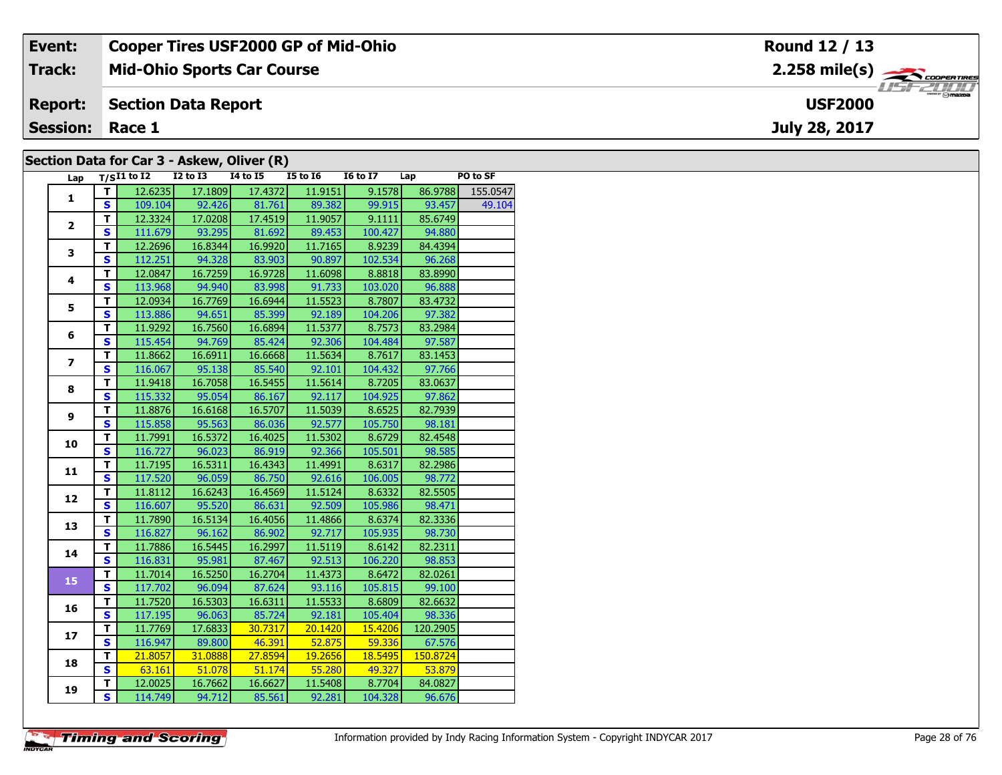| Event:                 | <b>Cooper Tires USF2000 GP of Mid-Ohio</b> | Round 12 / 13                              |
|------------------------|--------------------------------------------|--------------------------------------------|
| Track:                 | <b>Mid-Ohio Sports Car Course</b>          | $2.258$ mile(s) $\rightarrow$ coorer Times |
| <b>Report:</b>         | Section Data Report                        | $\overline{\odot}$ mazpa<br><b>USF2000</b> |
| <b>Session: Race 1</b> |                                            | July 28, 2017                              |
|                        | Section Data for Car 3 - Askew, Oliver (R) |                                            |

| Lap            |                         | $T/SI1$ to I2 I2 to I3 I4 to I5 I5 to I6 |         |         |               | $\overline{16}$ to $\overline{17}$ | Lap      | PO to SF |
|----------------|-------------------------|------------------------------------------|---------|---------|---------------|------------------------------------|----------|----------|
| $\mathbf{1}$   | T I                     | 12.6235                                  | 17.1809 | 17.4372 | 11.9151       | 9.1578                             | 86.9788  | 155.0547 |
|                | S                       | 109.104                                  | 92.426  |         | 81.761 89.382 | 99.915                             | 93.457   | 49.104   |
| $\overline{2}$ | $\mathbf{T}$            | 12.3324                                  | 17.0208 | 17.4519 | 11.9057       | 9.1111                             | 85.6749  |          |
|                | S                       | 111.679                                  | 93.295  | 81.692  | 89.453        | 100.427                            | 94.880   |          |
|                | $\overline{\mathsf{r}}$ | 12.2696                                  | 16.8344 | 16.9920 | 11.7165       | 8.9239                             | 84.4394  |          |
| 3              | $\mathbf{s}$            | 112.251                                  | 94.328  | 83.903  | 90.897        | 102.534                            | 96.268   |          |
|                | T                       | 12.0847                                  | 16.7259 | 16.9728 | 11.6098       | 8.8818                             | 83.8990  |          |
| 4              | $\overline{\mathbf{s}}$ | 113.968                                  | 94.940  | 83.998  | 91.733        | 103.020                            | 96.888   |          |
|                | T                       | 12.0934                                  | 16.7769 | 16.6944 | 11.5523       | 8.7807                             | 83.4732  |          |
| 5              | S                       | 113.886                                  | 94.651  | 85.399  | 92.189        | 104.206                            | 97.382   |          |
|                | T.                      | 11.9292                                  | 16.7560 | 16.6894 | 11.5377       | 8.7573                             | 83.2984  |          |
| 6              | S                       | 115.454                                  | 94.769  | 85.424  | 92.306        | 104.484                            | 97.587   |          |
|                | T                       | 11.8662                                  | 16.6911 | 16.6668 | 11.5634       | 8.7617                             | 83.1453  |          |
| $\overline{ }$ | S                       | 116.067                                  | 95.138  | 85.540  | 92.101        | 104.432                            | 97.766   |          |
|                | $\overline{\mathsf{r}}$ | 11.9418                                  | 16.7058 | 16.5455 | 11.5614       | 8.7205                             | 83.0637  |          |
| 8              | $\mathbf{s}$            | 115.332                                  | 95.054  | 86.167  | 92.117        | 104.925                            | 97.862   |          |
|                | T                       | 11.8876                                  | 16.6168 | 16.5707 | 11.5039       | 8.6525                             | 82.7939  |          |
| 9              | $\overline{\mathbf{s}}$ | 115.858                                  | 95.563  | 86.036  | 92.577        | 105.750                            | 98.181   |          |
|                | T                       | 11.7991                                  | 16.5372 | 16.4025 | 11.5302       | 8.6729                             | 82.4548  |          |
| 10             | S                       | 116.727                                  | 96.023  | 86.919  | 92.366        | 105.501                            | 98.585   |          |
|                | T.                      | 11.7195                                  | 16.5311 | 16.4343 | 11.4991       | 8.6317                             | 82.2986  |          |
| 11             | $\overline{\mathbf{s}}$ | 117.520                                  | 96.059  | 86.750  | 92.616        | 106.005                            | 98.772   |          |
|                | $\overline{\mathsf{r}}$ | 11.8112                                  | 16.6243 | 16.4569 | 11.5124       | 8.6332                             | 82.5505  |          |
| 12             | S                       | 116.607                                  | 95.520  | 86.631  | 92.509        | 105.986                            | 98.471   |          |
|                | $\overline{\mathsf{r}}$ | 11.7890                                  | 16.5134 | 16.4056 | 11.4866       | 8.6374                             | 82.3336  |          |
| 13             | $\overline{\mathbf{s}}$ | 116.827                                  | 96.162  | 86.902  | 92.717        | 105.935                            | 98.730   |          |
|                | T                       | 11.7886                                  | 16.5445 | 16.2997 | 11.5119       | 8.6142                             | 82.2311  |          |
| 14             | $\overline{\mathbf{s}}$ | 116.831                                  | 95.981  | 87.467  | 92.513        | 106.220                            | 98.853   |          |
| 15             | T                       | 11.7014                                  | 16.5250 | 16.2704 | 11.4373       | 8.6472                             | 82.0261  |          |
|                | S                       | 117.702                                  | 96.094  | 87.624  | 93.116        | 105.815                            | 99.100   |          |
|                | T.                      | 11.7520                                  | 16.5303 | 16.6311 | 11.5533       | 8.6809                             | 82.6632  |          |
| 16             | $\overline{\mathbf{s}}$ | 117.195                                  | 96.063  | 85.724  | 92.181        | 105.404                            | 98.336   |          |
| 17             | $\overline{\mathsf{r}}$ | 11.7769                                  | 17.6833 | 30.7317 | 20.1420       | 15.4206                            | 120.2905 |          |
|                | S                       | 116.947                                  | 89.800  | 46.391  | 52.875        | 59.336                             | 67.576   |          |
|                | T                       | 21.8057                                  | 31.0888 | 27.8594 | 19.2656       | 18.5495                            | 150.8724 |          |
| 18             | S                       | 63.161                                   | 51.078  | 51.174  | 55.280        | 49.327                             | 53.879   |          |
|                | T                       | 12.0025                                  | 16.7662 | 16.6627 | 11.5408       | 8.7704                             | 84.0827  |          |
| 19             | $\overline{\mathbf{s}}$ | 114.749                                  | 94.712  | 85.561  | 92.281        | 104.328                            | 96.676   |          |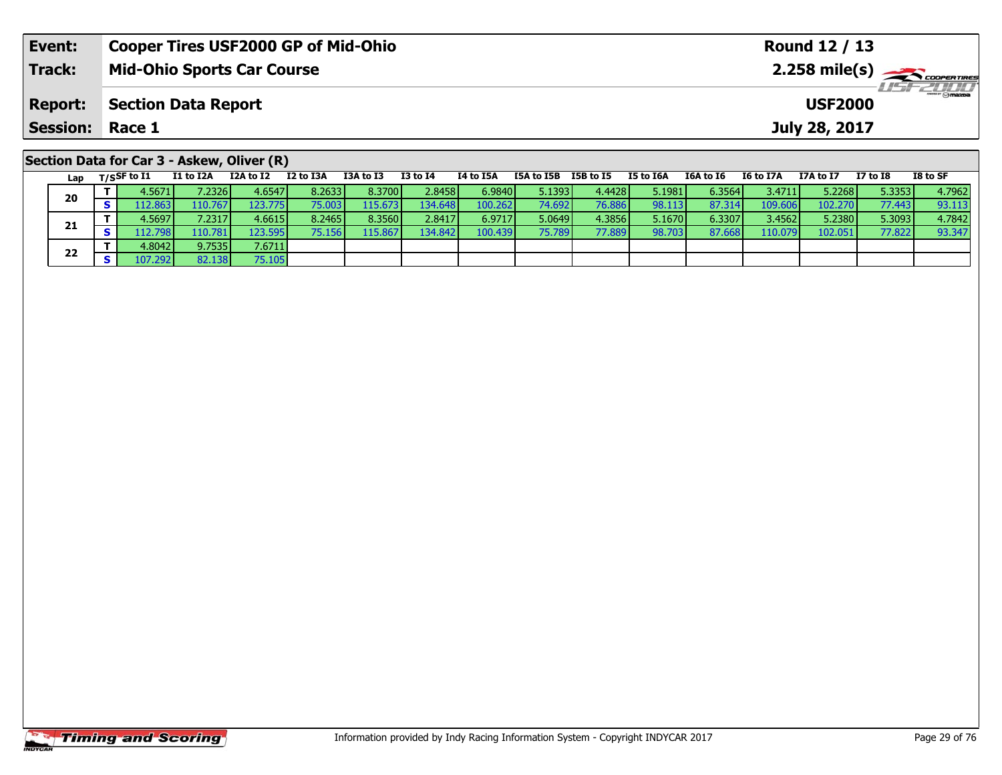| Event:                                     | <b>Cooper Tires USF2000 GP of Mid-Ohio</b> |                                              |           |           |           |                 | Round 12 / 13 |            |           |           |           |                  |               |                 |          |
|--------------------------------------------|--------------------------------------------|----------------------------------------------|-----------|-----------|-----------|-----------------|---------------|------------|-----------|-----------|-----------|------------------|---------------|-----------------|----------|
| <b>Track:</b>                              |                                            | <b>Mid-Ohio Sports Car Course</b>            |           |           |           |                 |               |            |           |           |           |                  |               |                 |          |
| <b>Report:</b>                             |                                            | <b>Section Data Report</b><br><b>USF2000</b> |           |           |           |                 |               |            |           |           |           |                  |               |                 |          |
| <b>Session: Race 1</b>                     |                                            |                                              |           |           |           |                 |               |            |           |           |           |                  | July 28, 2017 |                 |          |
| Section Data for Car 3 - Askew, Oliver (R) |                                            |                                              |           |           |           |                 |               |            |           |           |           |                  |               |                 |          |
| Lap                                        | T/SSF to I1                                | I1 to I2A                                    | I2A to I2 | I2 to I3A | I3A to I3 | <b>I3 to I4</b> | I4 to I5A     | I5A to I5B | I5B to I5 | I5 to I6A | I6A to I6 | <b>I6 to I7A</b> | I7A to I7     | <b>I7 to I8</b> | I8 to SF |

| ra p | $\sim$ $\sim$ $\sim$ $\sim$ | ------   |                  |         |          |                  |         |         |        |        |        |         | -------- | -----  | ------ |
|------|-----------------------------|----------|------------------|---------|----------|------------------|---------|---------|--------|--------|--------|---------|----------|--------|--------|
| 20   | 4.5671                      | 7.2326   | 4.6547           | 8.26331 | 8.3700   | 2.8458           | 6.9840  | 5.1393  | 4.4428 | 5.1981 | 6.3564 | 3.47111 | 5.2268   | 5.3353 | 4.7962 |
|      | 12.863                      | 110.767  | 123.775 <b>1</b> | 75.003  | 115.6731 | 134.648          | 100.262 | 74.6921 | 76.886 | 98.113 | 87.314 | 109.606 | 102.270  | 77.443 | 93.113 |
|      | 4.5697                      | 7.2317   | 4.6615           | 8.2465  | 8.3560   | 2.8417           | 6.9717  | 5.0649  | 4.3856 | 5.1670 | 6.3307 | 3.4562  | 5.2380   | 5.3093 | 4.7842 |
| 21   | 112.7981                    | 110.781  | 123.5951         | 75.156  | 115.867  | 134.842 <b>I</b> | 100.439 | 75.789  | 77.889 | 98.703 | 87.668 | 110.079 | 102.051  | 77.822 | 93.347 |
| 22   | 4.8042                      | 9.7535   | 7.6711           |         |          |                  |         |         |        |        |        |         |          |        |        |
|      | 107.292                     | 82.138 I | 75.105           |         |          |                  |         |         |        |        |        |         |          |        |        |
|      |                             |          |                  |         |          |                  |         |         |        |        |        |         |          |        |        |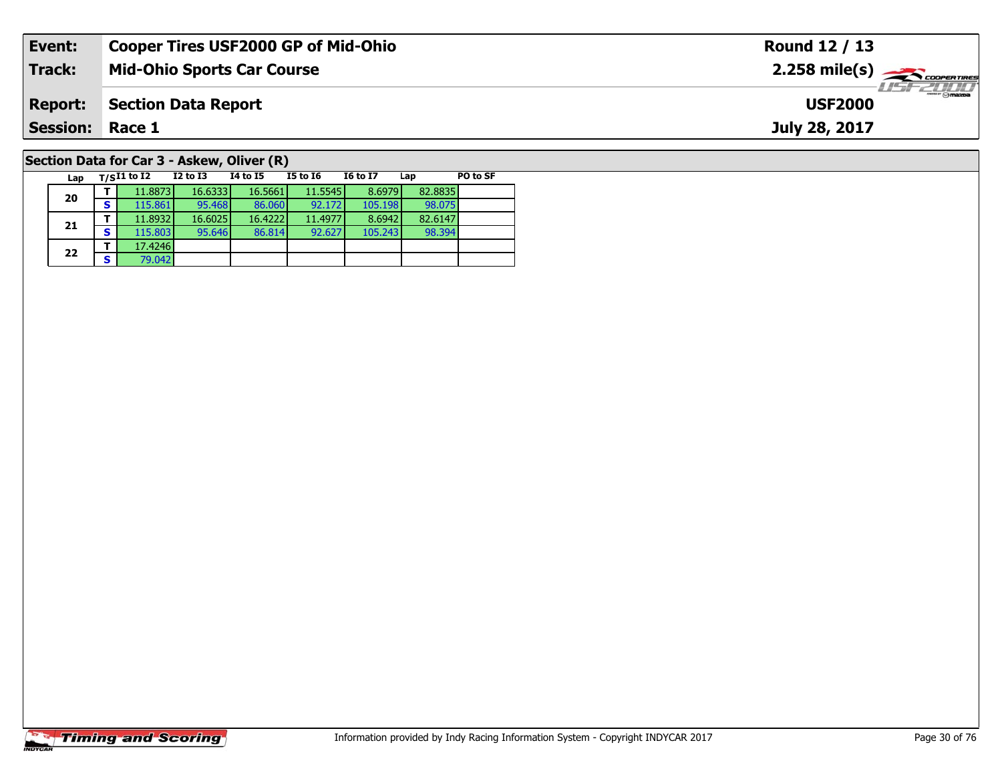| Event:                                     | <b>Cooper Tires USF2000 GP of Mid-Ohio</b> |          |          |          |                 |     |                               | Round 12 / 13                                             |
|--------------------------------------------|--------------------------------------------|----------|----------|----------|-----------------|-----|-------------------------------|-----------------------------------------------------------|
| <b>Track:</b>                              | <b>Mid-Ohio Sports Car Course</b>          |          |          |          |                 |     |                               | $2.258$ mile(s) $\overbrace{\hspace{2.5cm}}$ coores TIRES |
| <b>Report:</b>                             | <b>Section Data Report</b>                 |          |          |          |                 |     | $-1$ omazoa<br><b>USF2000</b> |                                                           |
| <b>Session: Race 1</b>                     |                                            |          |          |          |                 |     |                               | July 28, 2017                                             |
| Section Data for Car 3 - Askew, Oliver (R) |                                            |          |          |          |                 |     |                               |                                                           |
| Lap                                        | $T/SI1$ to I2                              | I2 to I3 | 14 to 15 | I5 to 16 | <b>16 to 17</b> | Lap | PO to SF                      |                                                           |

98.394

# **Timing and Scoring**

**20**

**21**

**22**

**<sup>T</sup>** 17.4246 **<sup>S</sup>** 79.042

**<sup>T</sup>** 11.8873 16.6333 16.5661 11.5545 8.6979 82.8835 **<sup>S</sup>** 115.861 95.468 86.060 92.172 105.198 98.075

**<sup>T</sup>** 11.8932 16.6025 16.4222 11.4977 8.6942 82.6147 **<sup>S</sup>** 115.803 95.646 86.814 92.627 105.243 98.394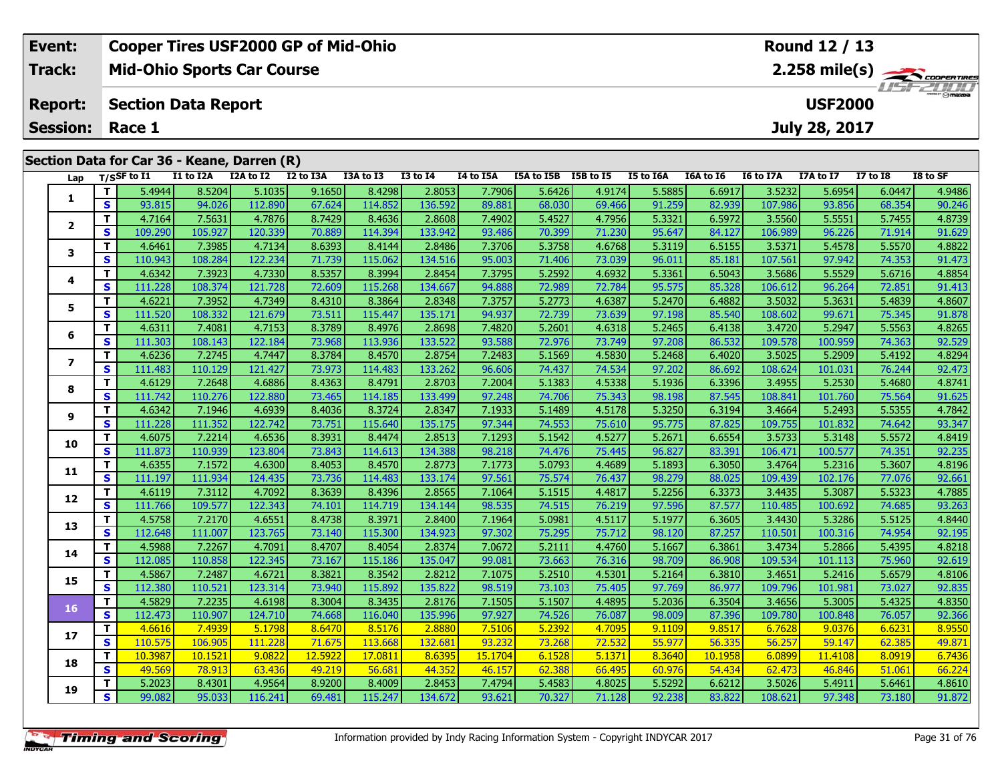| Event:                 | Cooper Tires USF2000 GP of Mid-Ohio         | Round 12 / 13                                |
|------------------------|---------------------------------------------|----------------------------------------------|
| Track:                 | <b>Mid-Ohio Sports Car Course</b>           | $2.258$ mile(s) $\frac{1}{\sqrt{2.6006677}}$ |
| <b>Report:</b>         | Section Data Report                         | <b>LISE 2000</b><br><b>USF2000</b>           |
| <b>Session: Race 1</b> |                                             | July 28, 2017                                |
|                        | Section Data for Car 36 - Keane, Darren (R) |                                              |

| Lap                      |                         | $T/S$ SF to $I1$ | I1 to I2A | I2A to I2 I2 to I3A |         | I3A to I3 | <b>I3 to I4</b> | I4 to I5A | I5A to I5B I5B to I5 |        | I5 to I6A | I6A to I6 | I6 to I7A | I7A to I7 | <b>I7 to I8</b> | I8 to SF |
|--------------------------|-------------------------|------------------|-----------|---------------------|---------|-----------|-----------------|-----------|----------------------|--------|-----------|-----------|-----------|-----------|-----------------|----------|
|                          | T.                      | 5.4944           | 8.5204    | 5.1035              | 9.1650  | 8.4298    | 2.8053          | 7.7906    | 5.6426               | 4.9174 | 5.5885    | 6.6917    | 3.5232    | 5.6954    | 6.0447          | 4.9486   |
| 1                        | S                       | 93.815           | 94.026    | 112.890             | 67.624  | 114.852   | 136.592         | 89.881    | 68.030               | 69.466 | 91.259    | 82.939    | 107.986   | 93.856    | 68.354          | 90.246   |
|                          | T                       | 4.7164           | 7.5631    | 4.7876              | 8.7429  | 8.4636    | 2.8608          | 7.4902    | 5.4527               | 4.7956 | 5.3321    | 6.5972    | 3.5560    | 5.5551    | 5.7455          | 4.8739   |
| 2                        | $\mathbf{s}$            | 109.290          | 105.927   | 120.339             | 70.889  | 114.394   | 133.942         | 93.486    | 70.399               | 71.230 | 95.647    | 84.127    | 106.989   | 96.226    | 71.914          | 91.629   |
| 3                        | т                       | 4.6461           | 7.3985    | 4.7134              | 8.6393  | 8.4144    | 2.8486          | 7.3706    | 5.3758               | 4.6768 | 5.3119    | 6.5155    | 3.5371    | 5.4578    | 5.5570          | 4.8822   |
|                          | $\mathbf{s}$            | 110.943          | 108.284   | 122.234             | 71.739  | 115.062   | 134.516         | 95.003    | 71.406               | 73.039 | 96.011    | 85.181    | 107.561   | 97.942    | 74.353          | 91.473   |
| 4                        | T                       | 4.6342           | 7.3923    | 4.7330              | 8.5357  | 8.3994    | 2.8454          | 7.3795    | 5.2592               | 4.6932 | 5.3361    | 6.5043    | 3.5686    | 5.5529    | 5.6716          | 4.8854   |
|                          | $\mathbf{s}$            | 111.228          | 108.374   | 121.728             | 72.609  | 115.268   | 134.667         | 94.888    | 72.989               | 72.784 | 95.575    | 85.328    | 106.612   | 96.264    | 72.851          | 91.413   |
| 5                        | T.                      | 4.6221           | 7.3952    | 4.7349              | 8.4310  | 8.3864    | 2.8348          | 7.3757    | 5.2773               | 4.6387 | 5.2470    | 6.4882    | 3.5032    | 5.3631    | 5.4839          | 4.8607   |
|                          | S                       | 111.520          | 108.332   | 121.679             | 73.511  | 115.447   | 135.171         | 94.937    | 72.739               | 73.639 | 97.198    | 85.540    | 108.602   | 99.671    | 75.345          | 91.878   |
| 6                        | T.                      | 4.6311           | 7.4081    | 4.7153              | 8.3789  | 8.4976    | 2.8698          | 7.4820    | 5.2601               | 4.6318 | 5.2465    | 6.4138    | 3.4720    | 5.2947    | 5.5563          | 4.8265   |
|                          | S                       | 111.303          | 108.143   | 122.184             | 73.968  | 113.936   | 133.522         | 93.588    | 72.976               | 73.749 | 97.208    | 86.532    | 109.578   | 100.959   | 74.363          | 92.529   |
| $\overline{\phantom{a}}$ | T                       | 4.6236           | 7.2745    | 4.7447              | 8.3784  | 8.4570    | 2.8754          | 7.2483    | 5.1569               | 4.5830 | 5.2468    | 6.4020    | 3.5025    | 5.2909    | 5.4192          | 4.8294   |
|                          | S                       | 111.483          | 110.129   | 121.427             | 73.973  | 114.483   | 133.262         | 96.606    | 74.437               | 74.534 | 97.202    | 86.692    | 108.624   | 101.031   | 76.244          | 92.473   |
| 8                        | T.                      | 4.6129           | 7.2648    | 4.6886              | 8.4363  | 8.4791    | 2.8703          | 7.2004    | 5.1383               | 4.5338 | 5.1936    | 6.3396    | 3.4955    | 5.2530    | 5.4680          | 4.8741   |
|                          | S                       | 111.742          | 110.276   | 122.880             | 73.465  | 114.185   | 133.499         | 97.248    | 74.706               | 75.343 | 98.198    | 87.545    | 108.841   | 101.760   | 75.564          | 91.625   |
| 9                        | T                       | 4.6342           | 7.1946    | 4.6939              | 8.4036  | 8.3724    | 2.8347          | 7.1933    | 5.1489               | 4.5178 | 5.3250    | 6.3194    | 3.4664    | 5.2493    | 5.5355          | 4.7842   |
|                          | $\mathbf{s}$            | 111.228          | 111.352   | 122.742             | 73.751  | 115.640   | 135.175         | 97.344    | 74.553               | 75.610 | 95.775    | 87.825    | 109.755   | 101.832   | 74.642          | 93.347   |
| 10                       | T.                      | 4.6075           | 7.2214    | 4.6536              | 8.3931  | 8.4474    | 2.8513          | 7.1293    | 5.1542               | 4.5277 | 5.2671    | 6.6554    | 3.5733    | 5.3148    | 5.5572          | 4.8419   |
|                          | $\mathbf{s}$            | 111.873          | 110.939   | 123.804             | 73.843  | 114.613   | 134.388         | 98.218    | 74.476               | 75.445 | 96.827    | 83.391    | 106.471   | 100.577   | 74.351          | 92.235   |
| 11                       | T                       | 4.6355           | 7.1572    | 4.6300              | 8.4053  | 8.4570    | 2.8773          | 7.1773    | 5.0793               | 4.4689 | 5.1893    | 6.3050    | 3.4764    | 5.2316    | 5.3607          | 4.8196   |
|                          | $\overline{\mathbf{s}}$ | 111.197          | 111.934   | 124.435             | 73.736  | 114.483   | 133.174         | 97.561    | 75.574               | 76.437 | 98.279    | 88.025    | 109.439   | 102.176   | 77.076          | 92.661   |
| 12                       | T.                      | 4.6119           | 7.3112    | 4.7092              | 8.3639  | 8.4396    | 2.8565          | 7.1064    | 5.1515               | 4.4817 | 5.2256    | 6.3373    | 3.4435    | 5.3087    | 5.5323          | 4.7885   |
|                          | $\mathbf{s}$            | 111.766          | 109.577   | 122.343             | 74.101  | 114.719   | 134.144         | 98.535    | 74.515               | 76.219 | 97.596    | 87.577    | 110.485   | 100.692   | 74.685          | 93.263   |
| 13                       | T                       | 4.5758           | 7.2170    | 4.6551              | 8.4738  | 8.3971    | 2.8400          | 7.1964    | 5.0981               | 4.5117 | 5.1977    | 6.3605    | 3.4430    | 5.3286    | 5.5125          | 4.8440   |
|                          | S                       | 112.648          | 111.007   | 123.765             | 73.140  | 115.300   | 134.923         | 97.302    | 75.295               | 75.712 | 98.120    | 87.257    | 110.501   | 100.316   | 74.954          | 92.195   |
| 14                       | T.                      | 4.5988           | 7.2267    | 4.7091              | 8.4707  | 8.4054    | 2.8374          | 7.0672    | 5.2111               | 4.4760 | 5.1667    | 6.3861    | 3.4734    | 5.2866    | 5.4395          | 4.8218   |
|                          | $\overline{\mathbf{s}}$ | 112.085          | 110.858   | 122.345             | 73.167  | 115.186   | 135.047         | 99.081    | 73.663               | 76.316 | 98.709    | 86.908    | 109.534   | 101.113   | 75.960          | 92.619   |
| 15                       | T.                      | 4.5867           | 7.2487    | 4.6721              | 8.3821  | 8.3542    | 2.8212          | 7.1075    | 5.2510               | 4.5301 | 5.2164    | 6.3810    | 3.4651    | 5.2416    | 5.6579          | 4.8106   |
|                          | $\overline{\mathbf{s}}$ | 112.380          | 110.521   | 123.314             | 73.940  | 115.892   | 135.822         | 98.519    | 73.103               | 75.405 | 97.769    | 86.977    | 109.796   | 101.981   | 73.027          | 92.835   |
| 16                       | T.                      | 4.5829           | 7.2235    | 4.6198              | 8.3004  | 8.3435    | 2.8176          | 7.1505    | 5.1507               | 4.4895 | 5.2036    | 6.3504    | 3.4656    | 5.3005    | 5.4325          | 4.8350   |
|                          | $\mathbf{s}$            | 112.473          | 110.907   | 124.710             | 74.668  | 116.040   | 135.996         | 97.927    | 74.526               | 76.087 | 98.009    | 87.396    | 109.780   | 100.848   | 76.057          | 92.366   |
| 17                       | T.                      | 4.6616           | 7.4939    | 5.1798              | 8.6470  | 8.5176    | 2.8880          | 7.5106    | 5.2392               | 4.7095 | 9.1109    | 9.8517    | 6.7628    | 9.0376    | 6.6231          | 8.9550   |
|                          | $\mathbf{s}$            | 110.575          | 106.905   | 111.228             | 71.675  | 113.668   | 132.681         | 93.232    | 73.268               | 72.532 | 55.977    | 56.335    | 56.257    | 59.147    | 62.385          | 49.871   |
| 18                       | T                       | 10.3987          | 10.1521   | 9.0822              | 12.5922 | 17.0811   | 8.6395          | 15.1704   | 6.1528               | 5.1371 | 8.3640    | 10.1958   | 6.0899    | 11.4108   | 8.0919          | 6.7436   |
|                          | $\mathbf{s}$            | 49.569           | 78.913    | 63.436              | 49.219  | 56.681    | 44.352          | 46.157    | 62.388               | 66.495 | 60.976    | 54.434    | 62,473    | 46.846    | 51.061          | 66.224   |
| 19                       | Τ.                      | 5.2023           | 8.4301    | 4.9564              | 8.9200  | 8.4009    | 2.8453          | 7.4794    | 5.4583               | 4.8025 | 5.5292    | 6.6212    | 3.5026    | 5.4911    | 5.6461          | 4.8610   |
|                          | $\overline{\mathbf{s}}$ | 99.082           | 95.033    | 116.241             | 69.481  | 115.247   | 134.672         | 93.621    | 70.327               | 71.128 | 92.238    | 83.822    | 108.621   | 97.348    | 73.180          | 91.872   |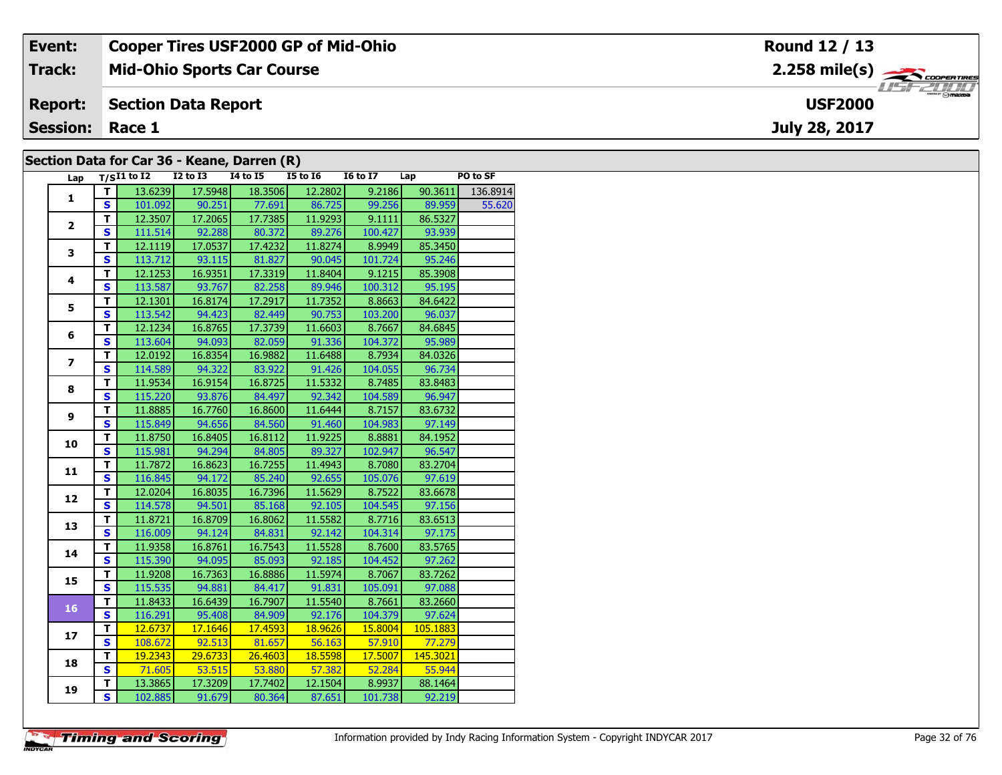| Event:                 | <b>Cooper Tires USF2000 GP of Mid-Ohio</b>  | Round 12 / 13                    |
|------------------------|---------------------------------------------|----------------------------------|
| Track:                 | <b>Mid-Ohio Sports Car Course</b>           |                                  |
| <b>Report:</b>         | Section Data Report                         | <b>HSFZUID</b><br><b>USF2000</b> |
| <b>Session: Race 1</b> |                                             | July 28, 2017                    |
|                        | Section Data for Car 36 - Keane, Darren (R) |                                  |

## **Section Data for Car 36 - Keane, Darren (R)**

| Lap                     |                         | T/SI1 to I2 I2 to I3 I4 to I5 I5 to I6 I6 to I7 Lap |                 |                              |         |         |               | PO to SF           |
|-------------------------|-------------------------|-----------------------------------------------------|-----------------|------------------------------|---------|---------|---------------|--------------------|
| $\mathbf{1}$            | T.                      | 13.6239                                             | 17.5948         | 18.3506                      | 12.2802 | 9.2186  |               | $90.3611$ 136.8914 |
|                         | <b>S</b>                |                                                     |                 | 101.092 90.251 77.691 86.725 |         |         | 99.256 89.959 | 55.620             |
|                         | T.                      |                                                     | 12.3507 17.2065 | 17.7385                      | 11.9293 | 9.1111  | 86.5327       |                    |
| $\mathbf{2}$            | $\overline{\mathbf{s}}$ | 111.514                                             | 92.288          | 80.372                       | 89.276  | 100.427 | 93.939        |                    |
|                         | $\overline{\mathsf{r}}$ | 12.1119                                             | 17.0537         | 17.4232                      | 11.8274 | 8.9949  | 85.3450       |                    |
| 3                       | $\mathbf{s}$            | 113.712                                             | 93.115          | 81.827                       | 90.045  | 101.724 | 95.246        |                    |
|                         | T                       | 12.1253                                             | 16.9351         | 17.3319                      | 11.8404 | 9.1215  | 85.3908       |                    |
| 4                       | $\overline{\mathbf{s}}$ | 113.587                                             | 93.767          | 82.258                       | 89.946  | 100.312 | 95.195        |                    |
|                         | т                       | 12.1301                                             | 16.8174         | 17.2917                      | 11.7352 | 8.8663  | 84.6422       |                    |
| 5                       | $\mathbf{s}$            | 113.542                                             |                 | 94.423 82.449                | 90.753  | 103.200 | 96.037        |                    |
|                         | T                       | 12.1234                                             | 16.8765         | 17.3739                      | 11.6603 | 8.7667  | 84.6845       |                    |
| 6                       | $\overline{\mathbf{s}}$ |                                                     | 113.604 94.093  | 82.059                       | 91.336  | 104.372 | 95.989        |                    |
|                         | т                       | 12.0192                                             | 16.8354         | 16.9882                      | 11.6488 | 8.7934  | 84.0326       |                    |
| $\overline{\mathbf{z}}$ | $\overline{\mathbf{s}}$ | 114.589                                             | 94.322          | 83.922                       | 91.426  | 104.055 | 96.734        |                    |
|                         | $\overline{\mathsf{r}}$ | 11.9534                                             | 16.9154         | 16.8725                      | 11.5332 | 8.7485  | 83.8483       |                    |
| 8                       | $\mathbf{s}$            | 115.220                                             | 93.876          | 84.497                       | 92.342  | 104.589 | 96.947        |                    |
|                         | T                       | 11.8885                                             | 16.7760         | 16.8600                      | 11.6444 | 8.7157  | 83.6732       |                    |
| 9                       | $\mathbf{s}$            | 115.849                                             | 94.656          | 84.560                       | 91.460  | 104.983 | 97.149        |                    |
|                         | $\mathbf T$             | 11.8750                                             | 16.8405         | 16.8112                      | 11.9225 | 8.8881  | 84.1952       |                    |
| 10                      | $\overline{\mathbf{s}}$ | 115.981                                             | 94.294          | 84.805                       | 89.327  | 102.947 | 96.547        |                    |
|                         | T                       | 11.7872                                             | 16.8623         | 16.7255                      | 11.4943 | 8.7080  | 83.2704       |                    |
| 11                      | $\overline{\mathbf{s}}$ | 116.845                                             |                 | 94.172 85.240                | 92.655  | 105.076 | 97.619        |                    |
| 12                      | $\overline{\mathsf{r}}$ | 12.0204                                             | 16.8035         | 16.7396                      | 11.5629 | 8.7522  | 83.6678       |                    |
|                         | $\overline{\mathbf{s}}$ | 114.578                                             | 94.501          | 85.168                       | 92.105  | 104.545 | 97.156        |                    |
| 13                      | Ŧ                       | 11.8721                                             | 16.8709         | 16.8062                      | 11.5582 | 8.7716  | 83.6513       |                    |
|                         | $\mathbf{s}$            | 116.009                                             | 94.124          | 84.831                       | 92.142  | 104.314 | 97.175        |                    |
| 14                      | $\mathbf T$             | 11.9358                                             | 16.8761         | 16.7543                      | 11.5528 | 8.7600  | 83.5765       |                    |
|                         | $\overline{\mathbf{s}}$ | 115.390                                             | 94.095          | 85.093                       | 92.185  | 104.452 | 97.262        |                    |
| 15                      | т                       | 11.9208                                             | 16.7363         | 16.8886                      | 11.5974 | 8.7067  | 83.7262       |                    |
|                         | $\overline{\mathbf{s}}$ | 115.535                                             | 94.881          | 84.417                       | 91.831  | 105.091 | 97.088        |                    |
| 16                      | $\overline{\mathsf{r}}$ | 11.8433                                             | 16.6439         | 16.7907                      | 11.5540 | 8.7661  | 83.2660       |                    |
|                         | $\overline{\mathbf{s}}$ | 116.291                                             |                 | 95.408 84.909                | 92.176  | 104.379 | 97.624        |                    |
| 17                      | $\overline{\mathsf{r}}$ | 12.6737                                             | 17.1646         | 17.4593                      | 18.9626 | 15.8004 | 105.1883      |                    |
|                         | $\mathbf{s}$            | 108.672                                             |                 | $92.513$ 81.657              | 56.163  | 57.910  | 77.279        |                    |
| 18                      | $\overline{\mathsf{T}}$ | 19.2343                                             | 29.6733         | 26.4603                      | 18.5598 | 17.5007 | 145.3021      |                    |
|                         | $\overline{\mathbf{s}}$ | 71.605                                              |                 | 53.515 53.880                | 57.382  | 52.284  | 55.944        |                    |
| 19                      | T.                      | 13.3865                                             | 17.3209         | 17.7402                      | 12.1504 | 8.9937  | 88.1464       |                    |
|                         | $\overline{\mathsf{s}}$ | 102.885                                             | 91.679          | 80.364                       | 87.651  | 101.738 | 92.219        |                    |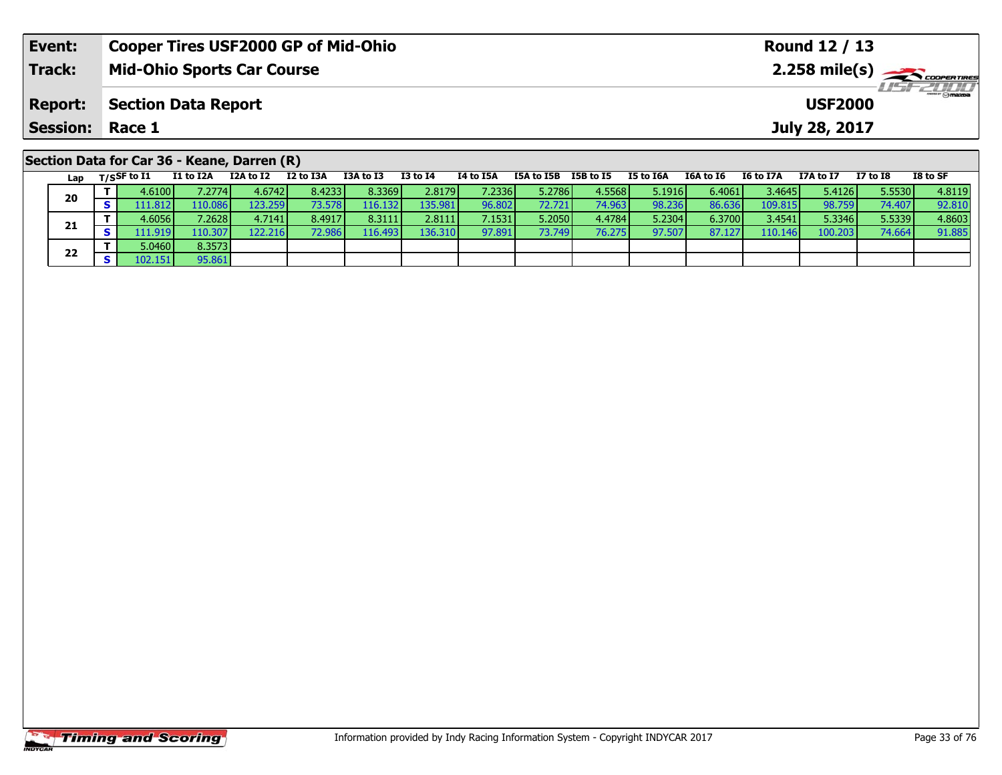| Event:                 | <b>Cooper Tires USF2000 GP of Mid-Ohio</b>  | <b>Round 12 / 13</b>                                                                                                                                                                                                                                                                                                                                                                                               |
|------------------------|---------------------------------------------|--------------------------------------------------------------------------------------------------------------------------------------------------------------------------------------------------------------------------------------------------------------------------------------------------------------------------------------------------------------------------------------------------------------------|
| Track:                 | <b>Mid-Ohio Sports Car Course</b>           | 2.258 mile(s) $\frac{1}{\sqrt{1-\frac{1}{2}}}\frac{1}{\sqrt{1-\frac{1}{2}}}\frac{1}{\sqrt{1-\frac{1}{2}}}\frac{1}{\sqrt{1-\frac{1}{2}}}\frac{1}{\sqrt{1-\frac{1}{2}}}\frac{1}{\sqrt{1-\frac{1}{2}}}\frac{1}{\sqrt{1-\frac{1}{2}}}\frac{1}{\sqrt{1-\frac{1}{2}}}\frac{1}{\sqrt{1-\frac{1}{2}}}\frac{1}{\sqrt{1-\frac{1}{2}}}\frac{1}{\sqrt{1-\frac{1}{2}}}\frac{1}{\sqrt{1-\frac{1}{2}}}\frac{1}{\sqrt{1-\frac{1}{$ |
| <b>Report:</b>         | <b>Section Data Report</b>                  | <b>USF2000</b>                                                                                                                                                                                                                                                                                                                                                                                                     |
| <b>Session: Race 1</b> |                                             | July 28, 2017                                                                                                                                                                                                                                                                                                                                                                                                      |
|                        | Section Data for Car 36 - Keane, Darren (R) |                                                                                                                                                                                                                                                                                                                                                                                                                    |

|    | Lap | $T/S$ SF to I1                | I1 to I2A        | I2A to I2 | I2 to I3A | I3A to I3        | <b>I3 to I4</b> | 14 to 15A | I5A to I5B | I5B to I5 | I5 to I6A | I6A to I6 | I6 to I7A       | I7A to I7 | I7 to I8 | I8 to SF |
|----|-----|-------------------------------|------------------|-----------|-----------|------------------|-----------------|-----------|------------|-----------|-----------|-----------|-----------------|-----------|----------|----------|
|    | 20  | 4.6100 l                      | 7.2774 <b>1</b>  | 4.6742    | 8.4233 l  | 8.3369           | 2.8179          | 7.2336    | 5.2786     | 4.5568    | 5.1916    | 6.4061    | 3.4645 <b>1</b> | 5.4126    | 5.5530   | 4.8119   |
|    |     | $.11.812 \blacktriangleright$ | 110.086 <b>I</b> | 123.2591  | 73.578    | 116.132          | 135.981         | 96.802    | 72.721     | 74.963 l  | 98.236    | 86.636    | 109.815         | 98.759    | 74.407   | 92.810   |
|    |     | 4.6056                        | 7.2628           | 4.7141    | 8.4917    | 8.3111           | 2.8111          | 7.1531    | 5.2050     | 4.4784    | 5.2304    | 6.3700    | 3.4541          | 5.3346    | 5.5339   | 4.8603   |
|    | 21  | .11.919                       | 110.307 <b>1</b> | 122.216   | 72.986    | 116.493 <b>I</b> | 136.310         | 97.891    | 73.749     | 76.275    | 97.507    | 87.127    | 110.146         | 100.203   | 74.664   | 91.885   |
|    |     | 5.0460 <b>l</b>               | 8.3573           |           |           |                  |                 |           |            |           |           |           |                 |           |          |          |
| 22 |     | 102.151                       | 95.861           |           |           |                  |                 |           |            |           |           |           |                 |           |          |          |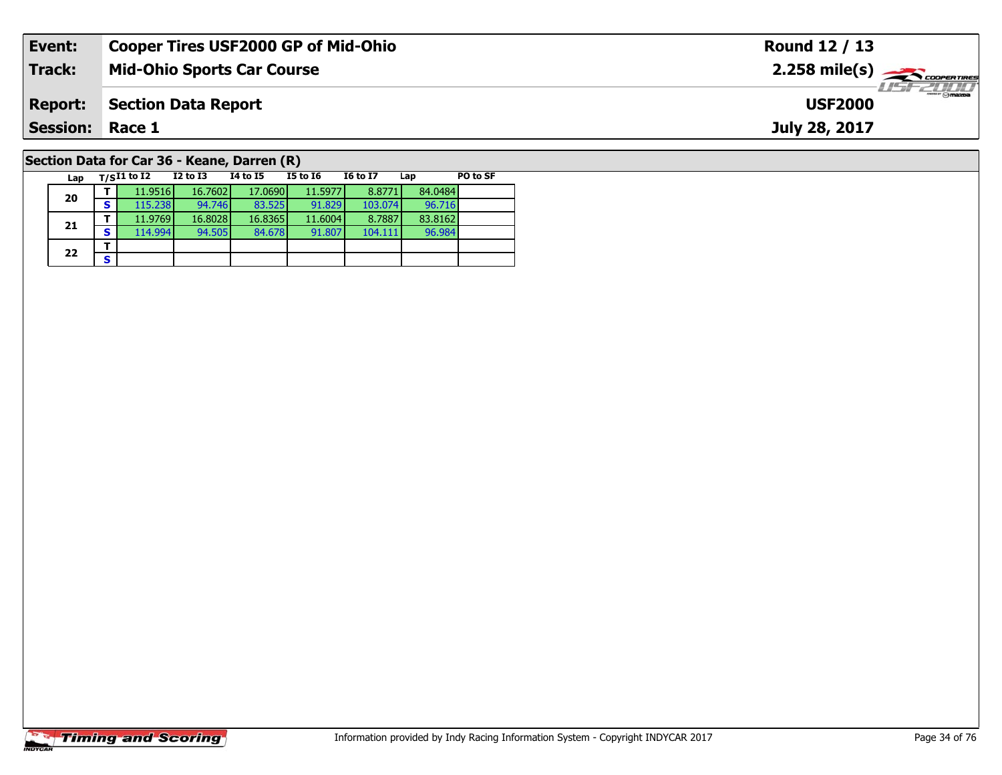| Event:                                      | <b>Cooper Tires USF2000 GP of Mid-Ohio</b> |          |          |          |                 |                                                           |          | Round 12 / 13 |
|---------------------------------------------|--------------------------------------------|----------|----------|----------|-----------------|-----------------------------------------------------------|----------|---------------|
| <b>Track:</b>                               | <b>Mid-Ohio Sports Car Course</b>          |          |          |          |                 | $2.258$ mile(s) $\overbrace{\hspace{2.5cm}}$ coorer TIRES |          |               |
| <b>Report:</b>                              | <b>Section Data Report</b>                 |          |          |          |                 | $H = -2011$<br><b>USF2000</b>                             |          |               |
| <b>Session: Race 1</b>                      |                                            |          |          |          |                 |                                                           |          | July 28, 2017 |
| Section Data for Car 36 - Keane, Darren (R) |                                            |          |          |          |                 |                                                           |          |               |
| Lap                                         | $T/SI1$ to I2                              | I2 to I3 | 14 to 15 | I5 to I6 | <b>I6 to I7</b> | Lap                                                       | PO to SF |               |

96.984

# **Timing and Scoring**

**20**

**21**

 $22$   $\frac{1}{s}$ 

**<sup>T</sup>** 11.9516 16.7602 17.0690 11.5977 8.8771 84.0484 **<sup>S</sup>** 115.238 94.746 83.525 91.829 103.074 96.716

**<sup>T</sup>** 11.9769 16.8028 16.8365 11.6004 8.7887 83.8162 **<sup>S</sup>** 114.994 94.505 84.678 91.807 104.111 96.984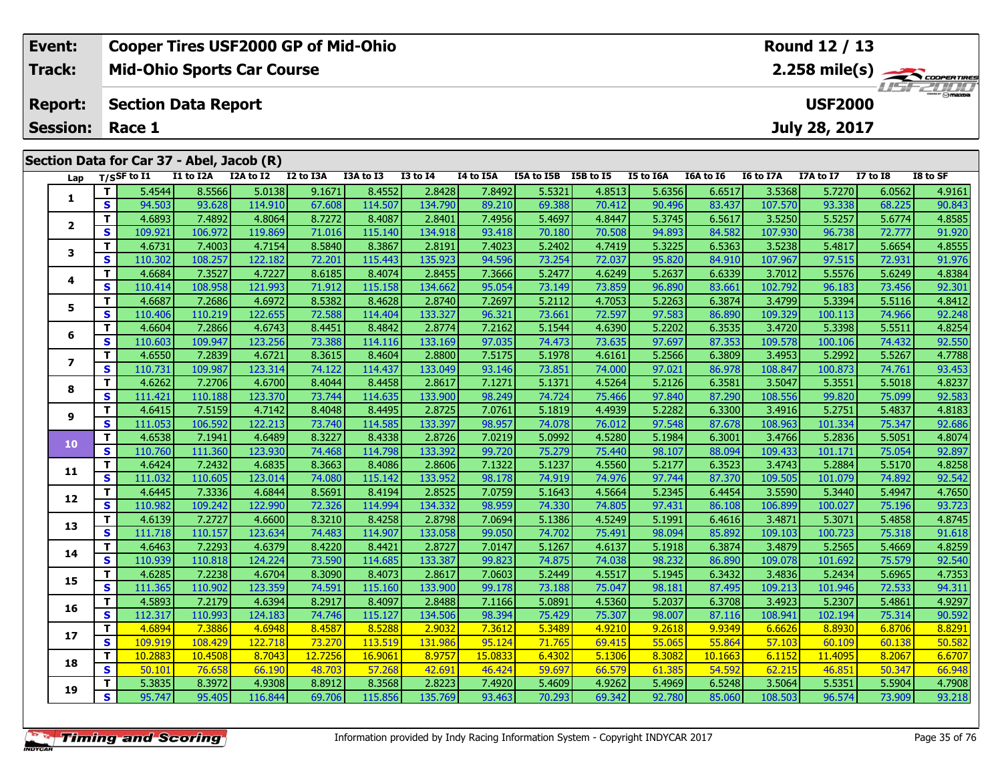|                          | Event:          |  | <b>Cooper Tires USF2000 GP of Mid-Ohio</b> |                                           |           |           |           |                 |           |            |           |                  | Round 12 / 13 |                                   |               |                 |          |  |  |
|--------------------------|-----------------|--|--------------------------------------------|-------------------------------------------|-----------|-----------|-----------|-----------------|-----------|------------|-----------|------------------|---------------|-----------------------------------|---------------|-----------------|----------|--|--|
| Track:<br><b>Report:</b> |                 |  | <b>Mid-Ohio Sports Car Course</b>          |                                           |           |           |           |                 |           |            |           |                  |               | 2.258 mile(s)<br><b>LISF 2000</b> |               |                 |          |  |  |
|                          |                 |  | <b>Section Data Report</b>                 |                                           |           |           |           |                 |           |            |           |                  |               | <b>USF2000</b>                    |               |                 |          |  |  |
|                          | <b>Session:</b> |  | Race 1                                     |                                           |           |           |           |                 |           |            |           |                  |               |                                   | July 28, 2017 |                 |          |  |  |
|                          |                 |  |                                            | Section Data for Car 37 - Abel, Jacob (R) |           |           |           |                 |           |            |           |                  |               |                                   |               |                 |          |  |  |
|                          |                 |  | Lap $T/SSF$ to $\overline{11}$             | I1 to I2A                                 | I2A to I2 | I2 to I3A | I3A to I3 | <b>I3 to I4</b> | I4 to I5A | I5A to I5B | I5B to I5 | <b>I5 to I6A</b> | I6A to I6     | I6 to I7A                         | I7A to I7     | <b>I7 to I8</b> | I8 to SF |  |  |
|                          |                 |  | 5.4544                                     | 8.5566                                    | 5.0138    | 9.1671    | 8.4552    | 2.8428          | 7.8492    | 5.5321     | 4.8513    | 5.6356           | 6.6517        | 3.5368                            | 5.7270        | 6.0562          | 4.9161   |  |  |
|                          |                 |  | 94.503                                     | 93.628                                    | 114.910   | 67.608    | 114.507   | 134.790         | 89.210    | 69.388     | 70.412    | 90.496           | 83.4371       | 107.570                           | 93.338        | 68.225          | 90.843   |  |  |

|                          | T.           | 5.4544  | 8.5566  | 5.0138  | 9.1671  | 8.4552  | 2.8428  | 7.8492  | 5.5321 | 4.8513 | 5.6356 | 6.6517  | 3.5368  | 5.7270  | 6.0562 | 4.9161 |
|--------------------------|--------------|---------|---------|---------|---------|---------|---------|---------|--------|--------|--------|---------|---------|---------|--------|--------|
| 1                        | S            | 94.503  | 93.628  | 114.910 | 67.608  | 114.507 | 134.790 | 89.210  | 69.388 | 70.412 | 90.496 | 83.437  | 107.570 | 93.338  | 68.225 | 90.843 |
|                          | т            | 4.6893  | 7.4892  | 4.8064  | 8.7272  | 8.4087  | 2.8401  | 7.4956  | 5.4697 | 4.8447 | 5.3745 | 6.5617  | 3.5250  | 5.5257  | 5.6774 | 4.8585 |
| $\mathbf{2}$             | S            | 109.921 | 106.972 | 119.869 | 71.016  | 115.140 | 134.918 | 93.418  | 70.180 | 70.508 | 94.893 | 84.582  | 107.930 | 96.738  | 72.777 | 91.920 |
| 3                        | т            | 4.6731  | 7.4003  | 4.7154  | 8.5840  | 8.3867  | 2.8191  | 7.4023  | 5.2402 | 4.7419 | 5.3225 | 6.5363  | 3.5238  | 5.4817  | 5.6654 | 4.8555 |
|                          | S            | 110.302 | 108.257 | 122.182 | 72.201  | 115.443 | 135.923 | 94.596  | 73.254 | 72.037 | 95.820 | 84.910  | 107.967 | 97.515  | 72.931 | 91.976 |
| 4                        | т            | 4.6684  | 7.3527  | 4.7227  | 8.6185  | 8.4074  | 2.8455  | 7.3666  | 5.2477 | 4.6249 | 5.2637 | 6.6339  | 3.7012  | 5.5576  | 5.6249 | 4.8384 |
|                          | $\mathbf{s}$ | 110.414 | 108.958 | 121.993 | 71.912  | 115.158 | 134.662 | 95.054  | 73.149 | 73.859 | 96.890 | 83.661  | 102.792 | 96.183  | 73.456 | 92.301 |
| 5                        | Т            | 4.6687  | 7.2686  | 4.6972  | 8.5382  | 8.4628  | 2.8740  | 7.2697  | 5.2112 | 4.7053 | 5.2263 | 6.3874  | 3.4799  | 5.3394  | 5.5116 | 4.8412 |
|                          | S            | 110.406 | 110.219 | 122.655 | 72.588  | 114.404 | 133.327 | 96.321  | 73.661 | 72.597 | 97.583 | 86.890  | 109.329 | 100.113 | 74.966 | 92.248 |
| 6                        | T            | 4.6604  | 7.2866  | 4.6743  | 8.4451  | 8.4842  | 2.8774  | 7.2162  | 5.1544 | 4.6390 | 5.2202 | 6.3535  | 3.4720  | 5.3398  | 5.5511 | 4.8254 |
|                          | $\mathbf{s}$ | 110.603 | 109.947 | 123.256 | 73.388  | 114.116 | 133.169 | 97.035  | 74.473 | 73.635 | 97.697 | 87.353  | 109.578 | 100.106 | 74.432 | 92.550 |
| $\overline{\phantom{a}}$ | т            | 4.6550  | 7.2839  | 4.6721  | 8.3615  | 8.4604  | 2.8800  | 7.5175  | 5.1978 | 4.6161 | 5.2566 | 6.3809  | 3.4953  | 5.2992  | 5.5267 | 4.7788 |
|                          | $\mathbf{s}$ | 110.731 | 109.987 | 123.314 | 74.122  | 114.437 | 133.049 | 93.146  | 73.851 | 74.000 | 97.021 | 86.978  | 108.847 | 100.873 | 74.761 | 93.453 |
| 8                        | $\mathbf{T}$ | 4.6262  | 7.2706  | 4.6700  | 8.4044  | 8.4458  | 2.8617  | 7.1271  | 5.1371 | 4.5264 | 5.2126 | 6.3581  | 3.5047  | 5.3551  | 5.5018 | 4.8237 |
|                          | $\mathbf{s}$ | 111.421 | 110.188 | 123.370 | 73.744  | 114.635 | 133.900 | 98.249  | 74.724 | 75.466 | 97.840 | 87.290  | 108.556 | 99.820  | 75.099 | 92.583 |
| 9                        | Т            | 4.6415  | 7.5159  | 4.7142  | 8.4048  | 8.4495  | 2.8725  | 7.0761  | 5.1819 | 4.4939 | 5.2282 | 6.3300  | 3.4916  | 5.2751  | 5.4837 | 4.8183 |
|                          | $\mathbf{s}$ | 111.053 | 106.592 | 122.213 | 73.740  | 114.585 | 133.397 | 98.957  | 74.078 | 76.012 | 97.548 | 87.678  | 108.963 | 101.334 | 75.347 | 92.686 |
| 10                       | T            | 4.6538  | 7.1941  | 4.6489  | 8.3227  | 8.4338  | 2.8726  | 7.0219  | 5.0992 | 4.5280 | 5.1984 | 6.3001  | 3.4766  | 5.2836  | 5.5051 | 4.8074 |
|                          | S            | 110.760 | 111.360 | 123.930 | 74.468  | 114.798 | 133.392 | 99.720  | 75.279 | 75.440 | 98.107 | 88.094  | 109.433 | 101.171 | 75.054 | 92.897 |
| 11                       | T            | 4.6424  | 7.2432  | 4.6835  | 8.3663  | 8.4086  | 2.8606  | 7.1322  | 5.1237 | 4.5560 | 5.2177 | 6.3523  | 3.4743  | 5.2884  | 5.5170 | 4.8258 |
|                          | $\mathbf{s}$ | 111.032 | 110.605 | 123.014 | 74.080  | 115.142 | 133.952 | 98.178  | 74.919 | 74.976 | 97.744 | 87.370  | 109.505 | 101.079 | 74.892 | 92.542 |
| 12                       | т            | 4.6445  | 7.3336  | 4.6844  | 8.5691  | 8.4194  | 2.8525  | 7.0759  | 5.1643 | 4.5664 | 5.2345 | 6.4454  | 3.5590  | 5.3440  | 5.4947 | 4.7650 |
|                          | $\mathbf{s}$ | 110.982 | 109.242 | 122.990 | 72.326  | 114.994 | 134.332 | 98.959  | 74.330 | 74.805 | 97.431 | 86.108  | 106.899 | 100.027 | 75.196 | 93.723 |
| 13                       | T            | 4.6139  | 7.2727  | 4.6600  | 8.3210  | 8.4258  | 2.8798  | 7.0694  | 5.1386 | 4.5249 | 5.1991 | 6.4616  | 3.4871  | 5.3071  | 5.4858 | 4.8745 |
|                          | $\mathbf{s}$ | 111.718 | 110.157 | 123.634 | 74.483  | 114.907 | 133.058 | 99.050  | 74.702 | 75.491 | 98.094 | 85.892  | 109.103 | 100.723 | 75.318 | 91.618 |
| 14                       | т            | 4.6463  | 7.2293  | 4.6379  | 8.4220  | 8.4421  | 2.8727  | 7.0147  | 5.1267 | 4.6137 | 5.1918 | 6.3874  | 3.4879  | 5.2565  | 5.4669 | 4.8259 |
|                          | $\mathbf{s}$ | 110.939 | 110.818 | 124.224 | 73.590  | 114.685 | 133.387 | 99.823  | 74.875 | 74.038 | 98.232 | 86.890  | 109.078 | 101.692 | 75.579 | 92.540 |
| 15                       | Т            | 4.6285  | 7.2238  | 4.6704  | 8.3090  | 8.4073  | 2.8617  | 7.0603  | 5.2449 | 4.5517 | 5.1945 | 6.3432  | 3.4836  | 5.2434  | 5.6965 | 4.7353 |
|                          | S            | 111.365 | 110.902 | 123.359 | 74.591  | 115.160 | 133.900 | 99.178  | 73.188 | 75.047 | 98.181 | 87.495  | 109.213 | 101.946 | 72.533 | 94.311 |
| 16                       | T            | 4.5893  | 7.2179  | 4.6394  | 8.2917  | 8.4097  | 2.8488  | 7.1166  | 5.0891 | 4.5360 | 5.2037 | 6.3708  | 3.4923  | 5.2307  | 5.4861 | 4.9297 |
|                          | $\mathbf{s}$ | 112.317 | 110.993 | 124.183 | 74.746  | 115.127 | 134.506 | 98.394  | 75.429 | 75.307 | 98.007 | 87.116  | 108.941 | 102.194 | 75.314 | 90.592 |
| 17                       | т            | 4.6894  | 7.3886  | 4.6948  | 8.4587  | 8.5288  | 2.9032  | 7.3612  | 5.3489 | 4.9210 | 9.2618 | 9.9349  | 6.6626  | 8.8930  | 6.8706 | 8.8291 |
|                          | S            | 109.919 | 108.429 | 122.718 | 73.270  | 113.519 | 131.986 | 95.124  | 71.765 | 69.415 | 55.065 | 55.864  | 57.103  | 60.109  | 60.138 | 50.582 |
| 18                       | T.           | 10.2883 | 10.4508 | 8.7043  | 12.7256 | 16.9061 | 8.9757  | 15,0833 | 6.4302 | 5.1306 | 8.3082 | 10.1663 | 6.1152  | 11.4095 | 8.2067 | 6.6707 |
|                          | S            | 50.101  | 76.658  | 66.190  | 48.703  | 57.268  | 42.691  | 46.424  | 59.697 | 66.579 | 61.385 | 54.592  | 62.215  | 46.851  | 50.347 | 66.948 |
| 19                       | т            | 5.3835  | 8.3972  | 4.9308  | 8.8912  | 8.3568  | 2.8223  | 7.4920  | 5.4609 | 4.9262 | 5.4969 | 6.5248  | 3.5064  | 5.5351  | 5.5904 | 4.7908 |
|                          | S            | 95.747  | 95.405  | 116.844 | 69.706  | 115.856 | 135.769 | 93.463  | 70.293 | 69.342 | 92.780 | 85.060  | 108.503 | 96.574  | 73.909 | 93.218 |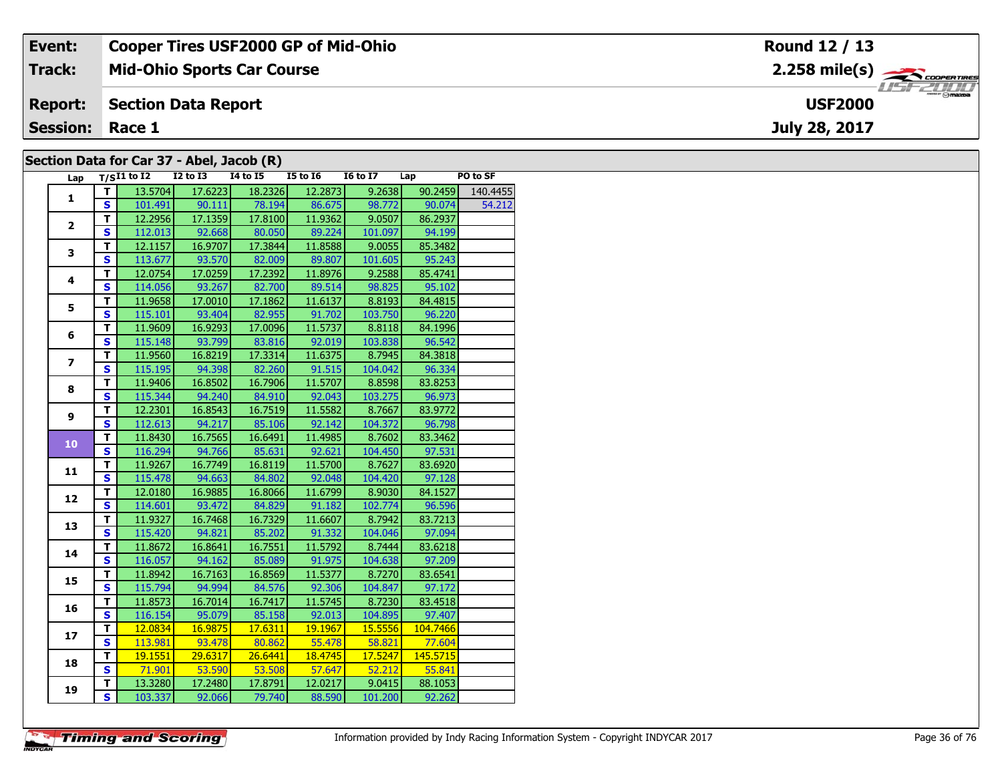| Event:                 | <b>Cooper Tires USF2000 GP of Mid-Ohio</b> | Round 12 / 13                                         |
|------------------------|--------------------------------------------|-------------------------------------------------------|
| Track:                 | <b>Mid-Ohio Sports Car Course</b>          | $2.258$ mile(s) $\overbrace{\hspace{2cm}}$ codenaires |
| <b>Report:</b>         | Section Data Report                        | <b>LISE 2000</b><br><b>USF2000</b>                    |
| <b>Session: Race 1</b> |                                            | July 28, 2017                                         |
|                        | Section Data for Car 37 - Abel, Jacob (R)  |                                                       |

## **Section Data for Car 37 - Abel, Jacob (R)**

| Lap            |                         | T/SI1 to I2 I2 to I3 I4 to I5 I5 to I6 I6 to I7 Lap |                 |                              |                 |         |          | PO to SF |
|----------------|-------------------------|-----------------------------------------------------|-----------------|------------------------------|-----------------|---------|----------|----------|
| $\mathbf{1}$   | T I                     | 13.5704                                             | 17.6223         | 18.2326                      | 12.2873         | 9.2638  | 90.2459  | 140.4455 |
|                | <b>S</b>                |                                                     |                 | 101.491 90.111 78.194 86.675 |                 | 98.772  | 90.074   | 54.212   |
|                | T.                      |                                                     | 12.2956 17.1359 |                              | 17.8100 11.9362 | 9.0507  | 86.2937  |          |
| $\mathbf{2}$   | $\overline{\mathbf{s}}$ | 112.013                                             | 92.668          | 80.050                       | 89.224          | 101.097 | 94.199   |          |
|                | $\overline{\mathsf{r}}$ | 12.1157                                             | 16.9707         | 17.3844                      | 11.8588         | 9.0055  | 85.3482  |          |
| 3              | $\mathbf s$             | 113.677                                             | 93.570          | 82.009                       | 89.807          | 101.605 | 95.243   |          |
|                | $\overline{\mathsf{r}}$ | 12.0754                                             | 17.0259         | 17.2392                      | 11.8976         | 9.2588  | 85.4741  |          |
| 4              | $\mathbf{s}$            | 114.056                                             | 93.267          | 82.700                       | 89.514          | 98.825  | 95.102   |          |
|                | т                       | 11.9658                                             | 17.0010         | 17.1862                      | 11.6137         | 8.8193  | 84.4815  |          |
| 5              | $\mathbf{s}$            | 115.101                                             | 93.404          | 82.955                       | 91.702          | 103.750 | 96.220   |          |
|                | т                       | 11.9609                                             | 16.9293         | 17.0096                      | 11.5737         | 8.8118  | 84.1996  |          |
| 6              | $\overline{\mathbf{s}}$ | 115.148                                             | 93.799          | 83.816                       | 92.019          | 103.838 | 96.542   |          |
|                | $\mathbf T$             | 11.9560                                             | 16.8219         | 17.3314                      | 11.6375         | 8.7945  | 84.3818  |          |
| $\overline{ }$ | $\overline{\mathbf{s}}$ | 115.195                                             | 94.398          | 82.260                       | 91.515          | 104.042 | 96.334   |          |
|                | T.                      | 11.9406                                             | 16.8502         | 16.7906                      | 11.5707         | 8.8598  | 83.8253  |          |
| 8              | $\mathbf{s}$            | 115.344                                             | 94.240          | 84.910                       | 92.043          | 103.275 | 96.973   |          |
|                | T                       | 12.2301                                             | 16.8543         | 16.7519                      | 11.5582         | 8.7667  | 83.9772  |          |
| 9              | $\mathbf{s}$            | 112.613                                             | 94.217          | 85.106                       | 92.142          | 104.372 | 96.798   |          |
|                | T                       | 11.8430                                             | 16.7565         | 16.6491                      | 11.4985         | 8.7602  | 83.3462  |          |
| 10             | $\overline{\mathbf{s}}$ | 116.294                                             | 94.766          | 85.631                       | 92.621          | 104.450 | 97.531   |          |
|                | T.                      | 11.9267                                             | 16.7749         | 16.8119                      | 11.5700         | 8.7627  | 83.6920  |          |
| 11             | $\overline{\mathbf{s}}$ | 115.478                                             |                 | 94.663 84.802 92.048         |                 | 104.420 | 97.128   |          |
|                | $\overline{\mathsf{r}}$ | 12.0180                                             | 16.9885         | 16.8066                      | 11.6799         | 8.9030  | 84.1527  |          |
| 12             | $\overline{\mathbf{s}}$ | 114.601                                             | 93.472          | 84.829                       | 91.182          | 102.774 | 96.596   |          |
| 13             | Ŧ                       | 11.9327                                             | 16.7468         | 16.7329                      | 11.6607         | 8.7942  | 83.7213  |          |
|                | $\mathbf{s}$            | 115.420                                             | 94.821          | 85.202                       | 91.332          | 104.046 | 97.094   |          |
| 14             | T                       | 11.8672                                             | 16.8641         | 16.7551                      | 11.5792         | 8.7444  | 83.6218  |          |
|                | $\overline{\mathbf{s}}$ | 116.057                                             | 94.162          | 85.089                       | 91.975          | 104.638 | 97.209   |          |
| 15             | T                       | 11.8942                                             | 16.7163         | 16.8569                      | 11.5377         | 8.7270  | 83.6541  |          |
|                | $\mathbf{s}$            | 115.794                                             | 94.994          | 84.576                       | 92.306          | 104.847 | 97.172   |          |
| 16             | T                       | 11.8573                                             | 16.7014         | 16.7417                      | 11.5745         | 8.7230  | 83.4518  |          |
|                | $\mathbf{s}$            | 116.154                                             |                 | 95.079 85.158                | 92.013          | 104.895 | 97.407   |          |
| 17             | T                       | 12.0834                                             | 16.9875         | 17.6311                      | 19.1967         | 15.5556 | 104.7466 |          |
|                | $\overline{\mathbf{s}}$ | 113.981                                             |                 | $93.478$ 80.862              | 55.478          | 58.821  | 77.604   |          |
| 18             | $\mathbf T$             | 19.1551                                             | 29.6317         | 26.6441                      | 18.4745         | 17.5247 | 145.5715 |          |
|                | $\overline{\mathbf{s}}$ | 71.901                                              | 53.590          | 53.508                       | 57.647          | 52.212  | 55.841   |          |
| 19             | T                       | 13.3280                                             | 17.2480         | 17.8791                      | 12.0217         | 9.0415  | 88.1053  |          |
|                | $\overline{\mathbf{s}}$ | 103.337                                             | 92.066          | 79.740                       | 88.590          | 101.200 | 92.262   |          |

**Timing and Scoring**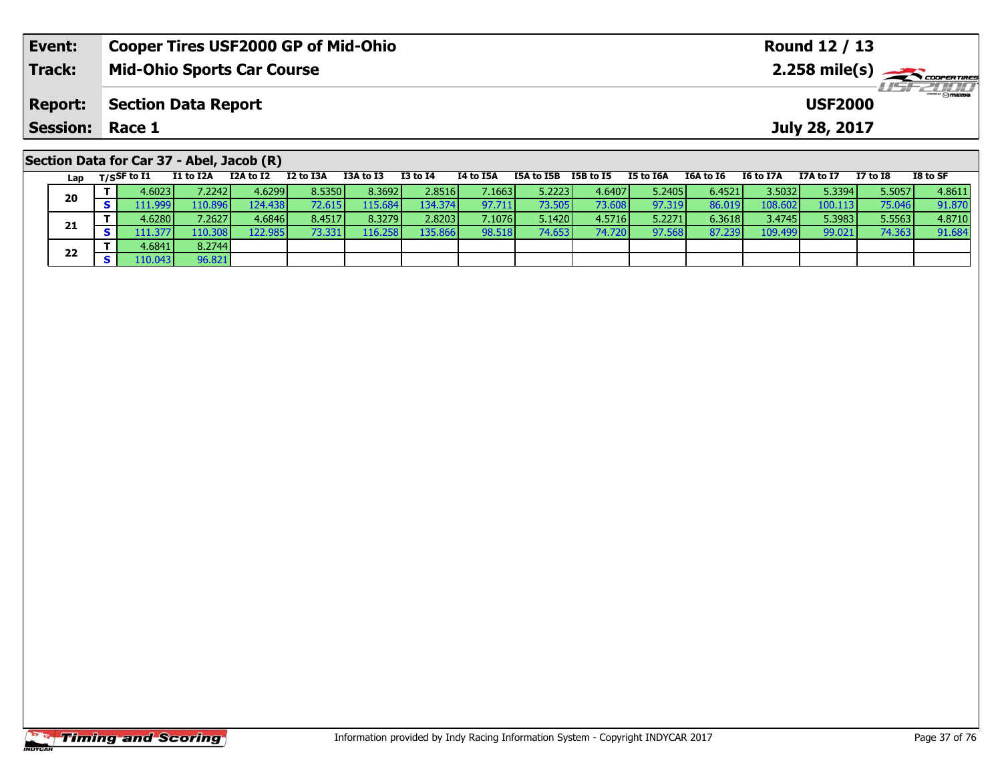| Event:          | <b>Cooper Tires USF2000 GP of Mid-Ohio</b>                                                                                                | Round 12 / 13                                                      |  |  |  |  |  |  |  |  |  |  |
|-----------------|-------------------------------------------------------------------------------------------------------------------------------------------|--------------------------------------------------------------------|--|--|--|--|--|--|--|--|--|--|
| <b>Track:</b>   | <b>Mid-Ohio Sports Car Course</b>                                                                                                         | $2.258$ mile(s) $\sum$ coorer Times<br>$H = -2000$                 |  |  |  |  |  |  |  |  |  |  |
| <b>Report:</b>  | <b>Section Data Report</b><br><b>USF2000</b>                                                                                              |                                                                    |  |  |  |  |  |  |  |  |  |  |
| <b>Session:</b> | Race 1                                                                                                                                    | July 28, 2017                                                      |  |  |  |  |  |  |  |  |  |  |
|                 | Section Data for Car 37 - Abel, Jacob (R)                                                                                                 |                                                                    |  |  |  |  |  |  |  |  |  |  |
| Lap             | I2 to I3A<br>I3A to I3<br>I3 to I4<br>I1 to I2A<br>I2A to I2<br>I4 to I5A<br>I5A to I5B<br>I5B to I5<br>I5 to I6A<br>$_{\rm T/SSF}$ to I1 | I8 to SF<br>I6A to I6<br><b>I6 to I7A</b><br>I7 to I8<br>I7A to I7 |  |  |  |  |  |  |  |  |  |  |

0 | T | 4.6023| 7.2242| 4.6299| 8.5350| 8.3692| 2.8516| 7.1663| 5.2223| 4.6407| 5.2405| 6.4521| 3.5032| 5.3394| 5.5057| 4.8611<br>| S | 111,999| 110.896| 124.438| 72.615| 115.684| 134.374| 97.711| 73.505| 73.608| 97.319| 86.0

**<sup>T</sup>** 4.6280 7.2627 4.6846 8.4517 8.3279 2.8203 7.1076 5.1420 4.5716 5.2271 6.3618 3.4745 5.3983 5.5563 4.8710 **<sup>S</sup>** 111.377 110.308 122.985 73.331 116.258 135.866 98.518 74.653 74.720 97.568 87.239 109.499 99.021 74.363 91.684

**20**

**21**

**22**

**<sup>T</sup>** 4.6841 8.2744 **<sup>S</sup>** 110.043 96.821

96.821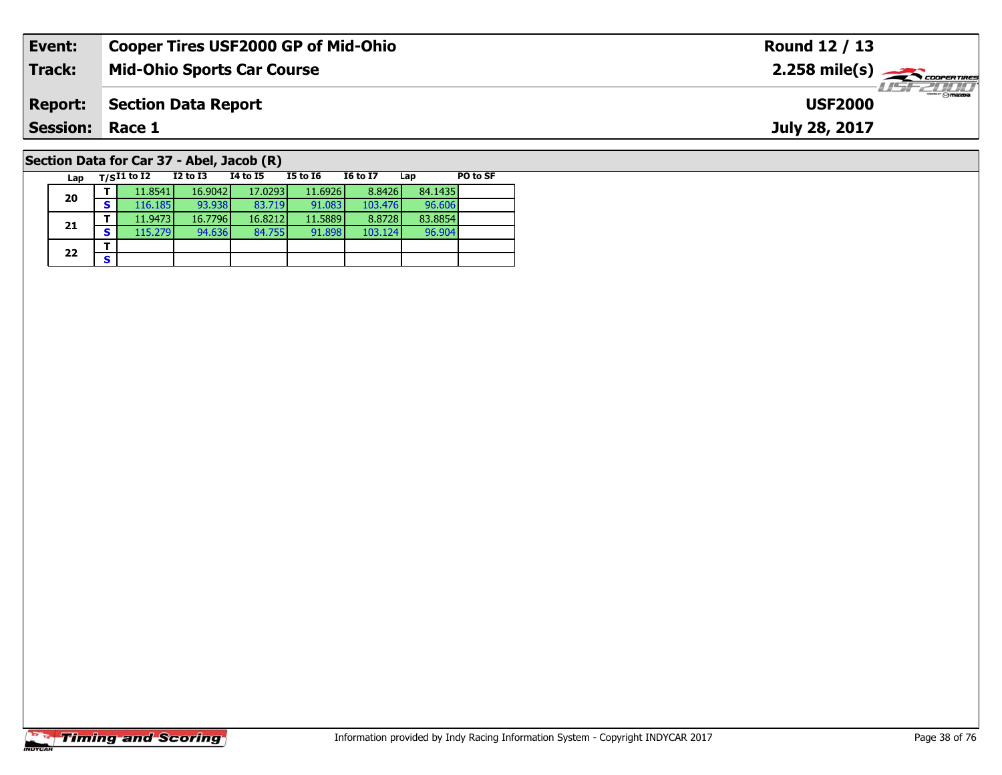| Event:                 | <b>Cooper Tires USF2000 GP of Mid-Ohio</b> |                                 |          |          |                 | Round 12 / 13                                           |                 |               |  |  |  |  |
|------------------------|--------------------------------------------|---------------------------------|----------|----------|-----------------|---------------------------------------------------------|-----------------|---------------|--|--|--|--|
| <b>Track:</b>          | <b>Mid-Ohio Sports Car Course</b>          |                                 |          |          |                 | $2.258$ mile(s) $\overbrace{\hspace{2cm}}$ coorer TIRES |                 |               |  |  |  |  |
| <b>Report:</b>         | <b>Section Data Report</b>                 | $\frac{1}{2}$<br><b>USF2000</b> |          |          |                 |                                                         |                 |               |  |  |  |  |
| <b>Session: Race 1</b> |                                            |                                 |          |          |                 |                                                         |                 | July 28, 2017 |  |  |  |  |
|                        | Section Data for Car 37 - Abel, Jacob (R)  |                                 |          |          |                 |                                                         |                 |               |  |  |  |  |
| Lap                    | $_{\rm T/S}$ I1 to I2                      | I2 to I3                        | 14 to 15 | I5 to 16 | <b>I6 to I7</b> | Lap                                                     | <b>PO to SF</b> |               |  |  |  |  |

96.904

# **Timing and Scoring**

**20**

**21**

 $22$   $\frac{1}{s}$ 

**T** 11.8541 16.9042 17.0293 11.6926 8.8426 84.1435<br>**S** 116.185 93.938 83.719 91.083 103.476 96.606

**<sup>T</sup>** 11.9473 16.7796 16.8212 11.5889 8.8728 83.8854 **<sup>S</sup>** 115.279 94.636 84.755 91.898 103.124 96.904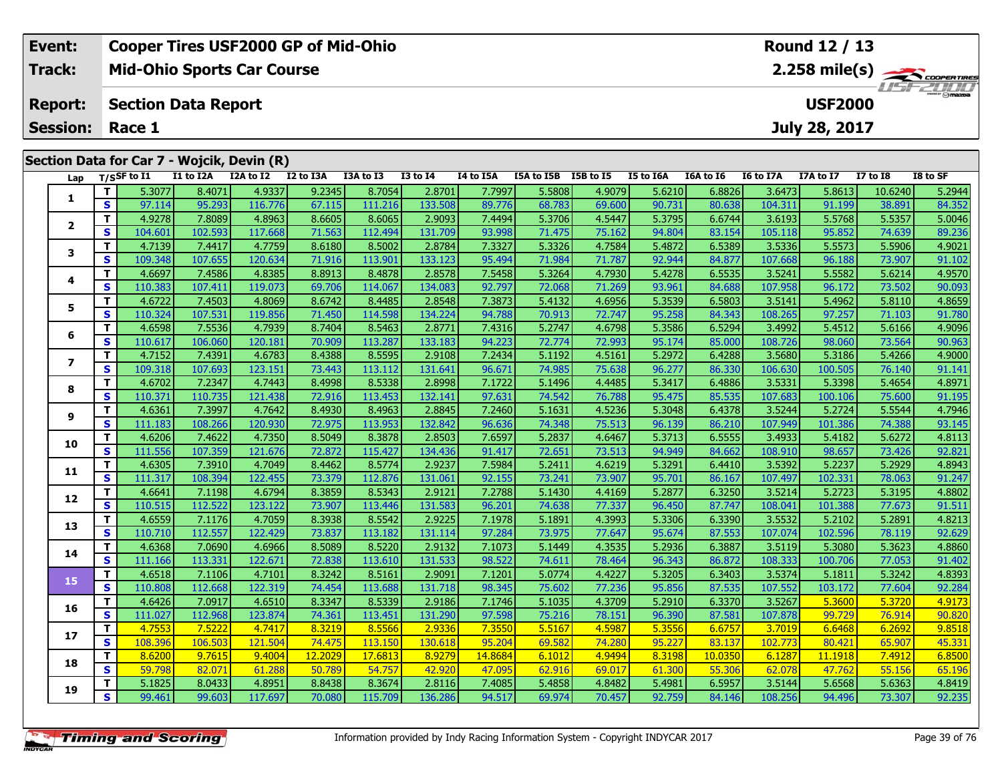| <b>Cooper Tires USF2000 GP of Mid-Ohio</b><br>Event: |          |                            |           |                                            |           |           |                 |           |            |               |           |           | Round 12 / 13                 |           |                 |          |  |  |  |
|------------------------------------------------------|----------|----------------------------|-----------|--------------------------------------------|-----------|-----------|-----------------|-----------|------------|---------------|-----------|-----------|-------------------------------|-----------|-----------------|----------|--|--|--|
| Track:                                               |          |                            |           | <b>Mid-Ohio Sports Car Course</b>          |           |           | 2.258 mile(s)   |           |            |               |           |           |                               |           |                 |          |  |  |  |
| <b>Report:</b>                                       |          | <b>Section Data Report</b> |           |                                            |           |           |                 |           |            |               |           |           | $H = -2H H$<br><b>USF2000</b> |           |                 |          |  |  |  |
| <b>Session:</b><br>Race 1                            |          |                            |           |                                            |           |           |                 |           |            | July 28, 2017 |           |           |                               |           |                 |          |  |  |  |
|                                                      |          |                            |           | Section Data for Car 7 - Wojcik, Devin (R) |           |           |                 |           |            |               |           |           |                               |           |                 |          |  |  |  |
| Lap                                                  |          | $_{\rm T/SS}$ F to I1      | I1 to I2A | I2A to I2                                  | I2 to I3A | I3A to I3 | <b>I3 to I4</b> | I4 to I5A | I5A to I5B | I5B to I5     | I5 to I6A | I6A to I6 | I6 to I7A                     | I7A to I7 | <b>I7 to I8</b> | I8 to SF |  |  |  |
|                                                      |          | 5.3077                     | 8.4071    | 4.9337                                     | 9.2345    | 8.7054    | 2.8701          | 7.7997    | 5.5808     | 4.9079        | 5.6210    | 6.8826    | 3.6473                        | 5.8613    | 10.6240         | 5.2944   |  |  |  |
|                                                      | <b>S</b> | 97.114                     | 95.293    | 116.776                                    | 67.115    | 111.216   | 133,508         | 89.776    | 68.783     | 69.600        | 90.731    | 80.638    | 104.311                       | 91.199    | 38.891          | 84.352   |  |  |  |

| 1              |                | <b>7.7011</b>     | 0.407 L           | 4.9337            | <b>DIZJHJ</b>    | 0.7034            | 2.0/UI            | 1.7991           | <b>DIOC'C</b>    | 4.YU7Y           | <b>DI70.C</b>    | 0.0020           | <b>0.0475</b>     | <b>CT00TC</b>     | 10.0240          | 3.2944           |
|----------------|----------------|-------------------|-------------------|-------------------|------------------|-------------------|-------------------|------------------|------------------|------------------|------------------|------------------|-------------------|-------------------|------------------|------------------|
|                | S              | 97.114            | 95.293            | 116.776           | 67.115           | 111.216           | 133.508           | 89.776           | 68.783           | 69.600           | 90.731           | 80.638           | 104.311           | 91.199            | 38.891           | 84.352           |
|                | T              | 4.9278            | 7.8089            | 4.8963            | 8.6605           | 8.6065            | 2.9093            | 7.4494           | 5.3706           | 4.5447           | 5.3795           | 6.6744           | 3.6193            | 5.5768            | 5.5357           | 5.0046           |
| $\mathbf{2}$   | S              | 104.601           | 102.593           | 117.668           | 71.563           | 112.494           | 131.709           | 93.998           | 71.475           | 75.162           | 94.804           | 83.154           | 105.118           | 95.852            | 74.639           | 89.236           |
| 3              | T              | 4.7139            | 7.4417            | 4.7759            | 8.6180           | 8.5002            | 2.8784            | 7.3327           | 5.3326           | 4.7584           | 5.4872           | 6.5389           | 3.5336            | 5.5573            | 5.5906           | 4.9021           |
|                | S              | 109.348           | 107.655           | 120.634           | 71.916           | 113.901           | 133.123           | 95.494           | 71.984           | 71.787           | 92.944           | 84.877           | 107.668           | 96.188            | 73.907           | 91.102           |
| 4              | T.             | 4.6697            | 7.4586            | 4.8385            | 8.8913           | 8.4878            | 2.8578            | 7.5458           | 5.3264           | 4.7930           | 5.4278           | 6.5535           | 3.5241            | 5.5582            | 5.6214           | 4.9570           |
|                | S              | 110.383           | 107.411           | 119.073           | 69.706           | 114.067           | 134.083           | 92.797           | 72.068           | 71.269           | 93.961           | 84.688           | 107.958           | 96.172            | 73.502           | 90.093           |
| 5              | T.             | 4.6722            | 7.4503            | 4.8069            | 8.6742           | 8.4485            | 2.8548            | 7.3873           | 5.4132           | 4.6956           | 5.3539           | 6.5803           | 3.5141            | 5.4962            | 5.8110           | 4.8659           |
|                | <b>S</b>       | 110.324           | 107.531           | 119.856           | 71.450           | 114.598           | 134.224           | 94.788           | 70.913           | 72.747           | 95.258           | 84.343           | 108.265           | 97.257            | 71.103           | 91.780           |
| 6              | T              | 4.6598            | 7.5536            | 4.7939            | 8.7404           | 8.5463            | 2.8771            | 7.4316           | 5.2747           | 4.6798           | 5.3586           | 6.5294           | 3.4992            | 5.4512            | 5.6166           | 4.9096           |
|                | S              | 110.617           | 106.060           | 120.181           | 70.909           | 113.287           | 133.183           | 94.223           | 72.774           | 72.993           | 95.174           | 85.000           | 108.726           | 98.060            | 73.564           | 90.963           |
| $\overline{ }$ | T.             | 4.7152            | 7.4391            | 4.6783            | 8.4388           | 8.5595            | 2.9108            | 7.2434           | 5.1192           | 4.5161           | 5.2972           | 6.4288           | 3.5680            | 5.3186            | 5.4266           | 4.9000           |
|                | S              | 109.318           | 107.693           | 123.151           | 73.443           | 113.112           | 131.641           | 96.671           | 74.985           | 75.638           | 96.277           | 86.330           | 106.630           | 100.505           | 76.140           | 91.141           |
| 8              | T.             | 4.6702            | 7.2347            | 4.7443            | 8.4998           | 8.5338            | 2.8998            | 7.1722           | 5.1496           | 4.4485           | 5.3417           | 6.4886           | 3.5331            | 5.3398            | 5.4654           | 4.8971           |
|                | S              | 110.371           | 110.735           | 121.438           | 72.916           | 113.453           | 132.141           | 97.631           | 74.542           | 76.788           | 95.475           | 85.535           | 107.683           | 100.106           | 75.600           | 91.195           |
| 9              | T.             | 4.6361            | 7.3997            | 4.7642            | 8.4930           | 8.4963            | 2.8845            | 7.2460           | 5.1631           | 4.5236           | 5.3048           | 6.4378           | 3.5244            | 5.2724            | 5.5544           | 4.7946           |
|                | S              | 111.183           | 108.266           | 120.930           | 72.975           | 113.953           | 132.842           | 96.636           | 74.348           | 75.513           | 96.139           | 86.210           | 107.949           | 101.386           | 74.388           | 93.145           |
| 10             | T.             | 4.6206            | 7.4622            | 4.7350            | 8.5049           | 8.3878            | 2.8503            | 7.6597           | 5.2837           | 4.6467           | 5.3713           | 6.5555           | 3.4933            | 5.4182            | 5.6272           | 4.8113           |
|                | S              | 111.556           | 107.359           | 121.676           | 72.872           | 115.427           | 134.436           | 91.417           | 72.651           | 73.513           | 94.949           | 84.662           | 108.910           | 98.657            | 73.426           | 92.821           |
| 11             | T.             | 4.6305            | 7.3910            | 4.7049            | 8.4462           | 8.5774            | 2.9237            | 7.5984           | 5.2411           | 4.6219           | 5.3291           | 6.4410           | 3.5392            | 5.2237            | 5.2929           | 4.8943           |
|                | S.             | 111.317           | 108.394           | 122.455           | 73.379           | 112.876           | 131.061           | 92.155           | 73.241           | 73.907           | 95.701           | 86.167           | 107.497           | 102.331           | 78.063           | 91.247           |
| 12             | T.             | 4.6641            | 7.1198            | 4.6794            | 8.3859           | 8.5343            | 2.9121            | 7.2788           | 5.1430           | 4.4169           | 5.2877           | 6.3250           | 3.5214            | 5.2723            | 5.3195           | 4.8802           |
|                | <b>S</b>       | 110.515           | 112.522           | 123.122           | 73.907           | 113.446           | 131.583           | 96.201           | 74.638           | 77.337           | 96.450           | 87.747           | 108.041           | 101.388           | 77.673           | 91.511           |
| 13             | T.             | 4.6559            | 7.1176            | 4.7059            | 8.3938           | 8.5542            | 2.9225            | 7.1978           | 5.1891           | 4.3993           | 5.3306           | 6.3390           | 3.5532            | 5.2102            | 5.2891           | 4.8213           |
|                | <b>S</b><br>T  | 110.710           | 112.557           | 122.429           | 73.837           | 113.182           | 131.114           | 97.284           | 73.975           | 77.647           | 95.674           | 87.553           | 107.074           | 102.596           | 78.119           | 92.629           |
| 14             | S              | 4.6368            | 7.0690            | 4.6966            | 8.5089           | 8.5220            | 2.9132            | 7.1073           | 5.1449           | 4.3535           | 5.2936           | 6.3887           | 3.5119            | 5.3080            | 5.3623           | 4.8860           |
|                |                | 111.166           | 113.331           | 122.671           | 72.838           | 113.610           | 131.533           | 98.522           | 74.611           | 78.464           | 96.343           | 86.872           | 108.333           | 100.706           | 77.053           | 91.402           |
| 15             | T.<br><b>S</b> | 4.6518<br>110.808 | 7.1106            | 4.7101<br>122.319 | 8.3242<br>74.454 | 8.5161<br>113.688 | 2.9091            | 7.1201           | 5.0774           | 4.4227           | 5.3205           | 6.3403           | 3.5374            | 5.1811            | 5.3242           | 4.8393           |
|                | T              | 4.6426            | 112.668<br>7.0917 |                   | 8.3347           |                   | 131.718           | 98.345           | 75.602<br>5.1035 | 77.236<br>4.3709 | 95.856<br>5.2910 | 87.535<br>6.3370 | 107.552<br>3.5267 | 103.172<br>5.3600 | 77.604<br>5.3720 | 92.284<br>4.9173 |
| 16             | $\mathbf{s}$   | 111.027           | 112.968           | 4.6510<br>123.874 | 74.361           | 8.5339<br>113.451 | 2.9186<br>131.290 | 7.1746<br>97.598 | 75.216           | 78.151           | 96.390           | 87.581           | 107.878           | 99.729            | 76.914           | 90.820           |
|                | T.             | 4.7553            | 7.5222            | 4.7417            | 8.3219           | 8.5566            | 2.9336            | 7.3550           | 5.5167           | 4.5987           | 5.3556           | 6.6757           | 3.7019            | 6.6468            | 6.2692           | 9.8518           |
| 17             | S              | 108.396           | 106.503           | 121.504           | 74.475           | 113.150           | 130.618           | 95.204           | 69.582           | 74.280           | 95.227           | 83.137           | 102.773           | 80.421            | 65.907           | 45.331           |
|                | T.             | 8.6200            | 9.7615            | 9.4004            | 12.2029          | 17.6813           | 8.9279            | 14.8684          | 6.1012           | 4.9494           | 8.3198           | 10.0350          | 6.1287            | 11.1918           | 7.4912           | 6.8500           |
| 18             | S              | 59.798            | 82.071            | 61.288            | 50.789           | 54.757            | 42.920            | 47.095           | 62.916           | 69.017           | 61.300           | 55.306           | 62.078            | 47.762            | 55.156           | 65.196           |
|                | $\mathbf{T}$   | 5.1825            | 8.0433            | 4.8951            | 8.8438           | 8.3674            | 2.8116            | 7.4085           | 5.4858           | 4.8482           | 5.4981           | 6.5957           | 3.5144            | 5.6568            | 5.6363           | 4.8419           |
| 19             | S.             | 99.461            | 99.603            | 117.697           | 70.080           | 115.709           | 136.286           | 94.517           | 69.974           | 70.457           | 92.759           | 84.146           | 108.256           | 94.496            | 73.307           | 92.235           |
|                |                |                   |                   |                   |                  |                   |                   |                  |                  |                  |                  |                  |                   |                   |                  |                  |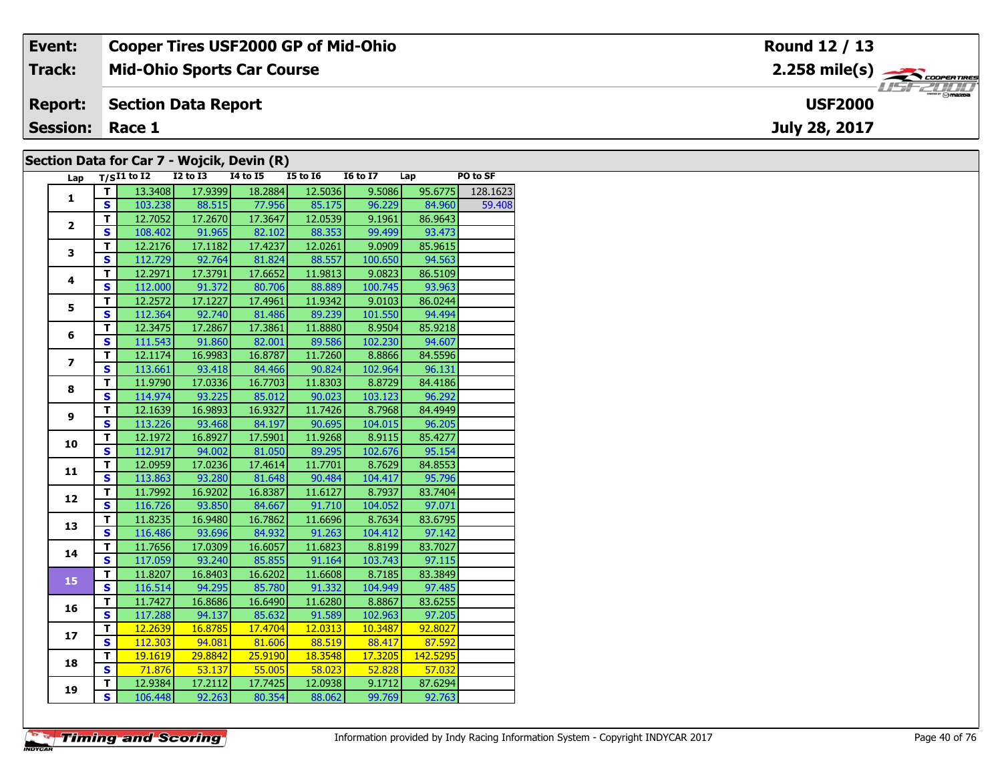| Event:                                     | <b>Cooper Tires USF2000 GP of Mid-Ohio</b> | Round 12 / 13                                             |  |  |  |  |  |  |  |  |
|--------------------------------------------|--------------------------------------------|-----------------------------------------------------------|--|--|--|--|--|--|--|--|
| Track:                                     | <b>Mid-Ohio Sports Car Course</b>          | $2.258$ mile(s) $\overbrace{\hspace{2.5cm}}$ coorga Times |  |  |  |  |  |  |  |  |
| <b>Report:</b>                             | Section Data Report                        | <b>USF2000</b>                                            |  |  |  |  |  |  |  |  |
| <b>Session: Race 1</b>                     |                                            | July 28, 2017                                             |  |  |  |  |  |  |  |  |
| Section Data for Car 7 - Woicik, Devin (R) |                                            |                                                           |  |  |  |  |  |  |  |  |

#### **Section Data for Car 7 - Wojcik, Devin (R)**

| Lap            |                         | $T/SI1$ to $I2$ | <b>I2 to I3</b> | <b>14 to 15</b> | $15$ to $16$ | <b>16 to 17</b> | Lap      | PO to SF |
|----------------|-------------------------|-----------------|-----------------|-----------------|--------------|-----------------|----------|----------|
|                | T                       | 13.3408         | 17.9399         | 18.2884         | 12.5036      | 9.5086          | 95.6775  | 128.1623 |
| $\mathbf{1}$   | S                       | 103.238         | 88.515          | 77.956          | 85.175       | 96.229          | 84.960   | 59.408   |
|                | T.                      | 12.7052         | 17.2670         | 17.3647         | 12.0539      | 9.1961          | 86.9643  |          |
| $\overline{2}$ | S                       | 108.402         | 91.965          | 82.102          | 88.353       | 99.499          | 93.473   |          |
|                | T                       | 12.2176         | 17.1182         | 17.4237         | 12.0261      | 9.0909          | 85.9615  |          |
| 3              | $\overline{\mathbf{s}}$ | 112.729         | 92.764          | 81.824          | 88.557       | 100.650         | 94.563   |          |
|                | T                       | 12.2971         | 17.3791         | 17.6652         | 11.9813      | 9.0823          | 86.5109  |          |
| 4              | $\mathbf{s}$            | 112.000         | 91.372          | 80.706          | 88.889       | 100.745         | 93.963   |          |
|                | т                       | 12.2572         | 17.1227         | 17.4961         | 11.9342      | 9.0103          | 86.0244  |          |
| 5              | $\mathbf{s}$            | 112.364         | 92.740          | 81.486          | 89.239       | 101.550         | 94.494   |          |
|                | T                       | 12.3475         | 17.2867         | 17.3861         | 11.8880      | 8.9504          | 85.9218  |          |
| 6              | $\overline{\mathbf{s}}$ | 111.543         | 91.860          | 82.001          | 89.586       | 102.230         | 94.607   |          |
|                | т                       | 12.1174         | 16.9983         | 16.8787         | 11.7260      | 8.8866          | 84.5596  |          |
| 7              | $\overline{\mathbf{s}}$ | 113.661         | 93.418          | 84.466          | 90.824       | 102.964         | 96.131   |          |
|                | T                       | 11.9790         | 17.0336         | 16.7703         | 11.8303      | 8.8729          | 84.4186  |          |
| 8              | $\mathbf{s}$            | 114.974         | 93.225          | 85.012          | 90.023       | 103.123         | 96.292   |          |
|                | T.                      | 12.1639         | 16.9893         | 16.9327         | 11.7426      | 8.7968          | 84.4949  |          |
| 9              | $\overline{\mathbf{s}}$ | 113.226         | 93.468          | 84.197          | 90.695       | 104.015         | 96.205   |          |
|                | T                       | 12.1972         | 16.8927         | 17.5901         | 11.9268      | 8.9115          | 85.4277  |          |
| 10             | S                       | 112.917         | 94.002          | 81.050          | 89.295       | 102.676         | 95.154   |          |
|                | $\overline{\mathsf{r}}$ | 12.0959         | 17.0236         | 17.4614         | 11.7701      | 8.7629          | 84.8553  |          |
| 11             | S                       | 113.863         | 93.280          | 81.648          | 90.484       | 104.417         | 95.796   |          |
|                | $\overline{\mathsf{r}}$ | 11.7992         | 16.9202         | 16.8387         | 11.6127      | 8.7937          | 83.7404  |          |
| 12             | $\overline{\mathbf{s}}$ | 116.726         | 93.850          | 84.667          | 91.710       | 104.052         | 97.071   |          |
| 13             | Ŧ                       | 11.8235         | 16.9480         | 16.7862         | 11.6696      | 8.7634          | 83.6795  |          |
|                | S                       | 116.486         | 93.696          | 84.932          | 91.263       | 104.412         | 97.142   |          |
| 14             | $\mathbf T$             | 11.7656         | 17.0309         | 16.6057         | 11.6823      | 8.8199          | 83.7027  |          |
|                | $\mathbf{s}$            | 117.059         | 93.240          | 85.855          | 91.164       | 103.743         | 97.115   |          |
| 15             | T                       | 11.8207         | 16.8403         | 16.6202         | 11.6608      | 8.7185          | 83.3849  |          |
|                | $\overline{\mathbf{s}}$ | 116.514         | 94.295          | 85.780          | 91.332       | 104.949         | 97.485   |          |
|                | T                       | 11.7427         | 16.8686         | 16.6490         | 11.6280      | 8.8867          | 83.6255  |          |
| 16             | $\overline{\mathbf{s}}$ | 117.288         | 94.137          | 85.632          | 91.589       | 102.963         | 97.205   |          |
| 17             | T                       | 12.2639         | 16.8785         | 17.4704         | 12.0313      | 10.3487         | 92.8027  |          |
|                | S                       | 112.303         | 94.081          | 81.606          | 88.519       | 88.417          | 87.592   |          |
| 18             | T                       | 19.1619         | 29.8842         | 25.9190         | 18.3548      | 17.3205         | 142.5295 |          |
|                | S                       | 71.876          | 53.137          | 55.005          | 58.023       | 52.828          | 57.032   |          |
| 19             | т                       | 12.9384         | 17.2112         | 17.7425         | 12.0938      | 9.1712          | 87.6294  |          |
|                | $\overline{\mathbf{s}}$ | 106.448         | 92.263          | 80.354          | 88.062       | 99.769          | 92.763   |          |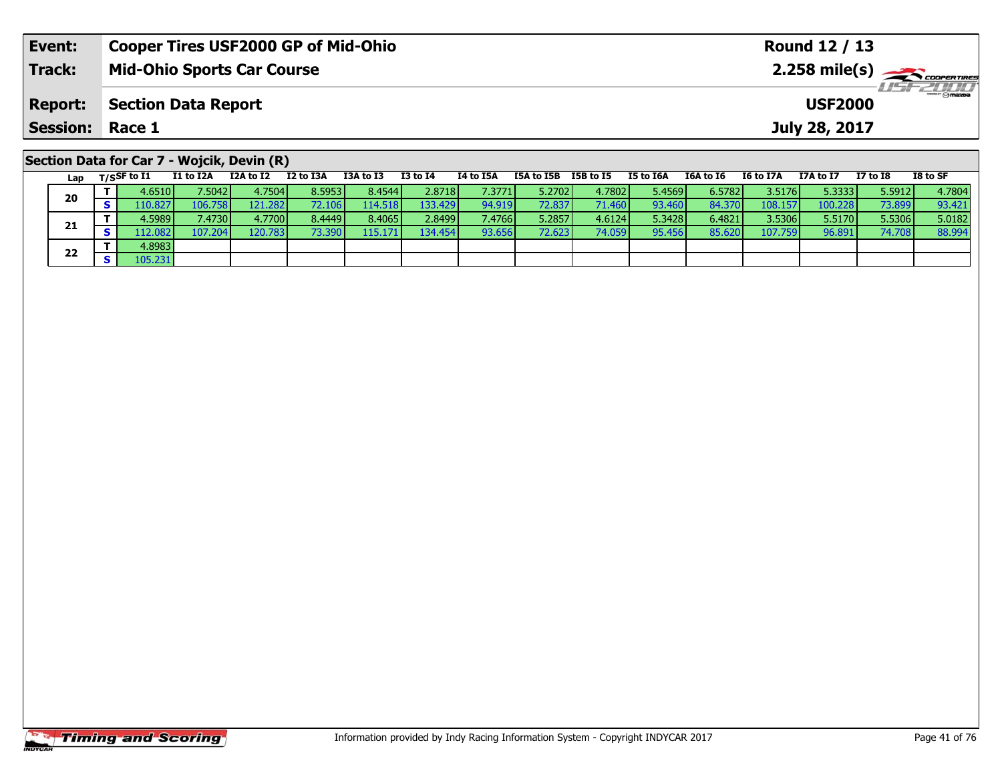| Event:                 | <b>Cooper Tires USF2000 GP of Mid-Ohio</b>                                                                                       | Round 12 / 13                                               |  |  |  |  |  |  |  |  |  |  |  |
|------------------------|----------------------------------------------------------------------------------------------------------------------------------|-------------------------------------------------------------|--|--|--|--|--|--|--|--|--|--|--|
| <b>Track:</b>          | <b>Mid-Ohio Sports Car Course</b>                                                                                                | <b>LISF 2010</b>                                            |  |  |  |  |  |  |  |  |  |  |  |
| <b>Report:</b>         | <b>Section Data Report</b><br><b>USF2000</b>                                                                                     |                                                             |  |  |  |  |  |  |  |  |  |  |  |
| <b>Session: Race 1</b> |                                                                                                                                  | July 28, 2017                                               |  |  |  |  |  |  |  |  |  |  |  |
|                        | Section Data for Car 7 - Wojcik, Devin (R)                                                                                       |                                                             |  |  |  |  |  |  |  |  |  |  |  |
| Lap                    | I2 to I3A<br>I3A to I3<br>I3 to I4<br>I1 to I2A<br>I2A to I2<br>I4 to I5A<br>I5B to I5<br>T/SSF to I1<br>I5A to I5B<br>I5 to I6A | I8 to SF<br>I7A to I7<br>I7 to I8<br>I6A to I6<br>I6 to I7A |  |  |  |  |  |  |  |  |  |  |  |

0 | T | 4.6510| 7.5042| 4.7504| 8.5953| 8.4544| 2.8718| 7.3771| 5.2702| 4.7802| 5.4569| 6.5782| 3.5176| 5.3333| 5.5912| 4.7804<br>| S | 110.827| 106.758| 121.282| 72.106| 114.518| 133.429| 94.919| 72.837| 71.460| 93.460| 84.3

1 T 4.5989 7.4730 4.7700 8.4449 8.4065 2.8499 7.4766 5.2857 4.6124 5.3428 6.4821 3.5306 5.5170 5.5306 5.0182<br>1 S 112.082 107.204 120.783 73.390 115.171 134.454 93.656 72.623 74.059 95.456 85.620 107.759 96.891 74.708 88.99

**20**

**21**

**22**

**<sup>T</sup>** 4.8983 **<sup>S</sup>** 105.231

93.421<br>5.0182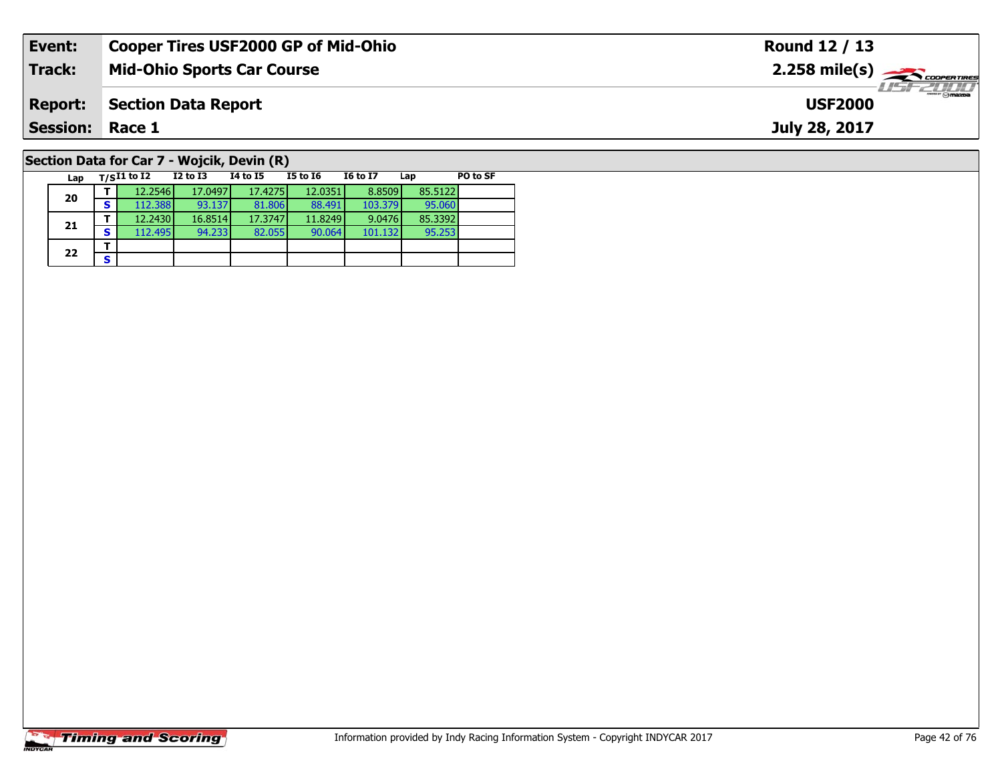| Event:                 | <b>Cooper Tires USF2000 GP of Mid-Ohio</b> |                                            |          |          |                 |     |                                                        | Round 12 / 13 |  |  |  |  |  |
|------------------------|--------------------------------------------|--------------------------------------------|----------|----------|-----------------|-----|--------------------------------------------------------|---------------|--|--|--|--|--|
| <b>Track:</b>          | <b>Mid-Ohio Sports Car Course</b>          |                                            |          |          |                 |     | $2.258$ mile(s) $\overbrace{\hspace{2cm}}$ coorentines |               |  |  |  |  |  |
| <b>Report:</b>         | <b>Section Data Report</b>                 |                                            |          |          |                 |     | <i>USF 2000</i><br><b>USF2000</b>                      |               |  |  |  |  |  |
| <b>Session: Race 1</b> |                                            |                                            |          |          |                 |     |                                                        | July 28, 2017 |  |  |  |  |  |
|                        |                                            | Section Data for Car 7 - Wojcik, Devin (R) |          |          |                 |     |                                                        |               |  |  |  |  |  |
| Lap                    | $T/SI1$ to I2                              | I2 to I3                                   | 14 to 15 | I5 to 16 | <b>16 to 17</b> | Lap | PO to SF                                               |               |  |  |  |  |  |

# **Timing and Scoring**

**20**

**21**

 $22$   $\frac{1}{s}$ 

**<sup>T</sup>** 12.2546 17.0497 17.4275 12.0351 8.8509 85.5122 **<sup>S</sup>** 112.388 93.137 81.806 88.491 103.379 95.060

**<sup>T</sup>** 12.2430 16.8514 17.3747 11.8249 9.0476 85.3392 **<sup>S</sup>** 112.495 94.233 82.055 90.064 101.132 95.253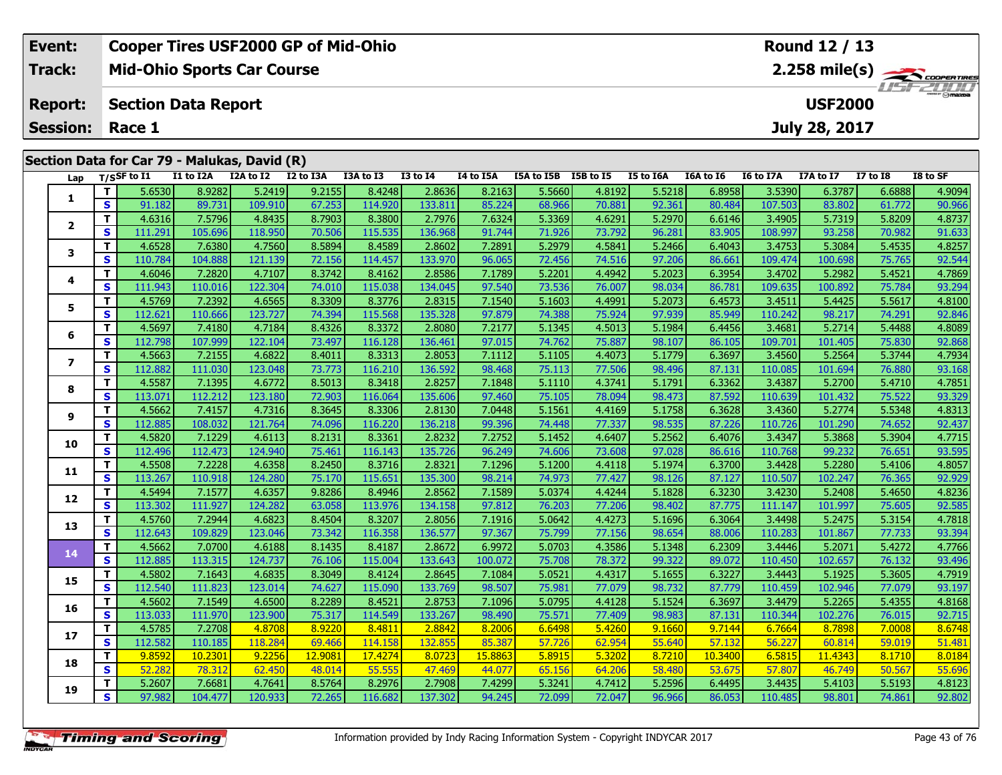| Event:                 | <b>Cooper Tires USF2000 GP of Mid-Ohio</b>   | Round 12 / 13                                    |
|------------------------|----------------------------------------------|--------------------------------------------------|
| Track:                 | <b>Mid-Ohio Sports Car Course</b>            | $2.258$ mile(s) $\frac{1}{\sqrt{2}}$ coorer Time |
| <b>Report:</b>         | Section Data Report                          | <b>LISE 2000</b><br><b>USF2000</b>               |
| <b>Session: Race 1</b> |                                              | July 28, 2017                                    |
|                        | Section Data for Car 79 - Malukas, David (R) |                                                  |

| Lap            |                         | T/SSF to I1 | I1 to I2A | I2A to I2 | I2 to I3A | I3A to I3 | <b>I3 to I4</b> | I4 to I5A | I5A to I5B I5B to I5 |        | I5 to I6A | I6A to I6 | I6 to I7A | I7A to I7 | <b>I7 to I8</b> | I8 to SF |
|----------------|-------------------------|-------------|-----------|-----------|-----------|-----------|-----------------|-----------|----------------------|--------|-----------|-----------|-----------|-----------|-----------------|----------|
| 1              | T.                      | 5.6530      | 8.9282    | 5.2419    | 9.2155    | 8.4248    | 2.8636          | 8.2163    | 5.5660               | 4.8192 | 5.5218    | 6.8958    | 3.5390    | 6.3787    | 6.6888          | 4.9094   |
|                | $\mathbf{s}$            | 91.182      | 89.731    | 109.910   | 67.253    | 114.920   | 133.811         | 85.224    | 68.966               | 70.881 | 92.361    | 80.484    | 107.503   | 83.802    | 61.772          | 90.966   |
|                | T.                      | 4.6316      | 7.5796    | 4.8435    | 8.7903    | 8.3800    | 2.7976          | 7.6324    | 5.3369               | 4.6291 | 5.2970    | 6.6146    | 3.4905    | 5.7319    | 5.8209          | 4.8737   |
| $\mathbf{2}$   | $\overline{\mathbf{s}}$ | 111.291     | 105.696   | 118.950   | 70.506    | 115.535   | 136.968         | 91.744    | 71.926               | 73.792 | 96.281    | 83.905    | 108.997   | 93.258    | 70.982          | 91.633   |
| 3              | T.                      | 4.6528      | 7.6380    | 4.7560    | 8.5894    | 8.4589    | 2.8602          | 7.2891    | 5.2979               | 4.5841 | 5.2466    | 6.4043    | 3.4753    | 5.3084    | 5.4535          | 4.8257   |
|                | S                       | 110.784     | 104.888   | 121.139   | 72.156    | 114.457   | 133.970         | 96.065    | 72.456               | 74.516 | 97.206    | 86.661    | 109.474   | 100.698   | 75.765          | 92.544   |
| 4              | T.                      | 4.6046      | 7.2820    | 4.7107    | 8.3742    | 8.4162    | 2.8586          | 7.1789    | 5.2201               | 4.4942 | 5.2023    | 6.3954    | 3.4702    | 5.2982    | 5.4521          | 4.7869   |
|                | S                       | 111.943     | 110.016   | 122.304   | 74.010    | 115.038   | 134.045         | 97.540    | 73.536               | 76.007 | 98.034    | 86.781    | 109.635   | 100.892   | 75.784          | 93.294   |
| 5              | T.                      | 4.5769      | 7.2392    | 4.6565    | 8.3309    | 8.3776    | 2.8315          | 7.1540    | 5.1603               | 4.4991 | 5.2073    | 6.4573    | 3.4511    | 5.4425    | 5.5617          | 4.8100   |
|                | S                       | 112.621     | 110.666   | 123.727   | 74.394    | 115.568   | 135.328         | 97.879    | 74.388               | 75.924 | 97.939    | 85.949    | 110.242   | 98.217    | 74.291          | 92.846   |
| 6              | T                       | 4.5697      | 7.4180    | 4.7184    | 8.4326    | 8.3372    | 2.8080          | 7.2177    | 5.1345               | 4.5013 | 5.1984    | 6.4456    | 3.4681    | 5.2714    | 5.4488          | 4.8089   |
|                | S                       | 112.798     | 107.999   | 122.104   | 73.497    | 116.128   | 136.461         | 97.015    | 74.762               | 75.887 | 98.107    | 86.105    | 109.701   | 101.405   | 75.830          | 92.868   |
| $\overline{ }$ | T.                      | 4.5663      | 7.2155    | 4.6822    | 8.4011    | 8.3313    | 2.8053          | 7.1112    | 5.1105               | 4.4073 | 5.1779    | 6.3697    | 3.4560    | 5.2564    | 5.3744          | 4.7934   |
|                | $\mathbf{s}$            | 112.882     | 111.030   | 123.048   | 73.773    | 116.210   | 136.592         | 98.468    | 75.113               | 77.506 | 98.496    | 87.131    | 110.085   | 101.694   | 76.880          | 93.168   |
| 8              | T.                      | 4.5587      | 7.1395    | 4.6772    | 8.5013    | 8.3418    | 2.8257          | 7.1848    | 5.1110               | 4.3741 | 5.1791    | 6.3362    | 3.4387    | 5.2700    | 5.4710          | 4.7851   |
|                | $\overline{\mathbf{s}}$ | 113.071     | 112.212   | 123.180   | 72.903    | 116.064   | 135.606         | 97.460    | 75.105               | 78.094 | 98.473    | 87.592    | 110.639   | 101.432   | 75.522          | 93.329   |
| 9              | T                       | 4.5662      | 7.4157    | 4.7316    | 8.3645    | 8.3306    | 2.8130          | 7.0448    | 5.1561               | 4.4169 | 5.1758    | 6.3628    | 3.4360    | 5.2774    | 5.5348          | 4.8313   |
|                | $\overline{\mathbf{s}}$ | 112.885     | 108.032   | 121.764   | 74.096    | 116.220   | 136.218         | 99.396    | 74.448               | 77.337 | 98.535    | 87.226    | 110.726   | 101.290   | 74.652          | 92.437   |
| 10             | T.                      | 4.5820      | 7.1229    | 4.6113    | 8.2131    | 8.3361    | 2.8232          | 7.2752    | 5.1452               | 4.6407 | 5.2562    | 6.4076    | 3.4347    | 5.3868    | 5.3904          | 4.7715   |
|                | S                       | 112.496     | 112.473   | 124.940   | 75.461    | 116.143   | 135.726         | 96.249    | 74.606               | 73.608 | 97.028    | 86.616    | 110.768   | 99.232    | 76.651          | 93.595   |
| 11             | T                       | 4.5508      | 7.2228    | 4.6358    | 8.2450    | 8.3716    | 2.8321          | 7.1296    | 5.1200               | 4.4118 | 5.1974    | 6.3700    | 3.4428    | 5.2280    | 5.4106          | 4.8057   |
|                | $\mathbf{s}$            | 113.267     | 110.918   | 124.280   | 75.170    | 115.651   | 135.300         | 98.214    | 74.973               | 77.427 | 98.126    | 87.127    | 110.507   | 102.247   | 76.365          | 92.929   |
| 12             | T.                      | 4.5494      | 7.1577    | 4.6357    | 9.8286    | 8.4946    | 2.8562          | 7.1589    | 5.0374               | 4.4244 | 5.1828    | 6.3230    | 3.4230    | 5.2408    | 5.4650          | 4.8236   |
|                | S                       | 113.302     | 111.927   | 124.282   | 63.058    | 113.976   | 134.158         | 97.812    | 76.203               | 77.206 | 98.402    | 87.775    | 111.147   | 101.997   | 75.605          | 92.585   |
| 13             | $\overline{\mathbf{T}}$ | 4.5760      | 7.2944    | 4.6823    | 8.4504    | 8.3207    | 2.8056          | 7.1916    | 5.0642               | 4.4273 | 5.1696    | 6.3064    | 3.4498    | 5.2475    | 5.3154          | 4.7818   |
|                | $\overline{\mathbf{s}}$ | 112.643     | 109.829   | 123.046   | 73.342    | 116.358   | 136.577         | 97.367    | 75.799               | 77.156 | 98.654    | 88.006    | 110.283   | 101.867   | 77.733          | 93.394   |
| 14             | T.                      | 4.5662      | 7.0700    | 4.6188    | 8.1435    | 8.4187    | 2.8672          | 6.9972    | 5.0703               | 4.3586 | 5.1348    | 6.2309    | 3.4446    | 5.2071    | 5.4272          | 4.7766   |
|                | S                       | 112.885     | 113.315   | 124.737   | 76.106    | 115.004   | 133.643         | 100.072   | 75.708               | 78.372 | 99.322    | 89.072    | 110.450   | 102.657   | 76.132          | 93.496   |
| 15             | T.                      | 4.5802      | 7.1643    | 4.6835    | 8.3049    | 8.4124    | 2.8645          | 7.1084    | 5.0521               | 4.4317 | 5.1655    | 6.3227    | 3.4443    | 5.1925    | 5.3605          | 4.7919   |
|                | $\overline{\mathbf{s}}$ | 112.540     | 111.823   | 123.014   | 74.627    | 115.090   | 133.769         | 98.507    | 75.981               | 77.079 | 98.732    | 87.779    | 110.459   | 102.946   | 77.079          | 93.197   |
| 16             | T.                      | 4.5602      | 7.1549    | 4.6500    | 8.2289    | 8.4521    | 2.8753          | 7.1096    | 5.0795               | 4.4128 | 5.1524    | 6.3697    | 3.4479    | 5.2265    | 5.4355          | 4.8168   |
|                | $\mathbf{s}$            | 113.033     | 111.970   | 123.900   | 75.317    | 114.549   | 133.267         | 98.490    | 75.571               | 77.409 | 98.983    | 87.131    | 110.344   | 102.276   | 76.015          | 92.715   |
| 17             | T.                      | 4.5785      | 7.2708    | 4.8708    | 8.9220    | 8.4811    | 2.8842          | 8.2006    | 6.6498               | 5.4260 | 9.1660    | 9.7144    | 6.7664    | 8.7898    | 7.0008          | 8.6748   |
|                | $\mathbf{s}$            | 112.582     | 110.185   | 118.284   | 69.466    | 114.158   | 132.855         | 85.387    | 57.726               | 62.954 | 55.640    | 57.132    | 56.227    | 60.814    | 59.019          | 51.481   |
| 18             | T                       | 9.8592      | 10.2301   | 9.2256    | 12.9081   | 17.4274   | 8.0723          | 15.8863   | 5.8915               | 5.3202 | 8.7210    | 10.3400   | 6.5815    | 11.4343   | 8.1710          | 8.0184   |
|                | $\mathbf{s}$            | 52.282      | 78.312    | 62.450    | 48.014    | 55.555    | 47.469          | 44.077    | 65.156               | 64.206 | 58.480    | 53.675    | 57.807    | 46.749    | 50.567          | 55.696   |
| 19             | T.                      | 5.2607      | 7.6681    | 4.7641    | 8.5764    | 8.2976    | 2.7908          | 7.4299    | 5.3241               | 4.7412 | 5.2596    | 6.4495    | 3.4435    | 5.4103    | 5.5193          | 4.8123   |
|                | $\overline{\mathbf{s}}$ | 97.982      | 104.477   | 120.933   | 72.265    | 116.682   | 137.302         | 94.245    | 72.099               | 72.047 | 96.966    | 86.053    | 110.485   | 98.801    | 74.861          | 92.802   |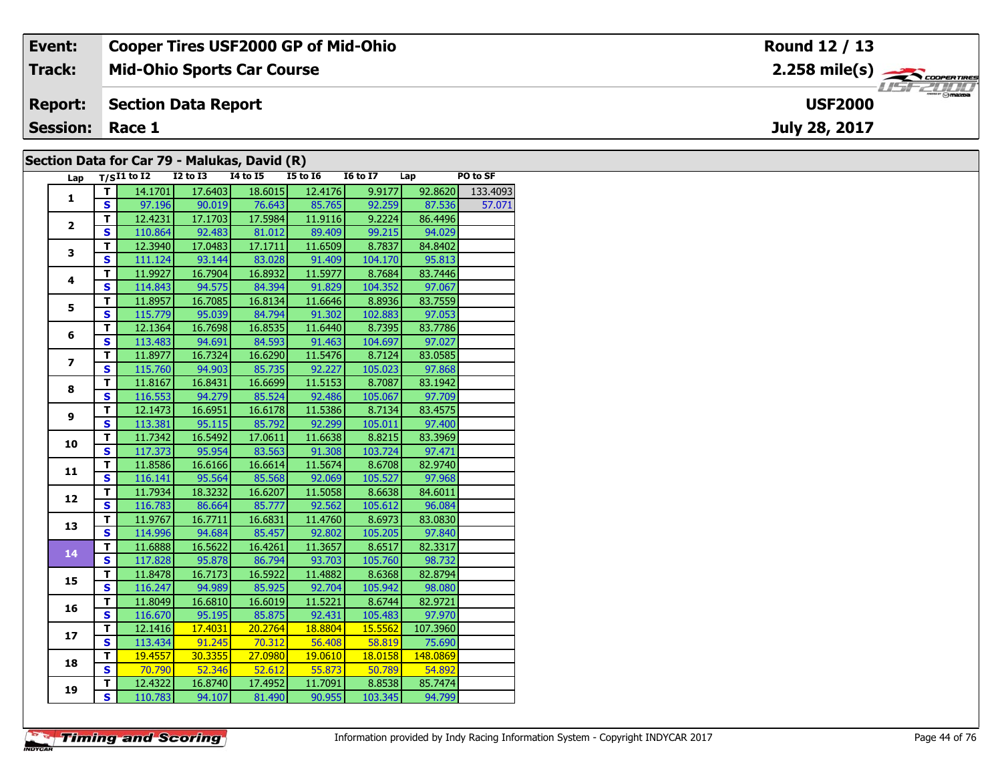| Event:                                       | <b>Cooper Tires USF2000 GP of Mid-Ohio</b> | Round 12 / 13                                         |  |  |  |  |  |  |  |  |
|----------------------------------------------|--------------------------------------------|-------------------------------------------------------|--|--|--|--|--|--|--|--|
| Track:                                       | <b>Mid-Ohio Sports Car Course</b>          | $2.258$ mile(s) $\overbrace{\hspace{2cm}}$ coorganges |  |  |  |  |  |  |  |  |
| <b>Report:</b>                               | Section Data Report                        | <b>USF2000</b>                                        |  |  |  |  |  |  |  |  |
| <b>Session: Race 1</b>                       |                                            | July 28, 2017                                         |  |  |  |  |  |  |  |  |
| Section Data for Car 79 - Malukas, David (R) |                                            |                                                       |  |  |  |  |  |  |  |  |

### **Section Data for Car 79 - Malukas, David (R)**

| Lap            |                         | $T/SI1$ to $I2$ | $I2$ to $\overline{I3}$ | -, - - - - - 1 - 7<br><b>14 to 15</b> | $I5$ to $I6$                | $\overline{16}$ to $\overline{17}$ Lap |          | PO to SF |
|----------------|-------------------------|-----------------|-------------------------|---------------------------------------|-----------------------------|----------------------------------------|----------|----------|
| $\mathbf{1}$   | T.                      | 14.1701         | 17.6403                 | 18.6015                               | 12.4176                     | 9.9177                                 | 92.8620  | 133.4093 |
|                | S                       |                 |                         |                                       | 97.196 90.019 76.643 85.765 | 92.259                                 | 87.536   | 57.071   |
|                | $\overline{\mathsf{T}}$ | 12.4231         | 17.1703                 |                                       | 17.5984 11.9116             | 9.2224                                 | 86.4496  |          |
| $\overline{2}$ | $\overline{\mathbf{s}}$ | 110.864         | 92.483                  |                                       | 81.012 89.409               | 99.215                                 | 94.029   |          |
|                | $\mathbf T$             | 12.3940         | 17.0483                 | 17.1711                               | 11.6509                     | 8.7837                                 | 84.8402  |          |
| 3              | S                       | 111.124         | 93.144                  | 83.028                                | 91.409                      | 104.170                                | 95.813   |          |
|                | $\overline{\mathsf{r}}$ | 11.9927         | 16.7904                 | 16.8932                               | 11.5977                     | 8.7684                                 | 83.7446  |          |
| 4              | $\overline{\mathbf{s}}$ | 114.843         | 94.575                  | 84.394                                | 91.829                      | 104.352                                | 97.067   |          |
|                | T                       | 11.8957         | 16.7085                 | 16.8134                               | 11.6646                     | 8.8936                                 | 83.7559  |          |
| 5              | $\mathbf{s}$            | 115.779         | 95.039                  | 84.794                                | 91.302                      | 102.883                                | 97.053   |          |
|                | T                       | 12.1364         | 16.7698                 | 16.8535                               | 11.6440                     | 8.7395                                 | 83.7786  |          |
| 6              | S                       | 113.483         | 94.691                  | 84.593                                | 91.463                      | 104.697                                | 97.027   |          |
|                | $\overline{\mathsf{r}}$ | 11.8977         | 16.7324                 | 16.6290                               | 11.5476                     | 8.7124                                 | 83.0585  |          |
| $\overline{z}$ | $\overline{\mathbf{s}}$ | 115.760         | 94.903                  | 85.735                                | 92.227                      | 105.023                                | 97.868   |          |
| 8              | Ŧ                       | 11.8167         | 16.8431                 | 16.6699                               | 11.5153                     | 8.7087                                 | 83.1942  |          |
|                | $\overline{\mathbf{s}}$ | 116.553         | 94.279                  | 85.524                                | 92.486                      | 105.067                                | 97.709   |          |
|                | $\mathbf{T}$            | 12.1473         | 16.6951                 | 16.6178                               | 11.5386                     | 8.7134                                 | 83.4575  |          |
| 9              | $\mathbf{s}$            | 113.381         | 95.115                  | 85.792                                | 92.299                      | 105.011                                | 97.400   |          |
| 10             | T                       | 11.7342         | 16.5492                 | 17.0611                               | 11.6638                     | 8.8215                                 | 83.3969  |          |
|                | $\overline{\mathbf{s}}$ | 117.373         | 95.954                  | 83.563                                | 91.308                      | 103.724                                | 97.471   |          |
| 11             | $\overline{\mathbf{T}}$ | 11.8586         | 16.6166                 | 16.6614                               | 11.5674                     | 8.6708                                 | 82.9740  |          |
|                | $\overline{\mathbf{s}}$ | 116.141         | 95.564                  |                                       | 85.568 92.069               | 105.527                                | 97.968   |          |
| 12             | T                       | 11.7934         | 18.3232                 | 16.6207                               | 11.5058                     | 8.6638                                 | 84.6011  |          |
|                | $\overline{\mathbf{s}}$ | 116.783         | 86.664                  | 85.777                                | 92.562                      | 105.612                                | 96.084   |          |
| 13             | $\overline{\mathsf{r}}$ | 11.9767         | 16.7711                 | 16.6831                               | 11.4760                     | 8.6973                                 | 83.0830  |          |
|                | $\overline{\mathbf{s}}$ | 114.996         | 94.684                  | 85.457                                | 92.802                      | 105.205                                | 97.840   |          |
| 14             | T                       | 11.6888         | 16.5622                 | 16.4261                               | 11.3657                     | 8.6517                                 | 82.3317  |          |
|                | $\overline{\mathbf{s}}$ | 117.828         | 95.878                  | 86.794                                | 93.703                      | 105.760                                | 98.732   |          |
| 15             | т                       | 11.8478         | 16.7173                 | 16.5922                               | 11.4882                     | 8.6368                                 | 82.8794  |          |
|                | $\overline{\mathbf{s}}$ | 116.247         | 94.989                  | 85.925                                | 92.704                      | 105.942                                | 98.080   |          |
| 16             | T                       | 11.8049         | 16.6810                 | 16.6019                               | 11.5221                     | 8.6744                                 | 82.9721  |          |
|                | $\overline{\mathbf{s}}$ | 116.670         |                         | 95.195 85.875                         | 92.431                      | 105.483                                | 97.970   |          |
| 17             | т                       | 12.1416         | 17.4031                 | $\overline{20.2764}$                  | 18.8804                     | 15.5562                                | 107.3960 |          |
|                | $\overline{\mathbf{s}}$ | 113.434         | 91.245                  | 70.312                                | 56.408                      | 58.819                                 | 75.690   |          |
| 18             | $\overline{\mathsf{r}}$ | 19.4557         | 30.3355                 | 27.0980                               | 19.0610                     | 18.0158                                | 148.0869 |          |
|                | $\mathbf{s}$            | 70.790          | 52.346                  | 52.612                                | 55.873                      | 50.789                                 | 54.892   |          |
| 19             | T                       | 12.4322         | 16.8740                 | 17.4952                               | 11.7091                     | 8.8538                                 | 85.7474  |          |
|                | $\overline{\mathbf{s}}$ | 110.783         | 94.107                  | 81.490                                | 90.955                      | 103.345                                | 94.799   |          |

**Timing and Scoring**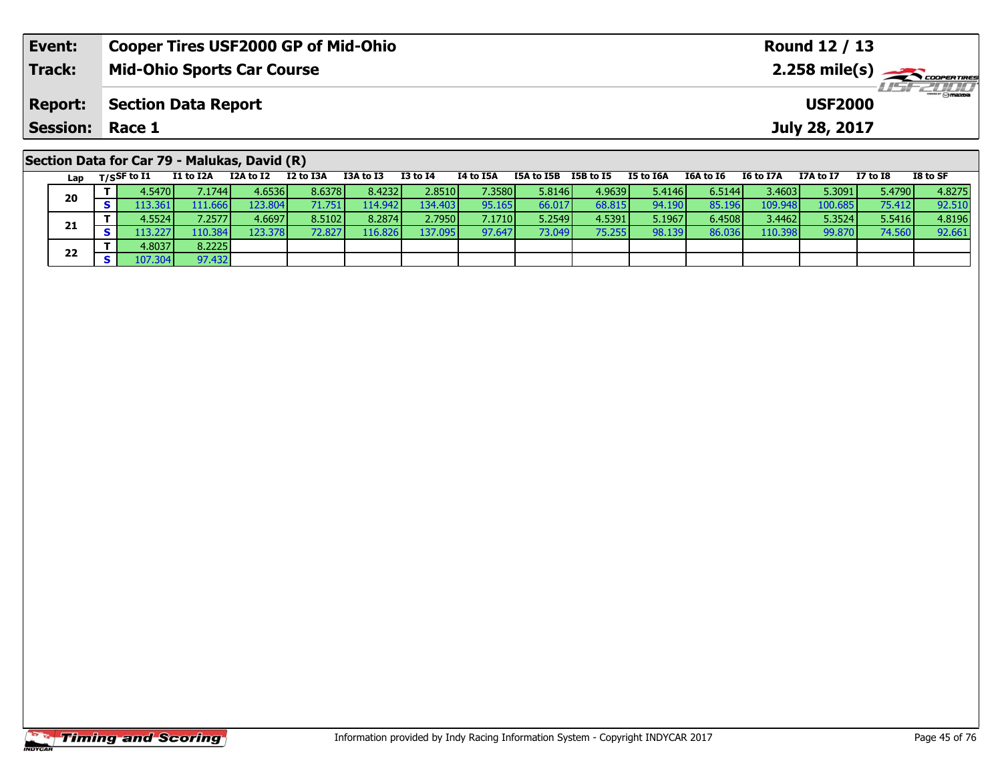| Event:                                       | <b>Cooper Tires USF2000 GP of Mid-Ohio</b> |                                     |           |                               | Round 12 / 13 |                                        |  |  |  |                                         |                  |                 |          |
|----------------------------------------------|--------------------------------------------|-------------------------------------|-----------|-------------------------------|---------------|----------------------------------------|--|--|--|-----------------------------------------|------------------|-----------------|----------|
| <b>Track:</b>                                | <b>Mid-Ohio Sports Car Course</b>          |                                     |           |                               |               |                                        |  |  |  | $2.258$ mile(s) $\leftarrow$ coorgannes |                  |                 |          |
| <b>Report:</b>                               | <b>Section Data Report</b>                 |                                     |           | $H = -2010$<br><b>USF2000</b> |               |                                        |  |  |  |                                         |                  |                 |          |
| <b>Session:</b>                              | Race 1                                     |                                     |           |                               |               |                                        |  |  |  |                                         | July 28, 2017    |                 |          |
| Section Data for Car 79 - Malukas, David (R) | $1 - r$ $T/c$ CF to T1                     | $T1 + 6$ $T2A$ $T2A + 6$ $T2$ $T2A$ | T3A to T3 | T3 to T4                      | TA to T5A     | <b>ISA to ISR ISR to IS  IS to IGA</b> |  |  |  | T6A to T6 T6 to T7A                     | <b>178 to 17</b> | <b>T7 to TR</b> | TR to SE |

| Lap | $T/S$ SF to $I1$ | I1 to I2A       | I2A to I2        | I2 to I3A | I3A to I3 | $I3$ to $I4$ | I4 to I5A | I5A to I5B | I5B to I5 | I5 to I6A | I6A to I6 | I6 to I7A | I7A to I7 | I7 to I8 | I8 to SF |
|-----|------------------|-----------------|------------------|-----------|-----------|--------------|-----------|------------|-----------|-----------|-----------|-----------|-----------|----------|----------|
| 20  | 4.5470           | 7.1744 <b>I</b> | 4.6536           | 8.6378    | 8.4232    | 2.8510       | 7.3580    | 5.8146     | 4.9639    | 5.4146    | 6.5144    | 3.4603    | 5.3091    | 5.4790   | 4.8275   |
|     | 13.361           | 111.666 I       | 123.804 <b>1</b> | 71.7511   | 114.9421  | 134.403      | 95.165    | 66.017     | 68.815    | 94.190    | 85.196    | 109.948   | 100.685   | 75.412   | 92.510   |
|     | 4.5524           | 7.2577          | 4.6697           | 8.5102    | 8.2874    | 2.7950       | 7.1710    | 5.2549     | 4.5391    | 5.1967    | 6.4508    | 3.4462    | 5.3524    | 5.5416   | 4.8196   |
| 21  | 13.227           | 110.384         | 123.3781         | 72.827    | 116.826   | 137.095      | 97.647    | 73.049     | 75.255    | 98.139    | 86.036    | 110.398   | 99.870    | 74.560   | 92.661   |
| 22  | 4.8037           | 8.2225          |                  |           |           |              |           |            |           |           |           |           |           |          |          |
|     | 107.304          | 97.432          |                  |           |           |              |           |            |           |           |           |           |           |          |          |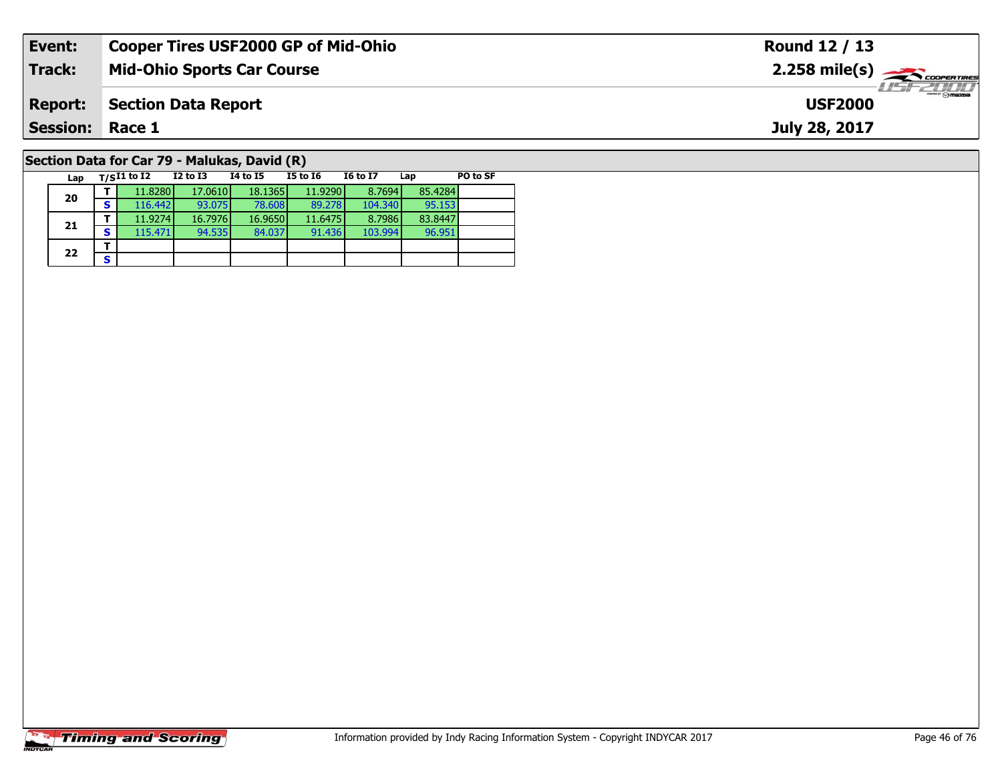| Event:                                       |                                   |          |          |          | <b>Cooper Tires USF2000 GP of Mid-Ohio</b> |     |          | Round 12 / 13                                          |  |  |  |  |  |  |  |
|----------------------------------------------|-----------------------------------|----------|----------|----------|--------------------------------------------|-----|----------|--------------------------------------------------------|--|--|--|--|--|--|--|
| Track:                                       | <b>Mid-Ohio Sports Car Course</b> |          |          |          |                                            |     |          | $2.258$ mile(s) $\overbrace{\hspace{2cm}}$ coorentines |  |  |  |  |  |  |  |
| <b>Report:</b>                               | <b>Section Data Report</b>        |          |          |          |                                            |     |          | 2111<br><b>USF2000</b>                                 |  |  |  |  |  |  |  |
| <b>Session: Race 1</b>                       |                                   |          |          |          |                                            |     |          | July 28, 2017                                          |  |  |  |  |  |  |  |
| Section Data for Car 79 - Malukas, David (R) |                                   |          |          |          |                                            |     |          |                                                        |  |  |  |  |  |  |  |
| Lap                                          | T/SI1 to I2                       | I2 to I3 | 14 to 15 | I5 to I6 | <b>I6 to I7</b>                            | Lap | PO to SF |                                                        |  |  |  |  |  |  |  |

# **Timing and Scoring**

**20**

**21**

 $22$   $\frac{1}{s}$ 

**d T** 11.8280 17.0610 18.1365 11.9290 8.7694 85.4284<br>**S** 116.442 93.075 78.608 89.278 104.340 95.153

**<sup>T</sup>** 11.9274 16.7976 16.9650 11.6475 8.7986 83.8447 **<sup>S</sup>** 115.471 94.535 84.037 91.436 103.994 96.951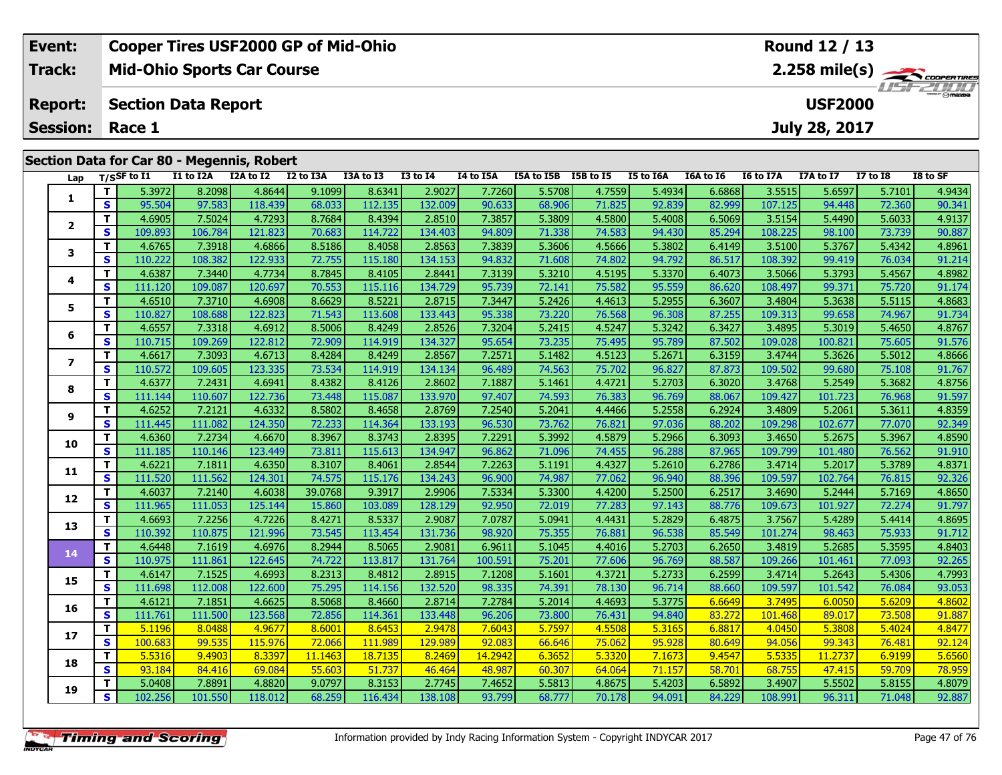| Event:          | <b>Cooper Tires USF2000 GP of Mid-Ohio</b> | Round 12 / 13                                 |
|-----------------|--------------------------------------------|-----------------------------------------------|
| Track:          | <b>Mid-Ohio Sports Car Course</b>          | $2.258$ mile(s) $\frac{1}{2.258}$ coorer Time |
| <b>Report:</b>  | Section Data Report                        | <b>LIST 2000</b><br><b>USF2000</b>            |
| <b>Session:</b> | Race 1                                     | July 28, 2017                                 |
|                 | Section Data for Car 80 - Megennis, Robert |                                               |

| Lap                     |                         | T/SSF to I1 | I1 to I2A | I2A to I2 | I2 to I3A | I3A to I3 | <b>I3 to I4</b> | I4 to I5A | I5A to I5B | I5B to I5 | <b>I5 to I6A</b> | I6A to I6 | I6 to I7A | I7A to I7 | <b>I7 to 18</b> | I8 to SF |
|-------------------------|-------------------------|-------------|-----------|-----------|-----------|-----------|-----------------|-----------|------------|-----------|------------------|-----------|-----------|-----------|-----------------|----------|
|                         | T.                      | 5.3972      | 8.2098    | 4.8644    | 9.1099    | 8.6341    | 2.9027          | 7.7260    | 5.5708     | 4.7559    | 5.4934           | 6.6868    | 3.5515    | 5.6597    | 5.7101          | 4.9434   |
| 1                       | $\overline{\mathbf{s}}$ | 95.504      | 97.583    | 118.439   | 68.033    | 112.135   | 132.009         | 90.633    | 68.906     | 71.825    | 92.839           | 82.999    | 107.125   | 94.448    | 72.360          | 90.341   |
|                         | T                       | 4.6905      | 7.5024    | 4.7293    | 8.7684    | 8.4394    | 2.8510          | 7.3857    | 5.3809     | 4.5800    | 5.4008           | 6.5069    | 3.5154    | 5.4490    | 5.6033          | 4.9137   |
| $\overline{2}$          | $\mathbf{s}$            | 109.893     | 106.784   | 121.823   | 70.683    | 114.722   | 134.403         | 94.809    | 71.338     | 74.583    | 94.430           | 85.294    | 108.225   | 98.100    | 73.739          | 90.887   |
|                         | T                       | 4.6765      | 7.3918    | 4.6866    | 8.5186    | 8.4058    | 2.8563          | 7.3839    | 5.3606     | 4.5666    | 5.3802           | 6.4149    | 3.5100    | 5.3767    | 5.4342          | 4.8961   |
| 3                       | S                       | 110.222     | 108.382   | 122.933   | 72.755    | 115.180   | 134.153         | 94.832    | 71.608     | 74.802    | 94.792           | 86.517    | 108.392   | 99.419    | 76.034          | 91.214   |
|                         | T                       | 4.6387      | 7.3440    | 4.7734    | 8.7845    | 8.4105    | 2.8441          | 7.3139    | 5.3210     | 4.5195    | 5.3370           | 6.4073    | 3.5066    | 5.3793    | 5.4567          | 4.8982   |
| 4                       | $\mathbf{s}$            | 111.120     | 109.087   | 120.697   | 70.553    | 115.116   | 134.729         | 95.739    | 72.141     | 75.582    | 95.559           | 86.620    | 108.497   | 99.371    | 75.720          | 91.174   |
|                         | T.                      | 4.6510      | 7.3710    | 4.6908    | 8.6629    | 8.5221    | 2.8715          | 7.3447    | 5.2426     | 4.4613    | 5.2955           | 6.3607    | 3.4804    | 5.3638    | 5.5115          | 4.8683   |
| 5                       | $\mathbf{s}$            | 110.827     | 108.688   | 122.823   | 71.543    | 113.608   | 133.443         | 95.338    | 73.220     | 76.568    | 96.308           | 87.255    | 109.313   | 99.658    | 74.967          | 91.734   |
|                         | T                       | 4.6557      | 7.3318    | 4.6912    | 8.5006    | 8.4249    | 2.8526          | 7.3204    | 5.2415     | 4.5247    | 5.3242           | 6.3427    | 3.4895    | 5.3019    | 5.4650          | 4.8767   |
| 6                       | S                       | 110.715     | 109.269   | 122.812   | 72.909    | 114.919   | 134.327         | 95.654    | 73.235     | 75.495    | 95.789           | 87.502    | 109.028   | 100.821   | 75.605          | 91.576   |
| $\overline{\mathbf{z}}$ | T                       | 4.6617      | 7.3093    | 4.6713    | 8.4284    | 8.4249    | 2.8567          | 7.2571    | 5.1482     | 4.5123    | 5.2671           | 6.3159    | 3.4744    | 5.3626    | 5.5012          | 4.8666   |
|                         | $\mathbf{s}$            | 110.572     | 109.605   | 123.335   | 73.534    | 114.919   | 134.134         | 96.489    | 74.563     | 75.702    | 96.827           | 87.873    | 109.502   | 99.680    | 75.108          | 91.767   |
| 8                       | T                       | 4.6377      | 7.2431    | 4.6941    | 8.4382    | 8.4126    | 2.8602          | 7.1887    | 5.1461     | 4.4721    | 5.2703           | 6.3020    | 3.4768    | 5.2549    | 5.3682          | 4.8756   |
|                         | $\mathbf{s}$            | 111.144     | 110.607   | 122.736   | 73.448    | 115.087   | 133.970         | 97.407    | 74.593     | 76.383    | 96.769           | 88.067    | 109.427   | 101.723   | 76.968          | 91.597   |
| 9                       | T                       | 4.6252      | 7.2121    | 4.6332    | 8.5802    | 8.4658    | 2.8769          | 7.2540    | 5.2041     | 4.4466    | 5.2558           | 6.2924    | 3.4809    | 5.2061    | 5.3611          | 4.8359   |
|                         | $\mathbf{s}$            | 111.445     | 111.082   | 124.350   | 72.233    | 114.364   | 133.193         | 96.530    | 73.762     | 76.821    | 97.036           | 88.202    | 109.298   | 102.677   | 77.070          | 92.349   |
| 10                      | T                       | 4.6360      | 7.2734    | 4.6670    | 8.3967    | 8.3743    | 2.8395          | 7.2291    | 5.3992     | 4.5879    | 5.2966           | 6.3093    | 3.4650    | 5.2675    | 5.3967          | 4.8590   |
|                         | $\overline{\mathbf{s}}$ | 111.185     | 110.146   | 123.449   | 73.811    | 115.613   | 134.947         | 96.862    | 71.096     | 74.455    | 96.288           | 87.965    | 109.799   | 101.480   | 76.562          | 91.910   |
| 11                      | T                       | 4.6221      | 7.1811    | 4.6350    | 8.3107    | 8.4061    | 2.8544          | 7.2263    | 5.1191     | 4.4327    | 5.2610           | 6.2786    | 3.4714    | 5.2017    | 5.3789          | 4.8371   |
|                         | $\mathbf{s}$            | 111.520     | 111.562   | 124.301   | 74.575    | 115.176   | 134.243         | 96.900    | 74.987     | 77.062    | 96.940           | 88.396    | 109.597   | 102.764   | 76.815          | 92.326   |
| 12                      | T                       | 4.6037      | 7.2140    | 4.6038    | 39.0768   | 9.3917    | 2.9906          | 7.5334    | 5.3300     | 4.4200    | 5.2500           | 6.2517    | 3.4690    | 5.2444    | 5.7169          | 4.8650   |
|                         | $\mathbf{s}$            | 111.965     | 111.053   | 125.144   | 15.860    | 103.089   | 128.129         | 92.950    | 72.019     | 77.283    | 97.143           | 88.776    | 109.673   | 101.927   | 72.274          | 91.797   |
| 13                      | T                       | 4.6693      | 7.2256    | 4.7226    | 8.4271    | 8.5337    | 2.9087          | 7.0787    | 5.0941     | 4.4431    | 5.2829           | 6.4875    | 3.7567    | 5.4289    | 5.4414          | 4.8695   |
|                         | $\mathbf s$             | 110.392     | 110.875   | 121.996   | 73.545    | 113.454   | 131.736         | 98.920    | 75.355     | 76.881    | 96.538           | 85.549    | 101.274   | 98.463    | 75.933          | 91.712   |
| 14                      | T.                      | 4.6448      | 7.1619    | 4.6976    | 8.2944    | 8.5065    | 2.9081          | 6.9611    | 5.1045     | 4.4016    | 5.2703           | 6.2650    | 3.4819    | 5.2685    | 5.3595          | 4.8403   |
|                         | S                       | 110.975     | 111.861   | 122.645   | 74.722    | 113.817   | 131.764         | 100.591   | 75.201     | 77.606    | 96.769           | 88.587    | 109.266   | 101.461   | 77.093          | 92.265   |
| 15                      | T                       | 4.6147      | 7.1525    | 4.6993    | 8.2313    | 8.4812    | 2.8915          | 7.1208    | 5.1601     | 4.3721    | 5.2733           | 6.2599    | 3.4714    | 5.2643    | 5.4306          | 4.7993   |
|                         | S                       | 111.698     | 112.008   | 122.600   | 75.295    | 114.156   | 132.520         | 98.335    | 74.391     | 78.130    | 96.714           | 88.660    | 109.597   | 101.542   | 76.084          | 93.053   |
| 16                      | T                       | 4.6121      | 7.1851    | 4.6625    | 8.5068    | 8.4660    | 2.8714          | 7.2784    | 5.2014     | 4.4693    | 5.3775           | 6.6649    | 3.7495    | 6.0050    | 5.6209          | 4.8602   |
|                         | $\overline{\mathbf{s}}$ | 111.761     | 111.500   | 123.568   | 72.856    | 114.361   | 133.448         | 96.206    | 73.800     | 76.431    | 94.840           | 83.272    | 101.468   | 89.017    | 73.508          | 91.887   |
| 17                      | T                       | 5.1196      | 8.0488    | 4.9677    | 8.6001    | 8.6453    | 2.9478          | 7.6043    | 5.7597     | 4.5508    | 5.3165           | 6.8817    | 4.0450    | 5.3808    | 5.4024          | 4.8477   |
|                         | S                       | 100.683     | 99.535    | 115.976   | 72.066    | 111.989   | 129.989         | 92.083    | 66.646     | 75.062    | 95.928           | 80.649    | 94.056    | 99.343    | 76.481          | 92.124   |
| 18                      | T.                      | 5.5316      | 9.4903    | 8.3397    | 11.1463   | 18.7135   | 8.2469          | 14.2942   | 6.3652     | 5.3320    | 7.1673           | 9.4547    | 5.5335    | 11.2737   | 6.9199          | 5.6560   |
|                         | $\mathbf{s}$            | 93.184      | 84.416    | 69.084    | 55.603    | 51.737    | 46.464          | 48.987    | 60.307     | 64.064    | 71.157           | 58.701    | 68.755    | 47.415    | 59.709          | 78.959   |
| 19                      | T                       | 5.0408      | 7.8891    | 4.8820    | 9.0797    | 8.3153    | 2.7745          | 7.4652    | 5.5813     | 4.8675    | 5.4203           | 6.5892    | 3.4907    | 5.5502    | 5.8155          | 4.8079   |
|                         | S                       | 102.256     | 101.550   | 118.012   | 68.259    | 116.434   | 138.108         | 93.799    | 68.777     | 70.178    | 94.091           | 84.229    | 108.991   | 96.311    | 71.048          | 92.887   |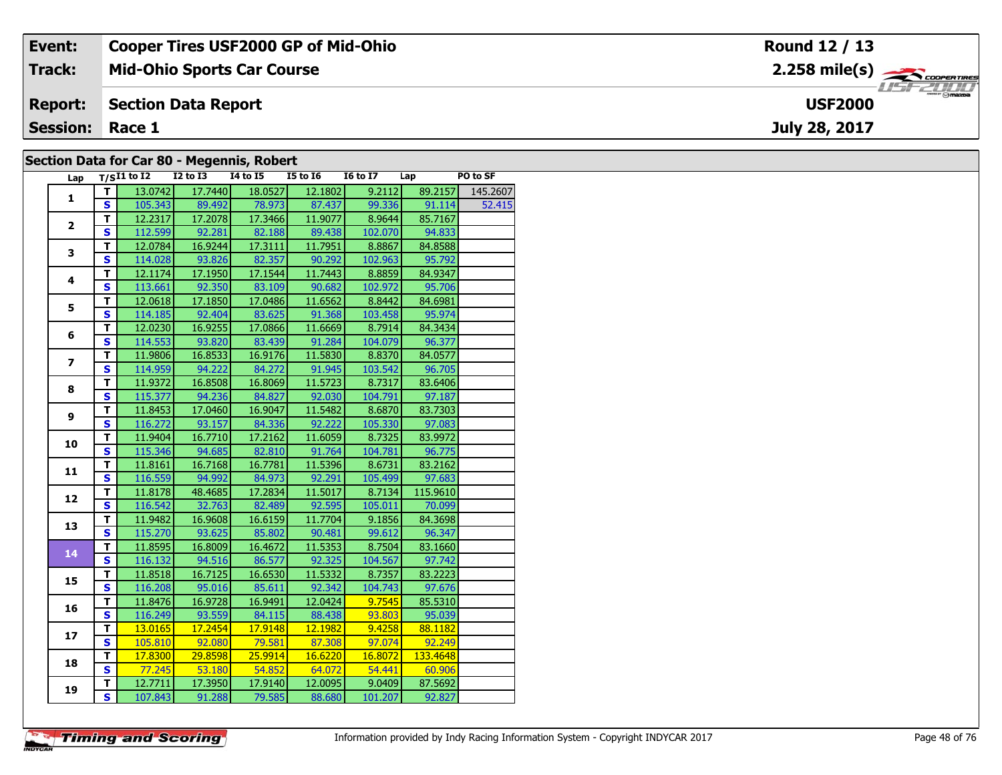| Event:                 | <b>Cooper Tires USF2000 GP of Mid-Ohio</b> | Round 12 / 13                                           |
|------------------------|--------------------------------------------|---------------------------------------------------------|
| Track:                 | <b>Mid-Ohio Sports Car Course</b>          | $2.258$ mile(s) $\overbrace{\hspace{2.5cm}}$ coorganges |
| <b>Report:</b>         | Section Data Report                        | $\frac{1}{\sqrt{2}}$<br><b>USF2000</b>                  |
| <b>Session: Race 1</b> |                                            | July 28, 2017                                           |
|                        | Section Data for Car 80 - Megannic Pobert  |                                                         |

#### **Section Data for Car 80 - Megennis, Robert**

| Lap                     |                         | $T/SI1$ to $I2$ $I2$ to $I3$ |                 | $I4$ to $I5$                 | $I5$ to $I6$    | $16 \text{ to } 17$ $\qquad$ Lap |               | PO to SF                |
|-------------------------|-------------------------|------------------------------|-----------------|------------------------------|-----------------|----------------------------------|---------------|-------------------------|
|                         | T.                      |                              | 13.0742 17.7440 | 18.0527                      | 12.1802         |                                  |               | 9.2112 89.2157 145.2607 |
| $\mathbf{1}$            | S.                      |                              |                 | 105.343 89.492 78.973 87.437 |                 |                                  |               | 99.336 91.114 52.415    |
|                         | $\overline{\mathsf{r}}$ |                              | 12.2317 17.2078 |                              | 17.3466 11.9077 | 8.9644                           | 85.7167       |                         |
| $\overline{2}$          | $\mathbf{s}$            | 112.599                      | 92.281          |                              | 82.188 89.438   | 102.070                          | 94.833        |                         |
|                         | $\overline{\mathsf{r}}$ | 12.0784                      | 16.9244         | 17.3111                      | 11.7951         | 8.8867                           | 84.8588       |                         |
| 3                       | $\overline{\mathbf{s}}$ | 114.028                      | 93.826          | 82.357                       | 90.292          | 102.963                          | 95.792        |                         |
|                         | T                       | 12.1174                      | 17.1950         | 17.1544                      | 11.7443         | 8.8859                           | 84.9347       |                         |
| 4                       | $\overline{\mathbf{s}}$ | 113.661                      | 92.350          | 83.109                       | 90.682          | 102.972                          | 95.706        |                         |
|                         | T                       | 12.0618                      | 17.1850         | 17.0486                      | 11.6562         | 8.8442                           | 84.6981       |                         |
| 5                       | $\mathbf{s}$            | 114.185                      | 92.404          | 83.625                       | 91.368          | 103.458                          | 95.974        |                         |
|                         | $\overline{\mathsf{r}}$ | 12.0230                      | 16.9255         | 17.0866                      | 11.6669         | 8.7914                           | 84.3434       |                         |
| 6                       | $\overline{\mathbf{s}}$ |                              |                 | 114.553 93.820 83.439        | 91.284          | 104.079                          | 96.377        |                         |
|                         | $\overline{\mathsf{r}}$ | 11.9806                      | 16.8533         | 16.9176                      | 11.5830         | 8.8370                           | 84.0577       |                         |
| $\overline{\mathbf{z}}$ | $\overline{\mathbf{s}}$ | 114.959                      | 94.222          | 84.272                       | 91.945          | 103.542                          | 96.705        |                         |
| 8                       | Ŧ                       | 11.9372                      | 16.8508         | 16.8069                      | 11.5723         | 8.7317                           | 83.6406       |                         |
|                         | $\mathbf{s}$            | 115.377                      | 94.236          | 84.827                       | 92.030          | 104.791                          | 97.187        |                         |
|                         | T                       | 11.8453                      | 17.0460         | 16.9047                      | 11.5482         | 8.6870                           | 83.7303       |                         |
| 9                       | $\mathbf{s}$            | 116.272                      | 93.157          | 84.336                       | 92.222          | 105.330                          | 97.083        |                         |
| 10                      | $\mathbf T$             | 11.9404                      | 16.7710         | 17.2162                      | 11.6059         | 8.7325                           | 83.9972       |                         |
|                         | $\overline{\mathbf{s}}$ | 115.346                      | 94.685          | 82.810                       | 91.764          | 104.781                          | 96.775        |                         |
| 11                      | T                       | 11.8161                      | 16.7168         | 16.7781                      | 11.5396         | 8.6731                           | 83.2162       |                         |
|                         | $\overline{\mathbf{s}}$ |                              | 116.559 94.992  | 84.973                       | 92.291          | 105.499                          | 97.683        |                         |
|                         | T                       | 11.8178                      | 48.4685         | 17.2834                      | 11.5017         | 8.7134                           | 115.9610      |                         |
| 12                      | $\overline{\mathbf{s}}$ | 116.542                      | 32.763          | 82.489                       | 92.595          | 105.011                          | 70.099        |                         |
| 13                      | $\overline{\mathsf{r}}$ | 11.9482                      | 16.9608         | 16.6159                      | 11.7704         | 9.1856                           | 84.3698       |                         |
|                         | $\overline{\mathbf{s}}$ | 115.270                      | 93.625          | 85.802                       | 90.481          | 99.612                           | 96.347        |                         |
| 14                      | T                       | 11.8595                      | 16.8009         | 16.4672                      | 11.5353         | 8.7504                           | 83.1660       |                         |
|                         | $\overline{\mathbf{s}}$ | 116.132                      | 94.516          | 86.577                       | 92.325          | 104.567                          | 97.742        |                         |
| 15                      | T                       | 11.8518                      | 16.7125         | 16.6530                      | 11.5332         | 8.7357                           | 83.2223       |                         |
|                         | $\mathbf{s}$            | 116.208                      | 95.016          | 85.611                       | 92.342          | 104.743                          | 97.676        |                         |
| 16                      | T                       | 11.8476                      | 16.9728         | 16.9491                      | 12.0424         | 9.7545                           | 85.5310       |                         |
|                         | $\mathbf{s}$            |                              |                 | 116.249 93.559 84.115 88.438 |                 |                                  | 93.803 95.039 |                         |
| 17                      | T                       | 13.0165                      | 17.2454         | 17.9148                      | 12.1982         | 9.4258                           | 88.1182       |                         |
|                         | $\overline{\mathbf{s}}$ | 105.810                      | 92.080          | 79.581                       | 87.308          | 97.074                           | 92.249        |                         |
| 18                      | T                       | 17.8300                      | 29.8598         | 25.9914                      | 16.6220         | 16.8072                          | 133.4648      |                         |
|                         | $\overline{\mathbf{s}}$ | 77.245                       | 53.180          | $-54.852$                    | 64.072          | 54.441                           | 60.906        |                         |
| 19                      | T                       | 12.7711                      | 17.3950         | 17.9140                      | 12.0095         | 9.0409                           | 87.5692       |                         |
|                         | $\overline{\mathbf{s}}$ | 107.843                      | 91.288          | 79.585                       | 88.680          | 101.207                          | 92.827        |                         |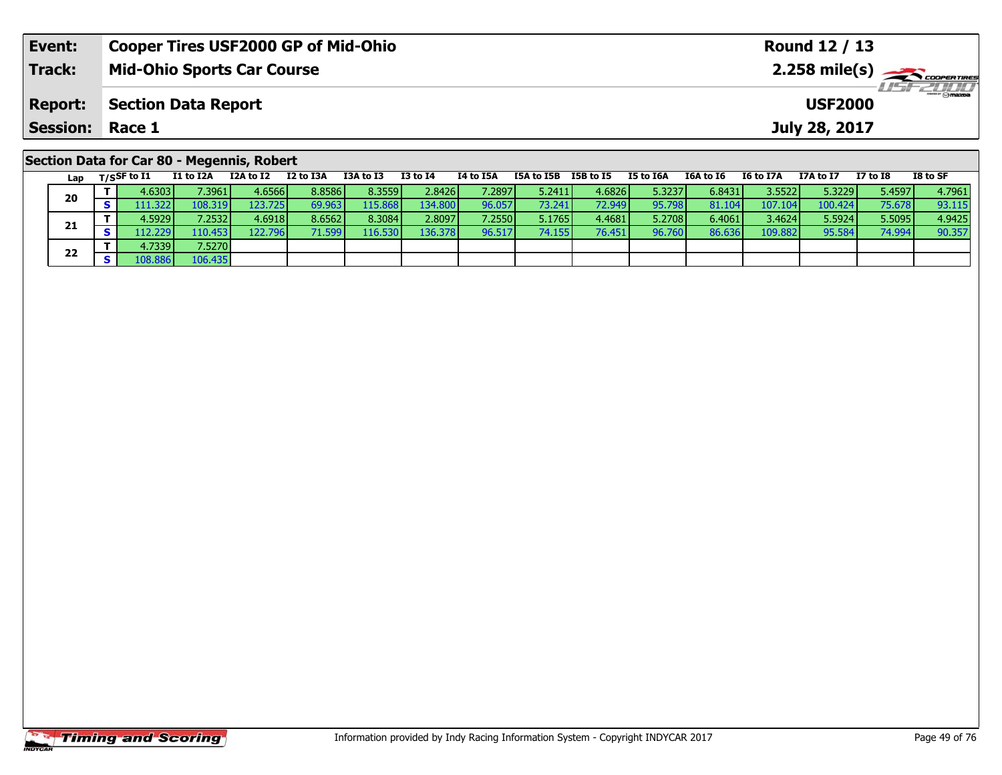| Event:                 | <b>Cooper Tires USF2000 GP of Mid-Ohio</b>                                                                     |                               |           | Round 12 / 13                  |  |                       |  |                |                  |            |  |
|------------------------|----------------------------------------------------------------------------------------------------------------|-------------------------------|-----------|--------------------------------|--|-----------------------|--|----------------|------------------|------------|--|
| <b>Track:</b>          | <b>Mid-Ohio Sports Car Course</b>                                                                              |                               |           |                                |  |                       |  |                |                  |            |  |
| <b>Report:</b>         | <b>Section Data Report</b>                                                                                     |                               |           |                                |  |                       |  | <b>USF2000</b> |                  | LISF 2000  |  |
| <b>Session: Race 1</b> |                                                                                                                |                               |           |                                |  |                       |  | July 28, 2017  |                  |            |  |
|                        | Section Data for Car 80 - Megennis, Robert<br>$1 - 2$ $- 1005 + 071$ $- 11 + 0724$ $- 124 + 072$ $- 12 + 0724$ | <b>TOA + 6 TO</b><br>T2 +6 TA | TA LA TEA | TEA to TED TED to TE TE to TEA |  | TEA to TE . TE to T7A |  | T7A + < T7     | <b>T7 + 0 TO</b> | $TO + C C$ |  |

| Lap |   | $T/S$ SF to I1 | I1 to I2A | I2A to I2 | I2 to I3A | I3A to I3 | <b>I3 to I4</b> | 14 to 15A | I5A to I5B | I5B to I5 | I5 to I6A | I6A to I6 | I6 to I7A | I7A to I7 | I7 to I8 | I8 to SF |
|-----|---|----------------|-----------|-----------|-----------|-----------|-----------------|-----------|------------|-----------|-----------|-----------|-----------|-----------|----------|----------|
| 20  |   | 4.6303         | 7.3961 l  | 4.6566    | 8.8586    | 8.3559    | 2.8426          | 7.2897    | 5.2411     | 4.6826    | 5.3237    | 6.8431    | 3.55221   | 5.3229    | 5.45971  | 4.7961   |
|     |   | 111.3221       | 108.319   | 123.7251  | 69.963    | 115.868   | 134.800         | 96.057    | 73.241     | 72.949    | 95.798    | 81.1041   | 107.104   | 100.424   | 75.678   | 93.115   |
|     |   | 4.5929 l       | 7.2532 l  | 4.6918    | 8.6562    | 8.3084    | 2.8097          | 7.2550    | 5.1765     | 4.4681    | 5.2708    | 6.4061    | 3.4624    | 5.5924    | 5.5095   | 4.9425   |
| 21  |   | 2.229V         | 110.453 l | 122.796   | 71.599 l  | 116.530   | 136.378         | 96.517    | 74.155     | 76.451    | 96.760    | 86.636    | 109.882   | 95.584    | 74.994   | 90.357   |
|     |   | 4.7339         | 7.5270    |           |           |           |                 |           |            |           |           |           |           |           |          |          |
| 22  | c |                | 106.435   |           |           |           |                 |           |            |           |           |           |           |           |          |          |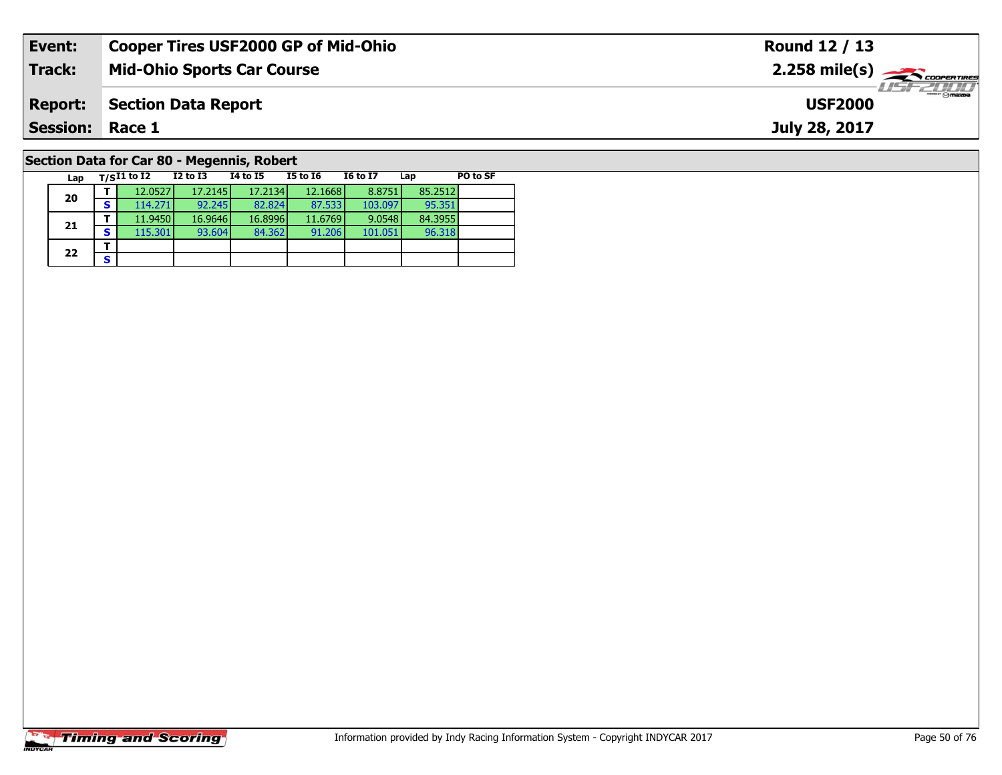| Event:                                     | <b>Cooper Tires USF2000 GP of Mid-Ohio</b> | Round 12 / 13                                           |  |  |  |  |  |  |  |  |  |  |
|--------------------------------------------|--------------------------------------------|---------------------------------------------------------|--|--|--|--|--|--|--|--|--|--|
| Track:                                     | <b>Mid-Ohio Sports Car Course</b>          | $2.258$ mile(s) $\overbrace{\hspace{2cm}}$ coorer TIRES |  |  |  |  |  |  |  |  |  |  |
| <b>Report:</b>                             | Section Data Report                        | <b>LISF 2000</b><br><b>USF2000</b>                      |  |  |  |  |  |  |  |  |  |  |
| <b>Session:</b>                            | Race 1                                     | July 28, 2017                                           |  |  |  |  |  |  |  |  |  |  |
| Section Data for Car 80 - Megennis, Robert |                                            |                                                         |  |  |  |  |  |  |  |  |  |  |

95.351<br>84.3955

96.318

**Lap T/SI1 to I2 I2 to I3 I4 to I5 I5 to I6 I6 to I7 Lap PO to SF** 

**<sup>T</sup>** 12.0527 17.2145 17.2134 12.1668 8.8751 85.2512 **<sup>S</sup>** 114.271 92.245 82.824 87.533 103.097 95.351

**<sup>T</sup>** 11.9450 16.9646 16.8996 11.6769 9.0548 84.3955 **<sup>S</sup>** 115.301 93.604 84.362 91.206 101.051 96.318

# **Timing and Scoring**

**20**

**21**

 $22$   $\frac{1}{s}$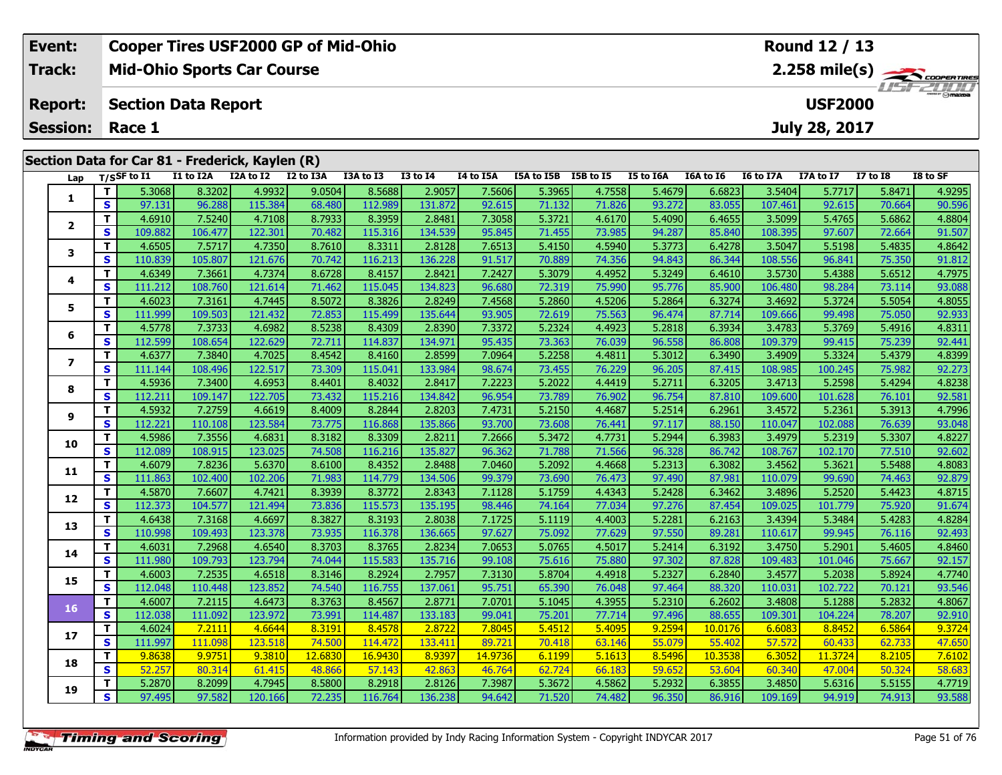| Event:                 | <b>Cooper Tires USF2000 GP of Mid-Ohio</b>      | Round 12 / 13                      |
|------------------------|-------------------------------------------------|------------------------------------|
| Track:                 | <b>Mid-Ohio Sports Car Course</b>               | $2.258$ mile(s) $\rightarrow$      |
| <b>Report:</b>         | Section Data Report                             | <b>LIST 2000</b><br><b>USF2000</b> |
| <b>Session: Race 1</b> |                                                 | July 28, 2017                      |
|                        |                                                 |                                    |
|                        | Section Data for Car 81 - Frederick, Kaylen (R) |                                    |

| Lap            |                         | T/SSF to I1 | I1 to I2A | --- - - - -<br>I2A to I2 | . <i>.</i><br>I2 to I3A | I3A to I3 | <b>I3 to I4</b> | I4 to I5A | I5A to I5B I5B to I5 |        | I5 to I6A | I6A to I6 | I6 to I7A | I7A to I7 | <b>I7 to I8</b> | I8 to SF |
|----------------|-------------------------|-------------|-----------|--------------------------|-------------------------|-----------|-----------------|-----------|----------------------|--------|-----------|-----------|-----------|-----------|-----------------|----------|
|                | T.                      | 5.3068      | 8.3202    | 4.9932                   | 9.0504                  | 8.5688    | 2.9057          | 7.5606    | 5.3965               | 4.7558 | 5.4679    | 6.6823    | 3.5404    | 5.7717    | 5.8471          | 4.9295   |
| 1              | S                       | 97.131      | 96.288    | 115.384                  | 68.480                  | 112.989   | 131.872         | 92.615    | 71.132               | 71.826 | 93.272    | 83.055    | 107.461   | 92.615    | 70.664          | 90.596   |
|                | T.                      | 4.6910      | 7.5240    | 4.7108                   | 8.7933                  | 8.3959    | 2.8481          | 7.3058    | 5.3721               | 4.6170 | 5.4090    | 6.4655    | 3.5099    | 5.4765    | 5.6862          | 4.8804   |
| $\mathbf{2}$   | S                       | 109.882     | 106.477   | 122.301                  | 70.482                  | 115.316   | 134.539         | 95.845    | 71.455               | 73.985 | 94.287    | 85.840    | 108.395   | 97.607    | 72.664          | 91.507   |
| 3              | T.                      | 4.6505      | 7.5717    | 4.7350                   | 8.7610                  | 8.3311    | 2.8128          | 7.6513    | 5.4150               | 4.5940 | 5.3773    | 6.4278    | 3.5047    | 5.5198    | 5.4835          | 4.8642   |
|                | S                       | 110.839     | 105.807   | 121.676                  | 70.742                  | 116.213   | 136.228         | 91.517    | 70.889               | 74.356 | 94.843    | 86.344    | 108.556   | 96.841    | 75.350          | 91.812   |
| 4              | T.                      | 4.6349      | 7.3661    | 4.7374                   | 8.6728                  | 8.4157    | 2.8421          | 7.2427    | 5.3079               | 4.4952 | 5.3249    | 6.4610    | 3.5730    | 5.4388    | 5.6512          | 4.7975   |
|                | S                       | 111.212     | 108.760   | 121.614                  | 71.462                  | 115.045   | 134.823         | 96.680    | 72.319               | 75.990 | 95.776    | 85.900    | 106.480   | 98.284    | 73.114          | 93.088   |
| 5              | T.                      | 4.6023      | 7.3161    | 4.7445                   | 8.5072                  | 8.3826    | 2.8249          | 7.4568    | 5.2860               | 4.5206 | 5.2864    | 6.3274    | 3.4692    | 5.3724    | 5.5054          | 4.8055   |
|                | S                       | 111.999     | 109.503   | 121.432                  | 72.853                  | 115.499   | 135.644         | 93.905    | 72.619               | 75.563 | 96.474    | 87.714    | 109.666   | 99.498    | 75.050          | 92.933   |
| 6              | T.                      | 4.5778      | 7.3733    | 4.6982                   | 8.5238                  | 8.4309    | 2.8390          | 7.3372    | 5.2324               | 4.4923 | 5.2818    | 6.3934    | 3.4783    | 5.3769    | 5.4916          | 4.8311   |
|                | S                       | 112.599     | 108.654   | 122.629                  | 72.711                  | 114.837   | 134.971         | 95.435    | 73.363               | 76.039 | 96.558    | 86.808    | 109.379   | 99.415    | 75.239          | 92.441   |
| $\overline{ }$ | T.                      | 4.6377      | 7.3840    | 4.7025                   | 8.4542                  | 8.4160    | 2.8599          | 7.0964    | 5.2258               | 4.4811 | 5.3012    | 6.3490    | 3.4909    | 5.3324    | 5.4379          | 4.8399   |
|                | S                       | 111.144     | 108.496   | 122.517                  | 73.309                  | 115.041   | 133.984         | 98.674    | 73.455               | 76.229 | 96.205    | 87.415    | 108.985   | 100.245   | 75.982          | 92.273   |
| 8              | T.                      | 4.5936      | 7.3400    | 4.6953                   | 8.4401                  | 8.4032    | 2.8417          | 7.2223    | 5.2022               | 4.4419 | 5.2711    | 6.3205    | 3.4713    | 5.2598    | 5.4294          | 4.8238   |
|                | S                       | 112.211     | 109.147   | 122.705                  | 73.432                  | 115.216   | 134.842         | 96.954    | 73.789               | 76.902 | 96.754    | 87.810    | 109.600   | 101.628   | 76.101          | 92.581   |
| 9              | T.                      | 4.5932      | 7.2759    | 4.6619                   | 8.4009                  | 8.2844    | 2.8203          | 7.4731    | 5.2150               | 4.4687 | 5.2514    | 6.2961    | 3.4572    | 5.2361    | 5.3913          | 4.7996   |
|                | S                       | 112.221     | 110.108   | 123.584                  | 73.775                  | 116.868   | 135.866         | 93.700    | 73.608               | 76.441 | 97.117    | 88.150    | 110.047   | 102.088   | 76.639          | 93.048   |
| 10             | T.                      | 4.5986      | 7.3556    | 4.6831                   | 8.3182                  | 8.3309    | 2.8211          | 7.2666    | 5.3472               | 4.7731 | 5.2944    | 6.3983    | 3.4979    | 5.2319    | 5.3307          | 4.8227   |
|                | $\overline{\mathbf{s}}$ | 112.089     | 108.915   | 123.025                  | 74.508                  | 116.216   | 135.827         | 96.362    | 71.788               | 71.566 | 96.328    | 86.742    | 108.767   | 102.170   | 77.510          | 92.602   |
| 11             | T.                      | 4.6079      | 7.8236    | 5.6370                   | 8.6100                  | 8.4352    | 2.8488          | 7.0460    | 5.2092               | 4.4668 | 5.2313    | 6.3082    | 3.4562    | 5.3621    | 5.5488          | 4.8083   |
|                | S                       | 111.863     | 102.400   | 102.206                  | 71.983                  | 114.779   | 134.506         | 99.379    | 73.690               | 76.473 | 97.490    | 87.981    | 110.079   | 99.690    | 74.463          | 92.879   |
| 12             | T.                      | 4.5870      | 7.6607    | 4.7421                   | 8.3939                  | 8.3772    | 2.8343          | 7.1128    | 5.1759               | 4.4343 | 5.2428    | 6.3462    | 3.4896    | 5.2520    | 5.4423          | 4.8715   |
|                | $\overline{\mathbf{s}}$ | 112.373     | 104.577   | 121.494                  | 73.836                  | 115.573   | 135.195         | 98.446    | 74.164               | 77.034 | 97.276    | 87.454    | 109.025   | 101.779   | 75.920          | 91.674   |
| 13             | T.                      | 4.6438      | 7.3168    | 4.6697                   | 8.3827                  | 8.3193    | 2.8038          | 7.1725    | 5.1119               | 4.4003 | 5.2281    | 6.2163    | 3.4394    | 5.3484    | 5.4283          | 4.8284   |
|                | S                       | 110.998     | 109.493   | 123.378                  | 73.935                  | 116.378   | 136.665         | 97.627    | 75.092               | 77.629 | 97.550    | 89.281    | 110.617   | 99.945    | 76.116          | 92.493   |
| 14             | T.                      | 4.6031      | 7.2968    | 4.6540                   | 8.3703                  | 8.3765    | 2.8234          | 7.0653    | 5.0765               | 4.5017 | 5.2414    | 6.3192    | 3.4750    | 5.2901    | 5.4605          | 4.8460   |
|                | $\overline{\mathbf{s}}$ | 111.980     | 109.793   | 123.794                  | 74.044                  | 115.583   | 135.716         | 99.108    | 75.616               | 75.880 | 97.302    | 87.828    | 109.483   | 101.046   | 75.667          | 92.157   |
| 15             | T.                      | 4.6003      | 7.2535    | 4.6518                   | 8.3146                  | 8.2924    | 2.7957          | 7.3130    | 5.8704               | 4.4918 | 5.2327    | 6.2840    | 3.4577    | 5.2038    | 5.8924          | 4.7740   |
|                | S                       | 112.048     | 110.448   | 123.852                  | 74.540                  | 116.755   | 137.061         | 95.751    | 65.390               | 76.048 | 97.464    | 88.320    | 110.031   | 102.722   | 70.121          | 93.546   |
| 16             | T.                      | 4.6007      | 7.2115    | 4.6473                   | 8.3763                  | 8.4567    | 2.8771          | 7.0701    | 5.1045               | 4.3955 | 5.2310    | 6.2602    | 3.4808    | 5.1288    | 5.2832          | 4.8067   |
|                | S                       | 112.038     | 111.092   | 123.972                  | 73.991                  | 114.487   | 133.183         | 99.041    | 75.201               | 77.714 | 97.496    | 88.655    | 109.301   | 104.224   | 78.207          | 92.910   |
| 17             | $\mathbf{T}$            | 4.6024      | 7.2111    | 4.6644                   | 8.3191                  | 8.4578    | 2.8722          | 7.8045    | 5.4512               | 5.4095 | 9.2594    | 10.0176   | 6.6083    | 8.8452    | 6.5864          | 9.3724   |
|                | S                       | 111.997     | 111.098   | 123.518                  | 74.500                  | 114.472   | 133.411         | 89.721    | 70.418               | 63.146 | 55.079    | 55.402    | 57.572    | 60.433    | 62.733          | 47.650   |
| 18             | T.                      | 9.8638      | 9.9751    | 9.3810                   | 12,6830                 | 16.9430   | 8.9397          | 14.9736   | 6.1199               | 5.1613 | 8.5496    | 10.3538   | 6.3052    | 11.3724   | 8.2105          | 7.6102   |
|                | S                       | 52.257      | 80.314    | 61.415                   | 48.866                  | 57.143    | 42.863          | 46.764    | 62.724               | 66.183 | 59.652    | 53.604    | 60.340    | 47.004    | 50.324          | 58.683   |
| 19             | T.                      | 5.2870      | 8.2099    | 4.7945                   | 8.5800                  | 8.2918    | 2.8126          | 7.3987    | 5.3672               | 4.5862 | 5.2932    | 6.3855    | 3.4850    | 5.6316    | 5.5155          | 4.7719   |
|                | S.                      | 97.495      | 97.582    | 120.166                  | 72.235                  | 116.764   | 136.238         | 94.642    | 71.520               | 74.482 | 96.350    | 86.916    | 109.169   | 94.919    | 74.913          | 93.588   |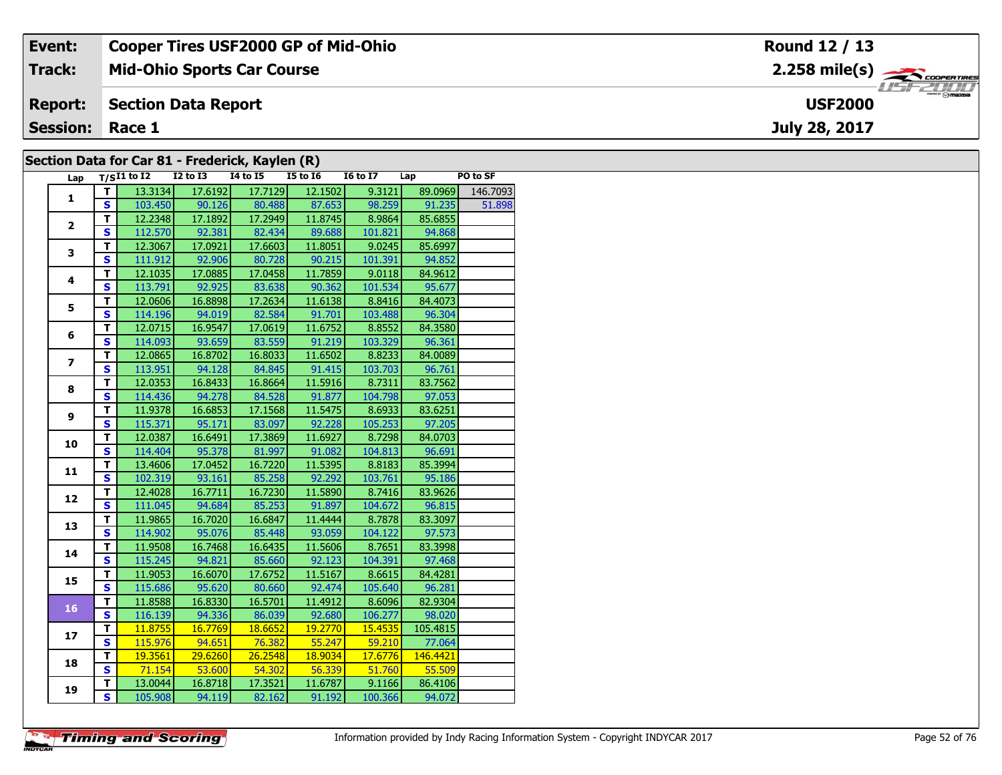| Event:                 | <b>Cooper Tires USF2000 GP of Mid-Ohio</b>      | Round 12 / 13  |
|------------------------|-------------------------------------------------|----------------|
| <b>Track:</b>          | <b>Mid-Ohio Sports Car Course</b>               |                |
| <b>Report:</b>         | Section Data Report                             | <b>USF2000</b> |
| <b>Session: Race 1</b> |                                                 | July 28, 2017  |
|                        | Section Data for Car 81 - Frederick, Kavlen (R) |                |

### **Section Data for Car 81 - Frederick, Kaylen (R)**

| Lap            |                         | $T/SI1$ to I2 I2 to I3 I4 to I5 |                       |               | <b>I5 to I6</b>              | <b>16 to 17</b> | Lap           | PO to SF         |
|----------------|-------------------------|---------------------------------|-----------------------|---------------|------------------------------|-----------------|---------------|------------------|
| $\mathbf{1}$   | T.                      | 13.3134                         | 17.6192               | 17.7129       | 12.1502                      | 9.3121          |               | 89.0969 146.7093 |
|                | S.                      |                                 |                       |               | 103.450 90.126 80.488 87.653 |                 | 98.259 91.235 | 51.898           |
| $\overline{2}$ | $\mathbf{T}$            | 12.2348                         | 17.1892               | 17.2949       | 11.8745                      | 8.9864          | 85.6855       |                  |
|                | $\mathbf{s}$            | 112.570                         | 92.381                | 82.434        | 89.688                       | 101.821         | 94.868        |                  |
| 3              | $\overline{\mathsf{r}}$ | 12.3067                         | 17.0921               | 17.6603       | 11.8051                      | 9.0245          | 85.6997       |                  |
|                | $\overline{\mathbf{s}}$ | 111.912                         | 92.906                | 80.728        | 90.215                       | 101.391         | 94.852        |                  |
| 4              | $\mathbf T$             | 12.1035                         | 17.0885               | 17.0458       | 11.7859                      | 9.0118          | 84.9612       |                  |
|                | $\mathbf{s}$            | 113.791                         | 92.925                | 83.638        | 90.362                       | 101.534         | 95.677        |                  |
|                | т                       | 12.0606                         | 16.8898               | 17.2634       | 11.6138                      | 8.8416          | 84.4073       |                  |
| 5              | $\overline{\mathbf{s}}$ |                                 | 114.196 94.019 82.584 |               | 91.701                       | 103.488         | 96.304        |                  |
|                | T                       | 12.0715                         | 16.9547               | 17.0619       | 11.6752                      | 8.8552          | 84.3580       |                  |
| 6              | $\overline{\mathbf{s}}$ |                                 | 114.093 93.659        | 83.559        | 91.219                       | 103.329         | 96.361        |                  |
|                | T                       | 12.0865                         | 16.8702               | 16.8033       | 11.6502                      | 8.8233          | 84.0089       |                  |
| $\overline{ }$ | $\overline{\mathbf{s}}$ | 113.951                         | 94.128                | 84.845        | 91.415                       | 103.703         | 96.761        |                  |
| 8              | $\overline{\mathsf{r}}$ | 12.0353                         | 16.8433               | 16.8664       | 11.5916                      | 8.7311          | 83.7562       |                  |
|                | $\mathbf s$             | 114.436                         | 94.278                | 84.528        | 91.877                       | 104.798         | 97.053        |                  |
|                | $\overline{\mathsf{r}}$ | 11.9378                         | 16.6853               | 17.1568       | 11.5475                      | 8.6933          | 83.6251       |                  |
| 9              | $\mathbf{s}$            | 115.371                         | 95.171                | 83.097        | 92.228                       | 105.253         | 97.205        |                  |
|                | T                       | 12.0387                         | 16.6491               | 17.3869       | 11.6927                      | 8.7298          | 84.0703       |                  |
| 10             | $\overline{\mathbf{s}}$ | 114.404                         |                       | 95.378 81.997 | 91.082                       | 104.813         | 96.691        |                  |
|                | т                       | 13.4606                         | 17.0452               | 16.7220       | 11.5395                      | 8.8183          | 85.3994       |                  |
| 11             | $\overline{\mathbf{s}}$ | 102.319                         | 93.161                | 85.258        | 92.292                       | 103.761         | 95.186        |                  |
|                | T                       | 12.4028                         | 16.7711               | 16.7230       | 11.5890                      | 8.7416          | 83.9626       |                  |
| 12             | S                       | 111.045                         | 94.684                | 85.253        | 91.897                       | 104.672         | 96.815        |                  |
| 13             | $\overline{\mathsf{T}}$ | 11.9865                         | 16.7020               | 16.6847       | 11.4444                      | 8.7878          | 83.3097       |                  |
|                | $\mathbf{s}$            | 114.902                         | 95.076                | 85.448        | 93.059                       | 104.122         | 97.573        |                  |
| 14             | $\overline{\mathsf{r}}$ | 11.9508                         | 16.7468               | 16.6435       | 11.5606                      | 8.7651          | 83.3998       |                  |
|                | $\overline{\mathbf{s}}$ | 115.245                         | 94.821                | 85.660        | 92.123                       | 104.391         | 97.468        |                  |
| 15             | T                       | 11.9053                         | 16.6070               | 17.6752       | 11.5167                      | 8.6615          | 84.4281       |                  |
|                | $\overline{\mathbf{s}}$ | 115.686                         | 95.620                | 80.660        | 92.474                       | 105.640         | 96.281        |                  |
| 16             | т                       | 11.8588                         | 16.8330               | 16.5701       | 11.4912                      | 8.6096          | 82.9304       |                  |
|                | $\mathbf{s}$            | 116.139                         |                       | 94.336 86.039 | 92.680                       | 106.277         | 98.020        |                  |
| 17             | $\overline{\mathsf{r}}$ | 11.8755                         | 16.7769               | 18.6652       | 19.2770                      | 15.4535         | 105.4815      |                  |
|                | $\overline{\mathbf{s}}$ | 115.976                         | 94.651                | 76.382        | 55.247                       | 59.210          | 77.064        |                  |
| 18             | $\overline{\mathsf{r}}$ | 19.3561                         | 29.6260               | 26.2548       | 18.9034                      | 17.6776         | 146.4421      |                  |
|                | $\mathbf{s}$            | 71.154                          | 53.600                | 54.302        | $-56.339$                    | 51.760          | 55.509        |                  |
| 19             | т                       | 13.0044                         | 16.8718               | 17.3521       | 11.6787                      | 9.1166          | 86.4106       |                  |
|                | $\overline{\mathbf{s}}$ | 105.908                         | 94.119                | 82.162        | 91.192                       | 100.366         | 94.072        |                  |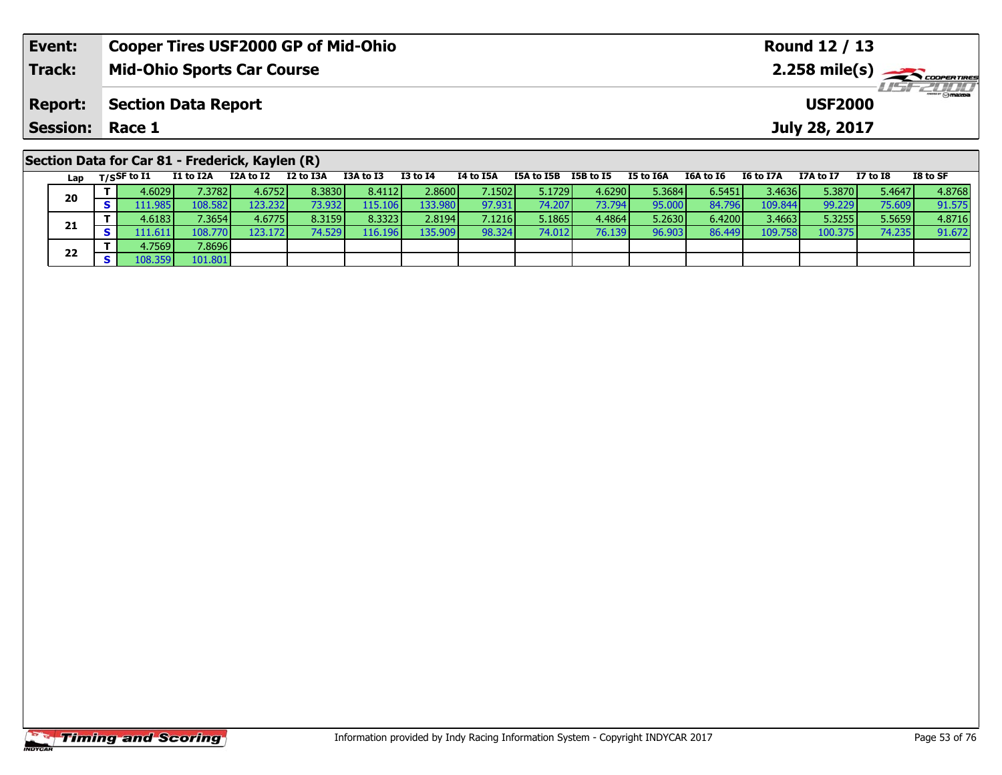| Event:                 | <b>Cooper Tires USF2000 GP of Mid-Ohio</b>      |           |           |           |          |           |            | Round 12 / 13 |           |           |           |                |          |                                     |  |
|------------------------|-------------------------------------------------|-----------|-----------|-----------|----------|-----------|------------|---------------|-----------|-----------|-----------|----------------|----------|-------------------------------------|--|
| <b>Track:</b>          | <b>Mid-Ohio Sports Car Course</b>               |           |           |           |          |           |            |               |           |           |           |                |          | $2.258$ mile(s) $\sum$ coorer Times |  |
| <b>Report:</b>         | <b>Section Data Report</b>                      |           |           |           |          |           |            |               |           |           |           | <b>USF2000</b> |          | $H = -2000$                         |  |
| <b>Session: Race 1</b> |                                                 |           |           |           |          |           |            |               |           |           |           | July 28, 2017  |          |                                     |  |
|                        | Section Data for Car 81 - Frederick, Kaylen (R) |           |           |           |          |           |            |               |           |           |           |                |          |                                     |  |
| Lap                    | I1 to I2A<br>$_{\rm T/SS}$ F to I1              | I2A to I2 | I2 to I3A | I3A to I3 | I3 to I4 | I4 to I5A | I5A to I5B | I5B to I5     | I5 to I6A | I6A to I6 | I6 to I7A | I7A to I7      | I7 to I8 | I8 to SF                            |  |

| Lav |                       | $\sim$ $\sim$ $\sim$ $\sim$ $\sim$ $\sim$ $\sim$ |                  |          |         | .       | .      | .        | .      |        |        |         | .       | .      |        |
|-----|-----------------------|--------------------------------------------------|------------------|----------|---------|---------|--------|----------|--------|--------|--------|---------|---------|--------|--------|
| 20  | 4.6029                | 7.3782                                           | 4.6752           | 8.3830   | 8.4112  | 2.8600  | 7.1502 | 5.1729 l | 4.6290 | 5.3684 | 6.5451 | 3.4636  | 5.3870  | 5.4647 | 4.8768 |
|     | 111.985               | 108.582                                          | 123.232 <b>I</b> | 73.932   | 115.106 | 133.980 | 97.931 | 74.207   | 73.794 | 95.000 | 84.796 | 109.844 | 99.229  | 75.609 | 91.575 |
|     | 4.6183V               | 7.3654                                           | 4.6775           | 8.3159   | 8.3323  | 2.8194  | 7.1216 | 5.1865   | 4.4864 | 5.2630 | 6.4200 | 3.4663  | 5.3255  | 5.5659 | 4.8716 |
| 21  | $.11.611\blacksquare$ | 108.770                                          | 123.1721         | 74.529 l | 116.196 | 135.909 | 98.324 | 74.012   | 76.139 | 96.903 | 86.449 | 109.758 | 100.375 | 74.235 | 91.672 |
| 22  | 4.7569                | 7.8696                                           |                  |          |         |         |        |          |        |        |        |         |         |        |        |
|     |                       | 101.801                                          |                  |          |         |         |        |          |        |        |        |         |         |        |        |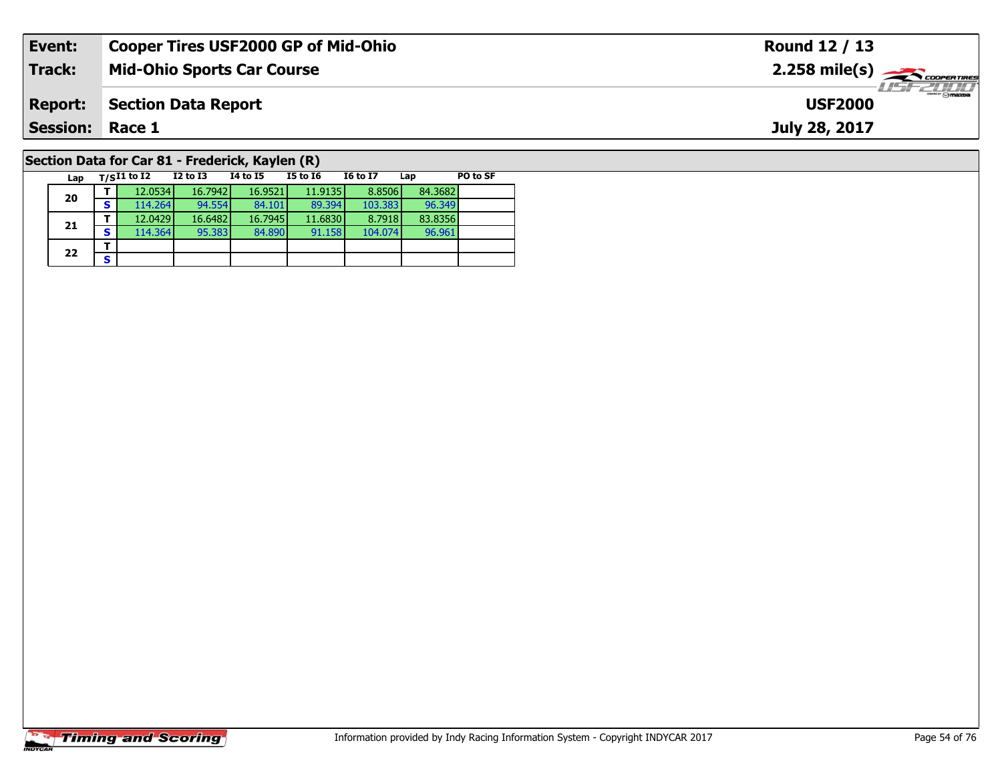| Event:                                          | <b>Cooper Tires USF2000 GP of Mid-Ohio</b> |          |          |          |                 |     |          | Round 12 / 13                                          |
|-------------------------------------------------|--------------------------------------------|----------|----------|----------|-----------------|-----|----------|--------------------------------------------------------|
| Track:                                          | <b>Mid-Ohio Sports Car Course</b>          |          |          |          |                 |     |          | $2.258$ mile(s) $\overbrace{\hspace{2cm}}$ coorentines |
| <b>Report:</b>                                  | <b>Section Data Report</b>                 |          |          |          |                 |     |          | 2111<br><b>USF2000</b>                                 |
| <b>Session: Race 1</b>                          |                                            |          |          |          |                 |     |          | July 28, 2017                                          |
| Section Data for Car 81 - Frederick, Kaylen (R) |                                            |          |          |          |                 |     |          |                                                        |
| Lap                                             | $_{\rm T/S}$ I1 to I2                      | I2 to I3 | 14 to 15 | I5 to I6 | <b>I6 to I7</b> | Lap | PO to SF |                                                        |

96.961

# **Timing and Scoring**

**20**

**21**

 $22$   $\frac{1}{s}$ 

**<sup>T</sup>** 12.0534 16.7942 16.9521 11.9135 8.8506 84.3682 **<sup>S</sup>** 114.264 94.554 84.101 89.394 103.383 96.349

**<sup>T</sup>** 12.0429 16.6482 16.7945 11.6830 8.7918 83.8356 **<sup>S</sup>** 114.364 95.383 84.890 91.158 104.074 96.961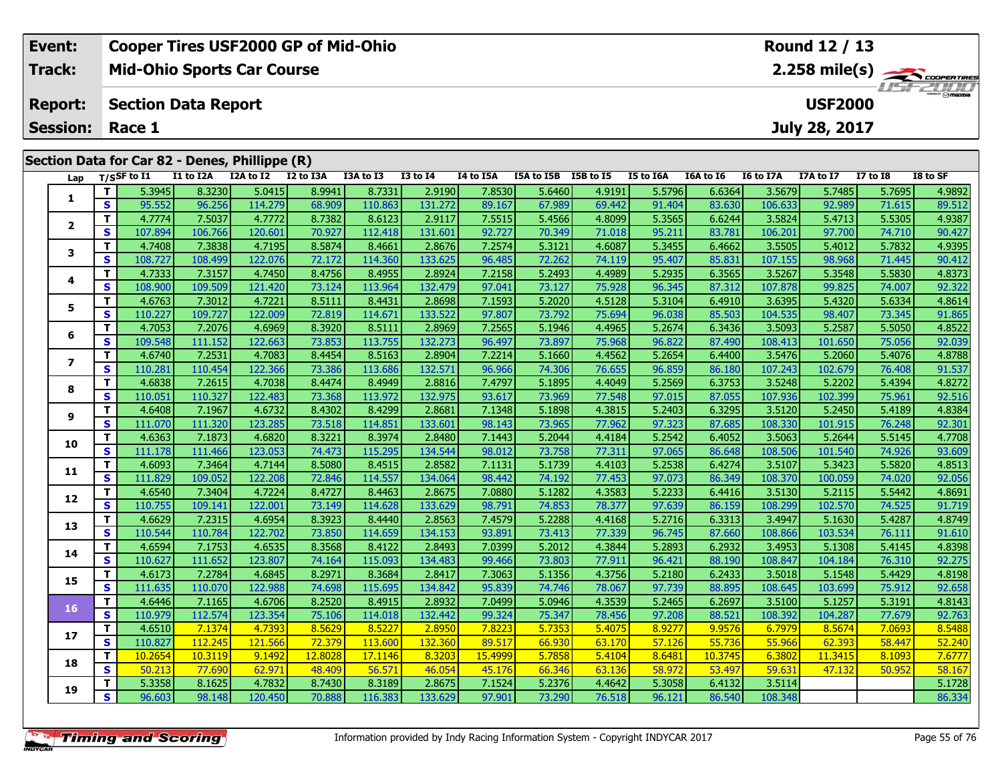| Event:                 | Cooper Tires USF2000 GP of Mid-Ohio            | Round 12 / 13                                 |
|------------------------|------------------------------------------------|-----------------------------------------------|
| Track:                 | <b>Mid-Ohio Sports Car Course</b>              | $2.258$ mile(s) $\frac{1}{2.258}$ coorer Time |
| <b>Report:</b>         | Section Data Report                            | <b>LISE 2007</b><br><b>USF2000</b>            |
| <b>Session: Race 1</b> |                                                | July 28, 2017                                 |
|                        | Section Data for Car 82 - Denes, Phillippe (R) |                                               |

| Lap                      |                         | T/SSF to I1 | I1 to I2A | I2A to I2 I2 to I3A |         | I3A to I3 | $I3$ to $I4$ | I4 to I5A | I5A to I5B I5B to I5 |        | <b>I5 to I6A</b> | I6A to I6 | I6 to I7A | I7A to I7 | <b>I7 to I8</b> | I8 to SF |
|--------------------------|-------------------------|-------------|-----------|---------------------|---------|-----------|--------------|-----------|----------------------|--------|------------------|-----------|-----------|-----------|-----------------|----------|
|                          | T.                      | 5.3945      | 8.3230    | 5.0415              | 8.9941  | 8.7331    | 2.9190       | 7.8530    | 5.6460               | 4.9191 | 5.5796           | 6.6364    | 3.5679    | 5.7485    | 5.7695          | 4.9892   |
| 1                        | S                       | 95.552      | 96.256    | 114.279             | 68.909  | 110.863   | 131.272      | 89.167    | 67.989               | 69.442 | 91.404           | 83.630    | 106.633   | 92.989    | 71.615          | 89.512   |
|                          | T.                      | 4.7774      | 7.5037    | 4.7772              | 8.7382  | 8.6123    | 2.9117       | 7.5515    | 5.4566               | 4.8099 | 5.3565           | 6.6244    | 3.5824    | 5.4713    | 5.5305          | 4.9387   |
| $\mathbf{2}$             | S.                      | 107.894     | 106.766   | 120.601             | 70.927  | 112.418   | 131.601      | 92.727    | 70.349               | 71.018 | 95.211           | 83.781    | 106.201   | 97.700    | 74.710          | 90.427   |
| 3                        | T.                      | 4.7408      | 7.3838    | 4.7195              | 8.5874  | 8.4661    | 2.8676       | 7.2574    | 5.3121               | 4.6087 | 5.3455           | 6.4662    | 3.5505    | 5.4012    | 5.7832          | 4.9395   |
|                          | S                       | 108.727     | 108.499   | 122.076             | 72.172  | 114.360   | 133.625      | 96.485    | 72.262               | 74.119 | 95.407           | 85.831    | 107.155   | 98.968    | 71.445          | 90.412   |
|                          | T.                      | 4.7333      | 7.3157    | 4.7450              | 8.4756  | 8.4955    | 2.8924       | 7.2158    | 5.2493               | 4.4989 | 5.2935           | 6.3565    | 3.5267    | 5.3548    | 5.5830          | 4.8373   |
| 4                        | S                       | 108.900     | 109.509   | 121.420             | 73.124  | 113.964   | 132.479      | 97.041    | 73.127               | 75.928 | 96.345           | 87.312    | 107.878   | 99.825    | 74.007          | 92.322   |
| 5                        | T.                      | 4.6763      | 7.3012    | 4.7221              | 8.5111  | 8.4431    | 2.8698       | 7.1593    | 5.2020               | 4.5128 | 5.3104           | 6.4910    | 3.6395    | 5.4320    | 5.6334          | 4.8614   |
|                          | S                       | 110.227     | 109.727   | 122.009             | 72.819  | 114.671   | 133.522      | 97.807    | 73.792               | 75.694 | 96.038           | 85.503    | 104.535   | 98.407    | 73.345          | 91.865   |
| 6                        | T.                      | 4.7053      | 7.2076    | 4.6969              | 8.3920  | 8.5111    | 2.8969       | 7.2565    | 5.1946               | 4.4965 | 5.2674           | 6.3436    | 3.5093    | 5.2587    | 5.5050          | 4.8522   |
|                          | S                       | 109.548     | 111.152   | 122.663             | 73.853  | 113.755   | 132.273      | 96.497    | 73.897               | 75.968 | 96.822           | 87.490    | 108.413   | 101.650   | 75.056          | 92.039   |
| $\overline{\phantom{a}}$ | T.                      | 4.6740      | 7.2531    | 4.7083              | 8.4454  | 8.5163    | 2.8904       | 7.2214    | 5.1660               | 4.4562 | 5.2654           | 6.4400    | 3.5476    | 5.2060    | 5.4076          | 4.8788   |
|                          | S                       | 110.281     | 110.454   | 122.366             | 73.386  | 113.686   | 132.571      | 96.966    | 74.306               | 76.655 | 96.859           | 86.180    | 107.243   | 102.679   | 76.408          | 91.537   |
| 8                        | T.                      | 4.6838      | 7.2615    | 4.7038              | 8.4474  | 8.4949    | 2.8816       | 7.4797    | 5.1895               | 4.4049 | 5.2569           | 6.3753    | 3.5248    | 5.2202    | 5.4394          | 4.8272   |
|                          | S                       | 110.051     | 110.327   | 122.483             | 73.368  | 113.972   | 132.975      | 93.617    | 73.969               | 77.548 | 97.015           | 87.055    | 107.936   | 102.399   | 75.961          | 92.516   |
| 9                        | T.                      | 4.6408      | 7.1967    | 4.6732              | 8.4302  | 8.4299    | 2.8681       | 7.1348    | 5.1898               | 4.3815 | 5.2403           | 6.3295    | 3.5120    | 5.2450    | 5.4189          | 4.8384   |
|                          | S                       | 111.070     | 111.320   | 123.285             | 73.518  | 114.851   | 133.601      | 98.143    | 73.965               | 77.962 | 97.323           | 87.685    | 108.330   | 101.915   | 76.248          | 92.301   |
| 10                       | T.                      | 4.6363      | 7.1873    | 4.6820              | 8.3221  | 8.3974    | 2.8480       | 7.1443    | 5.2044               | 4.4184 | 5.2542           | 6.4052    | 3.5063    | 5.2644    | 5.5145          | 4.7708   |
|                          | S                       | 111.178     | 111.466   | 123.053             | 74.473  | 115.295   | 134.544      | 98.012    | 73.758               | 77.311 | 97.065           | 86.648    | 108.506   | 101.540   | 74.926          | 93.609   |
| 11                       | T.                      | 4.6093      | 7.3464    | 4.7144              | 8.5080  | 8.4515    | 2.8582       | 7.1131    | 5.1739               | 4.4103 | 5.2538           | 6.4274    | 3.5107    | 5.3423    | 5.5820          | 4.8513   |
|                          | S                       | 111.829     | 109.052   | 122.208             | 72.846  | 114.557   | 134.064      | 98.442    | 74.192               | 77.453 | 97.073           | 86.349    | 108.370   | 100.059   | 74.020          | 92.056   |
| 12                       | T.                      | 4.6540      | 7.3404    | 4.7224              | 8.4727  | 8.4463    | 2.8675       | 7.0880    | 5.1282               | 4.3583 | 5.2233           | 6.4416    | 3.5130    | 5.2115    | 5.5442          | 4.8691   |
|                          | S                       | 110.755     | 109.141   | 122.001             | 73.149  | 114.628   | 133.629      | 98.791    | 74.853               | 78.377 | 97.639           | 86.159    | 108.299   | 102.570   | 74.525          | 91.719   |
| 13                       | T.                      | 4.6629      | 7.2315    | 4.6954              | 8.3923  | 8.4440    | 2.8563       | 7.4579    | 5.2288               | 4.4168 | 5.2716           | 6.3313    | 3.4947    | 5.1630    | 5.4287          | 4.8749   |
|                          | $\overline{\mathbf{s}}$ | 110.544     | 110.784   | 122.702             | 73.850  | 114.659   | 134.153      | 93.891    | 73.413               | 77.339 | 96.745           | 87.660    | 108.866   | 103.534   | 76.111          | 91.610   |
| 14                       | T.                      | 4.6594      | 7.1753    | 4.6535              | 8.3568  | 8.4122    | 2.8493       | 7.0399    | 5.2012               | 4.3844 | 5.2893           | 6.2932    | 3.4953    | 5.1308    | 5.4145          | 4.8398   |
|                          | S                       | 110.627     | 111.652   | 123.807             | 74.164  | 115.093   | 134.483      | 99.466    | 73.803               | 77.911 | 96.421           | 88.190    | 108.847   | 104.184   | 76.310          | 92.275   |
| 15                       | T.                      | 4.6173      | 7.2784    | 4.6845              | 8.2971  | 8.3684    | 2.8417       | 7.3063    | 5.1356               | 4.3756 | 5.2180           | 6.2433    | 3.5018    | 5.1548    | 5.4429          | 4.8198   |
|                          | $\overline{\mathbf{s}}$ | 111.635     | 110.070   | 122.988             | 74.698  | 115.695   | 134.842      | 95.839    | 74.746               | 78.067 | 97.739           | 88.895    | 108.645   | 103.699   | 75.912          | 92.658   |
| 16                       | T.                      | 4.6446      | 7.1165    | 4.6706              | 8.2520  | 8.4915    | 2.8932       | 7.0499    | 5.0946               | 4.3539 | 5.2465           | 6.2697    | 3.5100    | 5.1257    | 5.3191          | 4.8143   |
|                          | S                       | 110.979     | 112.574   | 123.354             | 75.106  | 114.018   | 132.442      | 99.324    | 75.347               | 78.456 | 97.208           | 88.521    | 108.392   | 104.287   | 77.679          | 92.763   |
| 17                       | T.                      | 4.6510      | 7.1374    | 4.7393              | 8.5629  | 8.5227    | 2.8950       | 7.8223    | 5.7353               | 5.4075 | 8.9277           | 9.9576    | 6.7979    | 8.5674    | 7.0693          | 8.5488   |
|                          | S                       | 110.827     | 112.245   | 121.566             | 72.379  | 113.600   | 132.360      | 89.517    | 66.930               | 63.170 | 57.126           | 55.736    | 55.966    | 62.393    | 58.447          | 52.240   |
| 18                       | T.                      | 10.2654     | 10.3119   | 9.1492              | 12.8028 | 17.1146   | 8.3203       | 15.4999   | 5.7858               | 5.4104 | 8.6481           | 10.3745   | 6.3802    | 11.3415   | 8.1093          | 7.6777   |
|                          | S.                      | 50.213      | 77.690    | 62.971              | 48.409  | 56.571    | 46.054       | 45.176    | 66.346               | 63.136 | 58.972           | 53.497    | 59.631    | 47.132    | 50.952          | 58.167   |
| 19                       | Т.                      | 5.3358      | 8.1625    | 4.7832              | 8.7430  | 8.3189    | 2.8675       | 7.1524    | 5.2376               | 4.4642 | 5.3058           | 6.4132    | 3.5114    |           |                 | 5.1728   |
|                          | S.                      | 96.603      | 98.148    | 120.450             | 70.888  | 116.383   | 133.629      | 97.901    | 73.290               | 76.518 | 96.121           | 86.540    | 108.348   |           |                 | 86.334   |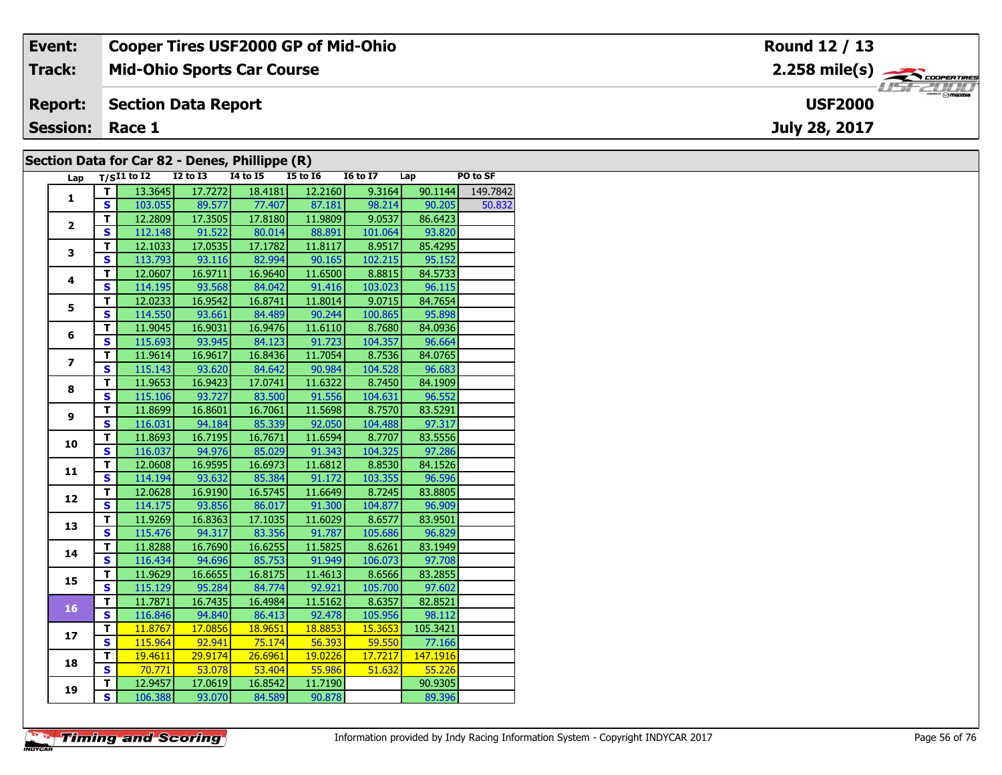| Event:                 | <b>Cooper Tires USF2000 GP of Mid-Ohio</b>    | Round 12 / 13                                         |
|------------------------|-----------------------------------------------|-------------------------------------------------------|
| <b>Track:</b>          | <b>Mid-Ohio Sports Car Course</b>             | $2.258$ mile(s) $\overbrace{\hspace{2cm}}$ coorenames |
| <b>Report:</b>         | Section Data Report                           | <b>USF2000</b>                                        |
| <b>Session: Race 1</b> |                                               | July 28, 2017                                         |
|                        | Section Data for Car 82 - Denes Phillinne (R) |                                                       |

#### **Section Data for Car 82 - Denes, Phillippe (R)**

| Lap            |                         | $T/SI1$ to $I2$ $I2$ to $I3$ |                                   | $\mathbf{r}$ , $\mathbf{r}$ , $\mathbf{r}$<br><b>I4 to I5</b> | $\sqrt{ }$<br>$15$ to $16$        | I6 to I7 Lap                       |                | PO to SF |
|----------------|-------------------------|------------------------------|-----------------------------------|---------------------------------------------------------------|-----------------------------------|------------------------------------|----------------|----------|
|                | Τ.                      |                              | 13.3645 17.7272                   | 18.4181                                                       | 12.2160                           | 9.3164                             | 90.1144        | 149.7842 |
| $\mathbf{1}$   | S.                      |                              |                                   |                                                               | 103.055 89.577 77.407 87.181      | 98.214                             | 90.205         | 50.832   |
|                | $\overline{\mathsf{r}}$ |                              | $12.2809$ 17.3505                 |                                                               | 17.8180 11.9809                   | 9.0537                             | 86.6423        |          |
| $\overline{2}$ | $\overline{\mathbf{s}}$ |                              | 112.148 91.522                    |                                                               | 80.014 88.891                     | 101.064                            | 93.820         |          |
|                | $\overline{\mathsf{r}}$ | 12.1033                      | 17.0535                           | 17.1782                                                       | 11.8117                           | 8.9517                             | 85.4295        |          |
| 3              | $\overline{\mathbf{s}}$ | 113.793                      | 93.116                            | 82.994                                                        | 90.165                            | 102.215                            | 95.152         |          |
|                | T                       | 12.0607                      | 16.9711                           | 16.9640                                                       | 11.6500                           | 8.8815                             | 84.5733        |          |
| 4              | $\overline{\mathbf{s}}$ | 114.195                      | 93.568                            | 84.042                                                        | 91.416                            | 103.023                            | 96.115         |          |
|                | T                       | 12.0233                      | 16.9542                           | 16.8741                                                       | 11.8014                           | 9.0715                             | 84.7654        |          |
| 5              | $\overline{\mathbf{s}}$ | 114.550                      | 93.661                            | 84.489                                                        | 90.244                            | 100.865                            | 95.898         |          |
|                | $\overline{\mathsf{r}}$ | 11.9045                      | 16.9031                           | 16.9476                                                       | 11.6110                           | 8.7680                             | 84.0936        |          |
| 6              | S                       |                              | 115.693 93.945                    | 84.123                                                        | 91.723                            | 104.357                            | 96.664         |          |
| $\overline{ }$ | $\overline{\mathsf{r}}$ | 11.9614                      | 16.9617                           | 16.8436                                                       | 11.7054                           | 8.7536                             | 84.0765        |          |
|                | $\overline{\mathbf{s}}$ | 115.143                      | 93.620                            | 84.642                                                        | 90.984                            | 104.528                            | 96.683         |          |
| 8              | $\overline{\mathsf{r}}$ | 11.9653                      | 16.9423                           | 17.0741                                                       | 11.6322                           | 8.7450                             | 84.1909        |          |
|                | $\overline{\mathbf{s}}$ | 115.106                      | 93.727                            | 83.500                                                        | 91.556                            | 104.631                            | 96.552         |          |
|                | T                       | 11.8699                      | 16.8601                           | 16.7061                                                       | 11.5698                           | 8.7570                             | 83.5291        |          |
| 9              | S                       | 116.031                      | 94.184                            | 85.339                                                        | 92.050                            | 104.488                            | 97.317         |          |
|                | T                       | 11.8693                      | 16.7195                           | 16.7671                                                       | 11.6594                           | 8.7707                             | 83.5556        |          |
| 10             | $\overline{\mathbf{s}}$ | 116.037                      | 94.976                            | 85.029                                                        | 91.343                            | 104.325                            | 97.286         |          |
| 11             | T                       | 12.0608                      | 16.9595                           | 16.6973                                                       | 11.6812                           | 8.8530                             | 84.1526        |          |
|                | $\overline{\mathbf{s}}$ |                              | 114.194 93.632                    | 85.384                                                        | 91.172                            |                                    | 103.355 96.596 |          |
|                | T                       | 12.0628                      | 16.9190                           | 16.5745                                                       | 11.6649                           | 8.7245                             | 83.8805        |          |
| 12             | $\overline{\mathbf{s}}$ | 114.175                      | 93.856                            | 86.017                                                        | 91.300                            | 104.877                            | 96.909         |          |
| 13             | T.                      | 11.9269                      | 16.8363                           | 17.1035                                                       | 11.6029                           | 8.6577                             | 83.9501        |          |
|                | $\overline{\mathbf{s}}$ | 115.476                      | 94.317                            | 83.356                                                        | 91.787                            | 105.686                            | 96.829         |          |
| 14             | T                       | 11.8288                      | 16.7690                           | 16.6255                                                       | 11.5825                           | 8.6261                             | 83.1949        |          |
|                | $\overline{\mathbf{s}}$ | 116.434                      | 94.696                            | 85.753                                                        | 91.949                            | 106.073                            | 97.708         |          |
| 15             | T                       | 11.9629                      | 16.6655                           | 16.8175                                                       | 11.4613                           | 8.6566                             | 83.2855        |          |
|                | $\overline{\mathbf{s}}$ | 115.129                      | 95.284                            | 84.774                                                        | 92.921                            | 105.700                            | 97.602         |          |
| 16             | T                       | 11.7871                      | 16.7435                           | 16.4984                                                       | 11.5162                           | 8.6357                             | 82.8521        |          |
|                | $\overline{\mathbf{s}}$ |                              | 116.846 94.840 86.413             |                                                               | 92.478                            | 105.956                            | 98.112         |          |
| 17             | T                       | 11.8767                      | 17.0856                           | 18.9651                                                       | 18.8853                           | 15.3653                            | 105.3421       |          |
|                | $\overline{\mathbf{s}}$ | 115.964                      | 92.941                            | 75.174                                                        | $\overline{\hspace{1.6cm}56.393}$ | $\overline{\hspace{1.6cm}}$ 59.550 | 77.166         |          |
| 18             | T                       | 19.4611                      | 29.9174                           | 26.6961                                                       | 19.0226                           | 17.7217                            | 147.1916       |          |
|                | $\overline{\mathbf{s}}$ | 70.771                       | $\overline{\hspace{1.6cm}53.078}$ | $-53.404$                                                     | 55.986                            | 51.632                             | 55.226         |          |
| 19             | T                       | 12.9457                      | 17.0619                           | 16.8542                                                       | 11.7190                           |                                    | 90.9305        |          |
|                | $\overline{\mathbf{s}}$ | 106.388                      |                                   | 93.070 84.589                                                 | 90.878                            |                                    | 89.396         |          |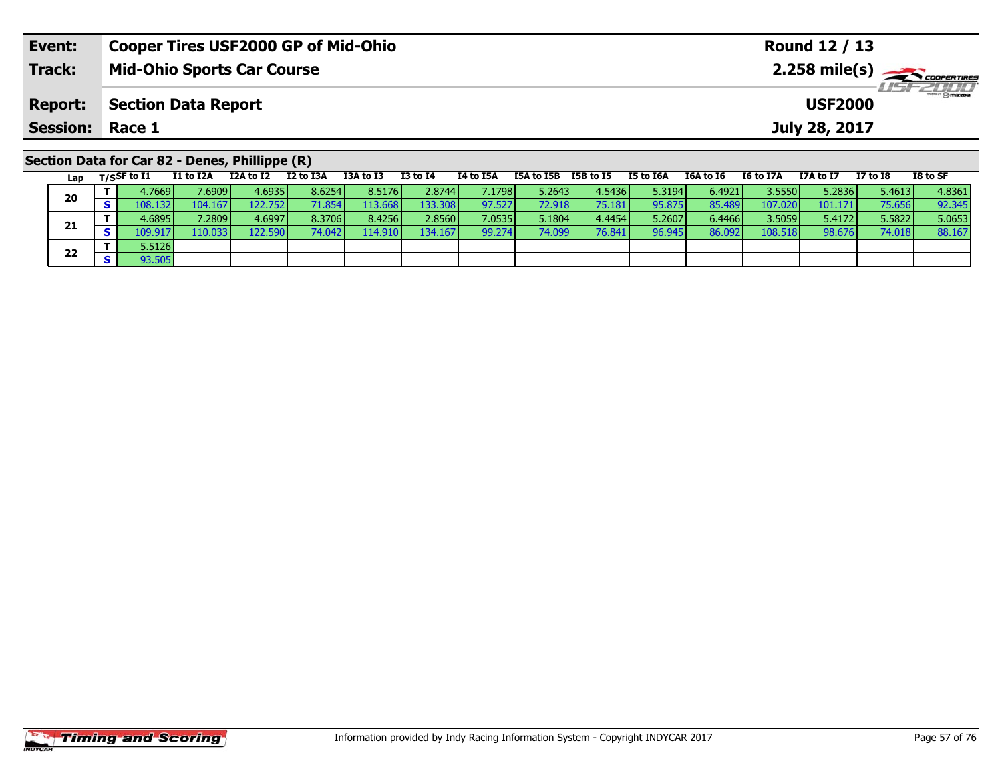| Event:          | <b>Cooper Tires USF2000 GP of Mid-Ohio</b>     |  |                   |                 |           |                                |  |                        | Round 12 / 13     |                  |                                                                      |
|-----------------|------------------------------------------------|--|-------------------|-----------------|-----------|--------------------------------|--|------------------------|-------------------|------------------|----------------------------------------------------------------------|
| <b>Track:</b>   | <b>Mid-Ohio Sports Car Course</b>              |  |                   |                 |           |                                |  |                        |                   |                  | $2.258$ mile(s) $\rightarrow$ Coorerrings<br><i><b>LISF 2000</b></i> |
| <b>Report:</b>  | <b>Section Data Report</b>                     |  |                   |                 |           |                                |  |                        | <b>USF2000</b>    |                  |                                                                      |
| <b>Session:</b> | Race 1                                         |  |                   |                 |           |                                |  |                        | July 28, 2017     |                  |                                                                      |
|                 | Section Data for Car 82 - Denes, Phillippe (R) |  | <b>TOA + 6 TO</b> | <b>TO +6 TA</b> | TA LA TEA | TEA to TED TED to TE TE to TEA |  | $TCA + 5C$ $TC + 5T7A$ | <b>T7A + 6 T7</b> | <b>T7 + 6 TO</b> | $TO + C C$                                                           |

| Lap | $T/S$ SF to I1  | I1 to I2A       | I2A to I2 | I2 to I3A | I3A to I3 | <b>I3 to I4</b> | I4 to I5A | I5A to I5B      | I5B to I5 | I5 to I6A | I6A to I6 | I6 to I7A | I7A to I7 | $I7$ to $I8$ | I8 to SF |
|-----|-----------------|-----------------|-----------|-----------|-----------|-----------------|-----------|-----------------|-----------|-----------|-----------|-----------|-----------|--------------|----------|
| 20  | 4.7669          | 7.6909 <b>l</b> | 4.6935    | 8.6254    | 8.5176    | 2.8744          | 7.17981   | 5.26431         | 4.5436    | 5.3194    | 6.4921    | 3.5550    | 5.2836    | 5.4613       | 4.8361   |
|     | 108.132         | 104.167         | 122.752   | 71.854    | 113.668   | 133.308         | 97.527    | 72.918          | 75.181    | 95.875    | 85.489    | 107.020   | 101.171   | 75.656       | 92.345   |
| 21  | 4.6895 <b>I</b> | 7.2809          | 4.6997    | 8.3706    | 8.4256    | 2.8560          | 7.0535    | 5.1804 <b>l</b> | 4.4454    | 5.2607    | 6.4466    | 3.5059    | 5.4172    | 5.5822       | 5.0653   |
|     | 109.917         | 110.033         | 122.590   | 74.042    | 14.910    | 134.167         | 99.274    | 74.099 <b>1</b> | 76.841    | 96.945    | 86.092    | 108.518   | 98.676    | 74.018       | 88.167   |
| 22  | 5.5126          |                 |           |           |           |                 |           |                 |           |           |           |           |           |              |          |
|     | 93.505          |                 |           |           |           |                 |           |                 |           |           |           |           |           |              |          |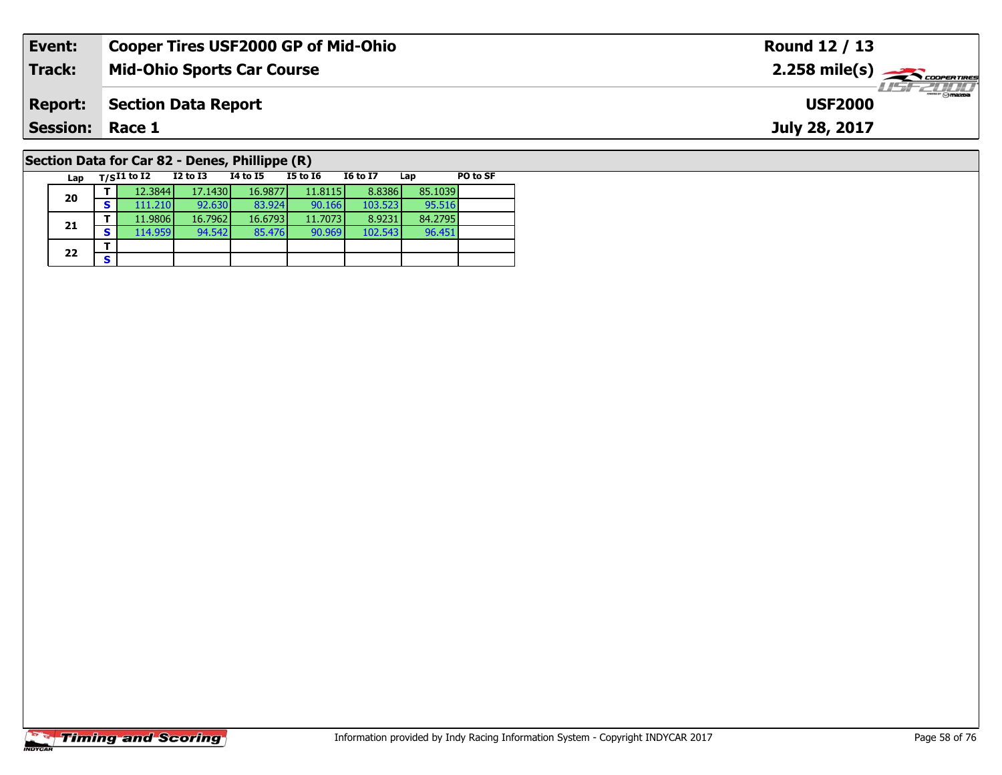| Event:                 | <b>Cooper Tires USF2000 GP of Mid-Ohio</b>     | Round 12 / 13                                           |
|------------------------|------------------------------------------------|---------------------------------------------------------|
| Track:                 | <b>Mid-Ohio Sports Car Course</b>              | $2.258$ mile(s) $\overbrace{\hspace{2cm}}$ coorer TIRES |
| <b>Report:</b>         | Section Data Report                            | <b>LISE 2000</b><br><b>USF2000</b>                      |
| <b>Session: Race 1</b> |                                                | July 28, 2017                                           |
|                        | Section Data for Car 82 - Denes, Phillippe (R) |                                                         |

#### **Lap T/SI1 to I2 I2 to I3 I4 to I5 I5 to I6 I6 to I7 Lap PO to SF 20 <sup>T</sup>** 12.3844 17.1430 16.9877 11.8115 8.8386 85.1039 **<sup>S</sup>** 111.210 92.630 83.924 90.166 103.523 95.51695.516<br>84.2795 **21 <sup>T</sup>** 11.9806 16.7962 16.6793 11.7073 8.9231 84.2795 **<sup>S</sup>** 114.959 94.542 85.476 90.969 102.543 96.45196.451  $22$   $\frac{1}{s}$ **Section Data for Car 82 - Denes, Phillippe (R)**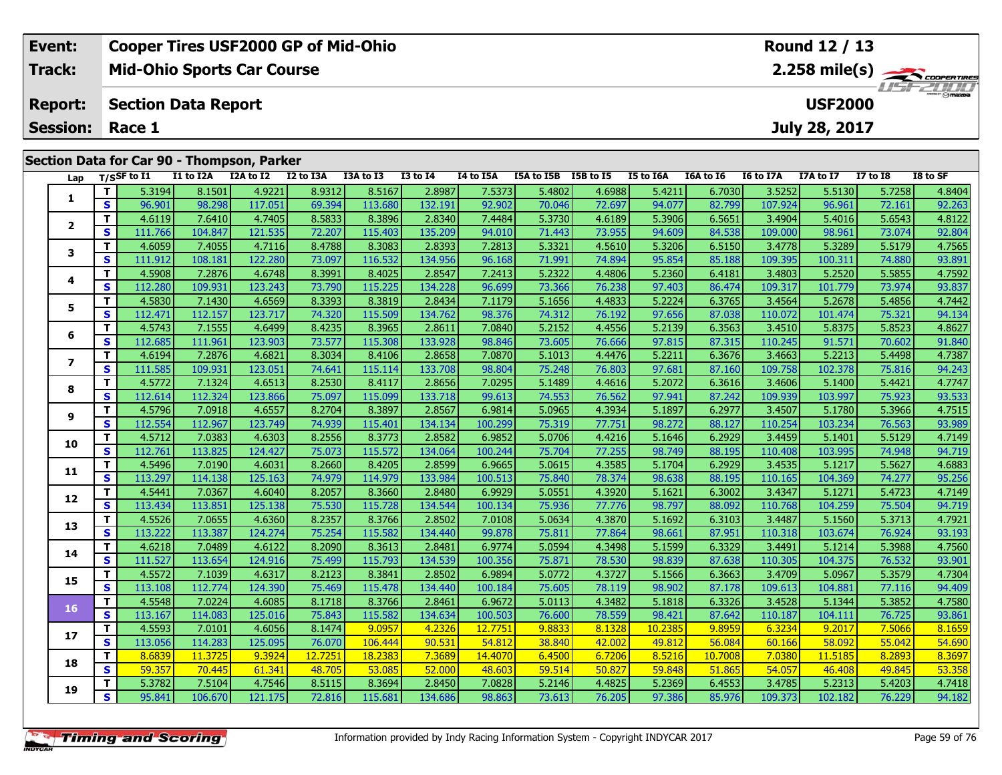| Event:          | <b>Cooper Tires USF2000 GP of Mid-Ohio</b> | Round 12 / 13                                 |
|-----------------|--------------------------------------------|-----------------------------------------------|
| <b>Track:</b>   | <b>Mid-Ohio Sports Car Course</b>          | $2.258$ mile(s) $\frac{1}{2.258}$ coorer Time |
| <b>Report:</b>  | Section Data Report                        | <b>LIST 2000</b><br><b>USF2000</b>            |
| <b>Session:</b> | Race 1                                     | July 28, 2017                                 |
|                 | Section Data for Car 90 - Thompson, Parker |                                               |

| Lap                      |                         | T/SSF to I1 | I1 to I2A | I2A to I2 | I2 to I3A | I3A to I3 | <b>I3 to I4</b> | I4 to I5A | I5A to I5B | I5B to I5 | I5 to I6A | I6A to I6 | I6 to I7A | I7A to I7 | $\overline{17}$ to $\overline{18}$ | I8 to SF |
|--------------------------|-------------------------|-------------|-----------|-----------|-----------|-----------|-----------------|-----------|------------|-----------|-----------|-----------|-----------|-----------|------------------------------------|----------|
|                          | T.                      | 5.3194      | 8.1501    | 4.9221    | 8.9312    | 8.5167    | 2.8987          | 7.5373    | 5.4802     | 4.6988    | 5.4211    | 6.7030    | 3.5252    | 5.5130    | 5.7258                             | 4.8404   |
| 1                        | $\overline{\mathbf{s}}$ | 96.901      | 98.298    | 117.051   | 69.394    | 113.680   | 132.191         | 92.902    | 70.046     | 72.697    | 94.077    | 82.799    | 107.924   | 96.961    | 72.161                             | 92.263   |
|                          | T.                      | 4.6119      | 7.6410    | 4.7405    | 8.5833    | 8.3896    | 2.8340          | 7.4484    | 5.3730     | 4.6189    | 5.3906    | 6.5651    | 3.4904    | 5.4016    | 5.6543                             | 4.8122   |
| $\overline{2}$           | S                       | 111.766     | 104.847   | 121.535   | 72.207    | 115.403   | 135.209         | 94.010    | 71.443     | 73.955    | 94.609    | 84.538    | 109.000   | 98.961    | 73.074                             | 92.804   |
|                          | T.                      | 4.6059      | 7.4055    | 4.7116    | 8.4788    | 8.3083    | 2.8393          | 7.2813    | 5.3321     | 4.5610    | 5.3206    | 6.5150    | 3.4778    | 5.3289    | 5.5179                             | 4.7565   |
| 3                        | S                       | 111.912     | 108.181   | 122.280   | 73.097    | 116.532   | 134.956         | 96.168    | 71.991     | 74.894    | 95.854    | 85.188    | 109.395   | 100.311   | 74.880                             | 93.891   |
|                          | T.                      | 4.5908      | 7.2876    | 4.6748    | 8.3991    | 8.4025    | 2.8547          | 7.2413    | 5.2322     | 4.4806    | 5.2360    | 6.4181    | 3.4803    | 5.2520    | 5.5855                             | 4.7592   |
| 4                        | S                       | 112.280     | 109.931   | 123.243   | 73.790    | 115.225   | 134.228         | 96.699    | 73.366     | 76.238    | 97.403    | 86.474    | 109.317   | 101.779   | 73.974                             | 93.837   |
|                          | T.                      | 4.5830      | 7.1430    | 4.6569    | 8.3393    | 8.3819    | 2.8434          | 7.1179    | 5.1656     | 4.4833    | 5.2224    | 6.3765    | 3.4564    | 5.2678    | 5.4856                             | 4.7442   |
| 5                        | S                       | 112.471     | 112.157   | 123.717   | 74.320    | 115.509   | 134.762         | 98.376    | 74.312     | 76.192    | 97.656    | 87.038    | 110.072   | 101.474   | 75.321                             | 94.134   |
|                          | T.                      | 4.5743      | 7.1555    | 4.6499    | 8.4235    | 8.3965    | 2.8611          | 7.0840    | 5.2152     | 4.4556    | 5.2139    | 6.3563    | 3.4510    | 5.8375    | 5.8523                             | 4.8627   |
| 6                        | S                       | 112.685     | 111.961   | 123.903   | 73.577    | 115.308   | 133.928         | 98.846    | 73.605     | 76.666    | 97.815    | 87.315    | 110.245   | 91.571    | 70.602                             | 91.840   |
|                          | T.                      | 4.6194      | 7.2876    | 4.6821    | 8.3034    | 8.4106    | 2.8658          | 7.0870    | 5.1013     | 4.4476    | 5.2211    | 6.3676    | 3.4663    | 5.2213    | 5.4498                             | 4.7387   |
| $\overline{\phantom{a}}$ | S                       | 111.585     | 109.931   | 123.051   | 74.641    | 115.114   | 133.708         | 98.804    | 75.248     | 76.803    | 97.681    | 87.160    | 109.758   | 102.378   | 75.816                             | 94.243   |
|                          | T.                      | 4.5772      | 7.1324    | 4.6513    | 8.2530    | 8.4117    | 2.8656          | 7.0295    | 5.1489     | 4.4616    | 5.2072    | 6.3616    | 3.4606    | 5.1400    | 5.4421                             | 4.7747   |
| 8                        | S                       | 112.614     | 112.324   | 123.866   | 75.097    | 115.099   | 133.718         | 99.613    | 74.553     | 76.562    | 97.941    | 87.242    | 109.939   | 103.997   | 75.923                             | 93.533   |
|                          | T.                      | 4.5796      | 7.0918    | 4.6557    | 8.2704    | 8.3897    | 2.8567          | 6.9814    | 5.0965     | 4.3934    | 5.1897    | 6.2977    | 3.4507    | 5.1780    | 5.3966                             | 4.7515   |
| 9                        | $\mathbf{s}$            | 112.554     | 112.967   | 123.749   | 74.939    | 115.401   | 134.134         | 100.299   | 75.319     | 77.751    | 98.272    | 88.127    | 110.254   | 103.234   | 76.563                             | 93.989   |
| 10                       | T.                      | 4.5712      | 7.0383    | 4.6303    | 8.2556    | 8.3773    | 2.8582          | 6.9852    | 5.0706     | 4.4216    | 5.1646    | 6.2929    | 3.4459    | 5.1401    | 5.5129                             | 4.7149   |
|                          | S                       | 112.761     | 113.825   | 124.427   | 75.073    | 115.572   | 134.064         | 100.244   | 75.704     | 77.255    | 98.749    | 88.195    | 110.408   | 103.995   | 74.948                             | 94.719   |
| 11                       | T.                      | 4.5496      | 7.0190    | 4.6031    | 8.2660    | 8.4205    | 2.8599          | 6.9665    | 5.0615     | 4.3585    | 5.1704    | 6.2929    | 3.4535    | 5.1217    | 5.5627                             | 4.6883   |
|                          | S                       | 113.297     | 114.138   | 125.163   | 74.979    | 114.979   | 133.984         | 100.513   | 75.840     | 78.374    | 98.638    | 88.195    | 110.165   | 104.369   | 74.277                             | 95.256   |
| 12                       | T.                      | 4.5441      | 7.0367    | 4.6040    | 8.2057    | 8.3660    | 2.8480          | 6.9929    | 5.0551     | 4.3920    | 5.1621    | 6.3002    | 3.4347    | 5.1271    | 5.4723                             | 4.7149   |
|                          | S                       | 113.434     | 113.851   | 125.138   | 75.530    | 115.728   | 134.544         | 100.134   | 75.936     | 77.776    | 98.797    | 88.092    | 110.768   | 104.259   | 75.504                             | 94.719   |
| 13                       | T.                      | 4.5526      | 7.0655    | 4.6360    | 8.2357    | 8.3766    | 2.8502          | 7.0108    | 5.0634     | 4.3870    | 5.1692    | 6.3103    | 3.4487    | 5.1560    | 5.3713                             | 4.7921   |
|                          | S                       | 113.222     | 113.387   | 124.274   | 75.254    | 115.582   | 134.440         | 99.878    | 75.811     | 77.864    | 98.661    | 87.951    | 110.318   | 103.674   | 76.924                             | 93.193   |
| 14                       | T.                      | 4.6218      | 7.0489    | 4.6122    | 8.2090    | 8.3613    | 2.8481          | 6.9774    | 5.0594     | 4.3498    | 5.1599    | 6.3329    | 3.4491    | 5.1214    | 5.3988                             | 4.7560   |
|                          | S                       | 111.527     | 113.654   | 124.916   | 75.499    | 115.793   | 134.539         | 100.356   | 75.871     | 78.530    | 98.839    | 87.638    | 110.305   | 104.375   | 76.532                             | 93.901   |
| 15                       | T.                      | 4.5572      | 7.1039    | 4.6317    | 8.2123    | 8.3841    | 2.8502          | 6.9894    | 5.0772     | 4.3727    | 5.1566    | 6.3663    | 3.4709    | 5.0967    | 5.3579                             | 4.7304   |
|                          | S                       | 113.108     | 112.774   | 124.390   | 75.469    | 115.478   | 134.440         | 100.184   | 75.605     | 78.119    | 98.902    | 87.178    | 109.613   | 104.881   | 77.116                             | 94.409   |
| 16                       | T.                      | 4.5548      | 7.0224    | 4.6085    | 8.1718    | 8.3766    | 2.8461          | 6.9672    | 5.0113     | 4.3482    | 5.1818    | 6.3326    | 3.4528    | 5.1344    | 5.3852                             | 4.7580   |
|                          | S                       | 113.167     | 114.083   | 125.016   | 75.843    | 115.582   | 134.634         | 100.503   | 76.600     | 78.559    | 98.421    | 87.642    | 110.187   | 104.111   | 76.725                             | 93.861   |
| 17                       | $\mathbf{T}$            | 4.5593      | 7.0101    | 4.6056    | 8.1474    | 9.0957    | 4.2326          | 12.7751   | 9.8833     | 8.1328    | 10.2385   | 9.8959    | 6.3234    | 9.2017    | 7.5066                             | 8.1659   |
|                          | S                       | 113.056     | 114.283   | 125.095   | 76.070    | 106.444   | 90.531          | 54.812    | 38.840     | 42.002    | 49.812    | 56.084    | 60.166    | 58.092    | 55.042                             | 54.690   |
| 18                       | T.                      | 8.6839      | 11.3725   | 9.3924    | 12.7251   | 18.2383   | 7.3689          | 14.4070   | 6.4500     | 6.7206    | 8.5216    | 10.7008   | 7.0380    | 11.5185   | 8.2893                             | 8.3697   |
|                          | $\overline{\mathbf{s}}$ | 59.357      | 70.445    | 61.341    | 48.705    | 53.085    | 52.000          | 48.603    | 59.514     | 50.827    | 59.848    | 51.865    | 54.057    | 46.408    | 49.845                             | 53.358   |
| 19                       | T.                      | 5.3782      | 7.5104    | 4.7546    | 8.5115    | 8.3694    | 2.8450          | 7.0828    | 5.2146     | 4.4825    | 5.2369    | 6.4553    | 3.4785    | 5.2313    | 5.4203                             | 4.7418   |
|                          | S.                      | 95.841      | 106.670   | 121.175   | 72.816    | 115.681   | 134.686         | 98.863    | 73.613     | 76.205    | 97.386    | 85.976    | 109.373   | 102.182   | 76.229                             | 94.182   |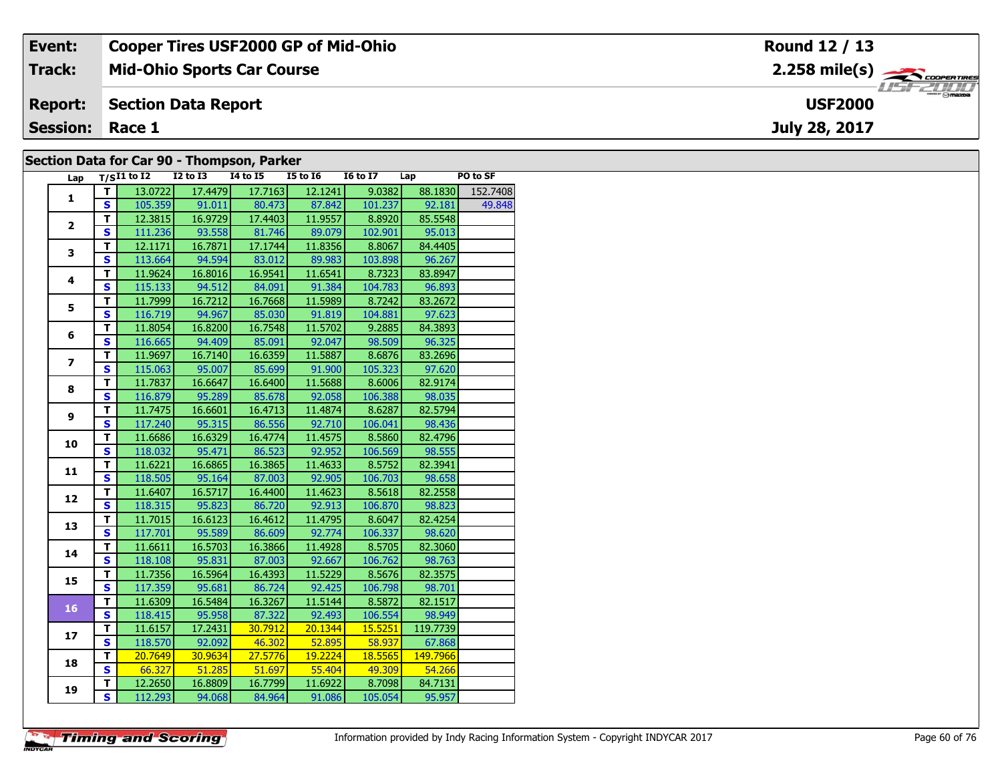| Event:                 | <b>Cooper Tires USF2000 GP of Mid-Ohio</b> | Round 12 / 13                                           |
|------------------------|--------------------------------------------|---------------------------------------------------------|
| Track:                 | <b>Mid-Ohio Sports Car Course</b>          | $2.258$ mile(s) $\overbrace{\hspace{2cm}}$ coorga Times |
| <b>Report:</b>         | Section Data Report                        | $\frac{1}{\Theta}$ mazpa<br><b>USF2000</b>              |
| <b>Session: Race 1</b> |                                            | July 28, 2017                                           |
|                        | Section Data for Car 00 - Thompson, Darker |                                                         |

#### **Section Data for Car 90 - Thompson, Parker**

| Lap                     |                         | $T/SI1$ to $I2$ $I2$ to $I3$ |                 | $\blacksquare$<br>$I4$ to $I5$ | $I5$ to $I6$                 | $16 \text{ to } 17$ $\qquad$ Lap  |                | PO to SF |
|-------------------------|-------------------------|------------------------------|-----------------|--------------------------------|------------------------------|-----------------------------------|----------------|----------|
|                         | T I                     | 13.0722                      | 17.4479         | 17.7163                        | 12.1241                      | 9.0382                            | 88.1830        | 152.7408 |
| $\mathbf{1}$            | S                       |                              |                 |                                | 105.359 91.011 80.473 87.842 |                                   | 101.237 92.181 | 49.848   |
|                         | $\overline{\mathsf{T}}$ |                              | 12.3815 16.9729 |                                | 17.4403 11.9557              | 8.8920                            | 85.5548        |          |
| $\overline{2}$          | $\overline{\mathbf{s}}$ | 111.236                      | 93.558          |                                | 81.746 89.079                | 102.901                           | 95.013         |          |
|                         | $\overline{\mathsf{r}}$ | 12.1171                      | 16.7871         | 17.1744                        | 11.8356                      | 8.8067                            | 84.4405        |          |
| 3                       | S                       | 113.664                      | 94.594          | 83.012                         | 89.983                       | 103.898                           | 96.267         |          |
|                         | T.                      | 11.9624                      | 16.8016         | 16.9541                        | 11.6541                      | 8.7323                            | 83.8947        |          |
| 4                       | $\overline{\mathbf{s}}$ | 115.133                      | 94.512          | 84.091                         | 91.384                       | 104.783                           | 96.893         |          |
|                         | т                       | 11.7999                      | 16.7212         | 16.7668                        | 11.5989                      | 8.7242                            | 83.2672        |          |
| 5                       | $\overline{\mathbf{s}}$ | 116.719                      | 94.967          | 85.030                         | 91.819                       | 104.881                           | 97.623         |          |
|                         | $\overline{\mathsf{r}}$ | 11.8054                      | 16.8200         | 16.7548                        | 11.5702                      | 9.2885                            | 84.3893        |          |
| 6                       | $\overline{\mathbf{s}}$ |                              |                 | 116.665 94.409 85.091          | 92.047                       | 98.509                            | 96.325         |          |
|                         | T                       | 11.9697                      | 16.7140         | 16.6359                        | 11.5887                      | 8.6876                            | 83.2696        |          |
| $\overline{\mathbf{z}}$ | $\overline{\mathbf{s}}$ | 115.063                      | 95.007          | 85.699                         | 91.900                       | 105.323                           | 97.620         |          |
|                         | $\overline{\mathsf{r}}$ | 11.7837                      | 16.6647         | 16.6400                        | 11.5688                      | 8.6006                            | 82.9174        |          |
| 8                       | S                       | 116.879                      | 95.289          | 85.678                         | 92.058                       | 106.388                           | 98.035         |          |
|                         | T.                      | 11.7475                      | 16.6601         | 16.4713                        | 11.4874                      | 8.6287                            | 82.5794        |          |
| 9                       | $\overline{\mathbf{s}}$ | 117.240                      | 95.315          | 86.556                         | 92.710                       | 106.041                           | 98.436         |          |
|                         | T                       | 11.6686                      | 16.6329         | 16.4774                        | 11.4575                      | 8.5860                            | 82.4796        |          |
| 10                      | $\overline{\mathbf{s}}$ | 118.032                      | 95.471          | 86.523                         | 92.952                       | 106.569                           | 98.555         |          |
|                         | T                       | 11.6221                      | 16.6865         | 16.3865                        | 11.4633                      | 8.5752                            | 82.3941        |          |
| 11                      | $\overline{\mathbf{s}}$ |                              | 118.505 95.164  | 87.003                         | 92.905                       | 106.703                           | 98.658         |          |
|                         | T                       | 11.6407                      | 16.5717         | 16.4400                        | 11.4623                      | 8.5618                            | 82.2558        |          |
| 12                      | S                       | 118.315                      | 95.823          | 86.720                         | 92.913                       | 106.870                           | 98.823         |          |
| 13                      | T.                      | 11.7015                      | 16.6123         | 16.4612                        | 11.4795                      | 8.6047                            | 82.4254        |          |
|                         | S                       | 117.701                      | 95.589          | 86.609                         | 92.774                       | 106.337                           | 98.620         |          |
| 14                      | T.                      | 11.6611                      | 16.5703         | 16.3866                        | 11.4928                      | 8.5705                            | 82.3060        |          |
|                         | $\overline{\mathbf{s}}$ | 118.108                      | 95.831          | 87.003                         | 92.667                       | 106.762                           | 98.763         |          |
| 15                      | т                       | 11.7356                      | 16.5964         | 16.4393                        | 11.5229                      | 8.5676                            | 82.3575        |          |
|                         | $\overline{\mathbf{s}}$ | 117.359                      | 95.681          | 86.724                         | 92.425                       | 106.798                           | 98.701         |          |
| 16                      | т                       | 11.6309                      | 16.5484         | 16.3267                        | 11.5144                      | 8.5872                            | 82.1517        |          |
|                         | S                       | 118.415                      |                 | 95.958 87.322                  | 92.493                       | 106.554                           | 98.949         |          |
| 17                      | T.                      | 11.6157                      | 17.2431         | 30.7912                        | $\overline{20.1344}$         | 15.5251                           | 119.7739       |          |
|                         | $\overline{\mathbf{s}}$ | 118.570                      | 92.092          | $-46.302$                      | 52.895                       | $\overline{\hspace{1.6cm}58.937}$ | 67.868         |          |
| 18                      | T                       | 20.7649                      | 30.9634         | 27.5776                        | 19.2224                      | 18.5565                           | 149.7966       |          |
|                         | S                       | 66.327                       | 51.285          | 51.697                         | 55.404                       | 49.309                            | 54.266         |          |
| 19                      | T.                      | 12.2650                      | 16.8809         | 16.7799                        | 11.6922                      | 8.7098                            | 84.7131        |          |
|                         | $\overline{\mathbf{s}}$ | 112.293                      | 94.068          | 84.964                         | 91.086                       | 105.054                           | 95.957         |          |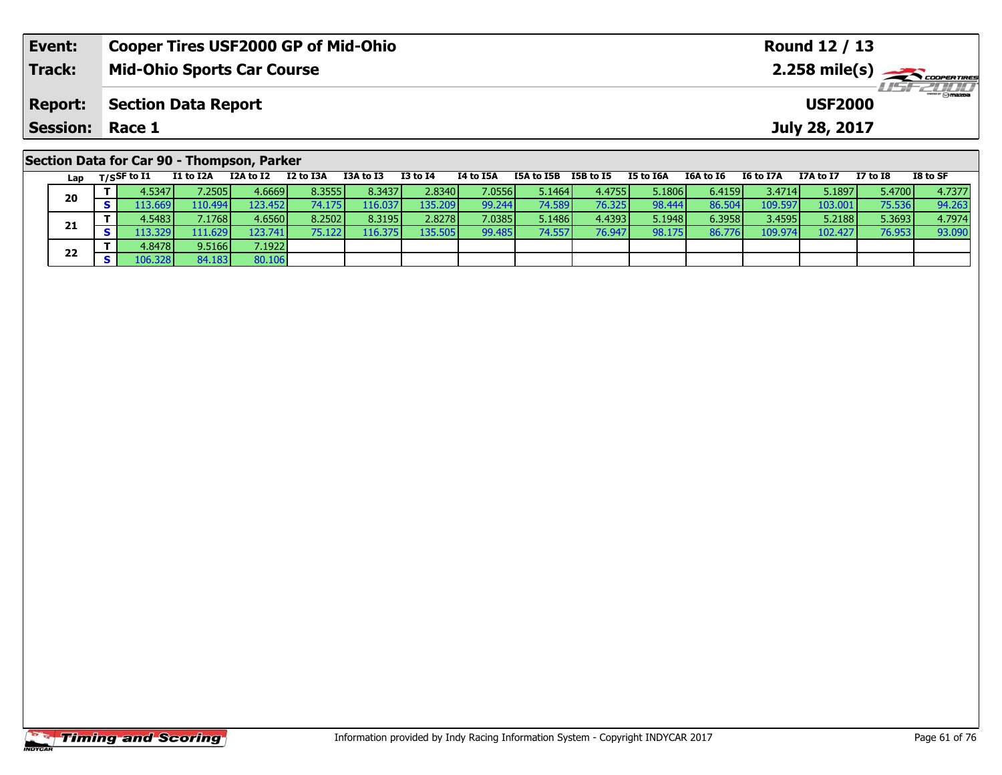| Event:                                     | <b>Cooper Tires USF2000 GP of Mid-Ohio</b> |           |           |           |                               | Round 12 / 13 |            |           |           |           |           |               |          |                                            |
|--------------------------------------------|--------------------------------------------|-----------|-----------|-----------|-------------------------------|---------------|------------|-----------|-----------|-----------|-----------|---------------|----------|--------------------------------------------|
| <b>Track:</b>                              | <b>Mid-Ohio Sports Car Course</b>          |           |           |           |                               |               |            |           |           |           |           |               |          | $2.258$ mile(s) $\sum$ <i>cooper TIRES</i> |
| <b>Report:</b>                             | <b>Section Data Report</b>                 |           |           |           | $H = -2000$<br><b>USF2000</b> |               |            |           |           |           |           |               |          |                                            |
| <b>Session: Race 1</b>                     |                                            |           |           |           |                               |               |            |           |           |           |           | July 28, 2017 |          |                                            |
| Section Data for Car 90 - Thompson, Parker |                                            |           |           |           |                               |               |            |           |           |           |           |               |          |                                            |
| Lap                                        | I1 to I2A<br>T/SSF to I1                   | I2A to I2 | I2 to I3A | I3A to I3 | I3 to I4                      | I4 to I5A     | I5A to I5B | I5B to I5 | I5 to I6A | I6A to I6 | I6 to I7A | I7A to I7     | I7 to I8 | I8 to SF                                   |

| Lap | 17530 W 14 |                  |                 |        |          | .       | $+10.50$ |        |        | $\sim \sim \sim \sim$ |        | $\sim \sim \sim \sim \sim$ | .       | .      |        |
|-----|------------|------------------|-----------------|--------|----------|---------|----------|--------|--------|-----------------------|--------|----------------------------|---------|--------|--------|
|     | 4.5347     | 7.2505           | 4.6669V         | 8.3555 | 8.3437   | 2.8340  | 7.0556   | 5.1464 | 4.4755 | 5.1806                | 6.4159 | 3.4714                     | 5.1897  | 5.4700 | 4.7377 |
| 20  | 113.669    | 110.494 <b>1</b> | 123.452         | 74.175 | 116.0371 | 135.209 | 99.244   | 74.589 | 76.325 | 98.444                | 86.504 | 109.597                    | 103.001 | 75.536 | 94.263 |
|     | 4.5483     | 7.1768           | 4.6560 <b>l</b> | 8.2502 | 8.3195   | 2.8278  | 7.0385   | 5.1486 | 4.4393 | 5.1948                | 6.3958 | 3.4595                     | 5.2188  | 5.3693 | 4.7974 |
| 21  | 113.329    | 111.6291         | 123.741         | 75.122 | 116.375  | 135.505 | 99.485   | 74.557 | 76.947 | 98.175                | 86.776 | 109.974                    | 102.427 | 76.953 | 93.090 |
| 22  | 4.8478     | 9.5166           | 7.1922          |        |          |         |          |        |        |                       |        |                            |         |        |        |
|     | 106.328    | 84.183           | 80.106          |        |          |         |          |        |        |                       |        |                            |         |        |        |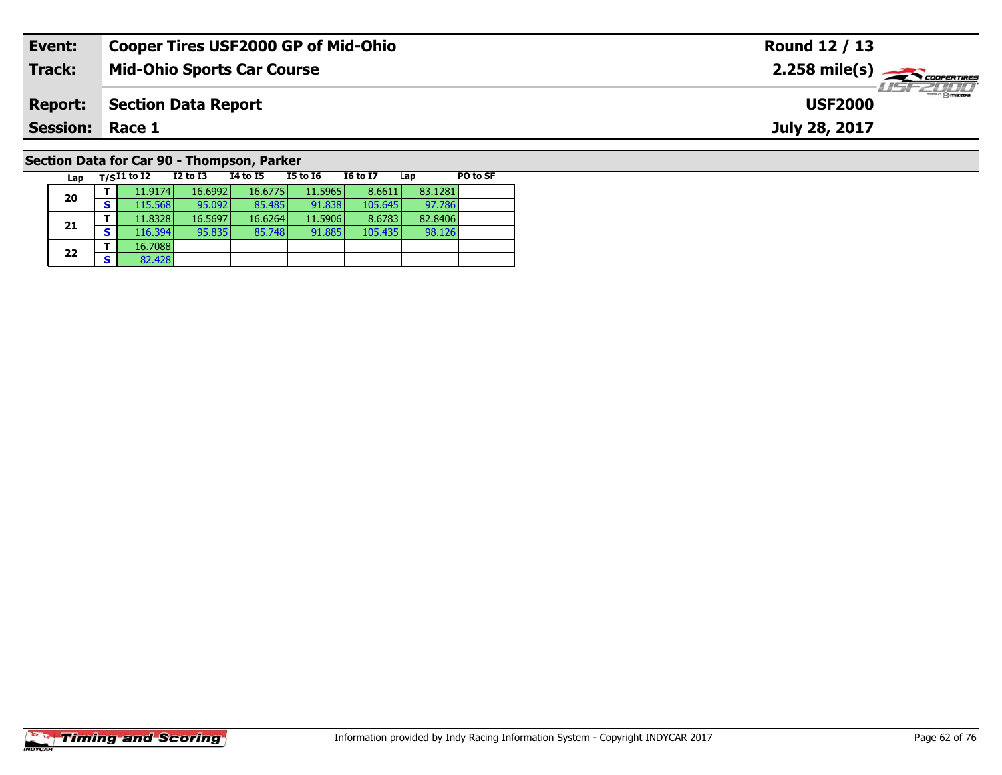| Event:         | <b>Cooper Tires USF2000 GP of Mid-Ohio</b> | Round 12 / 13                            |
|----------------|--------------------------------------------|------------------------------------------|
| Track:         | <b>Mid-Ohio Sports Car Course</b>          | $2.258$ mile(s) $\leftarrow$ COOPERTIRES |
| <b>Report:</b> | Section Data Report                        | <b>LISF 2000</b><br><b>USF2000</b>       |
| Session:       | Race 1                                     | July 28, 2017                            |
|                | Section Data for Car 90 - Thompson, Parker |                                          |

98.126

**Lap T/SI1 to I2 I2 to I3 I4 to I5 I5 to I6 I6 to I7 Lap PO to SF** 

**<sup>T</sup>** 11.9174 16.6992 16.6775 11.5965 8.6611 83.1281 **<sup>S</sup>** 115.568 95.092 85.485 91.838 105.645 97.786

**<sup>T</sup>** 11.8328 16.5697 16.6264 11.5906 8.6783 82.8406 **<sup>S</sup>** 116.394 95.835 85.748 91.885 105.435 98.126

# **Timing and Scoring**

**20**

**21**

**22**

**a T** 16.7088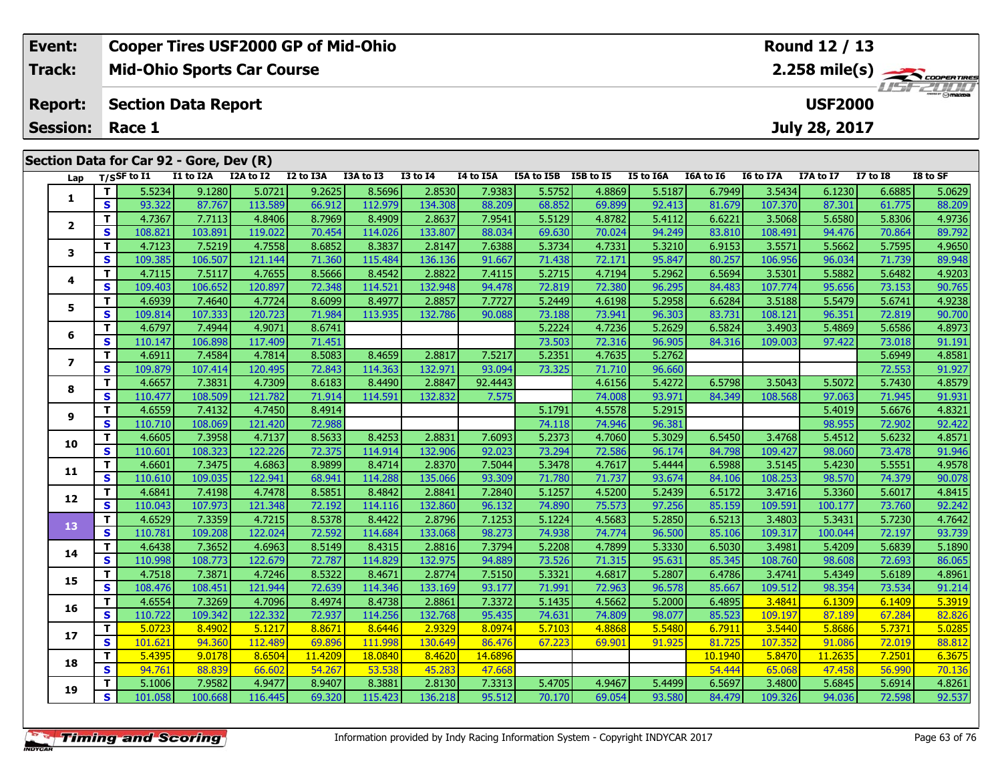| Event:          |                         |                                         |           | <b>Cooper Tires USF2000 GP of Mid-Ohio</b> |           |           |                 |           |            |           |           | Round 12 / 13                            |           |                |                 |                               |  |  |  |
|-----------------|-------------------------|-----------------------------------------|-----------|--------------------------------------------|-----------|-----------|-----------------|-----------|------------|-----------|-----------|------------------------------------------|-----------|----------------|-----------------|-------------------------------|--|--|--|
| <b>Track:</b>   |                         |                                         |           | <b>Mid-Ohio Sports Car Course</b>          |           |           |                 |           |            |           |           | $2.258$ mile(s) $\rightarrow$ Coorgannes |           |                |                 |                               |  |  |  |
| <b>Report:</b>  |                         | <b>Section Data Report</b>              |           |                                            |           |           |                 |           |            |           |           |                                          |           | <b>USF2000</b> |                 | <b>THE PEOPLE DESCRIPTION</b> |  |  |  |
| <b>Session:</b> | July 28, 2017<br>Race 1 |                                         |           |                                            |           |           |                 |           |            |           |           |                                          |           |                |                 |                               |  |  |  |
|                 |                         | Section Data for Car 92 - Gore, Dev (R) |           |                                            |           |           |                 |           |            |           |           |                                          |           |                |                 |                               |  |  |  |
| Lap             |                         | T/SSF to I1                             | I1 to I2A | I2A to I2                                  | I2 to I3A | I3A to I3 | <b>I3 to I4</b> | I4 to I5A | I5A to I5B | I5B to I5 | I5 to I6A | <b>I6A to 16</b>                         | I6 to I7A | I7A to I7      | <b>I7 to I8</b> | I8 to SF                      |  |  |  |
|                 |                         | 5.5234                                  | 9.1280    | 5.0721                                     | 9.2625    | 8.5696    | 2.8530          | 7.9383    | 5.5752     | 4.8869    | 5.5187    | 6.7949                                   | 3.5434    | 6.1230         | 6.6885          | 5.0629                        |  |  |  |
|                 | S.                      | 93.322                                  | 87.767    | 113.589                                    | 66.912    | 112.979   | 134.308         | 88.209    | 68.852     | 69.899    | 92.413    | 81.679                                   | 107.370   | 87.301         | 61.775          | 88.209                        |  |  |  |
|                 | T.                      | 4.7367                                  | 7.7113    | 4.8406                                     | 8.7969    | 8.4909    | 2.8637          | 7.9541    | 5.5129     | 4.8782    | 5.4112    | 6.6221                                   | 3.5068    | 5.6580         | 5.8306          | 4.9736                        |  |  |  |
|                 | <b>S</b>                | 108.821                                 | 103.891   | 119.022                                    | 70.454    | 114.026   | 133.807         | 88.034    | 69.630     | 70.024    | 94.249    | 83.810                                   | 108.491   | 94.476         | 70.864          | 89.792                        |  |  |  |
| 3               | т                       | 4.7123                                  | 7.5219    | 4.7558                                     | 8.6852    | 8.3837    | 2.8147          | 7.6388    | 5.3734     | 4.7331    | 5.3210    | 6.9153                                   | 3.5571    | 5.5662         | 5.7595          | 4.9650                        |  |  |  |
|                 | <b>S</b>                | 109.385                                 | 106.507   | 121.144                                    | 71.360    | 115.484   | 136.136         | 91.667    | 71.438     | 72.171    | 95.847    | 80.257                                   | 106.956   | 96.034         | 71.739          | 89.948                        |  |  |  |
|                 |                         | 4.7115                                  | 7.5117    | 4.7655                                     | 8.5666    | 8.4542    | 2.8822          | 7.4115    | 5.2715     | 4.7194    | 5.2962    | 6.5694                                   | 3.5301    | 5.5882         | 5.6482          | 4.9203                        |  |  |  |

|                          | T.           | 5.5234  | 9.1280  | 5.0721  | 9.2625  | 8.5696  | 2.8530  | 7.9383  | 5.5752 | 4.8869 | 5.5187 | 6.7949  | 3.5434  | 6.1230  | 6.6885 | 5.0629 |
|--------------------------|--------------|---------|---------|---------|---------|---------|---------|---------|--------|--------|--------|---------|---------|---------|--------|--------|
| 1                        | S            | 93.322  | 87.767  | 113.589 | 66.912  | 112.979 | 134.308 | 88.209  | 68.852 | 69.899 | 92.413 | 81.679  | 107.370 | 87.301  | 61.775 | 88.209 |
|                          | T            | 4.7367  | 7.7113  | 4.8406  | 8.7969  | 8.4909  | 2.8637  | 7.9541  | 5.5129 | 4.8782 | 5.4112 | 6.6221  | 3.5068  | 5.6580  | 5.8306 | 4.9736 |
| $\mathbf{2}$             | S            | 108.821 | 103.891 | 119.022 | 70.454  | 114.026 | 133.807 | 88.034  | 69.630 | 70.024 | 94.249 | 83.810  | 108.491 | 94.476  | 70.864 | 89.792 |
| 3                        | T.           | 4.7123  | 7.5219  | 4.7558  | 8.6852  | 8.3837  | 2.8147  | 7.6388  | 5.3734 | 4.7331 | 5.3210 | 6.9153  | 3.5571  | 5.5662  | 5.7595 | 4.9650 |
|                          | $\mathbf{s}$ | 109.385 | 106.507 | 121.144 | 71.360  | 115.484 | 136.136 | 91.667  | 71.438 | 72.171 | 95.847 | 80.257  | 106.956 | 96.034  | 71.739 | 89.948 |
|                          | T            | 4.7115  | 7.5117  | 4.7655  | 8.5666  | 8.4542  | 2.8822  | 7.4115  | 5.2715 | 4.7194 | 5.2962 | 6.5694  | 3.5301  | 5.5882  | 5.6482 | 4.9203 |
| 4                        | S            | 109.403 | 106.652 | 120.897 | 72.348  | 114.521 | 132.948 | 94.478  | 72.819 | 72.380 | 96.295 | 84.483  | 107.774 | 95.656  | 73.153 | 90.765 |
| 5                        | T            | 4.6939  | 7.4640  | 4.7724  | 8.6099  | 8.4977  | 2.8857  | 7.7727  | 5.2449 | 4.6198 | 5.2958 | 6.6284  | 3.5188  | 5.5479  | 5.6741 | 4.9238 |
|                          | S            | 109.814 | 107.333 | 120.723 | 71.984  | 113.935 | 132.786 | 90.088  | 73.188 | 73.941 | 96.303 | 83.731  | 108.121 | 96.351  | 72.819 | 90.700 |
| 6                        | T.           | 4.6797  | 7.4944  | 4.9071  | 8.6741  |         |         |         | 5.2224 | 4.7236 | 5.2629 | 6.5824  | 3.4903  | 5.4869  | 5.6586 | 4.8973 |
|                          | $\mathbf{s}$ | 110.147 | 106.898 | 117.409 | 71.451  |         |         |         | 73.503 | 72.316 | 96.905 | 84.316  | 109.003 | 97.422  | 73.018 | 91.191 |
| $\overline{\phantom{a}}$ | T.           | 4.6911  | 7.4584  | 4.7814  | 8.5083  | 8.4659  | 2.8817  | 7.5217  | 5.2351 | 4.7635 | 5.2762 |         |         |         | 5.6949 | 4.8581 |
|                          | $\mathbf{s}$ | 109.879 | 107.414 | 120.495 | 72.843  | 114.363 | 132.97  | 93.094  | 73.325 | 71.710 | 96.660 |         |         |         | 72.553 | 91.927 |
| 8                        | T.           | 4.6657  | 7.3831  | 4.7309  | 8.6183  | 8.4490  | 2.8847  | 92.4443 |        | 4.6156 | 5.4272 | 6.5798  | 3.5043  | 5.5072  | 5.7430 | 4.8579 |
|                          | $\mathbf{s}$ | 110.477 | 108.509 | 121.782 | 71.914  | 114.591 | 132.832 | 7.575   |        | 74.008 | 93.97  | 84.349  | 108.568 | 97.063  | 71.945 | 91.931 |
| 9                        | T.           | 4.6559  | 7.4132  | 4.7450  | 8.4914  |         |         |         | 5.1791 | 4.5578 | 5.2915 |         |         | 5.4019  | 5.6676 | 4.8321 |
|                          | S            | 110.710 | 108.069 | 121.420 | 72.988  |         |         |         | 74.118 | 74.946 | 96.381 |         |         | 98.955  | 72.902 | 92.422 |
| 10                       | T.           | 4.6605  | 7.3958  | 4.7137  | 8.5633  | 8.4253  | 2.8831  | 7.6093  | 5.2373 | 4.7060 | 5.3029 | 6.5450  | 3.4768  | 5.4512  | 5.6232 | 4.8571 |
|                          | <b>S</b>     | 110.601 | 108.323 | 122.226 | 72.375  | 114.914 | 132.906 | 92.023  | 73.294 | 72.586 | 96.174 | 84.798  | 109.427 | 98.060  | 73.478 | 91.946 |
| 11                       | T.           | 4.6601  | 7.3475  | 4.6863  | 8.9899  | 8.4714  | 2.8370  | 7.5044  | 5.3478 | 4.7617 | 5.4444 | 6.5988  | 3.5145  | 5.4230  | 5.5551 | 4.9578 |
|                          | $\mathbf{s}$ | 110.610 | 109.035 | 122.941 | 68.941  | 114.288 | 135.066 | 93.309  | 71.780 | 71.737 | 93.674 | 84.106  | 108.253 | 98.570  | 74.379 | 90.078 |
| 12                       | $\mathbf{T}$ | 4.6841  | 7.4198  | 4.7478  | 8.5851  | 8.4842  | 2.8841  | 7.2840  | 5.1257 | 4.5200 | 5.2439 | 6.5172  | 3.4716  | 5.3360  | 5.6017 | 4.8415 |
|                          | $\mathbf{s}$ | 110.043 | 107.973 | 121.348 | 72.192  | 114.116 | 132.860 | 96.132  | 74.890 | 75.573 | 97.256 | 85.159  | 109.591 | 100.177 | 73.760 | 92.242 |
| 13                       | T.           | 4.6529  | 7.3359  | 4.7215  | 8.5378  | 8.4422  | 2.8796  | 7.1253  | 5.1224 | 4.5683 | 5.2850 | 6.5213  | 3.4803  | 5.3431  | 5.7230 | 4.7642 |
|                          | $\mathbf{s}$ | 110.781 | 109.208 | 122.024 | 72.592  | 114.684 | 133.068 | 98.273  | 74.938 | 74.774 | 96.500 | 85.106  | 109.317 | 100.044 | 72.197 | 93.739 |
| 14                       | T.           | 4.6438  | 7.3652  | 4.6963  | 8.5149  | 8.4315  | 2.8816  | 7.3794  | 5.2208 | 4.7899 | 5.3330 | 6.5030  | 3.4981  | 5.4209  | 5.6839 | 5.1890 |
|                          | $\mathbf{s}$ | 110.998 | 108.773 | 122.679 | 72.787  | 114.829 | 132.975 | 94.889  | 73.526 | 71.315 | 95.631 | 85.345  | 108.760 | 98.608  | 72.693 | 86.065 |
| 15                       | $\mathbf{T}$ | 4.7518  | 7.3871  | 4.7246  | 8.5322  | 8.4671  | 2.8774  | 7.5150  | 5.3321 | 4.6817 | 5.2807 | 6.4786  | 3.4741  | 5.4349  | 5.6189 | 4.8961 |
|                          | S            | 108.476 | 108.451 | 121.944 | 72.639  | 114.346 | 133.169 | 93.177  | 71.991 | 72.963 | 96.578 | 85.667  | 109.512 | 98.354  | 73.534 | 91.214 |
| 16                       | T.           | 4.6554  | 7.3269  | 4.7096  | 8.4974  | 8.4738  | 2.8861  | 7.3372  | 5.1435 | 4.5662 | 5.2000 | 6.4895  | 3.4841  | 6.1309  | 6.1409 | 5.3919 |
|                          | $\mathbf{s}$ | 110.722 | 109.342 | 122.332 | 72.937  | 114.256 | 132.768 | 95.435  | 74.631 | 74.809 | 98.077 | 85.523  | 109.197 | 87.189  | 67.284 | 82.826 |
| 17                       | T.           | 5.0723  | 8.4902  | 5.1217  | 8.8671  | 8.6446  | 2.9329  | 8.0974  | 5.7103 | 4.8868 | 5.5480 | 6.7911  | 3.5440  | 5.8686  | 5.7371 | 5.0285 |
|                          | $\mathbf{s}$ | 101.621 | 94.360  | 112.489 | 69.896  | 111.998 | 130.649 | 86.476  | 67.223 | 69.901 | 91.925 | 81.725  | 107.352 | 91.086  | 72.019 | 88.812 |
| 18                       | T            | 5.4395  | 9.0178  | 8.6504  | 11.4209 | 18.0840 | 8.4620  | 14.6896 |        |        |        | 10.1940 | 5.8470  | 11.2635 | 7.2501 | 6.3675 |
|                          | S            | 94.761  | 88.839  | 66.602  | 54.267  | 53.538  | 45.283  | 47.668  |        |        |        | 54,444  | 65.068  | 47.458  | 56.990 | 70.136 |
| 19                       | T.           | 5.1006  | 7.9582  | 4.9477  | 8.9407  | 8.3881  | 2.8130  | 7.3313  | 5.4705 | 4.9467 | 5.4499 | 6.5697  | 3.4800  | 5.6845  | 5.6914 | 4.8261 |
|                          | S            | 101.058 | 100.668 | 116.445 | 69.320  | 115.423 | 136.218 | 95.512  | 70.170 | 69.054 | 93.580 | 84.479  | 109.326 | 94.036  | 72.598 | 92.537 |

**Timing and Scoring**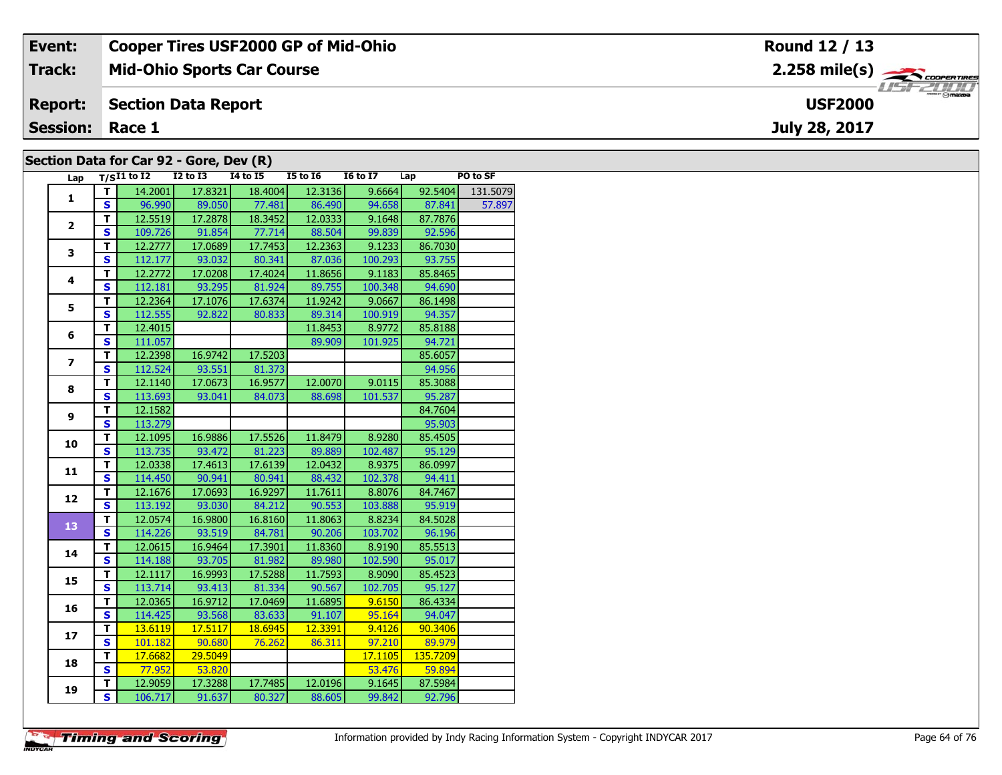| Event:                 | <b>Cooper Tires USF2000 GP of Mid-Ohio</b> | Round 12 / 13                                            |
|------------------------|--------------------------------------------|----------------------------------------------------------|
| Track:                 | <b>Mid-Ohio Sports Car Course</b>          | $2.258$ mile(s) $\overbrace{\hspace{2cm}}$ codenaires    |
| <b>Report:</b>         | Section Data Report                        | $\overline{\phantom{a}}$ $\odot$ mazoa<br><b>USF2000</b> |
| <b>Session: Race 1</b> |                                            | July 28, 2017                                            |
|                        | Section Data for Car 92 - Gore, Dev (R)    |                                                          |

| Lap            |   | $T/SI1$ to I2 | <b>I2 to I3</b> | 14 to 15 | <b>I5 to 16</b> | <b>16 to 17</b> | Lap     | PO to SF |
|----------------|---|---------------|-----------------|----------|-----------------|-----------------|---------|----------|
| 1              |   | 14.2001       | 17.8321         | 18,4004  | 12.3136         | 9.6664          | 92.5404 | 131.5079 |
|                | S | 96.990        | 89.050          | 77.481   | 86.490          | 94.658          | 87.841  | 57.897   |
| $\overline{2}$ | т | 12.5519       | 17.2878         | 18.3452  | 12.0333         | 9.1648          | 87.7876 |          |
|                | S | 109.726       | 91.854          | 77.714   | 88.504          | 99.839          | 92.596  |          |
| 3              | т | 12.2777       | 17.0689         | 17.7453  | 12.2363         | 9.1233          | 86.7030 |          |
|                | S | 112.177       | 93.032          | 80.341   | 87.036          | 100.293         | 93.755  |          |
| 4              | т | 12.2772       | 17.0208         | 17.4024  | 11.8656         | 9.1183          | 85.8465 |          |
|                | S | 112.181       | 93.295          | 81.924   | 89.755          | 100.348         | 94.690  |          |
| 5              | т | 12.2364       | 17.1076         | 17.6374  | 11.9242         | 9.0667          | 86.1498 |          |
|                | s | 112.555       | 92.822          | 80.833   | 89.314          | 100.919         | 94.357  |          |
| 6              | т | 12.4015       |                 |          | 11.8453         | 8.9772          | 85.8188 |          |
|                | s | 111.057       |                 |          | 89.909          | 101.925         | 94.721  |          |
|                |   |               |                 |          |                 |                 |         |          |

| 4              | т                       | 12.2772 | 17.0208 | 17.4024 | 11.8656 | 9.1183  | 85.8465  |  |
|----------------|-------------------------|---------|---------|---------|---------|---------|----------|--|
|                | S                       | 112.181 | 93.295  | 81.924  | 89.755  | 100.348 | 94.690   |  |
| 5              | T                       | 12.2364 | 17.1076 | 17.6374 | 11.9242 | 9.0667  | 86.1498  |  |
|                | $\mathbf{s}$            | 112.555 | 92.822  | 80.833  | 89.314  | 100.919 | 94.357   |  |
| 6              | т                       | 12.4015 |         |         | 11.8453 | 8.9772  | 85.8188  |  |
|                | S                       | 111.057 |         |         | 89.909  | 101.925 | 94.721   |  |
| $\overline{ }$ | T                       | 12.2398 | 16.9742 | 17.5203 |         |         | 85.6057  |  |
|                | S                       | 112.524 | 93.551  | 81.373  |         |         | 94.956   |  |
| 8              | T                       | 12.1140 | 17.0673 | 16.9577 | 12.0070 | 9.0115  | 85.3088  |  |
|                | S                       | 113.693 | 93.041  | 84.073  | 88.698  | 101.537 | 95.287   |  |
| 9              | T                       | 12.1582 |         |         |         |         | 84.7604  |  |
|                | S                       | 113.279 |         |         |         |         | 95.903   |  |
| 10             | T                       | 12.1095 | 16.9886 | 17.5526 | 11.8479 | 8.9280  | 85.4505  |  |
|                | $\mathbf{s}$            | 113.735 | 93.472  | 81.223  | 89.889  | 102.487 | 95.129   |  |
| 11             | T                       | 12.0338 | 17.4613 | 17.6139 | 12.0432 | 8.9375  | 86.0997  |  |
|                | S                       | 114.450 | 90.941  | 80.941  | 88.432  | 102.378 | 94.411   |  |
| 12             | T                       | 12.1676 | 17.0693 | 16.9297 | 11.7611 | 8.8076  | 84.7467  |  |
|                | S                       | 113.192 | 93.030  | 84.212  | 90.553  | 103.888 | 95.919   |  |
| 13             | T                       | 12.0574 | 16.9800 | 16.8160 | 11.8063 | 8.8234  | 84.5028  |  |
|                | $\mathbf{s}$            | 114.226 | 93.519  | 84.781  | 90.206  | 103.702 | 96.196   |  |
| 14             | т                       | 12.0615 | 16.9464 | 17.3901 | 11.8360 | 8.9190  | 85.5513  |  |
|                | S                       | 114.188 | 93.705  | 81.982  | 89.980  | 102.590 | 95.017   |  |
| 15             | $\overline{\mathsf{r}}$ | 12.1117 | 16.9993 | 17.5288 | 11.7593 | 8.9090  | 85.4523  |  |
|                | $\mathbf{s}$            | 113.714 | 93.413  | 81.334  | 90.567  | 102.705 | 95.127   |  |
| 16             | T                       | 12.0365 | 16.9712 | 17.0469 | 11.6895 | 9.6150  | 86.4334  |  |
|                | S                       | 114.425 | 93.568  | 83.633  | 91.107  | 95.164  | 94.047   |  |
| 17             | т                       | 13.6119 | 17.5117 | 18.6945 | 12.3391 | 9.4126  | 90.3406  |  |
|                | S                       | 101.182 | 90.680  | 76.262  | 86.311  | 97.210  | 89.979   |  |
| 18             | T                       | 17.6682 | 29.5049 |         |         | 17.1105 | 135.7209 |  |
|                | S                       | 77.952  | 53.820  |         |         | 53.476  | 59.894   |  |
| 19             | т                       | 12.9059 | 17.3288 | 17.7485 | 12.0196 | 9.1645  | 87.5984  |  |
|                | $\mathbf{s}$            | 106.717 | 91.637  | 80.327  | 88.605  | 99.842  | 92.796   |  |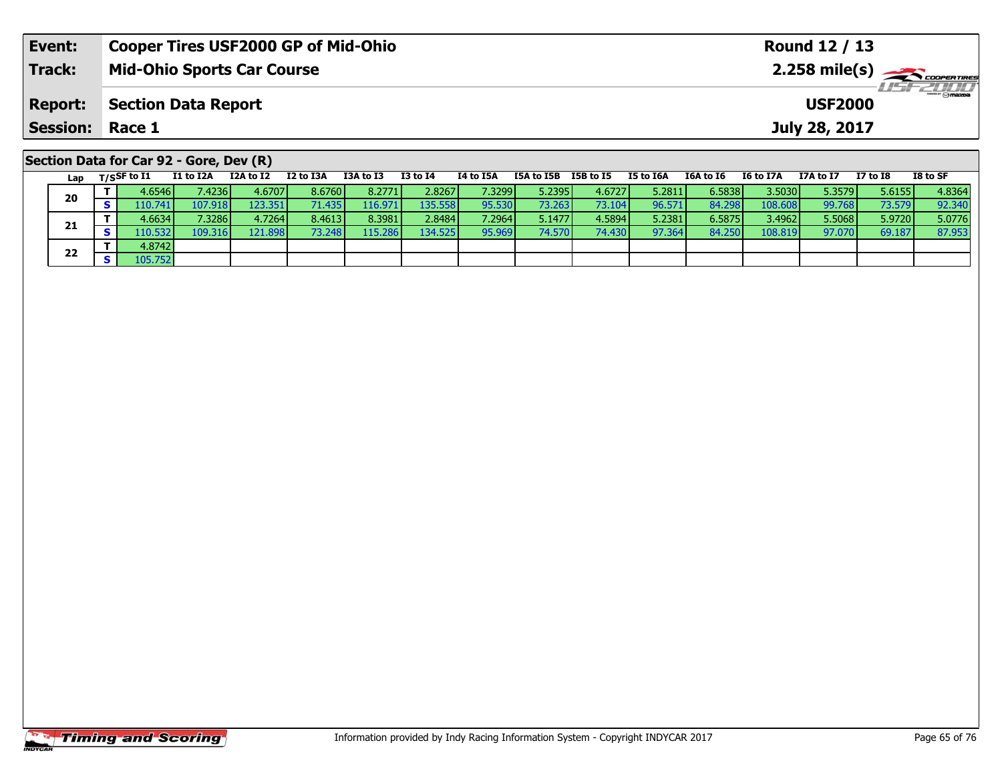| Event:                                  |                                   | <b>Cooper Tires USF2000 GP of Mid-Ohio</b> |           |           |           |              |                             | Round 12 / 13 |                  |                  |                                          |                  |               |                 |          |
|-----------------------------------------|-----------------------------------|--------------------------------------------|-----------|-----------|-----------|--------------|-----------------------------|---------------|------------------|------------------|------------------------------------------|------------------|---------------|-----------------|----------|
| <b>Track:</b>                           | <b>Mid-Ohio Sports Car Course</b> |                                            |           |           |           |              |                             |               |                  |                  | $2.258$ mile(s) $\rightarrow$ coorganges |                  |               |                 |          |
| <b>Report:</b>                          | <b>Section Data Report</b>        |                                            |           |           |           |              | LISF 2000<br><b>USF2000</b> |               |                  |                  |                                          |                  |               |                 |          |
| <b>Session:</b>                         | Race 1                            |                                            |           |           |           |              |                             |               |                  |                  |                                          |                  | July 28, 2017 |                 |          |
| Section Data for Car 92 - Gore, Dev (R) |                                   |                                            |           |           |           |              |                             |               |                  |                  |                                          |                  |               |                 |          |
| Lap                                     | $T/S$ SF to I1                    | I1 to I2A                                  | I2A to I2 | I2 to I3A | I3A to I3 | $I3$ to $I4$ | I4 to I5A                   | I5A to I5B    | <b>I5B</b> to I5 | <b>I5 to I6A</b> | I6A to I6                                | <b>I6 to I7A</b> | I7A to I7     | <b>I7 to I8</b> | I8 to SF |

| Lap | 1753 FW 11 | 11 W 12M | 12M W 12 | 14 W 198 |         | w.r      | 17 W 198 | 1980 1980 1980 1991 |        | 19 W 198 | TOM TO TO |         |        | 17 W 10         | 10 W JF |
|-----|------------|----------|----------|----------|---------|----------|----------|---------------------|--------|----------|-----------|---------|--------|-----------------|---------|
| 20  | 4.6546     | 7.4236   | 4.6707   | 8.6760   | 8.2771  | 2.8267   | 7.3299 l | 5.2395              | 4.6727 | 5.2811   | 6.5838    | 3.5030  | 5.3579 | 5.6155          | 4.8364  |
|     | 110.741    | 107.918  | 123.351  | 71.435   |         | 135.5581 | 95.530   | 73.263 <b>I</b>     | 73.104 | 96.571   | 84.298    | 108.608 | 99.768 | 73.579 <b>I</b> | 92.340  |
| 21  | 4.6634     | 7.3286   | 4.7264   | 8.4613   | 8.3981  | 2.8484   | 7.2964 l | 5.1477              | 4.5894 | 5.2381   | 6.5875    | 3.4962  | 5.5068 | 5.9720          | 5.0776  |
|     | 110.532    | 109.316  | 121.898  | 73.248   | 115.286 | 134.5251 | 95.969   | 74.570              | 74.430 | 97.364   | 84.250    | 108.819 | 97.070 | 69.187          | 87.953  |
| 22  | 4.8742     |          |          |          |         |          |          |                     |        |          |           |         |        |                 |         |
|     | 105.752    |          |          |          |         |          |          |                     |        |          |           |         |        |                 |         |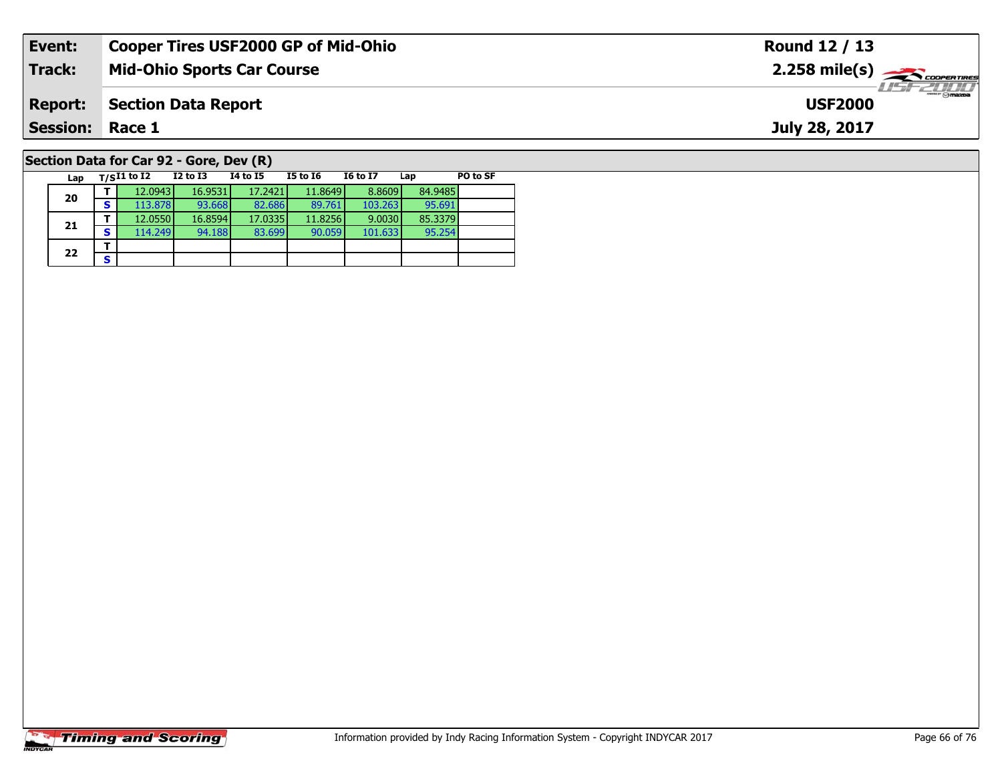| Event:                                  | <b>Cooper Tires USF2000 GP of Mid-Ohio</b> | Round 12 / 13                               |  |  |  |  |  |  |  |  |  |
|-----------------------------------------|--------------------------------------------|---------------------------------------------|--|--|--|--|--|--|--|--|--|
| <b>Track:</b>                           | <b>Mid-Ohio Sports Car Course</b>          | $2.258$ mile(s) $\rightarrow$ Coorentines   |  |  |  |  |  |  |  |  |  |
| <b>Report:</b>                          | <b>Section Data Report</b>                 | $\overline{\Theta}$ mazoa<br><b>USF2000</b> |  |  |  |  |  |  |  |  |  |
| <b>Session: Race 1</b>                  |                                            | July 28, 2017                               |  |  |  |  |  |  |  |  |  |
| Section Data for Car 92 - Gore, Dev (R) |                                            |                                             |  |  |  |  |  |  |  |  |  |

| Lap | T/SI1 to I2 |         | $I2$ to $I3$ | 14 to 15 | <b>I5 to I6</b> | <b>I6 to I7</b> | Lap     | PO to SF |
|-----|-------------|---------|--------------|----------|-----------------|-----------------|---------|----------|
| 20  |             | 12.0943 | 16.9531      | 17.2421  | 11.8649         | 8.8609          | 84.9485 |          |
|     | s           | 113.878 | 93.668       | 82.686   | 89.761          | 103.263         | 95.691  |          |
| 21  |             | 12.0550 | 16.8594      | 17.0335  | 11.8256         | 9.0030          | 85.3379 |          |
|     | s           | 114.249 | 94.188       | 83.699   | 90.059          | 101.633         | 95.254  |          |
| 22  |             |         |              |          |                 |                 |         |          |
|     | s           |         |              |          |                 |                 |         |          |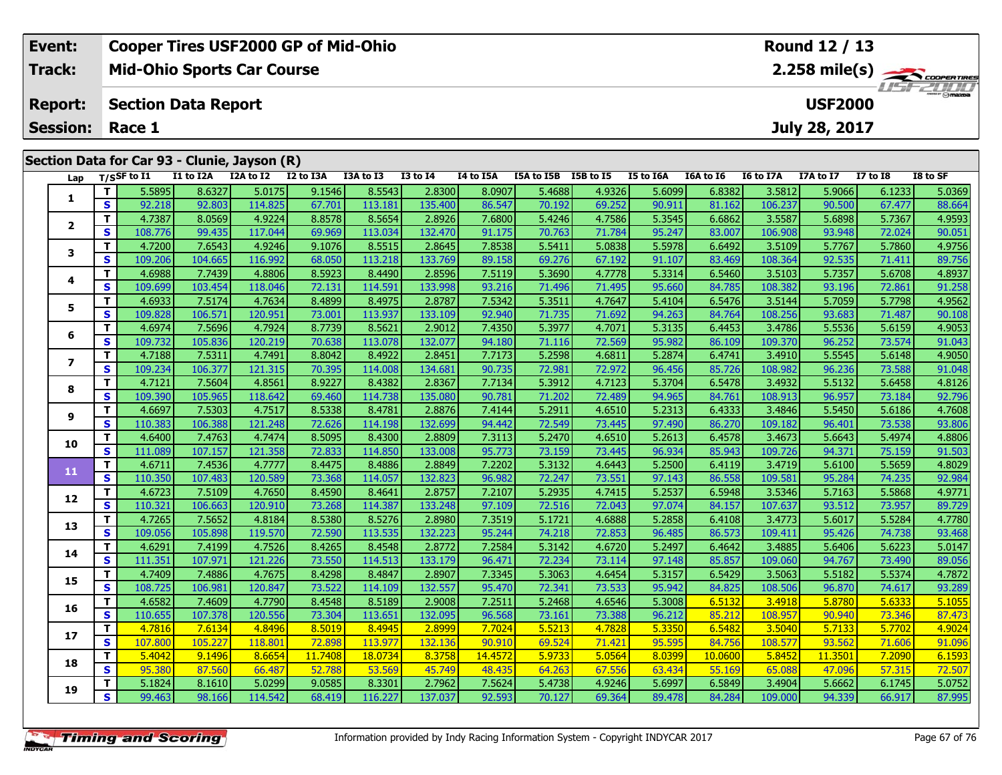| Event:                 | <b>Cooper Tires USF2000 GP of Mid-Ohio</b>   | Round 12 / 13                             |
|------------------------|----------------------------------------------|-------------------------------------------|
| Track:                 | <b>Mid-Ohio Sports Car Course</b>            |                                           |
| <b>Report:</b>         | Section Data Report                          | <i><b>LIST 2000</b></i><br><b>USF2000</b> |
| <b>Session: Race 1</b> |                                              | July 28, 2017                             |
|                        |                                              |                                           |
|                        | Section Data for Car 93 - Clunie, Jayson (R) |                                           |

| Lap            |                         | T/SSF to I1 | I1 to I2A | I2A to I2 | I2 to I3A | I3A to I3 | <b>I3 to I4</b> | I4 to I5A | I5A to I5B I5B to I5 |        | I5 to I6A | I6A to I6 | I6 to I7A | I7A to I7 | <b>I7 to I8</b> | I8 to SF |
|----------------|-------------------------|-------------|-----------|-----------|-----------|-----------|-----------------|-----------|----------------------|--------|-----------|-----------|-----------|-----------|-----------------|----------|
|                | T.                      | 5.5895      | 8.6327    | 5.0175    | 9.1546    | 8.5543    | 2.8300          | 8.0907    | 5.4688               | 4.9326 | 5.6099    | 6.8382    | 3.5812    | 5.9066    | 6.1233          | 5.0369   |
| 1              | S                       | 92.218      | 92.803    | 114.825   | 67.701    | 113.181   | 135.400         | 86.547    | 70.192               | 69.252 | 90.911    | 81.162    | 106.237   | 90.500    | 67.477          | 88.664   |
| $\mathbf{2}$   | T.                      | 4.7387      | 8.0569    | 4.9224    | 8.8578    | 8.5654    | 2.8926          | 7.6800    | 5.4246               | 4.7586 | 5.3545    | 6.6862    | 3.5587    | 5.6898    | 5.7367          | 4.9593   |
|                | S                       | 108.776     | 99.435    | 117.044   | 69.969    | 113.034   | 132.470         | 91.175    | 70.763               | 71.784 | 95.247    | 83.007    | 106.908   | 93.948    | 72.024          | 90.051   |
| 3              | T.                      | 4.7200      | 7.6543    | 4.9246    | 9.1076    | 8.5515    | 2.8645          | 7.8538    | 5.5411               | 5.0838 | 5.5978    | 6.6492    | 3.5109    | 5.7767    | 5.7860          | 4.9756   |
|                | S                       | 109.206     | 104.665   | 116.992   | 68.050    | 113.218   | 133.769         | 89.158    | 69.276               | 67.192 | 91.107    | 83.469    | 108.364   | 92.535    | 71.411          | 89.756   |
| 4              | T.                      | 4.6988      | 7.7439    | 4.8806    | 8.5923    | 8.4490    | 2.8596          | 7.5119    | 5.3690               | 4.7778 | 5.3314    | 6.5460    | 3.5103    | 5.7357    | 5.6708          | 4.8937   |
|                | S                       | 109.699     | 103.454   | 118.046   | 72.131    | 114.591   | 133.998         | 93.216    | 71.496               | 71.495 | 95.660    | 84.785    | 108.382   | 93.196    | 72.861          | 91.258   |
| 5              | T.                      | 4.6933      | 7.5174    | 4.7634    | 8.4899    | 8.4975    | 2.8787          | 7.5342    | 5.3511               | 4.7647 | 5.4104    | 6.5476    | 3.5144    | 5.7059    | 5.7798          | 4.9562   |
|                | S                       | 109.828     | 106.571   | 120.951   | 73.001    | 113.937   | 133.109         | 92.940    | 71.735               | 71.692 | 94.263    | 84.764    | 108.256   | 93.683    | 71.487          | 90.108   |
| 6              | T.                      | 4.6974      | 7.5696    | 4.7924    | 8.7739    | 8.5621    | 2.9012          | 7.4350    | 5.3977               | 4.7071 | 5.3135    | 6.4453    | 3.4786    | 5.5536    | 5.6159          | 4.9053   |
|                | S                       | 109.732     | 105.836   | 120.219   | 70.638    | 113.078   | 132.077         | 94.180    | 71.116               | 72.569 | 95.982    | 86.109    | 109.370   | 96.252    | 73.574          | 91.043   |
| $\overline{ }$ | T                       | 4.7188      | 7.5311    | 4.7491    | 8.8042    | 8.4922    | 2.8451          | 7.7173    | 5.2598               | 4.6811 | 5.2874    | 6.4741    | 3.4910    | 5.5545    | 5.6148          | 4.9050   |
|                | $\mathbf{s}$            | 109.234     | 106.377   | 121.315   | 70.395    | 114.008   | 134.681         | 90.735    | 72.981               | 72.972 | 96.456    | 85.726    | 108.982   | 96.236    | 73.588          | 91.048   |
| 8              | T.                      | 4.7121      | 7.5604    | 4.8561    | 8.9227    | 8.4382    | 2.8367          | 7.7134    | 5.3912               | 4.7123 | 5.3704    | 6.5478    | 3.4932    | 5.5132    | 5.6458          | 4.8126   |
|                | S                       | 109.390     | 105.965   | 118.642   | 69.460    | 114.738   | 135.080         | 90.781    | 71.202               | 72.489 | 94.965    | 84.761    | 108.913   | 96.957    | 73.184          | 92.796   |
| 9              | T                       | 4.6697      | 7.5303    | 4.7517    | 8.5338    | 8.4781    | 2.8876          | 7.4144    | 5.2911               | 4.6510 | 5.2313    | 6.4333    | 3.4846    | 5.5450    | 5.6186          | 4.7608   |
|                | S                       | 110.383     | 106.388   | 121.248   | 72.626    | 114.198   | 132.699         | 94.442    | 72.549               | 73.445 | 97.490    | 86.270    | 109.182   | 96.401    | 73.538          | 93.806   |
| 10             | T.                      | 4.6400      | 7.4763    | 4.7474    | 8.5095    | 8.4300    | 2.8809          | 7.3113    | 5.2470               | 4.6510 | 5.2613    | 6.4578    | 3.4673    | 5.6643    | 5.4974          | 4.8806   |
|                | S                       | 111.089     | 107.157   | 121.358   | 72.833    | 114.850   | 133.008         | 95.773    | 73.159               | 73.445 | 96.934    | 85.943    | 109.726   | 94.371    | 75.159          | 91.503   |
| 11             | T.                      | 4.6711      | 7.4536    | 4.7777    | 8.4475    | 8.4886    | 2.8849          | 7.2202    | 5.3132               | 4.6443 | 5.2500    | 6.4119    | 3.4719    | 5.6100    | 5.5659          | 4.8029   |
|                | $\mathbf{s}$            | 110.350     | 107.483   | 120.589   | 73.368    | 114.057   | 132.823         | 96.982    | 72.247               | 73.551 | 97.143    | 86.558    | 109.581   | 95.284    | 74.235          | 92.984   |
| 12             | T.                      | 4.6723      | 7.5109    | 4.7650    | 8.4590    | 8.4641    | 2.8757          | 7.2107    | 5.2935               | 4.7415 | 5.2537    | 6.5948    | 3.5346    | 5.7163    | 5.5868          | 4.9771   |
|                | S                       | 110.321     | 106.663   | 120.910   | 73.268    | 114.387   | 133.248         | 97.109    | 72.516               | 72.043 | 97.074    | 84.157    | 107.637   | 93.512    | 73.957          | 89.729   |
| 13             | T.                      | 4.7265      | 7.5652    | 4.8184    | 8.5380    | 8.5276    | 2.8980          | 7.3519    | 5.1721               | 4.6888 | 5.2858    | 6.4108    | 3.4773    | 5.6017    | 5.5284          | 4.7780   |
|                | $\mathbf{s}$            | 109.056     | 105.898   | 119.570   | 72.590    | 113.535   | 132.223         | 95.244    | 74.218               | 72.853 | 96.485    | 86.573    | 109.411   | 95.426    | 74.738          | 93.468   |
| 14             | T.                      | 4.6291      | 7.4199    | 4.7526    | 8.4265    | 8.4548    | 2.8772          | 7.2584    | 5.3142               | 4.6720 | 5.2497    | 6.4642    | 3.4885    | 5.6406    | 5.6223          | 5.0147   |
|                | S                       | 111.351     | 107.971   | 121.226   | 73.550    | 114.513   | 133.179         | 96.471    | 72.234               | 73.114 | 97.148    | 85.857    | 109.060   | 94.767    | 73.490          | 89.056   |
| 15             | T.                      | 4.7409      | 7.4886    | 4.7675    | 8.4298    | 8.4847    | 2.8907          | 7.3345    | 5.3063               | 4.6454 | 5.3157    | 6.5429    | 3.5063    | 5.5182    | 5.5374          | 4.7872   |
|                | S                       | 108.725     | 106.981   | 120.847   | 73.522    | 114.109   | 132.557         | 95.470    | 72.341               | 73.533 | 95.942    | 84.825    | 108.506   | 96.870    | 74.617          | 93.289   |
| 16             | T                       | 4.6582      | 7.4609    | 4.7790    | 8.4548    | 8.5189    | 2.9008          | 7.2511    | 5.2468               | 4.6546 | 5.3008    | 6.5132    | 3.4918    | 5.8780    | 5.6333          | 5.1055   |
|                | S                       | 110.655     | 107.378   | 120.556   | 73.304    | 113.651   | 132.095         | 96.568    | 73.161               | 73.388 | 96.212    | 85.212    | 108.957   | 90.940    | 73.346          | 87.473   |
| 17             | T.                      | 4.7816      | 7.6134    | 4.8496    | 8.5019    | 8.4945    | 2.8999          | 7.7024    | 5.5213               | 4.7828 | 5.3350    | 6.5482    | 3.5040    | 5.7133    | 5.7702          | 4.9024   |
|                | $\mathbf{s}$            | 107.800     | 105.227   | 118.801   | 72.898    | 113.977   | 132.136         | 90.910    | 69.524               | 71.421 | 95.595    | 84.756    | 108.577   | 93.562    | 71.606          | 91.096   |
| 18             | T.                      | 5.4042      | 9.1496    | 8.6654    | 11.7408   | 18.0734   | 8.3758          | 14.4572   | 5.9733               | 5.0564 | 8.0399    | 10.0600   | 5.8452    | 11.3501   | 7.2090          | 6.1593   |
|                | S                       | 95.380      | 87.560    | 66.487    | 52.788    | 53.569    | 45.749          | 48.435    | 64.263               | 67.556 | 63.434    | 55.169    | 65.088    | 47.096    | 57.315          | 72.507   |
| 19             | T.                      | 5.1824      | 8.1610    | 5.0299    | 9.0585    | 8.3301    | 2.7962          | 7.5624    | 5.4738               | 4.9246 | 5.6997    | 6.5849    | 3.4904    | 5.6662    | 6.1745          | 5.0752   |
|                | $\overline{\mathbf{s}}$ | 99.463      | 98.166    | 114.542   | 68.419    | 116.227   | 137.037         | 92.593    | 70.127               | 69.364 | 89.478    | 84.284    | 109.000   | 94.339    | 66.917          | 87.995   |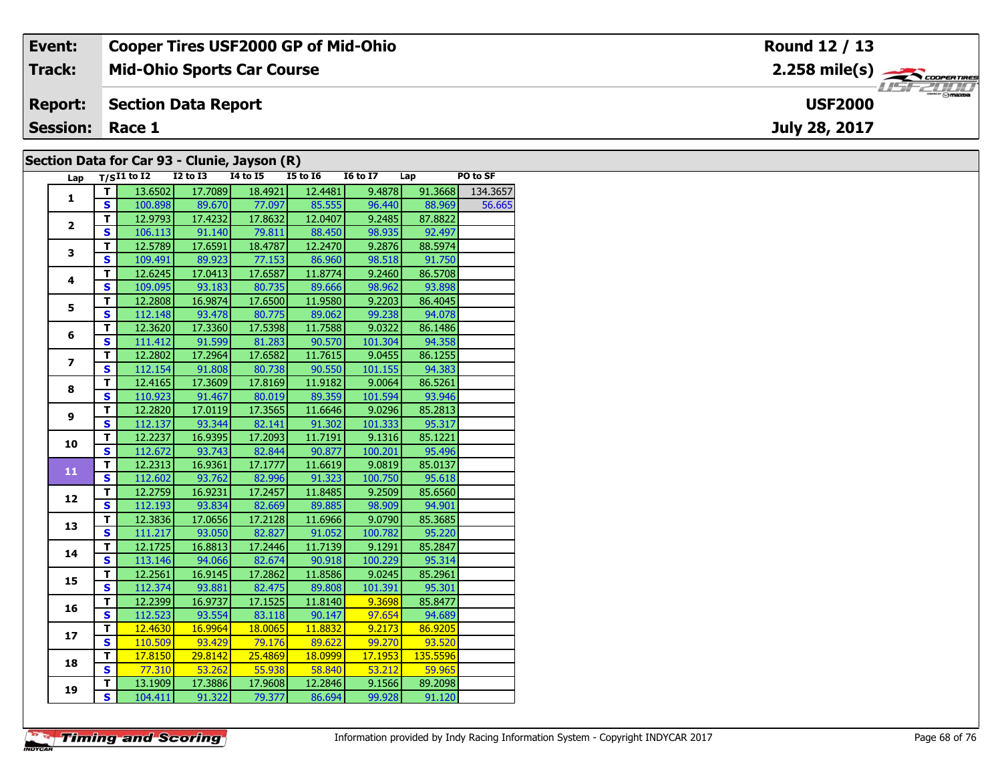| Event:                 | <b>Cooper Tires USF2000 GP of Mid-Ohio</b>   | Round 12 / 13  |
|------------------------|----------------------------------------------|----------------|
| Track:                 | <b>Mid-Ohio Sports Car Course</b>            |                |
| <b>Report:</b>         | Section Data Report                          | <b>USF2000</b> |
| <b>Session: Race 1</b> |                                              | July 28, 2017  |
|                        | Section Data for Car 93 - Clunie, Jayson (R) |                |

## **Section Data for Car 93 - Clunie, Jayson (R)**

| Lap                     |                         | $T/SI1$ to I2 I2 to I3 I4 to I5 |                 |                      | <b>I5 to 16</b>  | I6 to I7 Lap |          | PO to SF         |
|-------------------------|-------------------------|---------------------------------|-----------------|----------------------|------------------|--------------|----------|------------------|
| $\mathbf{1}$            | Τ.                      | 13.6502                         | 17.7089         | 18.4921              | 12.4481          | 9.4878       |          | 91.3668 134.3657 |
|                         | $\mathbf{s}$            | 100.898                         |                 | 89.670 77.097 85.555 |                  | 96.440       | 88.969   | 56.665           |
|                         | T.                      |                                 | 12.9793 17.4232 |                      | 17.8632 12.0407  | 9.2485       | 87.8822  |                  |
| $\overline{2}$          | $\overline{\mathbf{s}}$ | 106.113                         | 91.140          | 79.811               | 88.450           | 98.935       | 92.497   |                  |
|                         | $\overline{\mathsf{r}}$ | 12.5789                         | 17.6591         | 18.4787              | 12.2470          | 9.2876       | 88.5974  |                  |
| 3                       | $\mathbf{s}$            | 109.491                         | 89.923          | 77.153               | 86.960           | 98.518       | 91.750   |                  |
|                         | $\overline{\mathsf{r}}$ | 12.6245                         | 17.0413         | 17.6587              | 11.8774          | 9.2460       | 86.5708  |                  |
| $\overline{\mathbf{4}}$ | $\mathbf{s}$            | 109.095                         | 93.183          | 80.735               | 89.666           | 98.962       | 93.898   |                  |
|                         | T                       | 12.2808                         | 16.9874         | 17.6500              | 11.9580          | 9.2203       | 86.4045  |                  |
| 5                       | $\overline{\mathbf{s}}$ | 112.148                         | 93.478          | 80.775               | 89.062           | 99.238       | 94.078   |                  |
|                         | т                       | 12.3620                         | 17.3360         | 17.5398              | 11.7588          | 9.0322       | 86.1486  |                  |
| 6                       | $\overline{\mathbf{s}}$ |                                 | 111.412 91.599  | 81.283               | 90.570           | 101.304      | 94.358   |                  |
|                         | T                       | 12.2802                         | 17.2964         | 17.6582              | 11.7615          | 9.0455       | 86.1255  |                  |
| $\overline{\mathbf{z}}$ | $\overline{\mathbf{s}}$ | 112.154                         | 91.808          | 80.738               | 90.550           | 101.155      | 94.383   |                  |
|                         | $\overline{\mathsf{r}}$ | 12.4165                         | 17.3609         | 17.8169              | 11.9182          | 9.0064       | 86.5261  |                  |
| 8                       | $\overline{\mathbf{s}}$ | 110.923                         | 91.467          | 80.019               | 89.359           | 101.594      | 93.946   |                  |
|                         | T                       | 12.2820                         | 17.0119         | 17.3565              | 11.6646          | 9.0296       | 85.2813  |                  |
| 9                       | $\mathbf{s}$            | 112.137                         | 93.344          | 82.141               | 91.302           | 101.333      | 95.317   |                  |
|                         | T                       | 12.2237                         | 16.9395         | 17.2093              | 11.7191          | 9.1316       | 85.1221  |                  |
| 10                      | $\overline{\mathbf{s}}$ | 112.672                         |                 | $93.743$ 82.844      | 90.877           | 100.201      | 95.496   |                  |
|                         | T                       | 12.2313                         | 16.9361         | 17.1777              | 11.6619          | 9.0819       | 85.0137  |                  |
| 11                      | $\mathbf{s}$            |                                 | 112.602 93.762  | 82.996               | 91.323           | 100.750      | 95.618   |                  |
|                         | T                       | 12.2759                         | 16.9231         | 17.2457              | 11.8485          | 9.2509       | 85.6560  |                  |
| 12                      | $\overline{\mathbf{s}}$ | 112.193                         | 93.834          | 82.669               | 89.885           | 98.909       | 94.901   |                  |
|                         | T                       | 12.3836                         | 17.0656         | 17.2128              | 11.6966          | 9.0790       | 85.3685  |                  |
| 13                      | $\overline{\mathbf{s}}$ | 111.217                         | 93.050          | 82.827               | 91.052           | 100.782      | 95.220   |                  |
| 14                      | $\overline{\mathsf{r}}$ | 12.1725                         | 16.8813         | 17.2446              | 11.7139          | 9.1291       | 85.2847  |                  |
|                         | $\mathbf{s}$            | 113.146                         | 94.066          | 82.674               | 90.918           | 100.229      | 95.314   |                  |
| 15                      | T                       | 12.2561                         | 16.9145         | 17.2862              | 11.8586          | 9.0245       | 85.2961  |                  |
|                         | $\overline{\mathbf{s}}$ | 112.374                         | 93.881          | 82.475               | 89.808           | 101.391      | 95.301   |                  |
| 16                      | T                       | 12.2399                         | 16.9737         | 17.1525              | 11.8140          | 9.3698       | 85.8477  |                  |
|                         | $\overline{\mathbf{s}}$ | 112.523                         | 93.554          | 83.118               | 90.147           | 97.654       | 94.689   |                  |
| 17                      | T                       | 12.4630                         | 16.9964         | 18.0065              | 11.8832          | 9.2173       | 86.9205  |                  |
|                         | $\overline{\mathbf{s}}$ | 110.509                         | 93.429          | 79.176               | $\boxed{89.622}$ | 99.270       | 93.520   |                  |
| 18                      | $\overline{\mathsf{r}}$ | 17.8150                         | 29.8142         | 25.4869              | 18.0999          | 17.1953      | 135.5596 |                  |
|                         | $\overline{\mathbf{s}}$ | 77.310                          | 53.262          | $-55.938$            | 58.840           | 53.212       | 59.965   |                  |
| 19                      | т                       | 13.1909                         | 17.3886         | 17.9608              | 12.2846          | 9.1566       | 89.2098  |                  |
|                         | $\overline{\mathbf{s}}$ | 104.411                         | 91.322          | 79.377               | 86.694           | 99.928       | 91.120   |                  |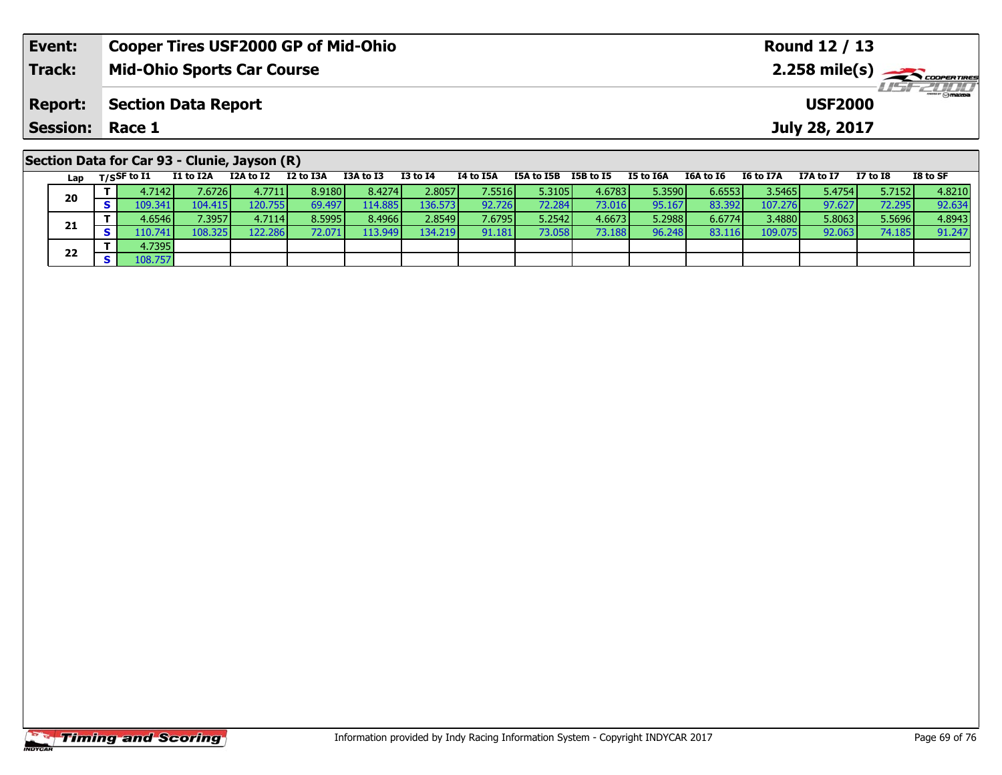| Event:          | <b>Cooper Tires USF2000 GP of Mid-Ohio</b>                                                                                 | Round 12 / 13                                                                           |
|-----------------|----------------------------------------------------------------------------------------------------------------------------|-----------------------------------------------------------------------------------------|
| Track:          | <b>Mid-Ohio Sports Car Course</b>                                                                                          |                                                                                         |
| <b>Report:</b>  | <b>Section Data Report</b>                                                                                                 | <b>USF 2000</b><br><b>USF2000</b>                                                       |
| Session: Race 1 |                                                                                                                            | July 28, 2017                                                                           |
|                 | Section Data for Car 93 - Clunie, Jayson (R)<br><b>TOA + 6 TO</b><br><b>TO + 0 TA</b><br>TA to TEA<br>TEA to TED TED to TE | $TO + C C$<br>TE LA TEA<br>$TCA + 5C$ $TC + 5T7A$<br><b>T7A + &lt; T7</b><br>$T7 + 5T9$ |

|  | Lap | $T/S$ SF to $I1$ | I1 to I2A | I2A to I2 | I2 to I3A | I3A to I3 | <b>I3 to I4</b> | I4 to I5A | I5A to I5B | I5B to I5 | I5 to I6A | I6A to I6 | I6 to I7A | I7A to I7 | $I7$ to $I8$ | I8 to SF |
|--|-----|------------------|-----------|-----------|-----------|-----------|-----------------|-----------|------------|-----------|-----------|-----------|-----------|-----------|--------------|----------|
|  | 20  | 4.7142           | 7.6726    | 4.7711    | 8.9180    | 8.4274    | 2.8057          | 7.5516    | 5.3105     | 4.6783    | 5.3590    | 6.6553    | 3.5465    | 5.4754    | 5.7152       | 4.8210   |
|  |     |                  | 104.4151  | 120.755   | 69.497    | 14.885 l  | 136.573         | 92.726    | 72.284     | 73.016    | 95.167    | 83.3921   | 107.276   | 97.627    | 72.295       | 92.634   |
|  | 21  | 4.6546 l         | 7.3957    | 4.7114    | 8.5995    | 8.4966    | 2.8549          | 7.6795    | 5.2542     | 4.6673    | 5.2988    | 6.6774    | 3.4880    | 5.8063    | 5.5696       | 4.8943   |
|  |     | .10.741          | 108.325   | 122.286   | 72.0711   | 113.949   | 134.219         | 91.181    | 73.058     | 73.188    | 96.248    | 83.116    | 109.075   | 92.063    | 74.185       | 91.247   |
|  |     | 4.7395           |           |           |           |           |                 |           |            |           |           |           |           |           |              |          |
|  | 22  | 108.757          |           |           |           |           |                 |           |            |           |           |           |           |           |              |          |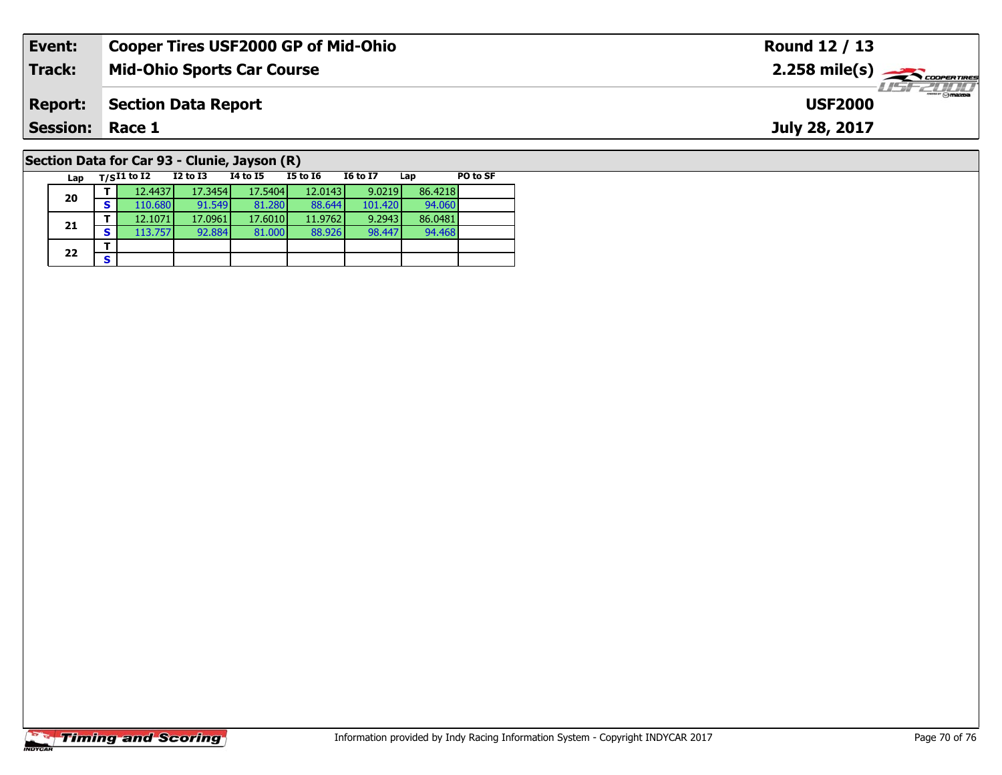| Event:                                       | <b>Cooper Tires USF2000 GP of Mid-Ohio</b> | Round 12 / 13                                                                                                                                                                                                                                                                                                                         |  |  |  |  |  |  |  |  |  |
|----------------------------------------------|--------------------------------------------|---------------------------------------------------------------------------------------------------------------------------------------------------------------------------------------------------------------------------------------------------------------------------------------------------------------------------------------|--|--|--|--|--|--|--|--|--|
| Track:                                       | <b>Mid-Ohio Sports Car Course</b>          | $2.258$ mile(s) $\overbrace{\hspace{2cm}}$ coorer TIRES                                                                                                                                                                                                                                                                               |  |  |  |  |  |  |  |  |  |
| <b>Report:</b>                               | <b>Section Data Report</b>                 | $\frac{1}{2}$ $\frac{1}{2}$ $\frac{1}{2}$ $\frac{1}{2}$ $\frac{1}{2}$ $\frac{1}{2}$ $\frac{1}{2}$ $\frac{1}{2}$ $\frac{1}{2}$ $\frac{1}{2}$ $\frac{1}{2}$ $\frac{1}{2}$ $\frac{1}{2}$ $\frac{1}{2}$ $\frac{1}{2}$ $\frac{1}{2}$ $\frac{1}{2}$ $\frac{1}{2}$ $\frac{1}{2}$ $\frac{1}{2}$ $\frac{1}{2}$ $\frac{1}{2}$<br><b>USF2000</b> |  |  |  |  |  |  |  |  |  |
| <b>Session: Race 1</b>                       |                                            | July 28, 2017                                                                                                                                                                                                                                                                                                                         |  |  |  |  |  |  |  |  |  |
| Section Data for Car 93 - Clunie, Jayson (R) |                                            |                                                                                                                                                                                                                                                                                                                                       |  |  |  |  |  |  |  |  |  |

**Lap T/SI1 to I2 I2 to I3 I4 to I5 I5 to I6 I6 to I7 Lap PO to SF** 

**<sup>T</sup>** 12.4437 17.3454 17.5404 12.0143 9.0219 86.4218 **<sup>S</sup>** 110.680 91.549 81.280 88.644 101.420 94.060

**<sup>T</sup>** 12.1071 17.0961 17.6010 11.9762 9.2943 86.0481 **<sup>S</sup>** 113.757 92.884 81.000 88.926 98.447 94.468

# **Timing and Scoring**

**20**

**21**

22  $\frac{1}{s}$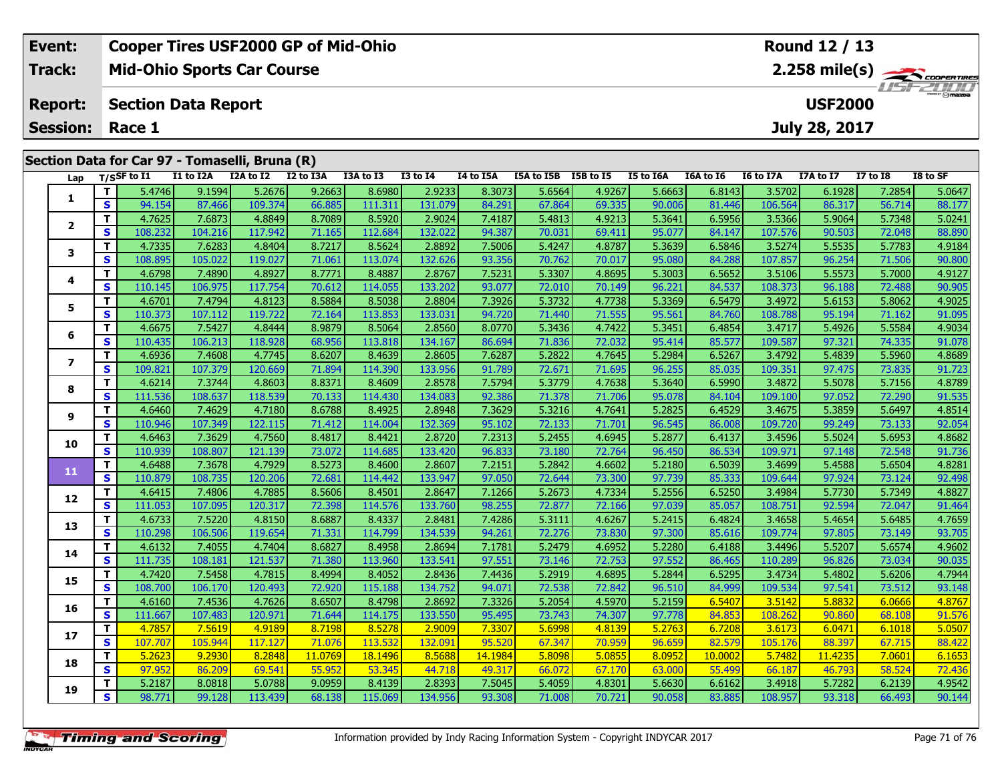| Event:                                         | <b>Cooper Tires USF2000 GP of Mid-Ohio</b> |           |           |           |           |          | Round 12 / 13  |            |                         |                  |           |           |                  |                 |          |
|------------------------------------------------|--------------------------------------------|-----------|-----------|-----------|-----------|----------|----------------|------------|-------------------------|------------------|-----------|-----------|------------------|-----------------|----------|
| <b>Track:</b>                                  | <b>Mid-Ohio Sports Car Course</b>          |           |           |           |           |          |                |            |                         |                  |           |           |                  |                 |          |
| <b>Report:</b>                                 | <b>Section Data Report</b>                 |           |           |           |           |          | <b>USF2000</b> |            | <i><b>LISF 2000</b></i> |                  |           |           |                  |                 |          |
| <b>Session:</b>                                | Race 1                                     |           |           |           |           |          |                |            | July 28, 2017           |                  |           |           |                  |                 |          |
|                                                |                                            |           |           |           |           |          |                |            |                         |                  |           |           |                  |                 |          |
| Section Data for Car 97 - Tomaselli, Bruna (R) |                                            |           |           |           |           |          |                |            |                         |                  |           |           |                  |                 |          |
| Lap                                            | T/SSF to I1                                | I1 to I2A | I2A to I2 | I2 to I3A | I3A to I3 | I3 to I4 | I4 to I5A      | I5A to I5B | I5B to I5               | <b>I5 to I6A</b> | I6A to I6 | I6 to I7A | <b>I7A to I7</b> | <b>I7 to I8</b> | I8 to SF |

| Lap            |              | $1/5$ <sub>2</sub> to 11 | 11 W 12A | IZA WIZ | <b>IZ WISA</b> | 158 W 15 | +ב טו כב | 14 W 13A | 13A W 13B | 196 M 19 | <b>13 MO TOW</b> | TOW TO TO | 10 to 17A | $17A \times I$ | <b>TV TO TO</b> | 10 LU JI |
|----------------|--------------|--------------------------|----------|---------|----------------|----------|----------|----------|-----------|----------|------------------|-----------|-----------|----------------|-----------------|----------|
| 1              | Т            | 5.4746                   | 9.1594   | 5.2676  | 9.2663         | 8.6980   | 2.9233   | 8.3073   | 5.6564    | 4.9267   | 5.6663           | 6.8143    | 3.5702    | 6.1928         | 7.2854          | 5.0647   |
|                | $\mathbf{s}$ | 94.154                   | 87.466   | 109.374 | 66.885         | 111.311  | 131.079  | 84.291   | 67.864    | 69.335   | 90.006           | 81.446    | 106.564   | 86.317         | 56.714          | 88.177   |
| $\overline{2}$ | Т            | 4.7625                   | 7.6873   | 4.8849  | 8.7089         | 8.5920   | 2.9024   | 7.4187   | 5.4813    | 4.9213   | 5.3641           | 6.5956    | 3.5366    | 5.9064         | 5.7348          | 5.0241   |
|                | $\mathbf{s}$ | 108.232                  | 104.216  | 117.942 | 71.165         | 112.684  | 132.022  | 94.387   | 70.031    | 69.411   | 95.077           | 84.147    | 107.576   | 90.503         | 72.048          | 88.890   |
| 3              | T            | 4.7335                   | 7.6283   | 4.8404  | 8.7217         | 8.5624   | 2.8892   | 7.5006   | 5.4247    | 4.8787   | 5.3639           | 6.5846    | 3.5274    | 5.5535         | 5.7783          | 4.9184   |
|                | $\mathbf{s}$ | 108.895                  | 105.022  | 119.027 | 71.061         | 113.074  | 132.626  | 93.356   | 70.762    | 70.017   | 95.080           | 84.288    | 107.857   | 96.254         | 71.506          | 90.800   |
| 4              | $\mathbf{T}$ | 4.6798                   | 7.4890   | 4.8927  | 8.7771         | 8.4887   | 2.8767   | 7.5231   | 5.3307    | 4.8695   | 5.3003           | 6.5652    | 3.5106    | 5.5573         | 5.7000          | 4.9127   |
|                | S            | 110.145                  | 106.975  | 117.754 | 70.612         | 114.055  | 133.202  | 93.077   | 72.010    | 70.149   | 96.221           | 84.537    | 108.373   | 96.188         | 72.488          | 90.905   |
| 5              | Т            | 4.6701                   | 7.4794   | 4.8123  | 8.5884         | 8.5038   | 2.8804   | 7.3926   | 5.3732    | 4.7738   | 5.3369           | 6.5479    | 3.4972    | 5.6153         | 5.8062          | 4.9025   |
|                | S            | 110.373                  | 107.112  | 119.722 | 72.164         | 113.853  | 133.031  | 94.720   | 71.440    | 71.555   | 95.561           | 84.760    | 108.788   | 95.194         | 71.162          | 91.095   |
| 6              | T            | 4.6675                   | 7.5427   | 4.8444  | 8.9879         | 8.5064   | 2.8560   | 8.0770   | 5.3436    | 4.7422   | 5.3451           | 6.4854    | 3.4717    | 5.4926         | 5.5584          | 4.9034   |
|                | $\mathbf{s}$ | 110.435                  | 106.213  | 118.928 | 68.956         | 113.818  | 134.167  | 86.694   | 71.836    | 72.032   | 95.414           | 85.577    | 109.587   | 97.321         | 74.335          | 91.078   |
| 7              | T            | 4.6936                   | 7.4608   | 4.7745  | 8.6207         | 8.4639   | 2.8605   | 7.6287   | 5.2822    | 4.7645   | 5.2984           | 6.5267    | 3.4792    | 5.4839         | 5.5960          | 4.8689   |
|                | $\mathbf{s}$ | 109.821                  | 107.379  | 120.669 | 71.894         | 114.390  | 133.956  | 91.789   | 72.671    | 71.695   | 96.255           | 85.035    | 109.351   | 97.475         | 73.835          | 91.723   |
| 8              | $\mathbf{T}$ | 4.6214                   | 7.3744   | 4.8603  | 8.8371         | 8.4609   | 2.8578   | 7.5794   | 5.3779    | 4.7638   | 5.3640           | 6.5990    | 3.4872    | 5.5078         | 5.7156          | 4.8789   |
|                | $\mathbf{s}$ | 111.536                  | 108.637  | 118.539 | 70.133         | 114.430  | 134.083  | 92.386   | 71.378    | 71.706   | 95.078           | 84.104    | 109.100   | 97.052         | 72.290          | 91.535   |
| 9              | Т            | 4.6460                   | 7.4629   | 4.7180  | 8.6788         | 8.4925   | 2.8948   | 7.3629   | 5.3216    | 4.7641   | 5.2825           | 6.4529    | 3.4675    | 5.3859         | 5.6497          | 4.8514   |
|                | S            | 110.946                  | 107.349  | 122.115 | 71.412         | 114.004  | 132.369  | 95.102   | 72.133    | 71.701   | 96.545           | 86.008    | 109.720   | 99.249         | 73.133          | 92.054   |
| 10             | Т            | 4.6463                   | 7.3629   | 4.7560  | 8.4817         | 8.4421   | 2.8720   | 7.2313   | 5.2455    | 4.6945   | 5.2877           | 6.4137    | 3.4596    | 5.5024         | 5.6953          | 4.8682   |
|                | $\mathbf{s}$ | 110.939                  | 108.807  | 121.139 | 73.072         | 114.685  | 133.420  | 96.833   | 73.180    | 72.764   | 96.450           | 86.534    | 109.971   | 97.148         | 72.548          | 91.736   |
| 11             | T            | 4.6488                   | 7.3678   | 4.7929  | 8.5273         | 8.4600   | 2.8607   | 7.2151   | 5.2842    | 4.6602   | 5.2180           | 6.5039    | 3.4699    | 5.4588         | 5.6504          | 4.8281   |
|                | $\mathbf{s}$ | 110.879                  | 108.735  | 120.206 | 72.681         | 114.442  | 133.947  | 97.050   | 72.644    | 73.300   | 97.739           | 85.333    | 109.644   | 97.924         | 73.124          | 92.498   |
| 12             | т            | 4.6415                   | 7.4806   | 4.7885  | 8.5606         | 8.4501   | 2.8647   | 7.1266   | 5.2673    | 4.7334   | 5.2556           | 6.5250    | 3.4984    | 5.7730         | 5.7349          | 4.8827   |
|                | $\mathbf{s}$ | 111.053                  | 107.095  | 120.317 | 72.398         | 114.576  | 133.760  | 98.255   | 72.877    | 72.166   | 97.039           | 85.057    | 108.751   | 92.594         | 72.047          | 91.464   |
| 13             | Т            | 4.6733                   | 7.5220   | 4.8150  | 8.6887         | 8.4337   | 2.8481   | 7.4286   | 5.3111    | 4.6267   | 5.2415           | 6.4824    | 3.4658    | 5.4654         | 5.6485          | 4.7659   |
|                | S            | 110.298                  | 106.506  | 119.654 | 71.331         | 114.799  | 134.539  | 94.261   | 72.276    | 73.830   | 97.300           | 85.616    | 109.774   | 97.805         | 73.149          | 93.705   |
| 14             | Т            | 4.6132                   | 7.4055   | 4.7404  | 8.6827         | 8.4958   | 2.8694   | 7.1781   | 5.2479    | 4.6952   | 5.2280           | 6.4188    | 3.4496    | 5.5207         | 5.6574          | 4.9602   |
|                | S            | 111.735                  | 108.181  | 121.537 | 71.380         | 113.960  | 133.541  | 97.551   | 73.146    | 72.753   | 97.552           | 86.465    | 110.289   | 96.826         | 73.034          | 90.035   |
| 15             | Т            | 4.7420                   | 7.5458   | 4.7815  | 8.4994         | 8.4052   | 2.8436   | 7.4436   | 5.2919    | 4.6895   | 5.2844           | 6.5295    | 3.4734    | 5.4802         | 5.6206          | 4.7944   |
|                | $\mathbf{s}$ | 108.700                  | 106.170  | 120.493 | 72.920         | 115.188  | 134.752  | 94.071   | 72.538    | 72.842   | 96.510           | 84.999    | 109.534   | 97.541         | 73.512          | 93.148   |
| 16             | Т            | 4.6160                   | 7.4536   | 4.7626  | 8.6507         | 8.4798   | 2.8692   | 7.3326   | 5.2054    | 4.5970   | 5.2159           | 6.5407    | 3.5142    | 5.8832         | 6.0666          | 4.8767   |
|                | $\mathbf{s}$ | 111.667                  | 107.483  | 120.971 | 71.644         | 114.175  | 133.550  | 95.495   | 73.743    | 74.307   | 97.778           | 84.853    | 108.262   | 90.860         | 68.108          | 91.576   |
| 17             | Т            | 4.7857                   | 7.5619   | 4.9189  | 8.7198         | 8.5278   | 2.9009   | 7.3307   | 5.6998    | 4.8139   | 5.2763           | 6.7208    | 3.6173    | 6.0471         | 6.1018          | 5.0507   |
|                | $\mathbf{s}$ | 107.707                  | 105.944  | 117.127 | 71.076         | 113.532  | 132.091  | 95.520   | 67.347    | 70.959   | 96.659           | 82.579    | 105.176   | 88.397         | 67.715          | 88.422   |
| 18             | Т            | 5.2623                   | 9.2930   | 8.2848  | 11.0769        | 18.1496  | 8.5688   | 14.1984  | 5.8098    | 5.0855   | 8.0952           | 10.0002   | 5.7482    | 11.4235        | 7.0601          | 6.1653   |
|                | S            | 97.952                   | 86.209   | 69.541  | 55.952         | 53.345   | 44.718   | 49.317   | 66.072    | 67.170   | 63,000           | 55.499    | 66.187    | 46.793         | 58.524          | 72.436   |
| 19             | Т            | 5.2187                   | 8.0818   | 5.0788  | 9.0959         | 8.4139   | 2.8393   | 7.5045   | 5.4059    | 4.8301   | 5.6630           | 6.6162    | 3.4918    | 5.7282         | 6.2139          | 4.9542   |
|                | $\mathbf{s}$ | 98.771                   | 99.128   | 113.439 | 68.138         | 115.069  | 134.956  | 93.308   | 71.008    | 70.721   | 90.058           | 83.885    | 108.957   | 93.318         | 66.493          | 90.144   |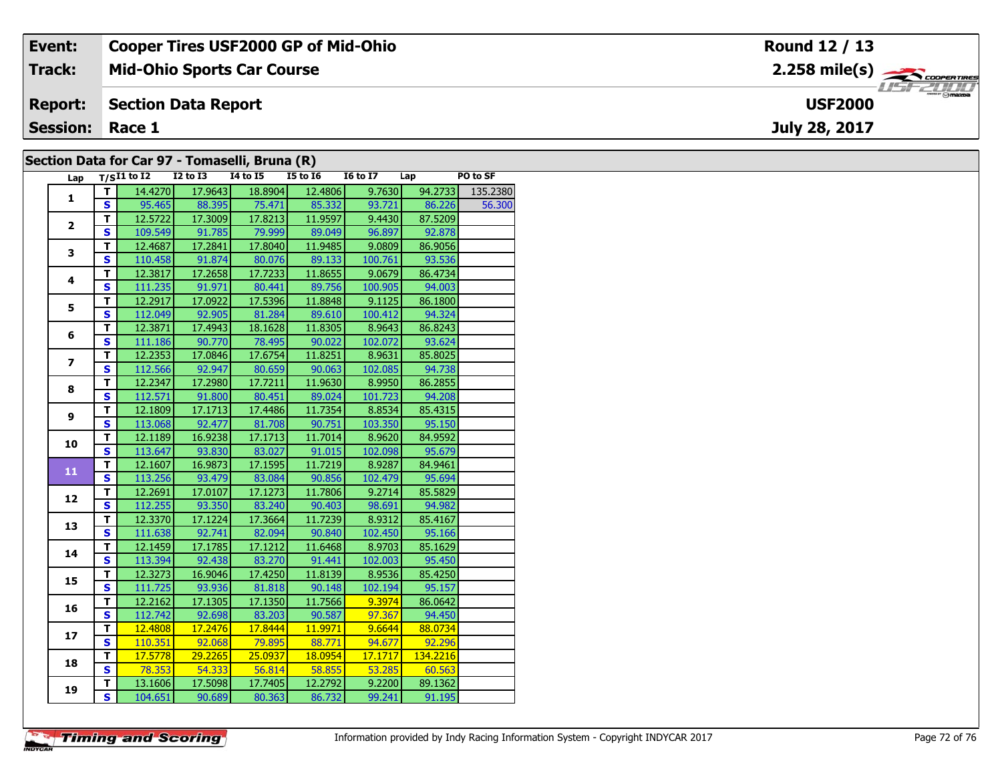| Event:                                         | <b>Cooper Tires USF2000 GP of Mid-Ohio</b> | Round 12 / 13                                                 |  |  |  |  |  |
|------------------------------------------------|--------------------------------------------|---------------------------------------------------------------|--|--|--|--|--|
| Track:                                         | <b>Mid-Ohio Sports Car Course</b>          | $2.258$ mile(s) $\overbrace{\hspace{2.5cm}}^{3}$ coores rines |  |  |  |  |  |
| <b>Report:</b>                                 | <b>Section Data Report</b>                 | <b>USF2000</b>                                                |  |  |  |  |  |
| <b>Session: Race 1</b>                         |                                            | July 28, 2017                                                 |  |  |  |  |  |
| Section Data for Car 97 - Tomaselli, Bruna (R) |                                            |                                                               |  |  |  |  |  |

#### **Section Data for Car 97 - Tomaselli, Bruna (R)**

| Lap                     |                         | $T/SI1$ to I2 I2 to I3 I4 to I5 |                   |                              | $\sim$ $\sim$<br>$I5$ to $I6$     | I6 to I7 Lap     |                    | PO to SF |
|-------------------------|-------------------------|---------------------------------|-------------------|------------------------------|-----------------------------------|------------------|--------------------|----------|
| $\mathbf{1}$            | T I                     |                                 | 14.4270 17.9643   |                              | 18.8904 12.4806                   |                  | $9.7630$ $94.2733$ | 135.2380 |
|                         | $\mathbf{s}$            |                                 |                   | 95.465 88.395 75.471 85.332  |                                   | 93.721           | 86.226             | 56.300   |
|                         | $\overline{\mathsf{T}}$ | 12.5722                         | 17.3009           |                              | 17.8213 11.9597                   | 9.4430           | 87.5209            |          |
| $\overline{2}$          | $\overline{\mathbf{s}}$ | 109.549                         | 91.785            |                              | 79.999 89.049                     | 96.897           | 92.878             |          |
|                         | $\overline{\mathsf{r}}$ | 12.4687                         | 17.2841           | 17.8040                      | 11.9485                           | 9.0809           | 86.9056            |          |
| 3                       | $\overline{\mathbf{s}}$ | 110.458                         | 91.874            | 80.076                       | 89.133                            | 100.761          | 93.536             |          |
|                         | $\overline{\mathsf{r}}$ | 12.3817                         | 17.2658           | 17.7233                      | 11.8655                           | 9.0679           | 86.4734            |          |
| 4                       | $\overline{\mathbf{s}}$ | 111.235                         | 91.971            | 80.441                       | 89.756                            | 100.905          | 94.003             |          |
|                         | T                       | 12.2917                         | 17.0922           | 17.5396                      | 11.8848                           | 9.1125           | 86.1800            |          |
| 5                       | $\mathbf{s}$            |                                 |                   | 112.049 92.905 81.284        | 89.610                            | 100.412          | 94.324             |          |
|                         | T                       | 12.3871                         | 17.4943           | 18.1628                      | 11.8305                           | 8.9643           | 86.8243            |          |
| 6                       | $\overline{\mathbf{s}}$ |                                 |                   | 111.186 90.770 78.495        | 90.022                            | 102.072          | 93.624             |          |
|                         | T                       | 12.2353                         | 17.0846           | 17.6754                      |                                   | $11.8251$ 8.9631 | 85.8025            |          |
| $\overline{\mathbf{z}}$ | $\mathbf{s}$            | 112.566                         | 92.947            | 80.659                       | 90.063                            | 102.085          | 94.738             |          |
| 8                       | $\overline{\mathsf{r}}$ | 12.2347                         | 17.2980           | 17.7211                      | 11.9630                           | 8.9950           | 86.2855            |          |
|                         | $\mathbf{s}$            | 112.571                         | 91.800            | 80.451                       | 89.024                            | 101.723          | 94.208             |          |
| 9                       | $\overline{\mathsf{r}}$ | 12.1809                         | 17.1713           | 17.4486                      | 11.7354                           | 8.8534           | 85.4315            |          |
|                         | $\mathbf{s}$            | 113.068                         | 92.477            | 81.708                       | 90.751                            | 103.350          | 95.150             |          |
| 10                      | T                       | 12.1189                         | 16.9238           | 17.1713                      | 11.7014                           | 8.9620           | 84.9592            |          |
|                         | $\overline{\mathbf{s}}$ |                                 |                   | 113.647 93.830 83.027 91.015 |                                   | 102.098          | 95.679             |          |
| 11                      | T.                      |                                 | $12.1607$ 16.9873 | 17.1595                      | 11.7219                           | 8.9287           | 84.9461            |          |
|                         | $\overline{\mathbf{s}}$ |                                 | 113.256 93.479    | 83.084                       | 90.856                            | 102.479          | 95.694             |          |
|                         | $\overline{\mathsf{r}}$ | 12.2691                         | 17.0107           | 17.1273                      | 11.7806                           | 9.2714           | 85.5829            |          |
| 12                      | $\overline{\mathbf{s}}$ | 112.255                         | 93.350            | 83.240                       | 90.403                            | 98.691           | 94.982             |          |
| 13                      | $\overline{\mathsf{r}}$ | 12.3370                         | 17.1224           | 17.3664                      | 11.7239                           | 8.9312           | 85.4167            |          |
|                         | $\overline{\mathbf{s}}$ | 111.638                         | 92.741            | 82.094                       | 90.840                            | 102.450          | 95.166             |          |
| 14                      | $\mathbf T$             | 12.1459                         | 17.1785           | 17.1212                      | 11.6468                           | 8.9703           | 85.1629            |          |
|                         | $\overline{\mathbf{s}}$ | 113.394                         | 92.438            | 83.270                       | 91.441                            | 102.003          | 95.450             |          |
| 15                      | T                       | 12.3273                         | 16.9046           | 17.4250                      | 11.8139                           | 8.9536           | 85.4250            |          |
|                         | $\overline{\mathbf{s}}$ |                                 |                   | 111.725 93.936 81.818        | 90.148                            | 102.194          | 95.157             |          |
| 16                      | T.                      | 12.2162                         | 17.1305           | 17.1350                      | 11.7566                           | 9.3974           | 86.0642            |          |
|                         | $\overline{\mathbf{s}}$ |                                 |                   | 112.742 92.698 83.203        | 90.587                            | 97.367           | 94.450             |          |
| 17                      | T                       | 12.4808                         | 17.2476           | 17.8444                      | 11.9971                           | 9.6644           | 88.0734            |          |
|                         | $\overline{\mathbf{s}}$ | 110.351                         | 92.068            | 79.895                       | 88.771                            | 94.677           | 92.296             |          |
| 18                      | $\overline{\mathsf{T}}$ | 17.5778                         | 29.2265           | 25.0937                      | 18.0954                           | 17.1717          | 134.2216           |          |
|                         | $\overline{\mathbf{s}}$ | 78.353                          | 54.333            | 56.814                       | $\overline{\hspace{1.6cm}58.855}$ | 53.285           | 60.563             |          |
| 19                      | T                       | 13.1606                         | 17.5098           | 17.7405                      | 12.2792                           | 9.2200           | 89.1362            |          |
|                         | $\overline{\mathbf{s}}$ | 104.651                         |                   | 90.689 80.363                | 86.732                            | 99.241           | 91.195             |          |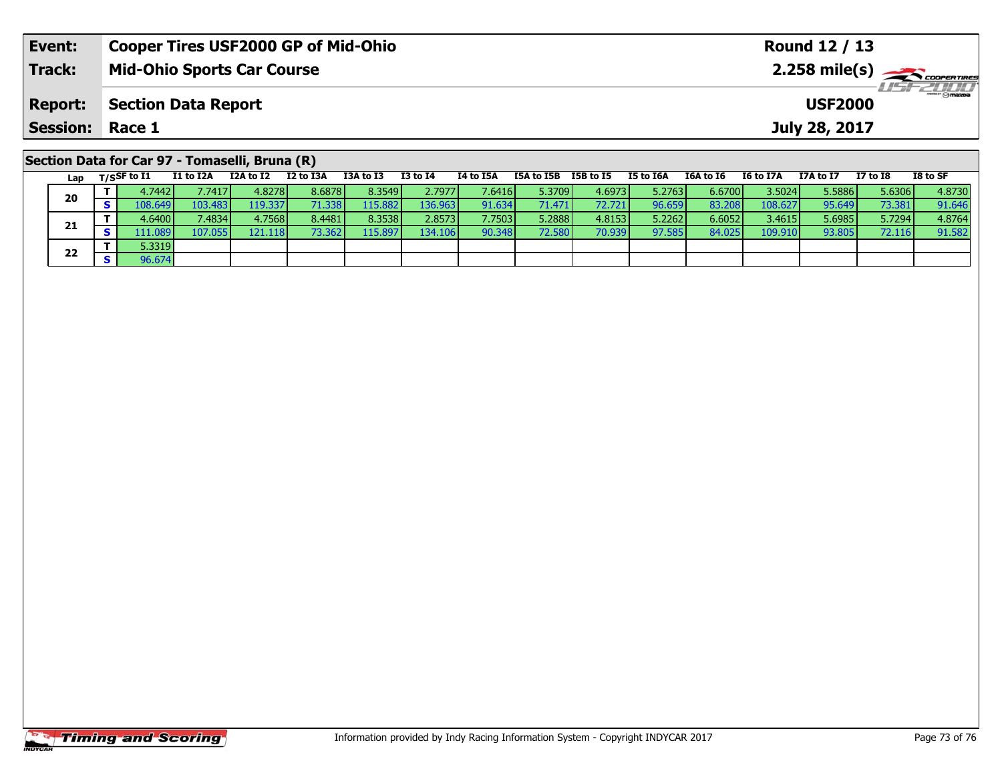| Event:                                                                                                                                                                                                                                                                                                                                                                                                                                                                                                                                                                                                                                                                                                         | <b>Cooper Tires USF2000 GP of Mid-Ohio</b> | Round 12 / 13  |  |  |  |  |  |  |  |
|----------------------------------------------------------------------------------------------------------------------------------------------------------------------------------------------------------------------------------------------------------------------------------------------------------------------------------------------------------------------------------------------------------------------------------------------------------------------------------------------------------------------------------------------------------------------------------------------------------------------------------------------------------------------------------------------------------------|--------------------------------------------|----------------|--|--|--|--|--|--|--|
| Track:                                                                                                                                                                                                                                                                                                                                                                                                                                                                                                                                                                                                                                                                                                         | <b>Mid-Ohio Sports Car Course</b>          |                |  |  |  |  |  |  |  |
| <b>Report:</b>                                                                                                                                                                                                                                                                                                                                                                                                                                                                                                                                                                                                                                                                                                 | <b>Section Data Report</b>                 | <b>USF2000</b> |  |  |  |  |  |  |  |
| <b>Session: Race 1</b>                                                                                                                                                                                                                                                                                                                                                                                                                                                                                                                                                                                                                                                                                         |                                            | July 28, 2017  |  |  |  |  |  |  |  |
| Section Data for Car 97 - Tomaselli, Bruna (R)<br>TO LA CE<br>$\blacksquare$ $\blacksquare$ $\blacksquare$ $\blacksquare$ $\blacksquare$ $\blacksquare$ $\blacksquare$ $\blacksquare$ $\blacksquare$ $\blacksquare$ $\blacksquare$ $\blacksquare$ $\blacksquare$ $\blacksquare$ $\blacksquare$ $\blacksquare$ $\blacksquare$ $\blacksquare$ $\blacksquare$ $\blacksquare$ $\blacksquare$ $\blacksquare$ $\blacksquare$ $\blacksquare$ $\blacksquare$ $\blacksquare$ $\blacksquare$ $\blacksquare$ $\blacksquare$ $\blacksquare$ $\blacksquare$ $\blacks$<br>TEAL TED TED LATE<br>TOA LA TO<br><b>TALATEA</b><br>TE AA TEA<br>TCA LA TC<br><b>TTA 1. TT</b><br><b>T7 1.4 TO</b><br><b>TO LA TA</b><br>TC LA TTA |                                            |                |  |  |  |  |  |  |  |

|  | Lap | $T/S$ SF to $I1$ | I1 to I2A | I2A to I2 | I2 to I3A | I3A to I3 | <b>I3 to I4</b> | I4 to I5A | I5A to I5B      | I5B to I5 | I5 to I6A | I6A to I6 | I6 to I7A | I7A to I7 | $I7$ to $I8$ | I8 to SF |
|--|-----|------------------|-----------|-----------|-----------|-----------|-----------------|-----------|-----------------|-----------|-----------|-----------|-----------|-----------|--------------|----------|
|  | 20  | 4.7442           | .7417     | 4.8278    | 8.6878    | 8.3549    | 2.7977          | 7.6416    | 5.3709          | 4.6973    | 5.2763    | 6.6700    | 3.5024    | 5.5886    | 5.6306       | 4.8730   |
|  |     | .08.649 <b>I</b> | 103.483   | 19.337    | '1.338    | 15.882    | 136.9631        | 91.634    | 71.471          | 72.721    | 96.659    | 83.2081   | 108.627   | 95.649    | 73.381       | 91.646   |
|  |     | 4.6400 <b>l</b>  | 7.4834    | 4.7568    | 8.4481    | 8.3538    | 2.8573          | 7.7503    | 5.2888 <b>l</b> | 4.8153    | 5.2262    | 6.6052    | 3.4615    | 5.6985    | 5.7294       | 4.8764   |
|  | 21  | 11.089           | 107.055   | l21.118 l | 3.362     | 115.8971  | 134.106         | 90.348    | 72.580          | 70.939    | 97.585    | 84.025    | 109.910   | 93.805    | 72.116       | 91.582   |
|  | 22  | 5.3319           |           |           |           |           |                 |           |                 |           |           |           |           |           |              |          |
|  |     | 96.674           |           |           |           |           |                 |           |                 |           |           |           |           |           |              |          |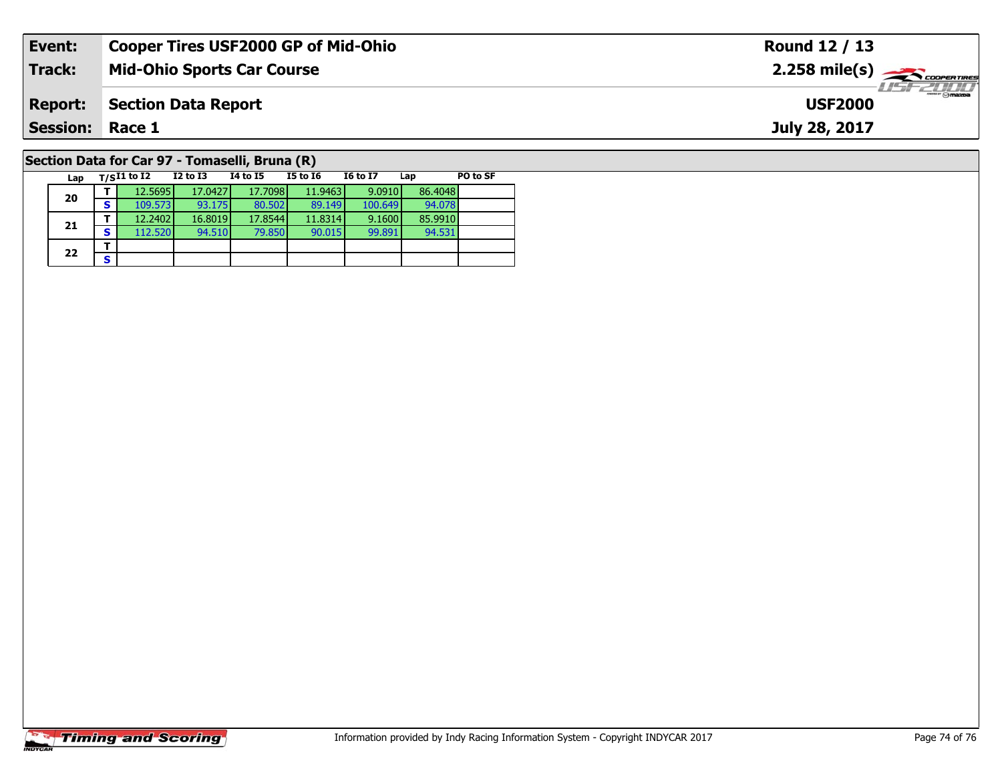| Event:                                         | <b>Cooper Tires USF2000 GP of Mid-Ohio</b> | Round 12 / 13                                           |  |  |  |  |  |
|------------------------------------------------|--------------------------------------------|---------------------------------------------------------|--|--|--|--|--|
| Track:                                         | <b>Mid-Ohio Sports Car Course</b>          | $2.258$ mile(s) $\overbrace{\hspace{2cm}}$ coorer TIRES |  |  |  |  |  |
| <b>Report:</b>                                 | Section Data Report                        | $\frac{1}{\Theta}$ mazoa<br><b>USF2000</b>              |  |  |  |  |  |
| <b>Session: Race 1</b>                         |                                            | July 28, 2017                                           |  |  |  |  |  |
| Section Data for Car 97 - Tomaselli, Bruna (R) |                                            |                                                         |  |  |  |  |  |

## **Section Data for Car 97 - Tomaselli, Bruna (R)**

|  | Lap |   | $T/SI1$ to I2 | <b>I2 to I3</b> | 14 to 15 | <b>I5 to 16</b> | <b>16 to 17</b> | Lap     | PO to SF |
|--|-----|---|---------------|-----------------|----------|-----------------|-----------------|---------|----------|
|  |     |   | 12.5695       | 17.0427         | 17.7098  | 11.9463         | 9.0910          | 86,4048 |          |
|  | 20  | S | 109.573       | 93.175          | 80.502   | 89.149          | 100.649         | 94.078  |          |
|  |     |   | 12.2402       | 16.8019         | 17.8544  | 11.8314         | 9.1600          | 85.9910 |          |
|  | 21  | S | 112.520       | 94.510          | 79.850   | 90.015          | 99.891          | 94.531  |          |
|  |     |   |               |                 |          |                 |                 |         |          |
|  | 22  | S |               |                 |          |                 |                 |         |          |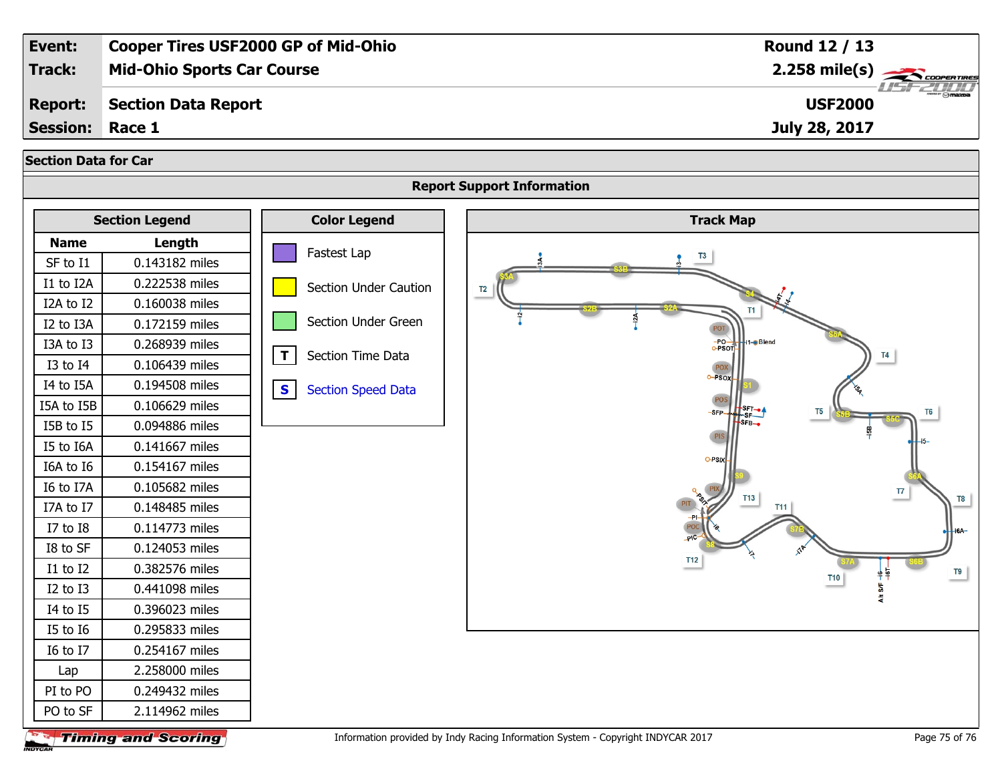